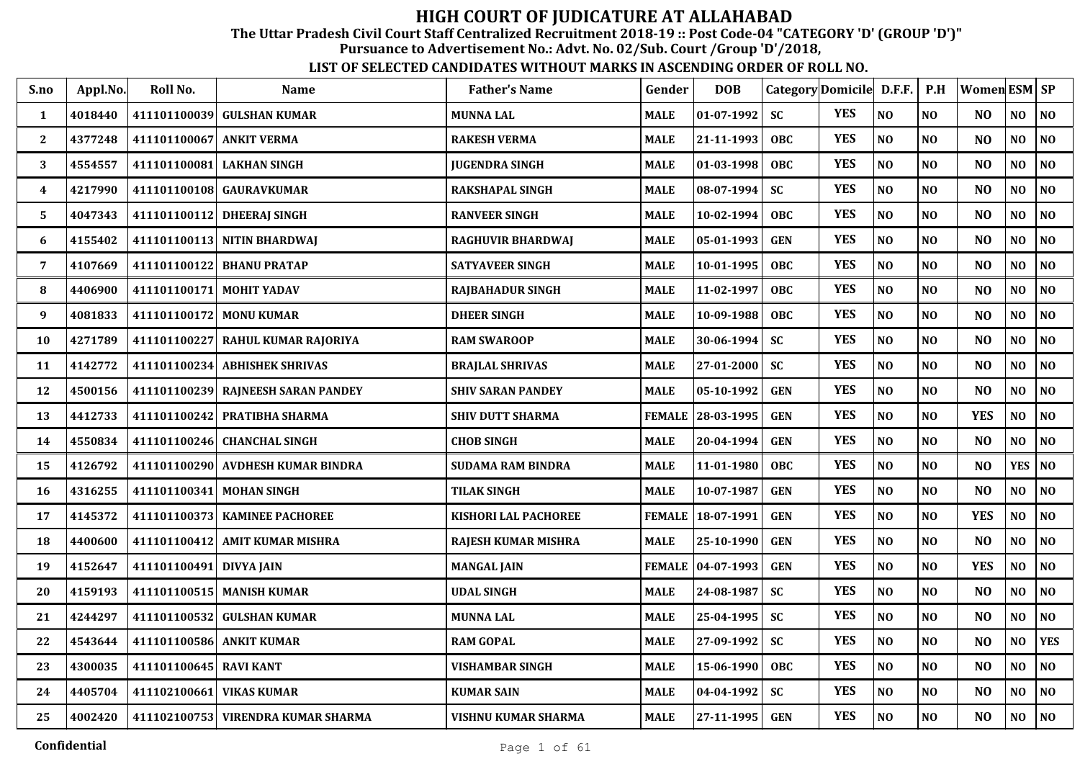The Uttar Pradesh Civil Court Staff Centralized Recruitment 2018-19 :: Post Code-04 "CATEGORY 'D' (GROUP 'D')"

Pursuance to Advertisement No.: Advt. No. 02/Sub. Court /Group 'D'/2018,

| S.no | Appl.No. | Roll No.                 | <b>Name</b>                        | <b>Father's Name</b>        | Gender        | <b>DOB</b>          |            | Category Domicile D.F.F. |                | P.H            | Women ESM SP   |                |                |
|------|----------|--------------------------|------------------------------------|-----------------------------|---------------|---------------------|------------|--------------------------|----------------|----------------|----------------|----------------|----------------|
| 1    | 4018440  | 411101100039             | <b>GULSHAN KUMAR</b>               | <b>MUNNA LAL</b>            | <b>MALE</b>   | 01-07-1992          | <b>SC</b>  | <b>YES</b>               | NO             | NO             | N <sub>O</sub> | NO             | NO             |
| 2    | 4377248  | 411101100067             | <b>ANKIT VERMA</b>                 | <b>RAKESH VERMA</b>         | <b>MALE</b>   | 21-11-1993          | <b>OBC</b> | <b>YES</b>               | NO             | N <sub>O</sub> | N <sub>O</sub> | NO             | N <sub>0</sub> |
| 3    | 4554557  | 411101100081             | <b>LAKHAN SINGH</b>                | <b>JUGENDRA SINGH</b>       | <b>MALE</b>   | 01-03-1998          | <b>OBC</b> | <b>YES</b>               | NO             | N <sub>O</sub> | N <sub>O</sub> | NO             | NO             |
| 4    | 4217990  | 411101100108             | <b>GAURAVKUMAR</b>                 | RAKSHAPAL SINGH             | <b>MALE</b>   | 08-07-1994          | <b>SC</b>  | <b>YES</b>               | N <sub>O</sub> | N <sub>O</sub> | N <sub>O</sub> | N <sub>O</sub> | NO             |
| 5    | 4047343  | 411101100112             | <b>DHEERAI SINGH</b>               | <b>RANVEER SINGH</b>        | <b>MALE</b>   | 10-02-1994          | <b>OBC</b> | <b>YES</b>               | NO             | N <sub>O</sub> | N <sub>O</sub> | NO             | NO             |
| 6    | 4155402  |                          | 411101100113 NITIN BHARDWAJ        | <b>RAGHUVIR BHARDWAJ</b>    | <b>MALE</b>   | 05-01-1993          | <b>GEN</b> | <b>YES</b>               | N <sub>O</sub> | N <sub>O</sub> | N <sub>O</sub> | NO             | N <sub>O</sub> |
| 7    | 4107669  |                          | 411101100122 BHANU PRATAP          | <b>SATYAVEER SINGH</b>      | <b>MALE</b>   | 10-01-1995          | <b>OBC</b> | <b>YES</b>               | $\bf NO$       | <b>NO</b>      | NO             | NO             | $\bf NO$       |
| 8    | 4406900  | 411101100171 MOHIT YADAV |                                    | <b>RAJBAHADUR SINGH</b>     | <b>MALE</b>   | 11-02-1997          | OBC        | <b>YES</b>               | NO             | N <sub>0</sub> | N <sub>O</sub> | NO.            | N <sub>0</sub> |
| 9    | 4081833  | 411101100172             | <b>MONU KUMAR</b>                  | <b>DHEER SINGH</b>          | <b>MALE</b>   | 10-09-1988          | <b>OBC</b> | <b>YES</b>               | NO             | N <sub>O</sub> | N <sub>O</sub> | NO             | NO             |
| 10   | 4271789  |                          | 411101100227 RAHUL KUMAR RAJORIYA  | <b>RAM SWAROOP</b>          | <b>MALE</b>   | 30-06-1994          | <b>SC</b>  | <b>YES</b>               | NO             | N <sub>O</sub> | N <sub>O</sub> | NO             | NO             |
| 11   | 4142772  |                          | 411101100234 ABHISHEK SHRIVAS      | <b>BRAJLAL SHRIVAS</b>      | <b>MALE</b>   | $27 - 01 - 2000$    | <b>SC</b>  | <b>YES</b>               | NO             | N <sub>O</sub> | N <sub>O</sub> | NO             | NO             |
| 12   | 4500156  |                          | 411101100239 RAINEESH SARAN PANDEY | <b>SHIV SARAN PANDEY</b>    | <b>MALE</b>   | 05-10-1992          | <b>GEN</b> | <b>YES</b>               | NO             | N <sub>O</sub> | N <sub>O</sub> | N <sub>O</sub> | N <sub>O</sub> |
| 13   | 4412733  | 411101100242             | PRATIBHA SHARMA                    | <b>SHIV DUTT SHARMA</b>     | <b>FEMALE</b> | 28-03-1995          | <b>GEN</b> | <b>YES</b>               | $\bf NO$       | N <sub>O</sub> | <b>YES</b>     | NO             | $\bf NO$       |
| 14   | 4550834  | 411101100246             | <b>CHANCHAL SINGH</b>              | <b>CHOB SINGH</b>           | <b>MALE</b>   | 20-04-1994          | <b>GEN</b> | <b>YES</b>               | NO             | NO             | N <sub>O</sub> | NO             | N <sub>0</sub> |
| 15   | 4126792  |                          | 411101100290 AVDHESH KUMAR BINDRA  | <b>SUDAMA RAM BINDRA</b>    | <b>MALE</b>   | 11-01-1980          | <b>OBC</b> | <b>YES</b>               | NO             | N <sub>0</sub> | NO             | <b>YES</b>     | $\bf NO$       |
| 16   | 4316255  |                          | 411101100341 MOHAN SINGH           | TILAK SINGH                 | <b>MALE</b>   | 10-07-1987          | <b>GEN</b> | <b>YES</b>               | NO             | N <sub>0</sub> | N <sub>O</sub> | NO             | N <sub>0</sub> |
| 17   | 4145372  |                          | 411101100373   KAMINEE PACHOREE    | <b>KISHORI LAL PACHOREE</b> | <b>FEMALE</b> | 18-07-1991          | <b>GEN</b> | <b>YES</b>               | NO             | N <sub>O</sub> | <b>YES</b>     | N <sub>O</sub> | NO             |
| 18   | 4400600  |                          | 411101100412 AMIT KUMAR MISHRA     | RAJESH KUMAR MISHRA         | <b>MALE</b>   | 25-10-1990          | <b>GEN</b> | <b>YES</b>               | NO             | N <sub>O</sub> | N <sub>O</sub> | NO             | N <sub>O</sub> |
| 19   | 4152647  | 411101100491 DIVYA JAIN  |                                    | <b>MANGAL JAIN</b>          |               | FEMALE   04-07-1993 | <b>GEN</b> | <b>YES</b>               | NO             | N <sub>O</sub> | <b>YES</b>     | NO             | NO             |
| 20   | 4159193  |                          | 411101100515 MANISH KUMAR          | UDAL SINGH                  | <b>MALE</b>   | 24-08-1987          | <b>SC</b>  | <b>YES</b>               | NO             | N <sub>O</sub> | NO             | $\bf NO$       | NO             |
| 21   | 4244297  | 411101100532             | <b>GULSHAN KUMAR</b>               | <b>MUNNA LAL</b>            | <b>MALE</b>   | 25-04-1995          | <b>SC</b>  | <b>YES</b>               | NO             | N <sub>O</sub> | N <sub>O</sub> | NO             | N <sub>0</sub> |
| 22   | 4543644  | 411101100586 ANKIT KUMAR |                                    | <b>RAM GOPAL</b>            | <b>MALE</b>   | 27-09-1992          | <b>SC</b>  | <b>YES</b>               | NO             | NO             | N <sub>O</sub> | NO             | <b>YES</b>     |
| 23   | 4300035  | 411101100645 RAVI KANT   |                                    | <b>VISHAMBAR SINGH</b>      | <b>MALE</b>   | 15-06-1990          | <b>OBC</b> | <b>YES</b>               | NO             | N <sub>0</sub> | N <sub>O</sub> | NO             | NO             |
| 24   | 4405704  | 411102100661             | <b>VIKAS KUMAR</b>                 | <b>KUMAR SAIN</b>           | <b>MALE</b>   | 04-04-1992          | <b>SC</b>  | <b>YES</b>               | $\bf NO$       | N <sub>0</sub> | N <sub>O</sub> | NO             | $\bf NO$       |
| 25   | 4002420  |                          | 411102100753 VIRENDRA KUMAR SHARMA | VISHNU KUMAR SHARMA         | <b>MALE</b>   | 27-11-1995          | <b>GEN</b> | <b>YES</b>               | NO             | N <sub>O</sub> | N <sub>O</sub> | NO             | NO             |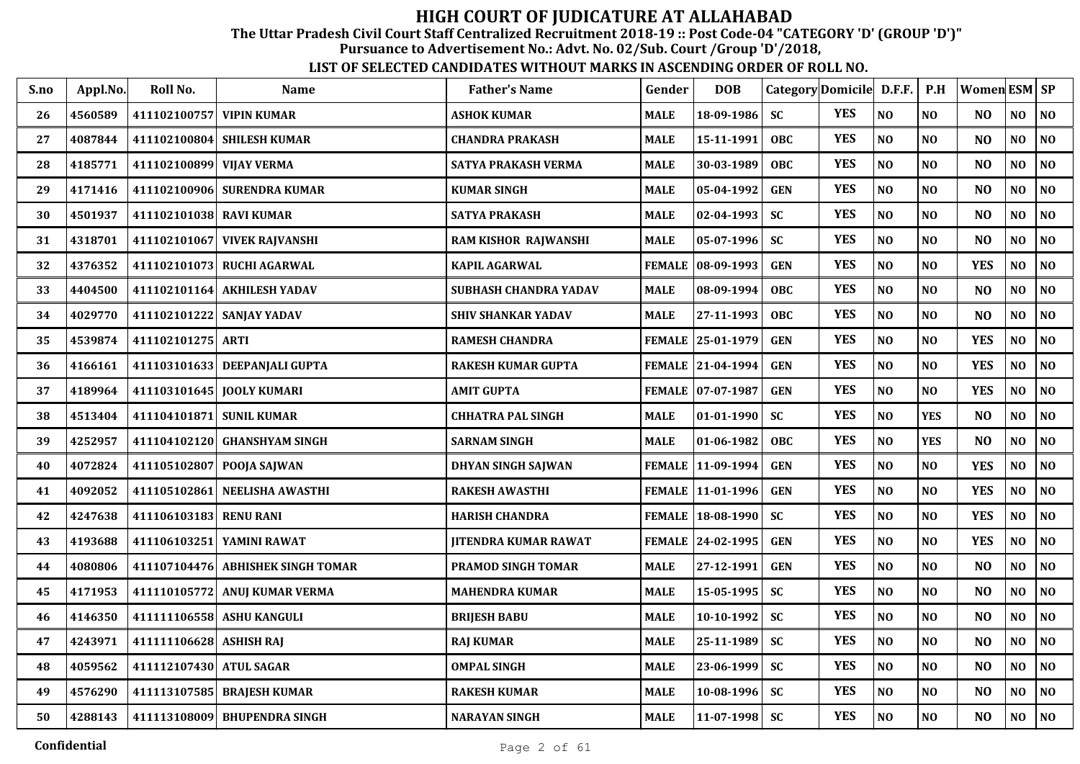The Uttar Pradesh Civil Court Staff Centralized Recruitment 2018-19 :: Post Code-04 "CATEGORY 'D' (GROUP 'D')"

Pursuance to Advertisement No.: Advt. No. 02/Sub. Court /Group 'D'/2018,

| S.no | Appl.No. | Roll No.                | <b>Name</b>                       | <b>Father's Name</b>        | Gender        | <b>DOB</b>          | Category Domicile D.F.F. |            |                | P.H            | Women ESM   SP |                |                             |
|------|----------|-------------------------|-----------------------------------|-----------------------------|---------------|---------------------|--------------------------|------------|----------------|----------------|----------------|----------------|-----------------------------|
| 26   | 4560589  | 411102100757            | <b>VIPIN KUMAR</b>                | <b>ASHOK KUMAR</b>          | <b>MALE</b>   | 18-09-1986          | <b>SC</b>                | <b>YES</b> | N <sub>0</sub> | N <sub>O</sub> | N <sub>O</sub> | NO             | $\overline{\phantom{a}}$ NO |
| 27   | 4087844  | 411102100804            | <b>SHILESH KUMAR</b>              | <b>CHANDRA PRAKASH</b>      | <b>MALE</b>   | 15-11-1991          | <b>OBC</b>               | <b>YES</b> | NO             | NO             | N <sub>O</sub> | N <sub>0</sub> | NO                          |
| 28   | 4185771  | 411102100899            | <b>VIJAY VERMA</b>                | <b>SATYA PRAKASH VERMA</b>  | <b>MALE</b>   | 30-03-1989          | <b>OBC</b>               | <b>YES</b> | NO             | N <sub>O</sub> | N <sub>O</sub> | NO             | NO                          |
| 29   | 4171416  | 411102100906            | <b>SURENDRA KUMAR</b>             | <b>KUMAR SINGH</b>          | <b>MALE</b>   | 05-04-1992          | <b>GEN</b>               | <b>YES</b> | NO             | NO             | N <sub>O</sub> | NO             | NO                          |
| 30   | 4501937  | 411102101038 RAVI KUMAR |                                   | <b>SATYA PRAKASH</b>        | <b>MALE</b>   | 02-04-1993          | <b>SC</b>                | <b>YES</b> | NO             | N <sub>O</sub> | N <sub>O</sub> | NO             | NO                          |
| 31   | 4318701  | 411102101067            | <b>VIVEK RAJVANSHI</b>            | RAM KISHOR RAJWANSHI        | <b>MALE</b>   | 05-07-1996          | <b>SC</b>                | <b>YES</b> | NO             | NO             | N <sub>O</sub> | NO             | NO                          |
| 32   | 4376352  |                         | 411102101073 RUCHI AGARWAL        | <b>KAPIL AGARWAL</b>        | <b>FEMALE</b> | $ 08-09-1993$       | <b>GEN</b>               | <b>YES</b> | NO             | NO             | <b>YES</b>     | NO             | NO                          |
| 33   | 4404500  |                         | 411102101164 AKHILESH YADAV       | SUBHASH CHANDRA YADAV       | <b>MALE</b>   | 08-09-1994          | OBC                      | <b>YES</b> | NO             | N <sub>O</sub> | N <sub>O</sub> | N <sub>O</sub> | NO                          |
| 34   | 4029770  |                         | 411102101222 SANJAY YADAV         | <b>SHIV SHANKAR YADAV</b>   | <b>MALE</b>   | 27-11-1993          | <b>OBC</b>               | <b>YES</b> | N <sub>O</sub> | N <sub>O</sub> | N <sub>O</sub> | NO             | NO                          |
| 35   | 4539874  | 411102101275 ARTI       |                                   | <b>RAMESH CHANDRA</b>       |               | FEMALE 25-01-1979   | <b>GEN</b>               | <b>YES</b> | N <sub>O</sub> | N <sub>O</sub> | <b>YES</b>     | NO             | NO                          |
| 36   | 4166161  |                         | 411103101633 DEEPANJALI GUPTA     | <b>RAKESH KUMAR GUPTA</b>   |               | FEMALE 21-04-1994   | <b>GEN</b>               | <b>YES</b> | NO             | NO             | <b>YES</b>     | N <sub>0</sub> | NO                          |
| 37   | 4189964  |                         | 411103101645 JOOLY KUMARI         | <b>AMIT GUPTA</b>           | <b>FEMALE</b> | $ 07-07-1987$       | <b>GEN</b>               | <b>YES</b> | NO             | NO             | <b>YES</b>     | NO             | NO                          |
| 38   | 4513404  | 411104101871            | <b>SUNIL KUMAR</b>                | <b>CHHATRA PAL SINGH</b>    | <b>MALE</b>   | 01-01-1990          | <b>SC</b>                | <b>YES</b> | N <sub>0</sub> | <b>YES</b>     | N <sub>O</sub> | $\bf NO$       | NO                          |
| 39   | 4252957  |                         | 411104102120 GHANSHYAM SINGH      | <b>SARNAM SINGH</b>         | <b>MALE</b>   | 01-06-1982          | OBC                      | <b>YES</b> | N <sub>0</sub> | <b>YES</b>     | N <sub>O</sub> | NO             | NO                          |
| 40   | 4072824  |                         | 411105102807 POOJA SAJWAN         | DHYAN SINGH SAJWAN          |               | FEMALE   11-09-1994 | <b>GEN</b>               | <b>YES</b> | NO             | NO             | <b>YES</b>     | N <sub>0</sub> | NO                          |
| 41   | 4092052  | 411105102861            | <b>NEELISHA AWASTHI</b>           | <b>RAKESH AWASTHI</b>       |               | FEMALE   11-01-1996 | <b>GEN</b>               | <b>YES</b> | NO             | NO             | <b>YES</b>     | NO             | NO                          |
| 42   | 4247638  | 411106103183            | <b>RENU RANI</b>                  | <b>HARISH CHANDRA</b>       |               | FEMALE 18-08-1990   | <b>SC</b>                | <b>YES</b> | NO             | N <sub>O</sub> | <b>YES</b>     | NO             | NO                          |
| 43   | 4193688  | 411106103251            | YAMINI RAWAT                      | <b>JITENDRA KUMAR RAWAT</b> |               | FEMALE 24-02-1995   | <b>GEN</b>               | <b>YES</b> | N <sub>O</sub> | N <sub>O</sub> | <b>YES</b>     | N <sub>O</sub> | NO                          |
| 44   | 4080806  |                         | 411107104476 ABHISHEK SINGH TOMAR | PRAMOD SINGH TOMAR          | <b>MALE</b>   | 27-12-1991          | <b>GEN</b>               | <b>YES</b> | $\bf NO$       | N <sub>O</sub> | N <sub>O</sub> | NO             | <b>NO</b>                   |
| 45   | 4171953  |                         | 411110105772 ANUJ KUMAR VERMA     | <b>MAHENDRA KUMAR</b>       | <b>MALE</b>   | 15-05-1995          | <b>SC</b>                | <b>YES</b> | NO             | N <sub>O</sub> | N <sub>O</sub> | N <sub>O</sub> | NO                          |
| 46   | 4146350  | 411111106558            | <b>ASHU KANGULI</b>               | <b>BRIJESH BABU</b>         | <b>MALE</b>   | 10-10-1992          | <b>SC</b>                | <b>YES</b> | NO             | N <sub>O</sub> | N <sub>O</sub> | $\bf NO$       | NO                          |
| 47   | 4243971  | 411111106628 ASHISH RAJ |                                   | <b>RAJ KUMAR</b>            | <b>MALE</b>   | 25-11-1989          | <b>SC</b>                | <b>YES</b> | N <sub>O</sub> | N <sub>O</sub> | N <sub>O</sub> | NO             | NO                          |
| 48   | 4059562  | 411112107430 ATUL SAGAR |                                   | <b>OMPAL SINGH</b>          | <b>MALE</b>   | 23-06-1999          | <b>SC</b>                | <b>YES</b> | N <sub>O</sub> | N <sub>O</sub> | N <sub>O</sub> | N <sub>O</sub> | NO                          |
| 49   | 4576290  |                         | 411113107585 BRAJESH KUMAR        | <b>RAKESH KUMAR</b>         | <b>MALE</b>   | 10-08-1996          | <b>SC</b>                | <b>YES</b> | N <sub>0</sub> | NO             | N <sub>O</sub> | NO             | NO                          |
| 50   | 4288143  |                         | 411113108009 BHUPENDRA SINGH      | <b>NARAYAN SINGH</b>        | <b>MALE</b>   | $ 11-07-1998 $      | <b>SC</b>                | <b>YES</b> | N <sub>0</sub> | N <sub>O</sub> | N <sub>O</sub> | N <sub>O</sub> | <b>NO</b>                   |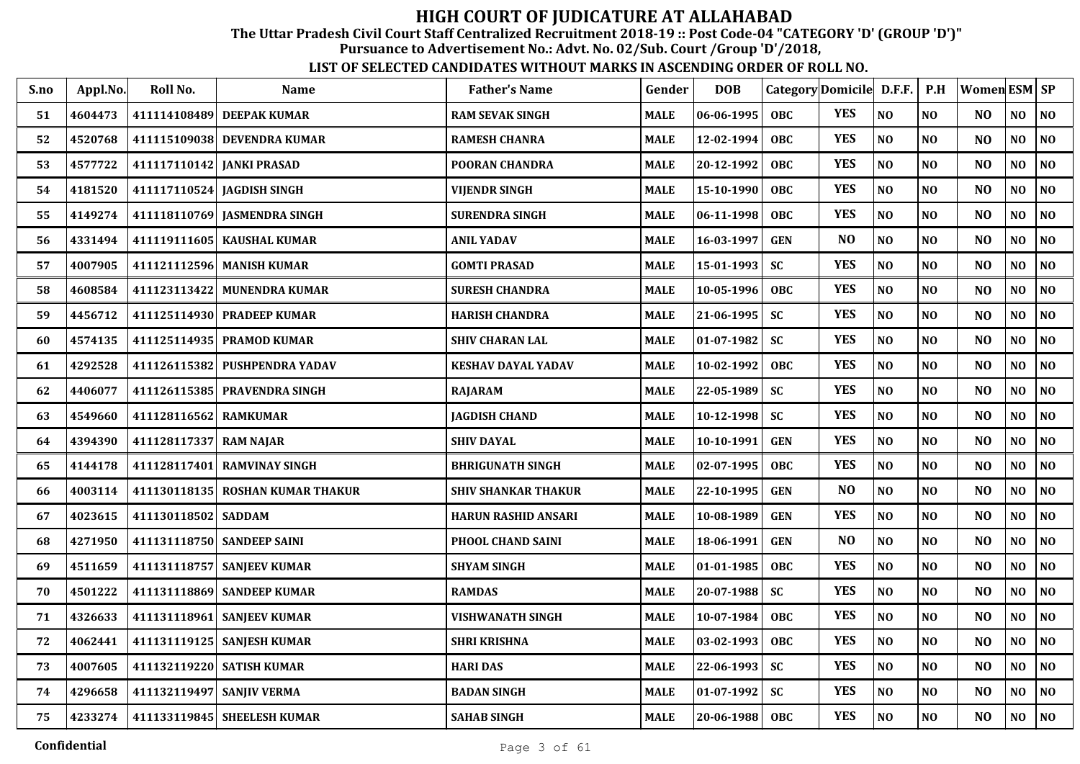The Uttar Pradesh Civil Court Staff Centralized Recruitment 2018-19 :: Post Code-04 "CATEGORY 'D' (GROUP 'D')"

Pursuance to Advertisement No.: Advt. No. 02/Sub. Court /Group 'D'/2018,

| S.no | Appl.No. | Roll No.                  | <b>Name</b>                      | <b>Father's Name</b>       | Gender      | <b>DOB</b>       | Category Domicile D.F.F. |                |                | P.H            | <b>Women ESM SP</b> |                |          |
|------|----------|---------------------------|----------------------------------|----------------------------|-------------|------------------|--------------------------|----------------|----------------|----------------|---------------------|----------------|----------|
| 51   | 4604473  |                           | 411114108489 DEEPAK KUMAR        | <b>RAM SEVAK SINGH</b>     | <b>MALE</b> | 06-06-1995       | <b>OBC</b>               | <b>YES</b>     | N <sub>O</sub> | N <sub>O</sub> | NO.                 | NO             | NO       |
| 52   | 4520768  |                           | 411115109038 DEVENDRA KUMAR      | <b>RAMESH CHANRA</b>       | <b>MALE</b> | 12-02-1994       | OBC                      | <b>YES</b>     | NO             | N <sub>O</sub> | N <sub>O</sub>      | NO             | NO       |
| 53   | 4577722  | 411117110142 JANKI PRASAD |                                  | <b>POORAN CHANDRA</b>      | <b>MALE</b> | 20-12-1992       | <b>OBC</b>               | <b>YES</b>     | NO             | N <sub>O</sub> | N <sub>O</sub>      | NO             | NO       |
| 54   | 4181520  |                           | 411117110524 JAGDISH SINGH       | <b>VIJENDR SINGH</b>       | <b>MALE</b> | 15-10-1990       | <b>OBC</b>               | <b>YES</b>     | NO             | N <sub>O</sub> | N <sub>O</sub>      | NO             | NO       |
| 55   | 4149274  |                           | 411118110769 JASMENDRA SINGH     | <b>SURENDRA SINGH</b>      | <b>MALE</b> | 06-11-1998       | <b>OBC</b>               | <b>YES</b>     | NO             | N <sub>O</sub> | N <sub>O</sub>      | NO             | NO       |
| 56   | 4331494  |                           | 411119111605 KAUSHAL KUMAR       | <b>ANIL YADAV</b>          | <b>MALE</b> | 16-03-1997       | <b>GEN</b>               | N <sub>O</sub> | NO             | NO             | N <sub>O</sub>      | NO             | $\bf NO$ |
| 57   | 4007905  |                           | 411121112596 MANISH KUMAR        | <b>GOMTI PRASAD</b>        | <b>MALE</b> | 15-01-1993       | <b>SC</b>                | <b>YES</b>     | $\bf NO$       | NO             | N <sub>O</sub>      | NO             | $\bf NO$ |
| 58   | 4608584  |                           | 411123113422 MUNENDRA KUMAR      | <b>SURESH CHANDRA</b>      | <b>MALE</b> | 10-05-1996       | OBC                      | <b>YES</b>     | NO             | NO.            | N <sub>O</sub>      | NO             | NO       |
| 59   | 4456712  |                           | 411125114930 PRADEEP KUMAR       | <b>HARISH CHANDRA</b>      | <b>MALE</b> | 21-06-1995       | <b>SC</b>                | <b>YES</b>     | NO             | N <sub>O</sub> | N <sub>O</sub>      | NO             | NO       |
| 60   | 4574135  |                           | 411125114935 PRAMOD KUMAR        | <b>SHIV CHARAN LAL</b>     | <b>MALE</b> | $01 - 07 - 1982$ | <b>SC</b>                | <b>YES</b>     | NO             | N <sub>0</sub> | N <sub>O</sub>      | NO.            | NO       |
| 61   | 4292528  |                           | 411126115382 PUSHPENDRA YADAV    | KESHAV DAYAL YADAV         | <b>MALE</b> | 10-02-1992       | <b>OBC</b>               | <b>YES</b>     | $\bf NO$       | $\bf NO$       | NO                  | NO             | $\bf NO$ |
| 62   | 4406077  |                           | 411126115385 PRAVENDRA SINGH     | <b>RAJARAM</b>             | <b>MALE</b> | 22-05-1989       | <b>SC</b>                | <b>YES</b>     | NO             | N <sub>O</sub> | N <sub>O</sub>      | N <sub>O</sub> | NO       |
| 63   | 4549660  | 411128116562              | <b>RAMKUMAR</b>                  | <b>JAGDISH CHAND</b>       | <b>MALE</b> | 10-12-1998       | <b>SC</b>                | <b>YES</b>     | NO             | N <sub>O</sub> | N <sub>O</sub>      | N <sub>O</sub> | NO       |
| 64   | 4394390  | 411128117337 RAM NAJAR    |                                  | <b>SHIV DAYAL</b>          | <b>MALE</b> | 10-10-1991       | <b>GEN</b>               | <b>YES</b>     | N <sub>O</sub> | N <sub>O</sub> | N <sub>O</sub>      | N <sub>O</sub> | NO       |
| 65   | 4144178  |                           | 411128117401 RAMVINAY SINGH      | <b>BHRIGUNATH SINGH</b>    | <b>MALE</b> | 02-07-1995       | <b>OBC</b>               | <b>YES</b>     | NO             | N <sub>O</sub> | N <sub>O</sub>      | NO             | NO       |
| 66   | 4003114  |                           | 411130118135 ROSHAN KUMAR THAKUR | <b>SHIV SHANKAR THAKUR</b> | <b>MALE</b> | 22-10-1995       | <b>GEN</b>               | N <sub>O</sub> | NO             | NO             | N <sub>O</sub>      | NO             | $\bf NO$ |
| 67   | 4023615  | 411130118502 SADDAM       |                                  | <b>HARUN RASHID ANSARI</b> | <b>MALE</b> | 10-08-1989       | <b>GEN</b>               | <b>YES</b>     | NO             | NO             | N <sub>O</sub>      | NO.            | NO       |
| 68   | 4271950  |                           | 411131118750 SANDEEP SAINI       | PHOOL CHAND SAINI          | <b>MALE</b> | 18-06-1991       | <b>GEN</b>               | N <sub>O</sub> | NO             | NO             | N <sub>O</sub>      | NO             | NO       |
| 69   | 4511659  |                           | 411131118757 SANJEEV KUMAR       | <b>SHYAM SINGH</b>         | <b>MALE</b> | 01-01-1985       | <b>OBC</b>               | <b>YES</b>     | NO             | N <sub>O</sub> | N <sub>O</sub>      | NO             | NO       |
| 70   | 4501222  |                           | 411131118869 SANDEEP KUMAR       | <b>RAMDAS</b>              | <b>MALE</b> | 20-07-1988       | <b>SC</b>                | <b>YES</b>     | $\bf NO$       | N <sub>O</sub> | N <sub>O</sub>      | NO             | $\bf NO$ |
| 71   | 4326633  |                           | 411131118961 SANJEEV KUMAR       | <b>VISHWANATH SINGH</b>    | <b>MALE</b> | 10-07-1984       | <b>OBC</b>               | <b>YES</b>     | NO             | N <sub>O</sub> | N <sub>O</sub>      | NO             | NO       |
| 72   | 4062441  |                           | 411131119125 SANJESH KUMAR       | <b>SHRI KRISHNA</b>        | <b>MALE</b> | 03-02-1993       | <b>OBC</b>               | <b>YES</b>     | NO             | N <sub>O</sub> | NO                  | NO             | NO       |
| 73   | 4007605  |                           | 411132119220 SATISH KUMAR        | <b>HARI DAS</b>            | <b>MALE</b> | 22-06-1993       | <b>SC</b>                | <b>YES</b>     | NO             | NO             | N <sub>O</sub>      | NO             | NO       |
| 74   | 4296658  | 411132119497 SANJIV VERMA |                                  | <b>BADAN SINGH</b>         | <b>MALE</b> | 01-07-1992       | <b>SC</b>                | <b>YES</b>     | $\bf NO$       | N <sub>0</sub> | NO                  | NO             | NO       |
| 75   | 4233274  |                           | 411133119845 SHEELESH KUMAR      | <b>SAHAB SINGH</b>         | <b>MALE</b> | $20 - 06 - 1988$ | <b>OBC</b>               | <b>YES</b>     | $\bf NO$       | $\bf NO$       | N <sub>O</sub>      | NO             | NO       |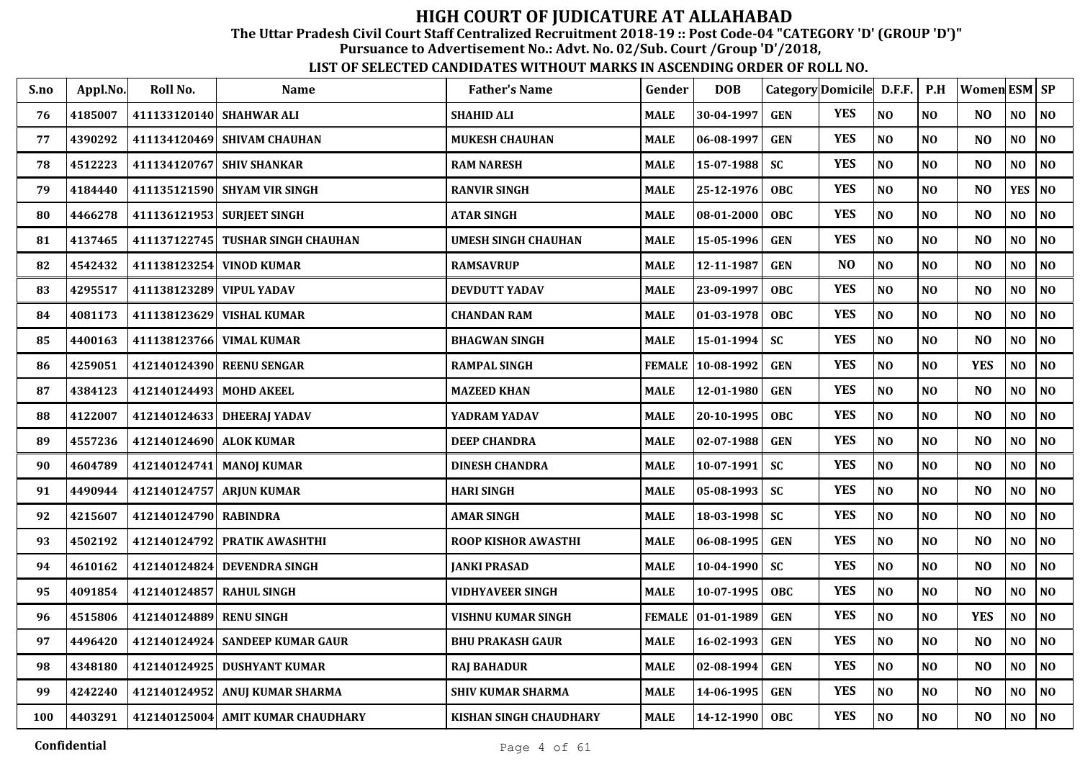The Uttar Pradesh Civil Court Staff Centralized Recruitment 2018-19 :: Post Code-04 "CATEGORY 'D' (GROUP 'D')"

Pursuance to Advertisement No.: Advt. No. 02/Sub. Court /Group 'D'/2018,

| S.no | Appl.No. | Roll No.                 | <b>Name</b>                       | <b>Father's Name</b>     | Gender        | <b>DOB</b>    |            | Category Domicile D.F.F. |                | P.H            | Women ESM SP   |                |                |
|------|----------|--------------------------|-----------------------------------|--------------------------|---------------|---------------|------------|--------------------------|----------------|----------------|----------------|----------------|----------------|
| 76   | 4185007  |                          | 411133120140 SHAHWAR ALI          | <b>SHAHID ALI</b>        | <b>MALE</b>   | 30-04-1997    | <b>GEN</b> | <b>YES</b>               | N <sub>O</sub> | NO             | NO.            | NO.            | NO             |
| 77   | 4390292  |                          | 411134120469 SHIVAM CHAUHAN       | <b>MUKESH CHAUHAN</b>    | <b>MALE</b>   | 06-08-1997    | <b>GEN</b> | <b>YES</b>               | N <sub>O</sub> | NO             | NO             | NO             | NO             |
| 78   | 4512223  |                          | 411134120767 SHIV SHANKAR         | <b>RAM NARESH</b>        | <b>MALE</b>   | 15-07-1988    | SC         | <b>YES</b>               | NO             | N <sub>O</sub> | N <sub>O</sub> | NO             | N <sub>0</sub> |
| 79   | 4184440  |                          | 411135121590 SHYAM VIR SINGH      | <b>RANVIR SINGH</b>      | MALE          | 25-12-1976    | <b>OBC</b> | <b>YES</b>               | NO             | NO             | N <sub>O</sub> | <b>YES</b>     | <b>NO</b>      |
| 80   | 4466278  |                          | 411136121953 SURJEET SINGH        | <b>ATAR SINGH</b>        | <b>MALE</b>   | 08-01-2000    | <b>OBC</b> | <b>YES</b>               | N <sub>O</sub> | NO             | N <sub>O</sub> | NO             | NO             |
| 81   | 4137465  | 411137122745             | <b>TUSHAR SINGH CHAUHAN</b>       | UMESH SINGH CHAUHAN      | <b>MALE</b>   | 15-05-1996    | <b>GEN</b> | <b>YES</b>               | N <sub>O</sub> | NO             | N <sub>O</sub> | NO             | NO             |
| 82   | 4542432  | 411138123254             | <b>VINOD KUMAR</b>                | <b>RAMSAVRUP</b>         | <b>MALE</b>   | 12-11-1987    | <b>GEN</b> | N <sub>O</sub>           | N <sub>O</sub> | N <sub>O</sub> | N <sub>O</sub> | N <sub>O</sub> | NO             |
| 83   | 4295517  | 411138123289 VIPUL YADAV |                                   | <b>DEVDUTT YADAV</b>     | <b>MALE</b>   | 23-09-1997    | <b>OBC</b> | <b>YES</b>               | NO             | NO             | N <sub>O</sub> | NO             | $\bf NO$       |
| 84   | 4081173  |                          | 411138123629 VISHAL KUMAR         | <b>CHANDAN RAM</b>       | MALE          | 01-03-1978    | <b>OBC</b> | <b>YES</b>               | N <sub>O</sub> | <b>NO</b>      | N <sub>O</sub> | NO.            | N <sub>0</sub> |
| 85   | 4400163  | 411138123766             | <b>VIMAL KUMAR</b>                | <b>BHAGWAN SINGH</b>     | <b>MALE</b>   | 15-01-1994    | <b>SC</b>  | <b>YES</b>               | N <sub>O</sub> | NO             | N <sub>O</sub> | NO             | NO             |
| 86   | 4259051  |                          | 412140124390 REENU SENGAR         | <b>RAMPAL SINGH</b>      | <b>FEMALE</b> | 10-08-1992    | <b>GEN</b> | <b>YES</b>               | N <sub>O</sub> | N <sub>O</sub> | <b>YES</b>     | NO             | NO             |
| 87   | 4384123  | 412140124493             | <b>MOHD AKEEL</b>                 | <b>MAZEED KHAN</b>       | <b>MALE</b>   | 12-01-1980    | <b>GEN</b> | <b>YES</b>               | N <sub>O</sub> | N <sub>O</sub> | N <sub>O</sub> | NO             | N <sub>0</sub> |
| 88   | 4122007  | 412140124633             | <b>DHEERAJ YADAV</b>              | YADRAM YADAV             | MALE          | 20-10-1995    | <b>OBC</b> | <b>YES</b>               | $\bf NO$       | N <sub>0</sub> | NO             | $\bf NO$       | NO.            |
| 89   | 4557236  | 412140124690 ALOK KUMAR  |                                   | <b>DEEP CHANDRA</b>      | <b>MALE</b>   | 02-07-1988    | <b>GEN</b> | <b>YES</b>               | N <sub>O</sub> | NO             | N <sub>O</sub> | NO             | $\bf NO$       |
| 90   | 4604789  |                          | 412140124741 MANOJ KUMAR          | <b>DINESH CHANDRA</b>    | <b>MALE</b>   | 10-07-1991    | <b>SC</b>  | <b>YES</b>               | N <sub>O</sub> | NO             | NO             | NO             | N <sub>O</sub> |
| 91   | 4490944  |                          | 412140124757 ARJUN KUMAR          | <b>HARI SINGH</b>        | <b>MALE</b>   | 05-08-1993    | SC         | <b>YES</b>               | N <sub>O</sub> | NO             | N <sub>O</sub> | NO             | NO             |
| 92   | 4215607  | 412140124790 RABINDRA    |                                   | AMAR SINGH               | <b>MALE</b>   | 18-03-1998    | <b>SC</b>  | <b>YES</b>               | NO             | $\bf NO$       | NO             | NO             | N <sub>0</sub> |
| 93   | 4502192  |                          | 412140124792 PRATIK AWASHTHI      | ROOP KISHOR AWASTHI      | MALE          | 06-08-1995    | <b>GEN</b> | <b>YES</b>               | N <sub>O</sub> | NO             | N <sub>O</sub> | NO             | NO             |
| 94   | 4610162  | 412140124824             | <b>DEVENDRA SINGH</b>             | <b>JANKI PRASAD</b>      | MALE          | 10-04-1990    | <b>SC</b>  | <b>YES</b>               | NO             | NO             | N <sub>O</sub> | NO.            | N <sub>O</sub> |
| 95   | 4091854  | 412140124857 RAHUL SINGH |                                   | VIDHYAVEER SINGH         | <b>MALE</b>   | 10-07-1995    | <b>OBC</b> | <b>YES</b>               | $\bf NO$       | NO             | N <sub>O</sub> | NO             | $\bf NO$       |
| 96   | 4515806  | 412140124889             | <b>RENU SINGH</b>                 | VISHNU KUMAR SINGH       | <b>FEMALE</b> | $ 01-01-1989$ | <b>GEN</b> | <b>YES</b>               | N <sub>O</sub> | N <sub>O</sub> | <b>YES</b>     | NO             | NO             |
| 97   | 4496420  | 412140124924             | <b>SANDEEP KUMAR GAUR</b>         | <b>BHU PRAKASH GAUR</b>  | <b>MALE</b>   | 16-02-1993    | <b>GEN</b> | <b>YES</b>               | $\bf NO$       | NO             | N <sub>O</sub> | NO             | $\bf NO$       |
| 98   | 4348180  | 412140124925             | <b>DUSHYANT KUMAR</b>             | <b>RAJ BAHADUR</b>       | <b>MALE</b>   | 02-08-1994    | <b>GEN</b> | <b>YES</b>               | N <sub>O</sub> | NO             | N <sub>O</sub> | NO             | NO             |
| 99   | 4242240  | 412140124952             | ANUJ KUMAR SHARMA                 | <b>SHIV KUMAR SHARMA</b> | <b>MALE</b>   | 14-06-1995    | <b>GEN</b> | <b>YES</b>               | $\bf NO$       | NO             | NO             | NO             | N <sub>0</sub> |
| 100  | 4403291  |                          | 412140125004 AMIT KUMAR CHAUDHARY | KISHAN SINGH CHAUDHARY   | <b>MALE</b>   | 14-12-1990    | <b>OBC</b> | <b>YES</b>               | N <sub>O</sub> | NO             | N <sub>O</sub> | NO             | NO             |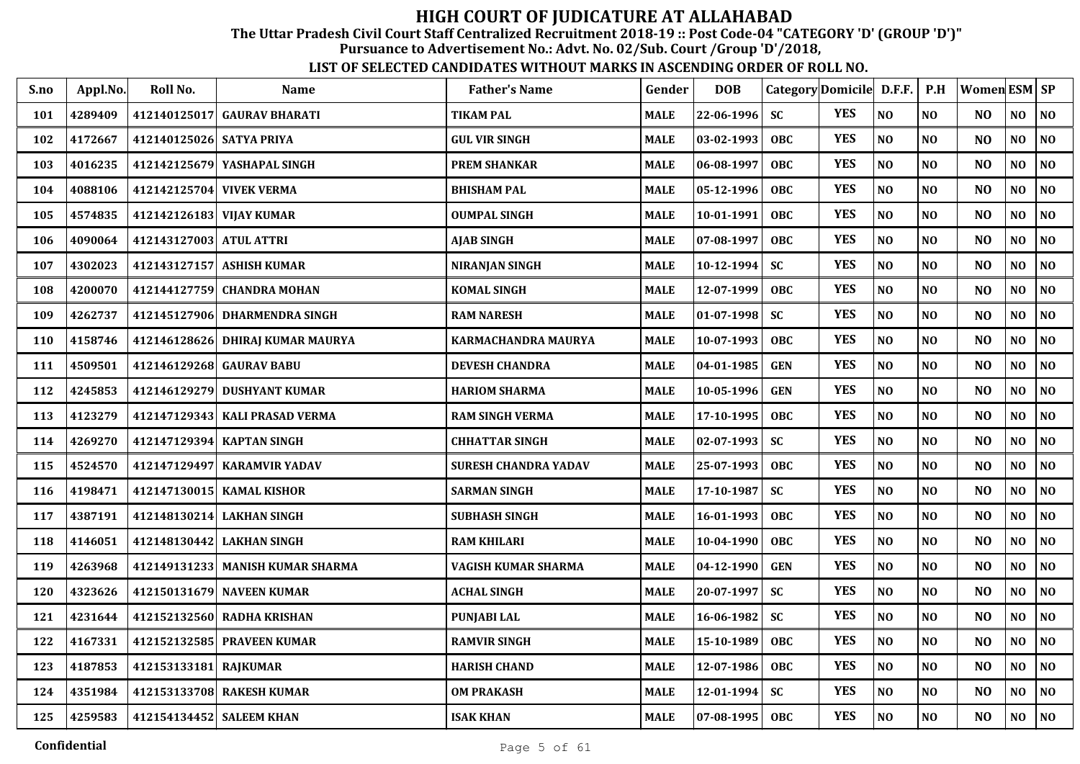The Uttar Pradesh Civil Court Staff Centralized Recruitment 2018-19 :: Post Code-04 "CATEGORY 'D' (GROUP 'D')"

Pursuance to Advertisement No.: Advt. No. 02/Sub. Court /Group 'D'/2018,

| S.no | Appl.No. | Roll No.                 | <b>Name</b>                      | <b>Father's Name</b>   | Gender      | <b>DOB</b>       | Category Domicile D.F.F. |            |                | P.H            | Women ESM SP   |     |                |
|------|----------|--------------------------|----------------------------------|------------------------|-------------|------------------|--------------------------|------------|----------------|----------------|----------------|-----|----------------|
| 101  | 4289409  |                          | 412140125017 GAURAV BHARATI      | <b>TIKAM PAL</b>       | <b>MALE</b> | 22-06-1996       | <b>SC</b>                | <b>YES</b> | N <sub>O</sub> | N <sub>0</sub> | N <sub>O</sub> | NO  | N <sub>O</sub> |
| 102  | 4172667  | 412140125026 SATYA PRIYA |                                  | <b>GUL VIR SINGH</b>   | <b>MALE</b> | 03-02-1993       | <b>OBC</b>               | <b>YES</b> | $\bf NO$       | N <sub>O</sub> | N <sub>O</sub> | NO  | $\bf NO$       |
| 103  | 4016235  |                          | 412142125679 YASHAPAL SINGH      | <b>PREM SHANKAR</b>    | <b>MALE</b> | 06-08-1997       | <b>OBC</b>               | <b>YES</b> | NO             | N <sub>O</sub> | N <sub>O</sub> | NO  | $\bf NO$       |
| 104  | 4088106  | 412142125704             | <b>VIVEK VERMA</b>               | <b>BHISHAM PAL</b>     | <b>MALE</b> | 05-12-1996       | <b>OBC</b>               | <b>YES</b> | NO             | N <sub>O</sub> | NO             | NO  | NO             |
| 105  | 4574835  | 412142126183 VIJAY KUMAR |                                  | <b>OUMPAL SINGH</b>    | <b>MALE</b> | 10-01-1991       | <b>OBC</b>               | <b>YES</b> | NO             | NO             | N <sub>O</sub> | NO  | NO             |
| 106  | 4090064  | 412143127003 ATUL ATTRI  |                                  | <b>AJAB SINGH</b>      | <b>MALE</b> | 07-08-1997       | <b>OBC</b>               | <b>YES</b> | NO             | NO             | NO             | NO  | $\bf NO$       |
| 107  | 4302023  |                          | 412143127157 ASHISH KUMAR        | <b>NIRANJAN SINGH</b>  | <b>MALE</b> | 10-12-1994       | <b>SC</b>                | <b>YES</b> | NO             | NO             | N <sub>O</sub> | NO  | $\bf NO$       |
| 108  | 4200070  | 412144127759             | <b>CHANDRA MOHAN</b>             | <b>KOMAL SINGH</b>     | <b>MALE</b> | 12-07-1999       | OBC                      | <b>YES</b> | NO             | N <sub>O</sub> | N <sub>O</sub> | NO  | N <sub>0</sub> |
| 109  | 4262737  |                          | 412145127906 DHARMENDRA SINGH    | <b>RAM NARESH</b>      | <b>MALE</b> | $01-07-1998$     | <b>SC</b>                | <b>YES</b> | NO             | NO             | N <sub>O</sub> | NO  | NO             |
| 110  | 4158746  |                          | 412146128626 DHIRAJ KUMAR MAURYA | KARMACHANDRA MAURYA    | <b>MALE</b> | 10-07-1993       | OBC                      | <b>YES</b> | NO             | N <sub>O</sub> | N <sub>O</sub> | NO  | NO             |
| 111  | 4509501  | 412146129268 GAURAV BABU |                                  | <b>DEVESH CHANDRA</b>  | <b>MALE</b> | 04-01-1985       | <b>GEN</b>               | <b>YES</b> | NO             | NO             | N <sub>O</sub> | NO  | $\bf NO$       |
| 112  | 4245853  |                          | 412146129279 DUSHYANT KUMAR      | <b>HARIOM SHARMA</b>   | <b>MALE</b> | 10-05-1996       | <b>GEN</b>               | <b>YES</b> | NO             | N <sub>O</sub> | N <sub>O</sub> | NO  | N <sub>0</sub> |
| 113  | 4123279  |                          | 412147129343 KALI PRASAD VERMA   | <b>RAM SINGH VERMA</b> | <b>MALE</b> | 17-10-1995       | OBC                      | <b>YES</b> | NO             | NO             | N <sub>O</sub> | NO  | N <sub>0</sub> |
| 114  | 4269270  |                          | 412147129394 KAPTAN SINGH        | <b>CHHATTAR SINGH</b>  | <b>MALE</b> | 02-07-1993       | <b>SC</b>                | <b>YES</b> | NO             | N <sub>O</sub> | N <sub>O</sub> | NO  | N <sub>0</sub> |
| 115  | 4524570  |                          | 412147129497 KARAMVIR YADAV      | SURESH CHANDRA YADAV   | <b>MALE</b> | 25-07-1993       | <b>OBC</b>               | <b>YES</b> | $\bf NO$       | $\bf NO$       | NO             | NO  | $\bf NO$       |
| 116  | 4198471  |                          | 412147130015   KAMAL KISHOR      | <b>SARMAN SINGH</b>    | <b>MALE</b> | 17-10-1987       | <b>SC</b>                | <b>YES</b> | N <sub>O</sub> | N <sub>O</sub> | N <sub>O</sub> | NO. | N <sub>O</sub> |
| 117  | 4387191  |                          | 412148130214 LAKHAN SINGH        | <b>SUBHASH SINGH</b>   | <b>MALE</b> | 16-01-1993       | OBC                      | <b>YES</b> | NO             | N <sub>O</sub> | N <sub>O</sub> | NO  | NO             |
| 118  | 4146051  |                          | 412148130442 LAKHAN SINGH        | RAM KHILARI            | <b>MALE</b> | 10-04-1990       | <b>OBC</b>               | <b>YES</b> | NO             | N <sub>O</sub> | N <sub>O</sub> | NO  | N <sub>0</sub> |
| 119  | 4263968  |                          | 412149131233 MANISH KUMAR SHARMA | VAGISH KUMAR SHARMA    | <b>MALE</b> | 04-12-1990       | <b>GEN</b>               | <b>YES</b> | $\bf NO$       | N <sub>O</sub> | N <sub>O</sub> | NO  | N <sub>0</sub> |
| 120  | 4323626  |                          | 412150131679 NAVEEN KUMAR        | <b>ACHAL SINGH</b>     | <b>MALE</b> | 20-07-1997       | <b>SC</b>                | <b>YES</b> | NO             | N <sub>O</sub> | N <sub>O</sub> | NO  | N <sub>0</sub> |
| 121  | 4231644  |                          | 412152132560 RADHA KRISHAN       | <b>PUNJABI LAL</b>     | <b>MALE</b> | 16-06-1982       | <b>SC</b>                | <b>YES</b> | NO             | N <sub>O</sub> | N <sub>O</sub> | NO  | NO             |
| 122  | 4167331  |                          | 412152132585 PRAVEEN KUMAR       | <b>RAMVIR SINGH</b>    | <b>MALE</b> | 15-10-1989       | <b>OBC</b>               | <b>YES</b> | NO             | NO             | N <sub>O</sub> | NO  | N <sub>0</sub> |
| 123  | 4187853  | 412153133181 RAJKUMAR    |                                  | <b>HARISH CHAND</b>    | <b>MALE</b> | 12-07-1986       | OBC                      | <b>YES</b> | NO             | NO             | N <sub>O</sub> | NO  | NO             |
| 124  | 4351984  |                          | 412153133708 RAKESH KUMAR        | <b>OM PRAKASH</b>      | <b>MALE</b> | 12-01-1994       | <b>SC</b>                | <b>YES</b> | NO             | NO             | N <sub>O</sub> | NO  | $\bf NO$       |
| 125  | 4259583  | 412154134452 SALEEM KHAN |                                  | <b>ISAK KHAN</b>       | <b>MALE</b> | $07 - 08 - 1995$ | OBC                      | <b>YES</b> | NO             | N <sub>O</sub> | N <sub>O</sub> | NO  | NO             |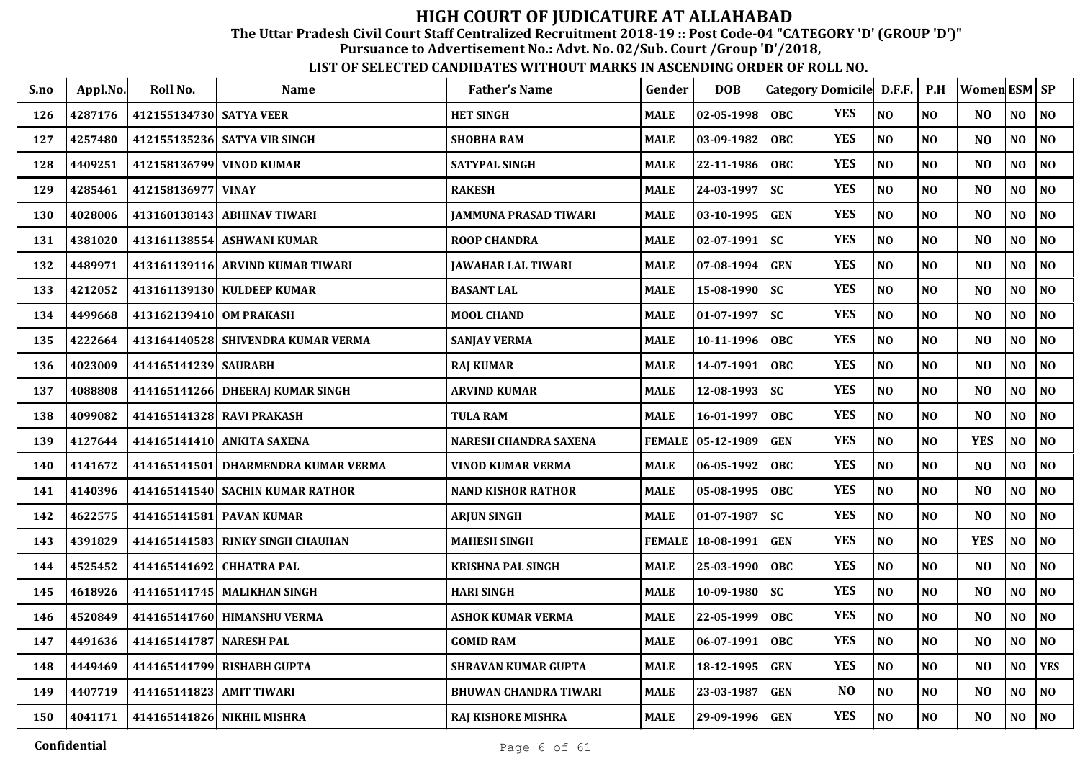The Uttar Pradesh Civil Court Staff Centralized Recruitment 2018-19 :: Post Code-04 "CATEGORY 'D' (GROUP 'D')"

Pursuance to Advertisement No.: Advt. No. 02/Sub. Court /Group 'D'/2018,

| S.no | Appl.No. | Roll No.                 | Name                                | <b>Father's Name</b>         | Gender        | <b>DOB</b>       | Category Domicile D.F.F. |                |                | P.H            | Women $ESM$ $SP$ |                |                |
|------|----------|--------------------------|-------------------------------------|------------------------------|---------------|------------------|--------------------------|----------------|----------------|----------------|------------------|----------------|----------------|
| 126  | 4287176  | 412155134730 SATYA VEER  |                                     | <b>HET SINGH</b>             | <b>MALE</b>   | $02 - 05 - 1998$ | <b>OBC</b>               | <b>YES</b>     | N <sub>O</sub> | N <sub>O</sub> | N <sub>O</sub>   | NO             | NO             |
| 127  | 4257480  |                          | 412155135236 SATYA VIR SINGH        | <b>SHOBHA RAM</b>            | <b>MALE</b>   | 03-09-1982       | <b>OBC</b>               | <b>YES</b>     | N <sub>O</sub> | N <sub>O</sub> | NO.              | NO             | N <sub>0</sub> |
| 128  | 4409251  |                          | 412158136799 VINOD KUMAR            | <b>SATYPAL SINGH</b>         | <b>MALE</b>   | 22-11-1986       | <b>OBC</b>               | <b>YES</b>     | N <sub>O</sub> | N <sub>O</sub> | N <sub>O</sub>   | NO             | NO             |
| 129  | 4285461  | 412158136977             | <b>VINAY</b>                        | <b>RAKESH</b>                | <b>MALE</b>   | 24-03-1997       | <b>SC</b>                | <b>YES</b>     | N <sub>O</sub> | N <sub>O</sub> | N <sub>O</sub>   | N <sub>O</sub> | NO             |
| 130  | 4028006  |                          | 413160138143 ABHINAV TIWARI         | <b>JAMMUNA PRASAD TIWARI</b> | <b>MALE</b>   | 03-10-1995       | <b>GEN</b>               | <b>YES</b>     | N <sub>O</sub> | N <sub>O</sub> | N <sub>O</sub>   | N <sub>O</sub> | N <sub>0</sub> |
| 131  | 4381020  | 413161138554             | <b>ASHWANI KUMAR</b>                | <b>ROOP CHANDRA</b>          | <b>MALE</b>   | 02-07-1991       | <b>SC</b>                | <b>YES</b>     | N <sub>O</sub> | N <sub>O</sub> | N <sub>O</sub>   | NO             | NO             |
| 132  | 4489971  |                          | 413161139116 ARVIND KUMAR TIWARI    | JAWAHAR LAL TIWARI           | <b>MALE</b>   | 07-08-1994       | <b>GEN</b>               | <b>YES</b>     | NO             | <b>NO</b>      | N <sub>O</sub>   | NO             | $\bf NO$       |
| 133  | 4212052  |                          | 413161139130 KULDEEP KUMAR          | <b>BASANT LAL</b>            | <b>MALE</b>   | 15-08-1990       | <b>SC</b>                | <b>YES</b>     | NO             | N <sub>0</sub> | N <sub>O</sub>   | NO             | N <sub>0</sub> |
| 134  | 4499668  | 413162139410 OM PRAKASH  |                                     | <b>MOOL CHAND</b>            | <b>MALE</b>   | $01-07-1997$     | <b>SC</b>                | <b>YES</b>     | N <sub>O</sub> | N <sub>O</sub> | N <sub>O</sub>   | NO             | NO             |
| 135  | 4222664  |                          | 413164140528 SHIVENDRA KUMAR VERMA  | <b>SANJAY VERMA</b>          | <b>MALE</b>   | 10-11-1996       | <b>OBC</b>               | <b>YES</b>     | N <sub>O</sub> | N <sub>O</sub> | N <sub>O</sub>   | NO             | NO             |
| 136  | 4023009  | 414165141239 SAURABH     |                                     | <b>RAJ KUMAR</b>             | <b>MALE</b>   | 14-07-1991       | <b>OBC</b>               | <b>YES</b>     | N <sub>O</sub> | NO             | N <sub>O</sub>   | NO             | NO             |
| 137  | 4088808  |                          | 414165141266 DHEERAJ KUMAR SINGH    | <b>ARVIND KUMAR</b>          | <b>MALE</b>   | 12-08-1993       | <b>SC</b>                | <b>YES</b>     | N <sub>O</sub> | N <sub>O</sub> | N <sub>O</sub>   | NO             | NO             |
| 138  | 4099082  |                          | 414165141328 RAVI PRAKASH           | <b>TULA RAM</b>              | <b>MALE</b>   | 16-01-1997       | <b>OBC</b>               | <b>YES</b>     | NO             | N <sub>O</sub> | N <sub>O</sub>   | NO             | $\bf NO$       |
| 139  | 4127644  |                          | 414165141410 ANKITA SAXENA          | NARESH CHANDRA SAXENA        | <b>FEMALE</b> | 05-12-1989       | <b>GEN</b>               | <b>YES</b>     | NO             | N <sub>O</sub> | <b>YES</b>       | NO             | N <sub>0</sub> |
| 140  | 4141672  |                          | 414165141501 DHARMENDRA KUMAR VERMA | <b>VINOD KUMAR VERMA</b>     | <b>MALE</b>   | 06-05-1992       | <b>OBC</b>               | <b>YES</b>     | N <sub>O</sub> | N <sub>0</sub> | N <sub>O</sub>   | NO             | N <sub>O</sub> |
| 141  | 4140396  |                          | 414165141540 SACHIN KUMAR RATHOR    | <b>NAND KISHOR RATHOR</b>    | <b>MALE</b>   | 05-08-1995       | <b>OBC</b>               | <b>YES</b>     | NO             | N <sub>0</sub> | N <sub>O</sub>   | NO             | N <sub>0</sub> |
| 142  | 4622575  |                          | 414165141581 PAVAN KUMAR            | <b>ARJUN SINGH</b>           | <b>MALE</b>   | $01-07-1987$     | <b>SC</b>                | <b>YES</b>     | N <sub>O</sub> | N <sub>O</sub> | N <sub>O</sub>   | NO             | NO             |
| 143  | 4391829  |                          | 414165141583 RINKY SINGH CHAUHAN    | <b>MAHESH SINGH</b>          | <b>FEMALE</b> | 18-08-1991       | <b>GEN</b>               | <b>YES</b>     | NO             | N <sub>O</sub> | <b>YES</b>       | NO             | NO             |
| 144  | 4525452  | 414165141692 CHHATRA PAL |                                     | <b>KRISHNA PAL SINGH</b>     | <b>MALE</b>   | 25-03-1990       | <b>OBC</b>               | <b>YES</b>     | N <sub>O</sub> | N <sub>O</sub> | N <sub>O</sub>   | NO             | NO             |
| 145  | 4618926  |                          | 414165141745   MALIKHAN SINGH       | <b>HARI SINGH</b>            | <b>MALE</b>   | $10 - 09 - 1980$ | <b>SC</b>                | <b>YES</b>     | NO             | N <sub>O</sub> | N <sub>O</sub>   | NO             | NO             |
| 146  | 4520849  |                          | 414165141760 HIMANSHU VERMA         | <b>ASHOK KUMAR VERMA</b>     | <b>MALE</b>   | 22-05-1999       | <b>OBC</b>               | <b>YES</b>     | N <sub>O</sub> | N <sub>O</sub> | N <sub>O</sub>   | NO.            | N <sub>0</sub> |
| 147  | 4491636  | 414165141787 NARESH PAL  |                                     | <b>GOMID RAM</b>             | <b>MALE</b>   | 06-07-1991       | <b>OBC</b>               | <b>YES</b>     | NO             | NO             | N <sub>O</sub>   | NO             | $\bf NO$       |
| 148  | 4449469  |                          | 414165141799 RISHABH GUPTA          | <b>SHRAVAN KUMAR GUPTA</b>   | <b>MALE</b>   | 18-12-1995       | <b>GEN</b>               | <b>YES</b>     | N <sub>O</sub> | N <sub>0</sub> | N <sub>O</sub>   | NO             | <b>YES</b>     |
| 149  | 4407719  | 414165141823 AMIT TIWARI |                                     | <b>BHUWAN CHANDRA TIWARI</b> | <b>MALE</b>   | 23-03-1987       | <b>GEN</b>               | N <sub>O</sub> | $\bf NO$       | N <sub>0</sub> | N <sub>O</sub>   | NO             | N <sub>O</sub> |
| 150  | 4041171  |                          | 414165141826 NIKHIL MISHRA          | <b>RAJ KISHORE MISHRA</b>    | <b>MALE</b>   | 29-09-1996       | GEN                      | <b>YES</b>     | N <sub>O</sub> | N <sub>O</sub> | N <sub>O</sub>   | NO             | NO             |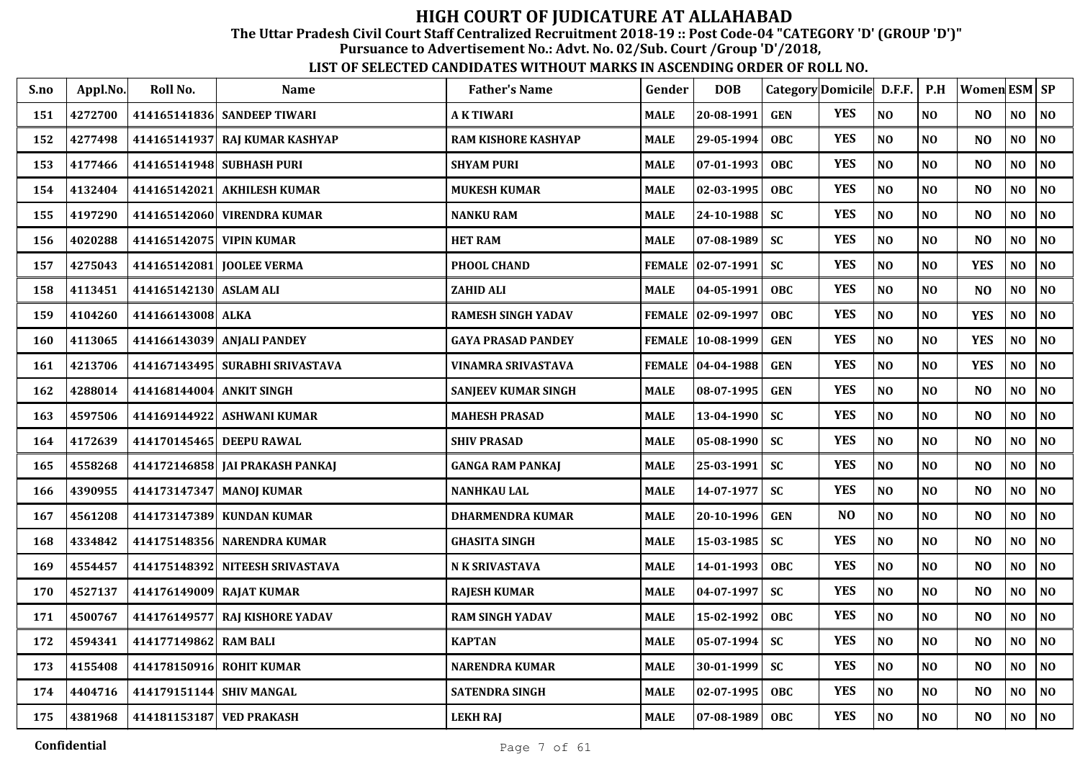The Uttar Pradesh Civil Court Staff Centralized Recruitment 2018-19 :: Post Code-04 "CATEGORY 'D' (GROUP 'D')"

Pursuance to Advertisement No.: Advt. No. 02/Sub. Court /Group 'D'/2018,

| S.no | Appl.No. | Roll No.                  | <b>Name</b>                     | <b>Father's Name</b>       | Gender      | <b>DOB</b>          | Category Domicile D.F.F. |            |                | P.H            | <b>Women ESM SP</b> |                |                |
|------|----------|---------------------------|---------------------------------|----------------------------|-------------|---------------------|--------------------------|------------|----------------|----------------|---------------------|----------------|----------------|
| 151  | 4272700  |                           | 414165141836 SANDEEP TIWARI     | <b>AKTIWARI</b>            | <b>MALE</b> | 20-08-1991          | <b>GEN</b>               | <b>YES</b> | N <sub>O</sub> | N <sub>O</sub> | N <sub>O</sub>      | NO             | NO             |
| 152  | 4277498  |                           | 414165141937 RAJ KUMAR KASHYAP  | <b>RAM KISHORE KASHYAP</b> | <b>MALE</b> | 29-05-1994          | <b>OBC</b>               | <b>YES</b> | NO             | N <sub>O</sub> | N <sub>O</sub>      | NO             | NO             |
| 153  | 4177466  | 414165141948 SUBHASH PURI |                                 | <b>SHYAM PURI</b>          | <b>MALE</b> | 07-01-1993          | <b>OBC</b>               | <b>YES</b> | NO             | N <sub>O</sub> | N <sub>O</sub>      | NO             | NO             |
| 154  | 4132404  | 414165142021              | <b>AKHILESH KUMAR</b>           | <b>MUKESH KUMAR</b>        | <b>MALE</b> | 02-03-1995          | <b>OBC</b>               | <b>YES</b> | NO             | N <sub>O</sub> | N <sub>O</sub>      | NO             | NO             |
| 155  | 4197290  |                           | 414165142060 VIRENDRA KUMAR     | <b>NANKU RAM</b>           | <b>MALE</b> | 24-10-1988          | <b>SC</b>                | <b>YES</b> | N <sub>O</sub> | N <sub>O</sub> | N <sub>O</sub>      | NO             | N <sub>O</sub> |
| 156  | 4020288  | 414165142075 VIPIN KUMAR  |                                 | <b>HET RAM</b>             | <b>MALE</b> | 07-08-1989          | <b>SC</b>                | <b>YES</b> | NO             | NO             | N <sub>O</sub>      | NO             | NO             |
| 157  | 4275043  |                           | 414165142081 JOOLEE VERMA       | PHOOL CHAND                |             | FEMALE 02-07-1991   | <b>SC</b>                | <b>YES</b> | NO             | NO             | <b>YES</b>          | NO             | NO             |
| 158  | 4113451  | 414165142130 ASLAM ALI    |                                 | <b>ZAHID ALI</b>           | <b>MALE</b> | 04-05-1991          | <b>OBC</b>               | <b>YES</b> | NO             | N <sub>O</sub> | N <sub>O</sub>      | NO.            | N <sub>0</sub> |
| 159  | 4104260  | 414166143008 ALKA         |                                 | <b>RAMESH SINGH YADAV</b>  |             | FEMALE   02-09-1997 | OBC                      | <b>YES</b> | NO             | NO             | <b>YES</b>          | NO             | NO             |
| 160  | 4113065  |                           | 414166143039 ANJALI PANDEY      | <b>GAYA PRASAD PANDEY</b>  |             | FEMALE 10-08-1999   | <b>GEN</b>               | <b>YES</b> | NO             | N <sub>O</sub> | <b>YES</b>          | NO             | N <sub>0</sub> |
| 161  | 4213706  |                           | 414167143495 SURABHI SRIVASTAVA | VINAMRA SRIVASTAVA         |             | FEMALE   04-04-1988 | <b>GEN</b>               | <b>YES</b> | NO             | N <sub>O</sub> | <b>YES</b>          | NO             | N <sub>0</sub> |
| 162  | 4288014  | 414168144004 ANKIT SINGH  |                                 | <b>SANJEEV KUMAR SINGH</b> | <b>MALE</b> | 08-07-1995          | <b>GEN</b>               | <b>YES</b> | NO             | N <sub>O</sub> | N <sub>O</sub>      | NO             | N <sub>0</sub> |
| 163  | 4597506  | 414169144922              | <b>ASHWANI KUMAR</b>            | <b>MAHESH PRASAD</b>       | <b>MALE</b> | 13-04-1990          | <b>SC</b>                | <b>YES</b> | NO             | NO             | N <sub>O</sub>      | NO             | NO             |
| 164  | 4172639  | 414170145465 DEEPU RAWAL  |                                 | <b>SHIV PRASAD</b>         | <b>MALE</b> | $05 - 08 - 1990$    | <b>SC</b>                | <b>YES</b> | NO             | NO             | N <sub>O</sub>      | NO             | NO             |
| 165  | 4558268  |                           | 414172146858 JAI PRAKASH PANKAJ | <b>GANGA RAM PANKAJ</b>    | <b>MALE</b> | 25-03-1991          | <b>SC</b>                | <b>YES</b> | NO             | N <sub>0</sub> | NO                  | NO             | $\bf NO$       |
| 166  | 4390955  |                           | 414173147347 MANOJ KUMAR        | <b>NANHKAU LAL</b>         | <b>MALE</b> | 14-07-1977          | <b>SC</b>                | <b>YES</b> | NO             | N <sub>0</sub> | N <sub>O</sub>      | NO             | $\bf NO$       |
| 167  | 4561208  |                           | 414173147389 KUNDAN KUMAR       | <b>DHARMENDRA KUMAR</b>    | <b>MALE</b> | 20-10-1996          | <b>GEN</b>               | NO         | NO             | N <sub>O</sub> | N <sub>O</sub>      | NO.            | N <sub>0</sub> |
| 168  | 4334842  |                           | 414175148356 NARENDRA KUMAR     | <b>GHASITA SINGH</b>       | <b>MALE</b> | 15-03-1985          | <b>SC</b>                | <b>YES</b> | NO             | N <sub>O</sub> | N <sub>O</sub>      | NO             | N <sub>0</sub> |
| 169  | 4554457  |                           | 414175148392 NITEESH SRIVASTAVA | N K SRIVASTAVA             | <b>MALE</b> | 14-01-1993          | OBC                      | <b>YES</b> | $\bf NO$       | N <sub>O</sub> | N <sub>O</sub>      | NO.            | NO.            |
| 170  | 4527137  | 414176149009 RAJAT KUMAR  |                                 | <b>RAJESH KUMAR</b>        | <b>MALE</b> | 04-07-1997          | <b>SC</b>                | <b>YES</b> | $\bf NO$       | N <sub>O</sub> | NO                  | NO             | $\bf NO$       |
| 171  | 4500767  |                           | 414176149577 RAJ KISHORE YADAV  | <b>RAM SINGH YADAV</b>     | <b>MALE</b> | 15-02-1992          | <b>OBC</b>               | <b>YES</b> | NO             | NO             | N <sub>O</sub>      | NO             | N <sub>0</sub> |
| 172  | 4594341  | 414177149862 RAM BALI     |                                 | <b>KAPTAN</b>              | <b>MALE</b> | 05-07-1994          | <b>SC</b>                | <b>YES</b> | NO             | N <sub>O</sub> | NO                  | NO             | $\bf NO$       |
| 173  | 4155408  | 414178150916 ROHIT KUMAR  |                                 | <b>NARENDRA KUMAR</b>      | <b>MALE</b> | 30-01-1999          | <b>SC</b>                | <b>YES</b> | N <sub>O</sub> | N <sub>O</sub> | N <sub>O</sub>      | N <sub>O</sub> | N <sub>O</sub> |
| 174  | 4404716  | 414179151144 SHIV MANGAL  |                                 | <b>SATENDRA SINGH</b>      | <b>MALE</b> | 02-07-1995          | <b>OBC</b>               | <b>YES</b> | NO             | <b>NO</b>      | N <sub>O</sub>      | N <sub>O</sub> | NO             |
| 175  | 4381968  | 414181153187 VED PRAKASH  |                                 | <b>LEKH RAJ</b>            | <b>MALE</b> | 07-08-1989          | <b>OBC</b>               | <b>YES</b> | N <sub>O</sub> | N <sub>O</sub> | N <sub>O</sub>      | NO             | NO             |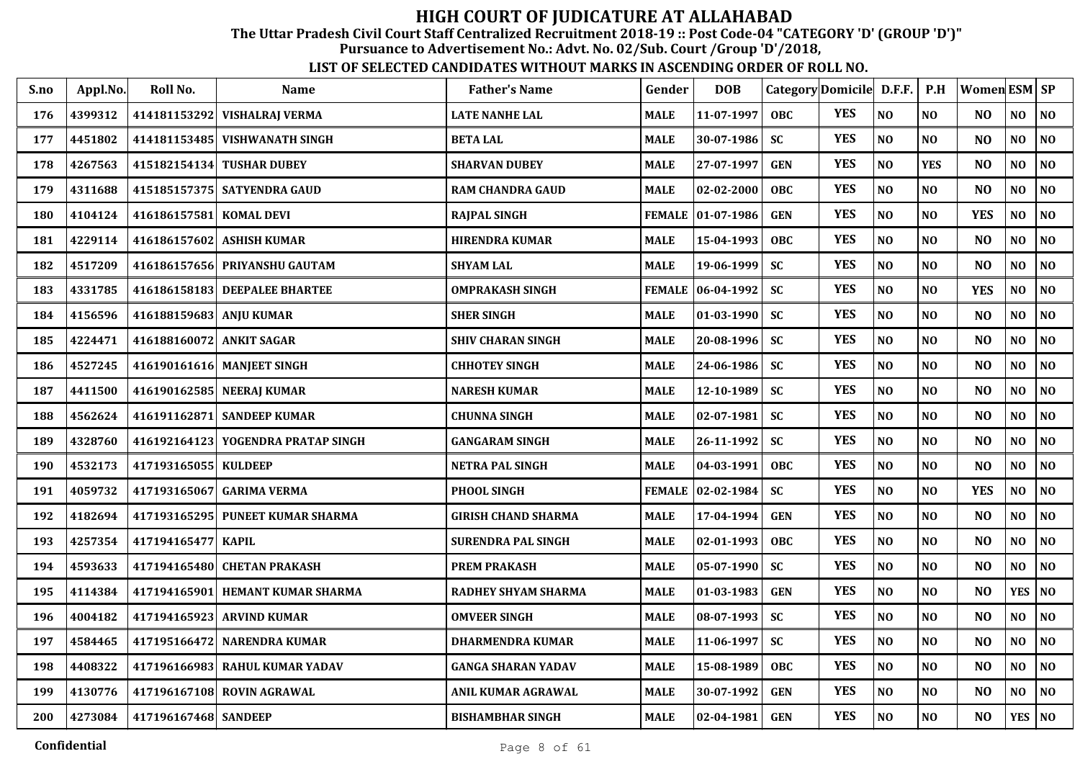The Uttar Pradesh Civil Court Staff Centralized Recruitment 2018-19 :: Post Code-04 "CATEGORY 'D' (GROUP 'D')"

Pursuance to Advertisement No.: Advt. No. 02/Sub. Court /Group 'D'/2018,

| S.no | Appl.No. | Roll No.                 | <b>Name</b>                        | <b>Father's Name</b>       | Gender        | <b>DOB</b>        | Category Domicile D.F.F. P.H |            |                |                | Women ESM SP   |                |                             |
|------|----------|--------------------------|------------------------------------|----------------------------|---------------|-------------------|------------------------------|------------|----------------|----------------|----------------|----------------|-----------------------------|
| 176  | 4399312  |                          | 414181153292 VISHALRAJ VERMA       | <b>LATE NANHE LAL</b>      | <b>MALE</b>   | 11-07-1997        | <b>OBC</b>                   | <b>YES</b> | NO             | NO             | N <sub>0</sub> | NO             | $\overline{\phantom{a}}$ NO |
| 177  | 4451802  |                          | 414181153485   VISHWANATH SINGH    | <b>BETA LAL</b>            | <b>MALE</b>   | 30-07-1986        | <b>SC</b>                    | <b>YES</b> | NO             | NO             | N <sub>O</sub> | NO             | <b>NO</b>                   |
| 178  | 4267563  | 415182154134             | <b>TUSHAR DUBEY</b>                | <b>SHARVAN DUBEY</b>       | <b>MALE</b>   | 27-07-1997        | <b>GEN</b>                   | <b>YES</b> | NO             | <b>YES</b>     | N <sub>O</sub> | NO             | <b>NO</b>                   |
| 179  | 4311688  |                          | 415185157375   SATYENDRA GAUD      | RAM CHANDRA GAUD           | <b>MALE</b>   | 02-02-2000        | <b>OBC</b>                   | <b>YES</b> | NO             | NO             | N <sub>O</sub> | NO             | N <sub>0</sub>              |
| 180  | 4104124  | 416186157581             | <b>KOMAL DEVI</b>                  | <b>RAJPAL SINGH</b>        |               | FEMALE 01-07-1986 | <b>GEN</b>                   | <b>YES</b> | NO             | NO             | <b>YES</b>     | NO             | N <sub>0</sub>              |
| 181  | 4229114  | 416186157602             | <b>ASHISH KUMAR</b>                | <b>HIRENDRA KUMAR</b>      | <b>MALE</b>   | 15-04-1993        | <b>OBC</b>                   | <b>YES</b> | NO             | N <sub>O</sub> | N <sub>O</sub> | N <sub>O</sub> | NO                          |
| 182  | 4517209  |                          | 416186157656 PRIYANSHU GAUTAM      | <b>SHYAM LAL</b>           | <b>MALE</b>   | 19-06-1999        | <b>SC</b>                    | <b>YES</b> | NO             | NO             | N <sub>O</sub> | NO             | N <sub>O</sub>              |
| 183  | 4331785  |                          | 416186158183 DEEPALEE BHARTEE      | <b>OMPRAKASH SINGH</b>     | <b>FEMALE</b> | 06-04-1992        | <b>SC</b>                    | <b>YES</b> | NO             | N <sub>O</sub> | <b>YES</b>     | N <sub>O</sub> | NO                          |
| 184  | 4156596  | 416188159683 ANJU KUMAR  |                                    | <b>SHER SINGH</b>          | <b>MALE</b>   | 01-03-1990        | <b>SC</b>                    | <b>YES</b> | N <sub>O</sub> | N <sub>O</sub> | N <sub>O</sub> | NO             | $\bf NO$                    |
| 185  | 4224471  | 416188160072 ANKIT SAGAR |                                    | <b>SHIV CHARAN SINGH</b>   | <b>MALE</b>   | 20-08-1996        | <b>SC</b>                    | <b>YES</b> | NO             | N <sub>0</sub> | N <sub>O</sub> | N <sub>O</sub> | NO                          |
| 186  | 4527245  |                          | 416190161616  MANJEET SINGH        | <b>CHHOTEY SINGH</b>       | <b>MALE</b>   | 24-06-1986        | <b>SC</b>                    | <b>YES</b> | NO             | N <sub>O</sub> | N <sub>O</sub> | N <sub>0</sub> | $\overline{\phantom{a}}$ NO |
| 187  | 4411500  |                          | 416190162585 NEERAJ KUMAR          | <b>NARESH KUMAR</b>        | <b>MALE</b>   | 12-10-1989        | <b>SC</b>                    | <b>YES</b> | NO             | N <sub>O</sub> | N <sub>O</sub> | NO             | N <sub>0</sub>              |
| 188  | 4562624  | 416191162871             | <b>SANDEEP KUMAR</b>               | <b>CHUNNA SINGH</b>        | <b>MALE</b>   | 02-07-1981        | <b>SC</b>                    | <b>YES</b> | NO             | NO             | N <sub>O</sub> | NO             | NO                          |
| 189  | 4328760  |                          | 416192164123 YOGENDRA PRATAP SINGH | <b>GANGARAM SINGH</b>      | <b>MALE</b>   | 26-11-1992        | <b>SC</b>                    | <b>YES</b> | NO             | N <sub>O</sub> | N <sub>O</sub> | NO             | N <sub>0</sub>              |
| 190  | 4532173  | 417193165055 KULDEEP     |                                    | <b>NETRA PAL SINGH</b>     | <b>MALE</b>   | 04-03-1991        | OBC                          | <b>YES</b> | NO             | N <sub>O</sub> | N <sub>O</sub> | NO             | NO                          |
| 191  | 4059732  |                          | 417193165067 GARIMA VERMA          | PHOOL SINGH                |               | FEMALE 02-02-1984 | <b>SC</b>                    | <b>YES</b> | NO             | N <sub>O</sub> | <b>YES</b>     | NO             | N <sub>O</sub>              |
| 192  | 4182694  |                          | 417193165295 PUNEET KUMAR SHARMA   | <b>GIRISH CHAND SHARMA</b> | <b>MALE</b>   | 17-04-1994        | <b>GEN</b>                   | <b>YES</b> | NO             | N <sub>O</sub> | N <sub>O</sub> | NO             | NO                          |
| 193  | 4257354  | 417194165477 KAPIL       |                                    | <b>SURENDRA PAL SINGH</b>  | <b>MALE</b>   | 02-01-1993        | <b>OBC</b>                   | <b>YES</b> | N <sub>O</sub> | N <sub>O</sub> | N <sub>O</sub> | N <sub>O</sub> | N <sub>O</sub>              |
| 194  | 4593633  |                          | 417194165480 CHETAN PRAKASH        | <b>PREM PRAKASH</b>        | <b>MALE</b>   | 05-07-1990        | <b>SC</b>                    | <b>YES</b> | $\bf NO$       | N <sub>O</sub> | N <sub>O</sub> | NO             | $\overline{\phantom{a}}$ NO |
| 195  | 4114384  | 417194165901             | <b>HEMANT KUMAR SHARMA</b>         | RADHEY SHYAM SHARMA        | <b>MALE</b>   | 01-03-1983        | <b>GEN</b>                   | <b>YES</b> | NO             | NO             | N <sub>O</sub> | <b>YES</b>     | <b>NO</b>                   |
| 196  | 4004182  | 417194165923             | <b>ARVIND KUMAR</b>                | <b>OMVEER SINGH</b>        | <b>MALE</b>   | 08-07-1993        | <b>SC</b>                    | <b>YES</b> | NO             | NO             | N <sub>O</sub> | N <sub>O</sub> | N <sub>0</sub>              |
| 197  | 4584465  | 417195166472             | <b>NARENDRA KUMAR</b>              | <b>DHARMENDRA KUMAR</b>    | <b>MALE</b>   | 11-06-1997        | <b>SC</b>                    | <b>YES</b> | NO             | N <sub>O</sub> | N <sub>O</sub> | N <sub>0</sub> | N <sub>0</sub>              |
| 198  | 4408322  |                          | 417196166983 RAHUL KUMAR YADAV     | <b>GANGA SHARAN YADAV</b>  | <b>MALE</b>   | 15-08-1989        | <b>OBC</b>                   | <b>YES</b> | NO             | NO             | N <sub>O</sub> | NO             | N <sub>0</sub>              |
| 199  | 4130776  |                          | 417196167108 ROVIN AGRAWAL         | ANIL KUMAR AGRAWAL         | <b>MALE</b>   | 30-07-1992        | <b>GEN</b>                   | <b>YES</b> | NO             | N <sub>O</sub> | N <sub>O</sub> | NO             | N <sub>O</sub>              |
| 200  | 4273084  | 417196167468 SANDEEP     |                                    | <b>BISHAMBHAR SINGH</b>    | <b>MALE</b>   | 02-04-1981        | <b>GEN</b>                   | <b>YES</b> | NO             | NO             | N <sub>O</sub> | YES   $NO$     |                             |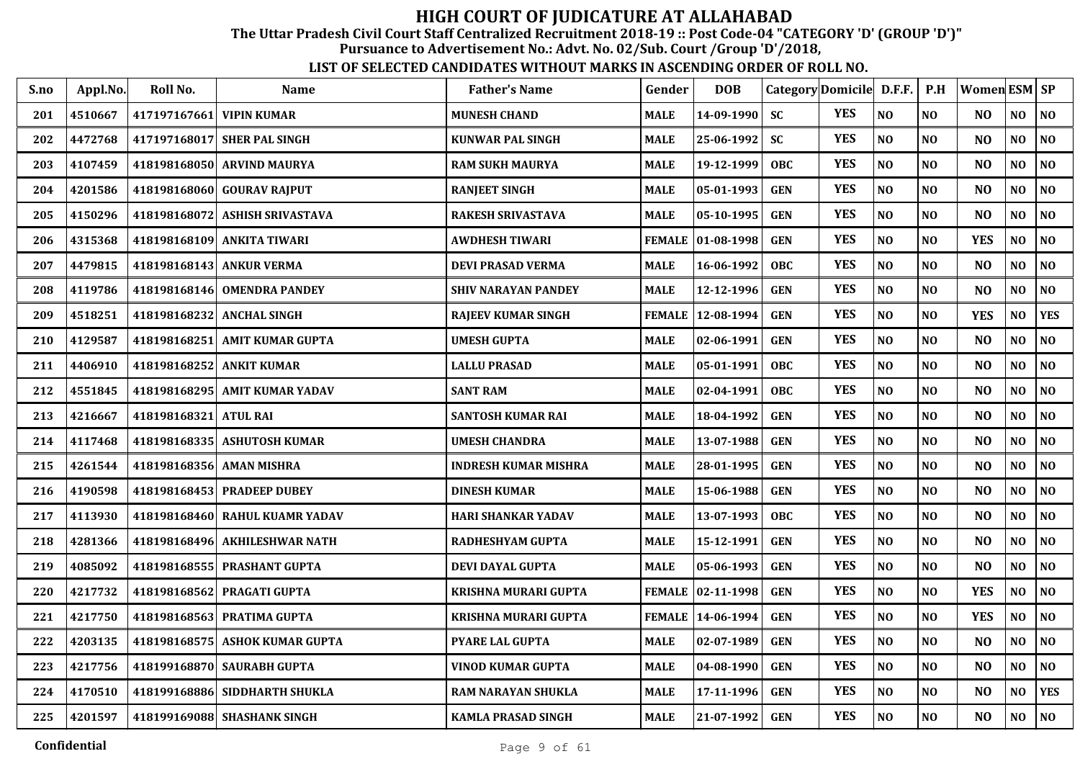The Uttar Pradesh Civil Court Staff Centralized Recruitment 2018-19 :: Post Code-04 "CATEGORY 'D' (GROUP 'D')"

Pursuance to Advertisement No.: Advt. No. 02/Sub. Court /Group 'D'/2018,

| S.no | Appl.No. | Roll No.     | <b>Name</b>                    | <b>Father's Name</b>        | Gender        | <b>DOB</b>        |            | Category Domicile D.F.F. |                | P.H            | Women ESM SP   |                |                |
|------|----------|--------------|--------------------------------|-----------------------------|---------------|-------------------|------------|--------------------------|----------------|----------------|----------------|----------------|----------------|
| 201  | 4510667  | 417197167661 | <b>VIPIN KUMAR</b>             | <b>MUNESH CHAND</b>         | <b>MALE</b>   | 14-09-1990        | <b>SC</b>  | <b>YES</b>               | NO             | N <sub>0</sub> | N <sub>O</sub> | NO             | NO             |
| 202  | 4472768  |              | 417197168017 SHER PAL SINGH    | <b>KUNWAR PAL SINGH</b>     | <b>MALE</b>   | 25-06-1992        | <b>SC</b>  | <b>YES</b>               | NO             | N <sub>O</sub> | N <sub>O</sub> | N <sub>O</sub> | N <sub>O</sub> |
| 203  | 4107459  |              | 418198168050 ARVIND MAURYA     | <b>RAM SUKH MAURYA</b>      | <b>MALE</b>   | 19-12-1999        | <b>OBC</b> | <b>YES</b>               | $\bf NO$       | N <sub>O</sub> | N <sub>O</sub> | N <sub>O</sub> | NO             |
| 204  | 4201586  |              | 418198168060 GOURAV RAJPUT     | <b>RANJEET SINGH</b>        | MALE          | 05-01-1993        | <b>GEN</b> | <b>YES</b>               | NO             | N <sub>O</sub> | N <sub>O</sub> | NO             | N <sub>O</sub> |
| 205  | 4150296  | 418198168072 | ASHISH SRIVASTAVA              | <b>RAKESH SRIVASTAVA</b>    | MALE          | 05-10-1995        | <b>GEN</b> | <b>YES</b>               | NO             | N <sub>O</sub> | N <sub>O</sub> | NO             | NO             |
| 206  | 4315368  |              | 418198168109 ANKITA TIWARI     | <b>AWDHESH TIWARI</b>       | <b>FEMALE</b> | $ 01-08-1998$     | <b>GEN</b> | <b>YES</b>               | NO             | NO             | <b>YES</b>     | NO             | NO             |
| 207  | 4479815  |              | 418198168143 ANKUR VERMA       | <b>DEVI PRASAD VERMA</b>    | <b>MALE</b>   | 16-06-1992        | <b>OBC</b> | <b>YES</b>               | NO             | N <sub>O</sub> | N <sub>O</sub> | N <sub>O</sub> | NO             |
| 208  | 4119786  |              | 418198168146 OMENDRA PANDEY    | <b>SHIV NARAYAN PANDEY</b>  | <b>MALE</b>   | 12-12-1996        | <b>GEN</b> | <b>YES</b>               | $\bf NO$       | NO             | N <sub>O</sub> | NO             | $\bf NO$       |
| 209  | 4518251  |              | 418198168232 ANCHAL SINGH      | <b>RAJEEV KUMAR SINGH</b>   | <b>FEMALE</b> | 12-08-1994        | <b>GEN</b> | <b>YES</b>               | NO             | NO             | <b>YES</b>     | NO             | <b>YES</b>     |
| 210  | 4129587  | 418198168251 | AMIT KUMAR GUPTA               | <b>UMESH GUPTA</b>          | MALE          | 02-06-1991        | <b>GEN</b> | <b>YES</b>               | NO             | N <sub>O</sub> | N <sub>O</sub> | N <sub>O</sub> | N <sub>0</sub> |
| 211  | 4406910  |              | 418198168252 ANKIT KUMAR       | LALLU PRASAD                | MALE          | 05-01-1991        | <b>OBC</b> | <b>YES</b>               | NO             | N <sub>O</sub> | N <sub>O</sub> | N <sub>O</sub> | NO             |
| 212  | 4551845  |              | 418198168295 AMIT KUMAR YADAV  | <b>SANT RAM</b>             | MALE          | 02-04-1991        | <b>OBC</b> | <b>YES</b>               | NO             | N <sub>O</sub> | N <sub>O</sub> | N <sub>O</sub> | N <sub>0</sub> |
| 213  | 4216667  | 418198168321 | <b>ATUL RAI</b>                | <b>SANTOSH KUMAR RAI</b>    | MALE          | 18-04-1992        | <b>GEN</b> | <b>YES</b>               | NO             | N <sub>O</sub> | N <sub>O</sub> | NO             | $\bf NO$       |
| 214  | 4117468  |              | 418198168335 ASHUTOSH KUMAR    | <b>UMESH CHANDRA</b>        | <b>MALE</b>   | 13-07-1988        | <b>GEN</b> | <b>YES</b>               | NO             | NO             | N <sub>O</sub> | NO             | $\bf NO$       |
| 215  | 4261544  | 418198168356 | <b>AMAN MISHRA</b>             | <b>INDRESH KUMAR MISHRA</b> | <b>MALE</b>   | 28-01-1995        | <b>GEN</b> | <b>YES</b>               | NO             | N <sub>O</sub> | N <sub>O</sub> | NO             | NO             |
| 216  | 4190598  |              | 418198168453 PRADEEP DUBEY     | <b>DINESH KUMAR</b>         | <b>MALE</b>   | 15-06-1988        | <b>GEN</b> | <b>YES</b>               | NO             | N <sub>O</sub> | N <sub>O</sub> | N <sub>O</sub> | N <sub>0</sub> |
| 217  | 4113930  |              | 418198168460 RAHUL KUAMR YADAV | HARI SHANKAR YADAV          | <b>MALE</b>   | 13-07-1993        | <b>OBC</b> | <b>YES</b>               | NO             | N <sub>O</sub> | N <sub>O</sub> | N <sub>O</sub> | $\bf NO$       |
| 218  | 4281366  |              | 418198168496 AKHILESHWAR NATH  | RADHESHYAM GUPTA            | MALE          | 15-12-1991        | <b>GEN</b> | <b>YES</b>               | N <sub>O</sub> | N <sub>O</sub> | N <sub>O</sub> | N <sub>O</sub> | NO             |
| 219  | 4085092  |              | 418198168555 PRASHANT GUPTA    | DEVI DAYAL GUPTA            | <b>MALE</b>   | 05-06-1993        | <b>GEN</b> | <b>YES</b>               | NO             | N <sub>O</sub> | N <sub>O</sub> | NO             | NO             |
| 220  | 4217732  | 418198168562 | <b>PRAGATI GUPTA</b>           | KRISHNA MURARI GUPTA        |               | FEMALE 02-11-1998 | <b>GEN</b> | <b>YES</b>               | NO             | NO             | <b>YES</b>     | NO             | $\bf NO$       |
| 221  | 4217750  | 418198168563 | <b>PRATIMA GUPTA</b>           | <b>KRISHNA MURARI GUPTA</b> | <b>FEMALE</b> | 14-06-1994        | <b>GEN</b> | <b>YES</b>               | NO             | N <sub>O</sub> | <b>YES</b>     | N <sub>O</sub> | NO             |
| 222  | 4203135  |              | 418198168575 ASHOK KUMAR GUPTA | PYARE LAL GUPTA             | <b>MALE</b>   | 02-07-1989        | <b>GEN</b> | <b>YES</b>               | $\bf NO$       | N <sub>O</sub> | N <sub>O</sub> | NO             | $\bf NO$       |
| 223  | 4217756  |              | 418199168870 SAURABH GUPTA     | VINOD KUMAR GUPTA           | <b>MALE</b>   | 04-08-1990        | <b>GEN</b> | <b>YES</b>               | NO             | N <sub>O</sub> | N <sub>O</sub> | NO             | NO             |
| 224  | 4170510  |              | 418199168886 SIDDHARTH SHUKLA  | <b>RAM NARAYAN SHUKLA</b>   | MALE          | 17-11-1996        | <b>GEN</b> | <b>YES</b>               | $\bf NO$       | NO             | N <sub>O</sub> | NO             | <b>YES</b>     |
| 225  | 4201597  |              | 418199169088 SHASHANK SINGH    | <b>KAMLA PRASAD SINGH</b>   | <b>MALE</b>   | 21-07-1992        | <b>GEN</b> | <b>YES</b>               | NO             | N <sub>O</sub> | N <sub>O</sub> | N <sub>O</sub> | NO             |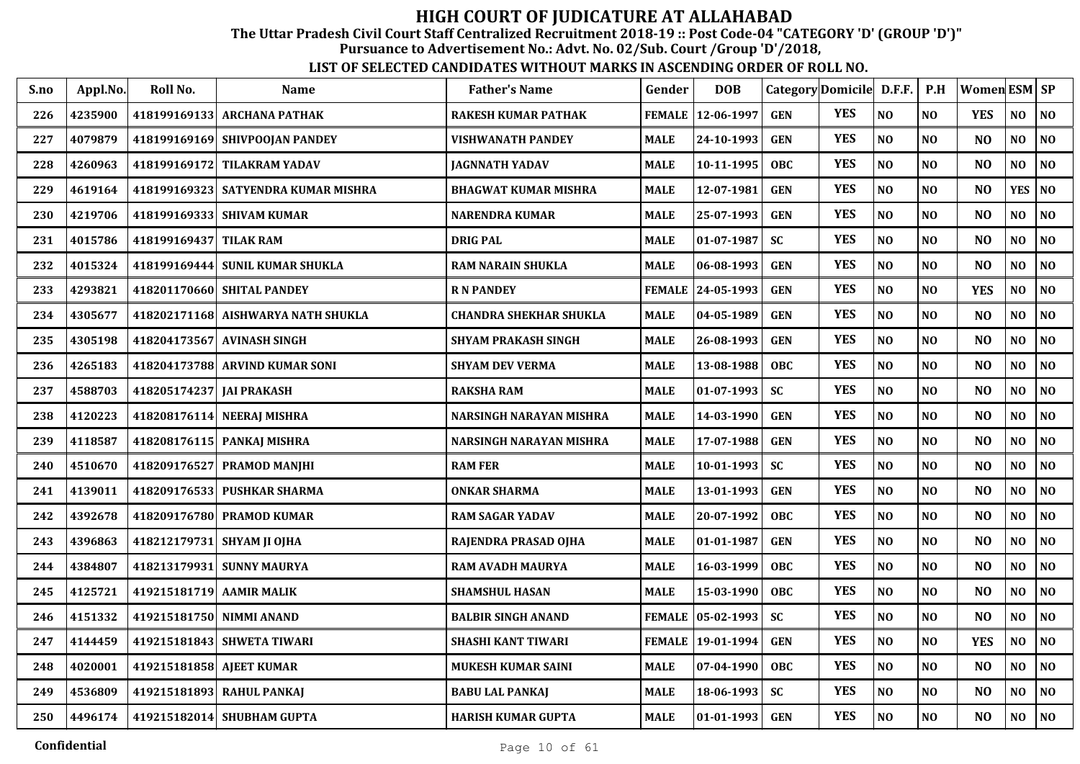The Uttar Pradesh Civil Court Staff Centralized Recruitment 2018-19 :: Post Code-04 "CATEGORY 'D' (GROUP 'D')"

Pursuance to Advertisement No.: Advt. No. 02/Sub. Court /Group 'D'/2018,

| S.no | Appl.No. | Roll No.                 | <b>Name</b>                           | <b>Father's Name</b>          | Gender        | <b>DOB</b> | Category Domicile D.F.F. |            |                | P.H            | Women ESM SP   |                |                |
|------|----------|--------------------------|---------------------------------------|-------------------------------|---------------|------------|--------------------------|------------|----------------|----------------|----------------|----------------|----------------|
| 226  | 4235900  | 418199169133             | <b>ARCHANA PATHAK</b>                 | RAKESH KUMAR PATHAK           | <b>FEMALE</b> | 12-06-1997 | <b>GEN</b>               | <b>YES</b> | NO             | NO             | <b>YES</b>     | NO             | NO             |
| 227  | 4079879  |                          | 418199169169 SHIVPOOJAN PANDEY        | VISHWANATH PANDEY             | <b>MALE</b>   | 24-10-1993 | <b>GEN</b>               | <b>YES</b> | N <sub>O</sub> | N <sub>0</sub> | NO             | NO             | NO             |
| 228  | 4260963  | 418199169172             | <b>TILAKRAM YADAV</b>                 | <b>JAGNNATH YADAV</b>         | <b>MALE</b>   | 10-11-1995 | <b>OBC</b>               | <b>YES</b> | N <sub>O</sub> | N <sub>O</sub> | N <sub>O</sub> | NO.            | N <sub>O</sub> |
| 229  | 4619164  |                          | 418199169323   SATYENDRA KUMAR MISHRA | <b>BHAGWAT KUMAR MISHRA</b>   | <b>MALE</b>   | 12-07-1981 | <b>GEN</b>               | <b>YES</b> | N <sub>O</sub> | N <sub>O</sub> | N <sub>O</sub> | <b>YES</b>     | NO             |
| 230  | 4219706  | 418199169333             | <b>SHIVAM KUMAR</b>                   | <b>NARENDRA KUMAR</b>         | <b>MALE</b>   | 25-07-1993 | <b>GEN</b>               | <b>YES</b> | N <sub>O</sub> | N <sub>O</sub> | N <sub>O</sub> | NO             | NO             |
| 231  | 4015786  | 418199169437             | <b>TILAK RAM</b>                      | <b>DRIG PAL</b>               | <b>MALE</b>   | 01-07-1987 | SC                       | <b>YES</b> | N <sub>O</sub> | NO             | N <sub>O</sub> | NO             | $\bf NO$       |
| 232  | 4015324  | 418199169444             | <b>SUNIL KUMAR SHUKLA</b>             | <b>RAM NARAIN SHUKLA</b>      | <b>MALE</b>   | 06-08-1993 | <b>GEN</b>               | <b>YES</b> | NO             | N <sub>0</sub> | N <sub>O</sub> | NO             | NO.            |
| 233  | 4293821  |                          | 418201170660 SHITAL PANDEY            | <b>RN PANDEY</b>              | <b>FEMALE</b> | 24-05-1993 | <b>GEN</b>               | <b>YES</b> | N <sub>O</sub> | NO             | <b>YES</b>     | NO             | $\bf NO$       |
| 234  | 4305677  |                          | 418202171168 AISHWARYA NATH SHUKLA    | <b>CHANDRA SHEKHAR SHUKLA</b> | MALE          | 04-05-1989 | <b>GEN</b>               | <b>YES</b> | N <sub>O</sub> | NO             | N <sub>O</sub> | NO.            | NO             |
| 235  | 4305198  |                          | 418204173567 AVINASH SINGH            | <b>SHYAM PRAKASH SINGH</b>    | <b>MALE</b>   | 26-08-1993 | <b>GEN</b>               | <b>YES</b> | N <sub>O</sub> | N <sub>O</sub> | N <sub>O</sub> | NO             | NO             |
| 236  | 4265183  |                          | 418204173788 ARVIND KUMAR SONI        | <b>SHYAM DEV VERMA</b>        | <b>MALE</b>   | 13-08-1988 | <b>OBC</b>               | <b>YES</b> | N <sub>O</sub> | N <sub>O</sub> | N <sub>O</sub> | N <sub>O</sub> | N <sub>O</sub> |
| 237  | 4588703  | 418205174237 JAI PRAKASH |                                       | <b>RAKSHA RAM</b>             | <b>MALE</b>   | 01-07-1993 | SC                       | <b>YES</b> | NO             | NO             | N <sub>O</sub> | NO             | $\bf NO$       |
| 238  | 4120223  | 418208176114             | <b>NEERAJ MISHRA</b>                  | NARSINGH NARAYAN MISHRA       | MALE          | 14-03-1990 | <b>GEN</b>               | <b>YES</b> | N <sub>O</sub> | N <sub>0</sub> | N <sub>O</sub> | $\bf NO$       | NO.            |
| 239  | 4118587  | 418208176115             | <b>PANKAJ MISHRA</b>                  | NARSINGH NARAYAN MISHRA       | <b>MALE</b>   | 17-07-1988 | <b>GEN</b>               | <b>YES</b> | N <sub>O</sub> | NO             | N <sub>O</sub> | NO             | $\bf NO$       |
| 240  | 4510670  | 418209176527             | <b>PRAMOD MANIHI</b>                  | <b>RAM FER</b>                | <b>MALE</b>   | 10-01-1993 | <b>SC</b>                | <b>YES</b> | N <sub>O</sub> | N <sub>0</sub> | N <sub>O</sub> | N <sub>O</sub> | N <sub>O</sub> |
| 241  | 4139011  |                          | 418209176533 PUSHKAR SHARMA           | <b>ONKAR SHARMA</b>           | <b>MALE</b>   | 13-01-1993 | <b>GEN</b>               | <b>YES</b> | N <sub>O</sub> | NO             | N <sub>O</sub> | NO             | NO             |
| 242  | 4392678  |                          | 418209176780 PRAMOD KUMAR             | <b>RAM SAGAR YADAV</b>        | <b>MALE</b>   | 20-07-1992 | <b>OBC</b>               | <b>YES</b> | N <sub>O</sub> | NO             | N <sub>O</sub> | NO.            | NO             |
| 243  | 4396863  |                          | 418212179731 SHYAM JI OJHA            | RAJENDRA PRASAD OJHA          | <b>MALE</b>   | 01-01-1987 | <b>GEN</b>               | <b>YES</b> | N <sub>O</sub> | NO             | N <sub>O</sub> | NO             | NO             |
| 244  | 4384807  |                          | 418213179931 SUNNY MAURYA             | <b>RAM AVADH MAURYA</b>       | <b>MALE</b>   | 16-03-1999 | <b>OBC</b>               | <b>YES</b> | N <sub>O</sub> | N <sub>O</sub> | N <sub>O</sub> | NO             | NO             |
| 245  | 4125721  | 419215181719 AAMIR MALIK |                                       | <b>SHAMSHUL HASAN</b>         | MALE          | 15-03-1990 | <b>OBC</b>               | <b>YES</b> | NO             | N <sub>O</sub> | NO             | NO             | $\bf NO$       |
| 246  | 4151332  |                          | 419215181750 NIMMI ANAND              | <b>BALBIR SINGH ANAND</b>     | <b>FEMALE</b> | 05-02-1993 | <b>SC</b>                | <b>YES</b> | N <sub>O</sub> | NO             | N <sub>O</sub> | NO             | NO             |
| 247  | 4144459  | 419215181843             | <b>SHWETA TIWARI</b>                  | <b>SHASHI KANT TIWARI</b>     | <b>FEMALE</b> | 19-01-1994 | <b>GEN</b>               | <b>YES</b> | N <sub>O</sub> | NO             | <b>YES</b>     | NO             | NO             |
| 248  | 4020001  | 419215181858 AJEET KUMAR |                                       | <b>MUKESH KUMAR SAINI</b>     | <b>MALE</b>   | 07-04-1990 | <b>OBC</b>               | <b>YES</b> | N <sub>O</sub> | N <sub>O</sub> | N <sub>O</sub> | NO             | NO             |
| 249  | 4536809  |                          | 419215181893 RAHUL PANKAJ             | <b>BABU LAL PANKAJ</b>        | <b>MALE</b>   | 18-06-1993 | <b>SC</b>                | <b>YES</b> | NO             | NO             | N <sub>O</sub> | NO             | $\bf NO$       |
| 250  | 4496174  |                          | 419215182014 SHUBHAM GUPTA            | <b>HARISH KUMAR GUPTA</b>     | MALE          | 01-01-1993 | <b>GEN</b>               | <b>YES</b> | N <sub>O</sub> | <b>NO</b>      | NO             | NO.            | NO             |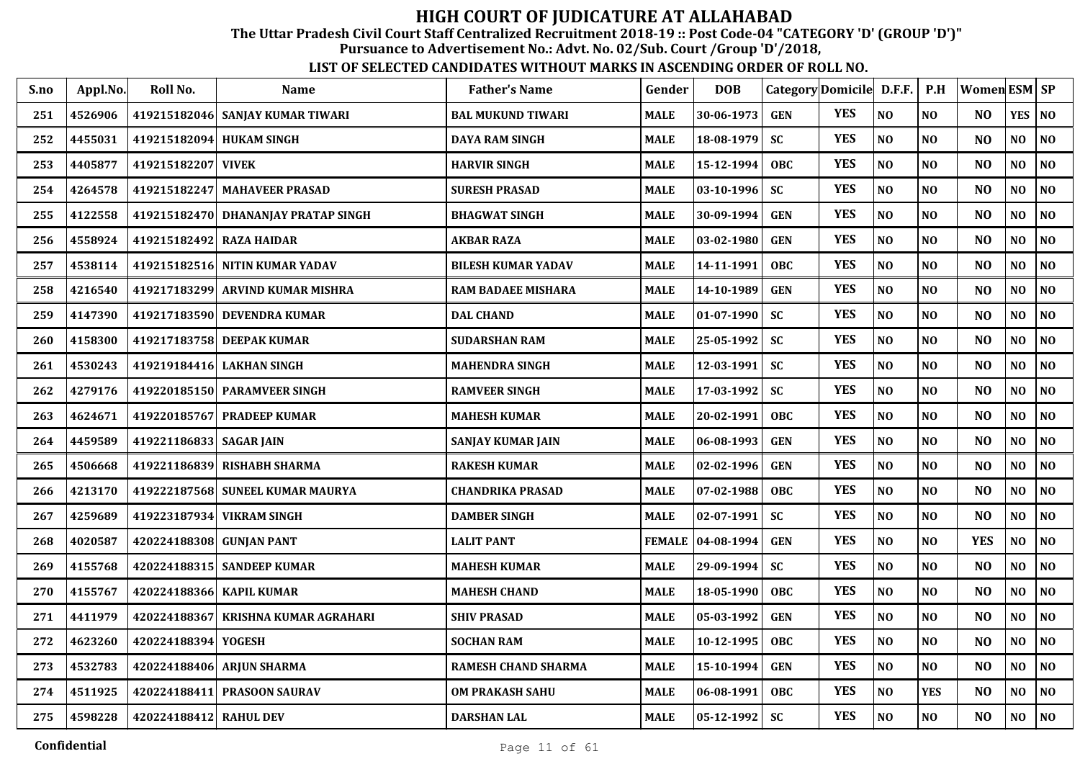The Uttar Pradesh Civil Court Staff Centralized Recruitment 2018-19 :: Post Code-04 "CATEGORY 'D' (GROUP 'D')"

Pursuance to Advertisement No.: Advt. No. 02/Sub. Court /Group 'D'/2018,

| S.no | Appl.No. | Roll No.                 | Name                                | <b>Father's Name</b>    | Gender        | <b>DOB</b>       |            | Category Domicile D.F.F. |                | P.H            | Women ESM SP   |                |                |
|------|----------|--------------------------|-------------------------------------|-------------------------|---------------|------------------|------------|--------------------------|----------------|----------------|----------------|----------------|----------------|
| 251  | 4526906  |                          | 419215182046 SANJAY KUMAR TIWARI    | BAL MUKUND TIWARI       | <b>MALE</b>   | 30-06-1973       | <b>GEN</b> | <b>YES</b>               | N <sub>O</sub> | NO.            | N <sub>O</sub> | <b>YES</b>     | N <sub>O</sub> |
| 252  | 4455031  | 419215182094 HUKAM SINGH |                                     | DAYA RAM SINGH          | <b>MALE</b>   | 18-08-1979       | <b>SC</b>  | <b>YES</b>               | NO             | N <sub>O</sub> | N <sub>O</sub> | NO             | N <sub>O</sub> |
| 253  | 4405877  | 419215182207 VIVEK       |                                     | HARVIR SINGH            | <b>MALE</b>   | 15-12-1994       | <b>OBC</b> | <b>YES</b>               | NO             | N <sub>O</sub> | N <sub>O</sub> | NO             | N <sub>O</sub> |
| 254  | 4264578  |                          | 419215182247 MAHAVEER PRASAD        | SURESH PRASAD           | <b>MALE</b>   | $03 - 10 - 1996$ | <b>SC</b>  | <b>YES</b>               | N <sub>O</sub> | N <sub>O</sub> | N <sub>O</sub> | NO             | N <sub>0</sub> |
| 255  | 4122558  |                          | 419215182470 DHANANJAY PRATAP SINGH | BHAGWAT SINGH           | <b>MALE</b>   | 30-09-1994       | <b>GEN</b> | <b>YES</b>               | N <sub>O</sub> | N <sub>O</sub> | N <sub>O</sub> | NO             | NO             |
| 256  | 4558924  | 419215182492 RAZA HAIDAR |                                     | <b>AKBAR RAZA</b>       | <b>MALE</b>   | 03-02-1980       | <b>GEN</b> | <b>YES</b>               | NO             | N <sub>O</sub> | N <sub>O</sub> | NO             | N <sub>0</sub> |
| 257  | 4538114  |                          | 419215182516 NITIN KUMAR YADAV      | BILESH KUMAR YADAV      | <b>MALE</b>   | 14-11-1991       | <b>OBC</b> | <b>YES</b>               | NO             | N <sub>O</sub> | N <sub>O</sub> | NO             | N <sub>0</sub> |
| 258  | 4216540  |                          | 419217183299 ARVIND KUMAR MISHRA    | RAM BADAEE MISHARA      | <b>MALE</b>   | 14-10-1989       | <b>GEN</b> | <b>YES</b>               | $\bf NO$       | NO             | N <sub>O</sub> | NO             | $\bf NO$       |
| 259  | 4147390  |                          | 419217183590 DEVENDRA KUMAR         | <b>DAL CHAND</b>        | <b>MALE</b>   | $01-07-1990$     | <b>SC</b>  | <b>YES</b>               | N <sub>O</sub> | NO             | N <sub>O</sub> | NO             | N <sub>0</sub> |
| 260  | 4158300  |                          | 419217183758 DEEPAK KUMAR           | <b>SUDARSHAN RAM</b>    | <b>MALE</b>   | 25-05-1992       | <b>SC</b>  | <b>YES</b>               | N <sub>O</sub> | N <sub>O</sub> | N <sub>O</sub> | NO             | N <sub>0</sub> |
| 261  | 4530243  |                          | 419219184416 LAKHAN SINGH           | MAHENDRA SINGH          | <b>MALE</b>   | $12 - 03 - 1991$ | <b>SC</b>  | <b>YES</b>               | NO             | N <sub>O</sub> | N <sub>O</sub> | N <sub>O</sub> | NO             |
| 262  | 4279176  |                          | 419220185150 PARAMVEER SINGH        | <b>RAMVEER SINGH</b>    | <b>MALE</b>   | 17-03-1992       | <b>SC</b>  | <b>YES</b>               | N <sub>O</sub> | N <sub>O</sub> | N <sub>O</sub> | NO             | N <sub>0</sub> |
| 263  | 4624671  |                          | 419220185767 PRADEEP KUMAR          | MAHESH KUMAR            | <b>MALE</b>   | 20-02-1991       | <b>OBC</b> | <b>YES</b>               | NO             | N <sub>O</sub> | N <sub>O</sub> | $\bf NO$       | $\bf NO$       |
| 264  | 4459589  | 419221186833 SAGAR JAIN  |                                     | SANJAY KUMAR JAIN       | <b>MALE</b>   | 06-08-1993       | <b>GEN</b> | <b>YES</b>               | NO             | NO             | N <sub>O</sub> | $\bf NO$       | $\bf NO$       |
| 265  | 4506668  |                          | 419221186839 RISHABH SHARMA         | RAKESH KUMAR            | <b>MALE</b>   | 02-02-1996       | <b>GEN</b> | <b>YES</b>               | NO             | N <sub>O</sub> | N <sub>O</sub> | NO             | NO             |
| 266  | 4213170  |                          | 419222187568 SUNEEL KUMAR MAURYA    | <b>CHANDRIKA PRASAD</b> | MALE          | 07-02-1988       | OBC        | <b>YES</b>               | N <sub>O</sub> | NO             | N <sub>O</sub> | NO             | N <sub>0</sub> |
| 267  | 4259689  |                          | 419223187934 VIKRAM SINGH           | DAMBER SINGH            | <b>MALE</b>   | $02 - 07 - 1991$ | <b>SC</b>  | <b>YES</b>               | N <sub>0</sub> | N <sub>O</sub> | N <sub>O</sub> | N <sub>O</sub> | $\bf NO$       |
| 268  | 4020587  | 420224188308 GUNJAN PANT |                                     | <b>LALIT PANT</b>       | <b>FEMALE</b> | $ 04-08-1994$    | <b>GEN</b> | <b>YES</b>               | N <sub>O</sub> | N <sub>O</sub> | <b>YES</b>     | NO             | N <sub>0</sub> |
| 269  | 4155768  |                          | 420224188315  SANDEEP KUMAR         | MAHESH KUMAR            | <b>MALE</b>   | 29-09-1994       | <b>SC</b>  | <b>YES</b>               | NO             | N <sub>O</sub> | N <sub>O</sub> | NO             | N <sub>0</sub> |
| 270  | 4155767  | 420224188366 KAPIL KUMAR |                                     | <b>MAHESH CHAND</b>     | MALE          | 18-05-1990       | <b>OBC</b> | <b>YES</b>               | N <sub>O</sub> | N <sub>O</sub> | N <sub>O</sub> | NO             | $\bf NO$       |
| 271  | 4411979  | 420224188367             | <b>KRISHNA KUMAR AGRAHARI</b>       | <b>SHIV PRASAD</b>      | <b>MALE</b>   | 05-03-1992       | <b>GEN</b> | <b>YES</b>               | N <sub>O</sub> | N <sub>O</sub> | N <sub>O</sub> | NO             | NO             |
| 272  | 4623260  | 420224188394 YOGESH      |                                     | <b>SOCHAN RAM</b>       | <b>MALE</b>   | 10-12-1995       | <b>OBC</b> | <b>YES</b>               | NO             | N <sub>O</sub> | N <sub>O</sub> | NO             | $\bf NO$       |
| 273  | 4532783  |                          | 420224188406 ARJUN SHARMA           | RAMESH CHAND SHARMA     | <b>MALE</b>   | 15-10-1994       | <b>GEN</b> | <b>YES</b>               | NO             | NO.            | N <sub>O</sub> | NO             | NO             |
| 274  | 4511925  |                          | 420224188411 PRASOON SAURAV         | <b>OM PRAKASH SAHU</b>  | <b>MALE</b>   | 06-08-1991       | <b>OBC</b> | <b>YES</b>               | $\bf NO$       | <b>YES</b>     | N <sub>O</sub> | NO             | $\bf NO$       |
| 275  | 4598228  | 420224188412 RAHUL DEV   |                                     | DARSHAN LAL             | <b>MALE</b>   | $05-12-1992$ SC  |            | <b>YES</b>               | NO             | N <sub>O</sub> | N <sub>O</sub> | N <sub>O</sub> | NO             |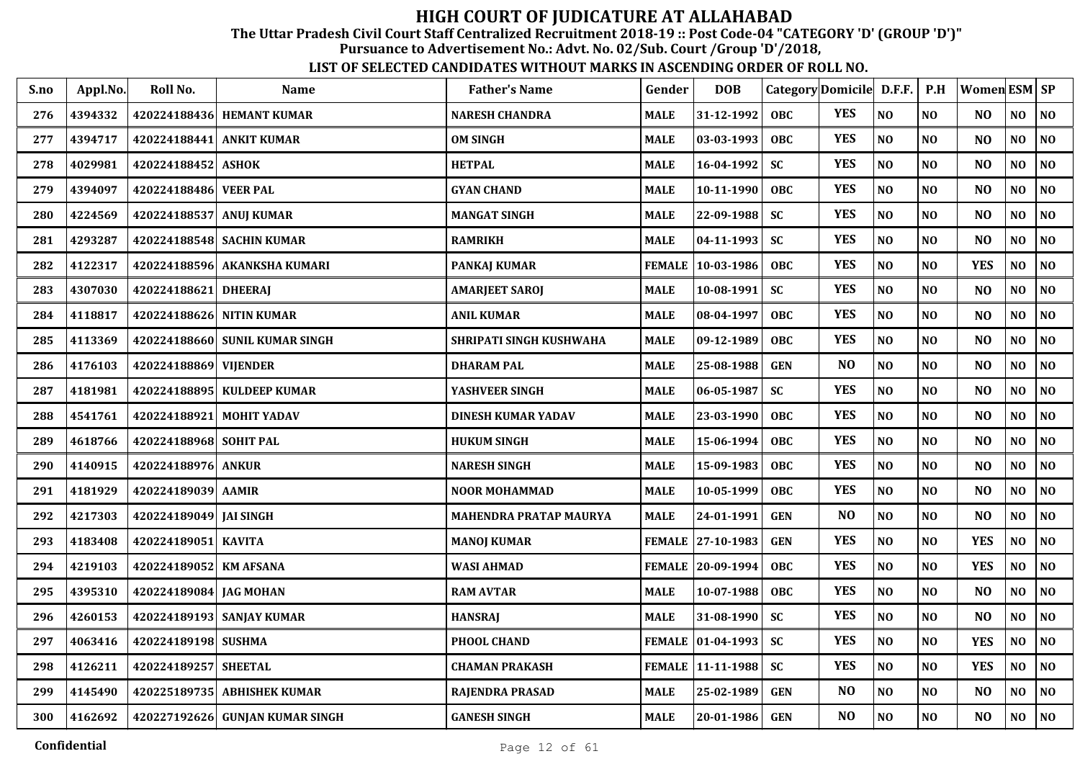The Uttar Pradesh Civil Court Staff Centralized Recruitment 2018-19 :: Post Code-04 "CATEGORY 'D' (GROUP 'D')"

Pursuance to Advertisement No.: Advt. No. 02/Sub. Court /Group 'D'/2018,

| S.no | Appl.No. | Roll No.                 | Name                            | <b>Father's Name</b>          | Gender        | <b>DOB</b>        | Category Domicile D.F.F. |                |                | P.H            | <b>Women ESM SP</b> |     |                |
|------|----------|--------------------------|---------------------------------|-------------------------------|---------------|-------------------|--------------------------|----------------|----------------|----------------|---------------------|-----|----------------|
| 276  | 4394332  |                          | 420224188436 HEMANT KUMAR       | <b>NARESH CHANDRA</b>         | <b>MALE</b>   | 31-12-1992        | <b>OBC</b>               | <b>YES</b>     | NO             | N <sub>O</sub> | N <sub>O</sub>      | NO  | NO             |
| 277  | 4394717  | 420224188441             | <b>ANKIT KUMAR</b>              | <b>OM SINGH</b>               | <b>MALE</b>   | 03-03-1993        | <b>OBC</b>               | <b>YES</b>     | N <sub>O</sub> | N <sub>O</sub> | N <sub>O</sub>      | NO  | NO             |
| 278  | 4029981  | 420224188452             | <b>ASHOK</b>                    | <b>HETPAL</b>                 | <b>MALE</b>   | 16-04-1992        | <b>SC</b>                | <b>YES</b>     | N <sub>O</sub> | N <sub>O</sub> | N <sub>O</sub>      | NO  | NO             |
| 279  | 4394097  | 420224188486             | <b>VEER PAL</b>                 | <b>GYAN CHAND</b>             | <b>MALE</b>   | 10-11-1990        | <b>OBC</b>               | <b>YES</b>     | N <sub>O</sub> | N <sub>O</sub> | N <sub>O</sub>      | NO  | NO             |
| 280  | 4224569  | 420224188537 ANUJ KUMAR  |                                 | <b>MANGAT SINGH</b>           | <b>MALE</b>   | 22-09-1988        | <b>SC</b>                | <b>YES</b>     | NO             | N <sub>O</sub> | N <sub>O</sub>      | NO  | NO             |
| 281  | 4293287  |                          | 420224188548 SACHIN KUMAR       | <b>RAMRIKH</b>                | <b>MALE</b>   | $04 - 11 - 1993$  | <b>SC</b>                | <b>YES</b>     | N <sub>O</sub> | N <sub>0</sub> | N <sub>O</sub>      | NO  | NO             |
| 282  | 4122317  |                          | 420224188596 AKANKSHA KUMARI    | <b>PANKAJ KUMAR</b>           | <b>FEMALE</b> | 10-03-1986        | <b>OBC</b>               | <b>YES</b>     | $\bf NO$       | $\bf NO$       | <b>YES</b>          | NO  | $\bf NO$       |
| 283  | 4307030  | 420224188621 DHEERAJ     |                                 | AMARJEET SAROJ                | <b>MALE</b>   | 10-08-1991        | <b>SC</b>                | <b>YES</b>     | N <sub>O</sub> | N <sub>0</sub> | N <sub>O</sub>      | NO  | N <sub>0</sub> |
| 284  | 4118817  | 420224188626 NITIN KUMAR |                                 | <b>ANIL KUMAR</b>             | <b>MALE</b>   | 08-04-1997        | OBC                      | <b>YES</b>     | N <sub>O</sub> | N <sub>O</sub> | N <sub>O</sub>      | NO  | $\bf NO$       |
| 285  | 4113369  |                          | 420224188660 SUNIL KUMAR SINGH  | SHRIPATI SINGH KUSHWAHA       | <b>MALE</b>   | 09-12-1989        | OBC                      | <b>YES</b>     | N <sub>O</sub> | N <sub>O</sub> | N <sub>O</sub>      | NO. | N <sub>0</sub> |
| 286  | 4176103  | 420224188869 VIJENDER    |                                 | <b>DHARAM PAL</b>             | <b>MALE</b>   | 25-08-1988        | <b>GEN</b>               | N <sub>O</sub> | NO             | $\bf NO$       | N <sub>O</sub>      | NO  | $\bf NO$       |
| 287  | 4181981  |                          | 420224188895   KULDEEP KUMAR    | YASHVEER SINGH                | <b>MALE</b>   | 06-05-1987        | <b>SC</b>                | <b>YES</b>     | N <sub>O</sub> | N <sub>O</sub> | N <sub>O</sub>      | NO  | N <sub>0</sub> |
| 288  | 4541761  | 420224188921             | <b>MOHIT YADAV</b>              | <b>DINESH KUMAR YADAV</b>     | <b>MALE</b>   | 23-03-1990        | <b>OBC</b>               | <b>YES</b>     | N <sub>O</sub> | N <sub>O</sub> | N <sub>O</sub>      | NO  | N <sub>0</sub> |
| 289  | 4618766  | 420224188968 SOHIT PAL   |                                 | <b>HUKUM SINGH</b>            | <b>MALE</b>   | 15-06-1994        | <b>OBC</b>               | <b>YES</b>     | NO             | N <sub>O</sub> | N <sub>O</sub>      | NO  | N <sub>0</sub> |
| 290  | 4140915  | 420224188976             | <b>ANKUR</b>                    | <b>NARESH SINGH</b>           | <b>MALE</b>   | 15-09-1983        | <b>OBC</b>               | <b>YES</b>     | N <sub>O</sub> | NO             | N <sub>O</sub>      | NO  | NO             |
| 291  | 4181929  | 420224189039 AAMIR       |                                 | <b>NOOR MOHAMMAD</b>          | <b>MALE</b>   | 10-05-1999        | OBC                      | <b>YES</b>     | NO             | N <sub>0</sub> | N <sub>O</sub>      | NO  | $\bf NO$       |
| 292  | 4217303  | 420224189049 JAI SINGH   |                                 | <b>MAHENDRA PRATAP MAURYA</b> | <b>MALE</b>   | 24-01-1991        | <b>GEN</b>               | N <sub>O</sub> | N <sub>O</sub> | <b>NO</b>      | N <sub>O</sub>      | NO. | NO             |
| 293  | 4183408  | 420224189051 KAVITA      |                                 | <b>MANOJ KUMAR</b>            |               | FEMALE 27-10-1983 | <b>GEN</b>               | <b>YES</b>     | N <sub>O</sub> | N <sub>O</sub> | <b>YES</b>          | NO  | NO             |
| 294  | 4219103  | 420224189052 KM AFSANA   |                                 | <b>WASI AHMAD</b>             |               | FEMALE 20-09-1994 | <b>OBC</b>               | <b>YES</b>     | N <sub>O</sub> | N <sub>O</sub> | <b>YES</b>          | NO  | NO             |
| 295  | 4395310  | 420224189084 JAG MOHAN   |                                 | <b>RAM AVTAR</b>              | <b>MALE</b>   | $10-07-1988$      | <b>OBC</b>               | <b>YES</b>     | NO             | N <sub>O</sub> | N <sub>O</sub>      | NO  | $\bf NO$       |
| 296  | 4260153  |                          | 420224189193 SANJAY KUMAR       | <b>HANSRAJ</b>                | <b>MALE</b>   | 31-08-1990        | <b>SC</b>                | <b>YES</b>     | N <sub>O</sub> | N <sub>O</sub> | N <sub>O</sub>      | NO  | $\bf NO$       |
| 297  | 4063416  | 420224189198 SUSHMA      |                                 | PHOOL CHAND                   | <b>FEMALE</b> | $ 01-04-1993 $    | <b>SC</b>                | <b>YES</b>     | N <sub>O</sub> | N <sub>O</sub> | <b>YES</b>          | NO  | NO             |
| 298  | 4126211  | 420224189257             | <b>SHEETAL</b>                  | <b>CHAMAN PRAKASH</b>         |               | FEMALE 11-11-1988 | <b>SC</b>                | <b>YES</b>     | NO             | NO             | <b>YES</b>          | NO  | NO             |
| 299  | 4145490  |                          | 420225189735 ABHISHEK KUMAR     | RAJENDRA PRASAD               | <b>MALE</b>   | 25-02-1989        | <b>GEN</b>               | N <sub>O</sub> | $\bf NO$       | $\bf NO$       | N <sub>O</sub>      | NO  | NO             |
| 300  | 4162692  |                          | 420227192626 GUNJAN KUMAR SINGH | <b>GANESH SINGH</b>           | <b>MALE</b>   | $20 - 01 - 1986$  | <b>GEN</b>               | N <sub>O</sub> | $\bf NO$       | $\bf NO$       | NO                  | NO  | NO             |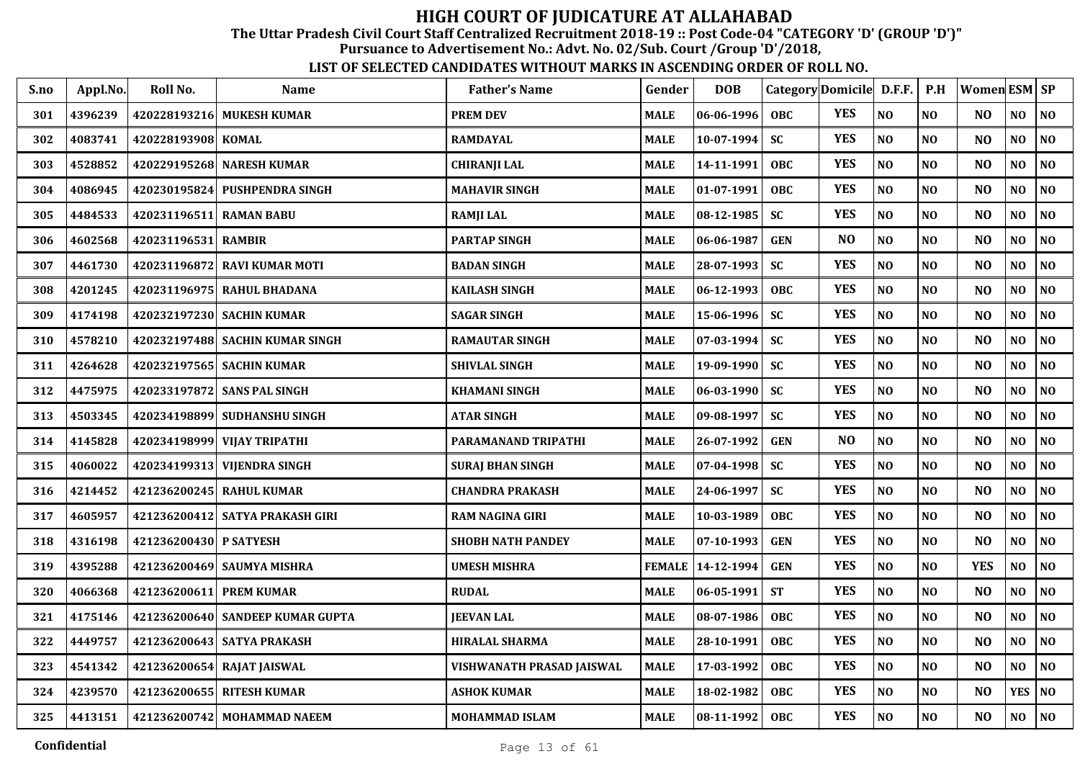The Uttar Pradesh Civil Court Staff Centralized Recruitment 2018-19 :: Post Code-04 "CATEGORY 'D' (GROUP 'D')"

Pursuance to Advertisement No.: Advt. No. 02/Sub. Court /Group 'D'/2018,

| S.no | Appl.No. | Roll No.                | <b>Name</b>                      | <b>Father's Name</b>      | Gender        | <b>DOB</b>       | Category Domicile D.F.F. |                |                | P.H            | Women ESM SP   |                |                |
|------|----------|-------------------------|----------------------------------|---------------------------|---------------|------------------|--------------------------|----------------|----------------|----------------|----------------|----------------|----------------|
| 301  | 4396239  |                         | 420228193216 MUKESH KUMAR        | <b>PREM DEV</b>           | <b>MALE</b>   | 06-06-1996       | OBC.                     | <b>YES</b>     | N <sub>0</sub> | N <sub>O</sub> | N <sub>O</sub> | NO             | NO             |
| 302  | 4083741  | 420228193908 KOMAL      |                                  | <b>RAMDAYAL</b>           | <b>MALE</b>   | $10-07-1994$     | <b>SC</b>                | <b>YES</b>     | $\bf NO$       | N <sub>O</sub> | N <sub>O</sub> | N <sub>O</sub> | $\bf NO$       |
| 303  | 4528852  |                         | 420229195268 NARESH KUMAR        | <b>CHIRANJI LAL</b>       | <b>MALE</b>   | 14-11-1991       | <b>OBC</b>               | <b>YES</b>     | $\bf NO$       | N <sub>O</sub> | N <sub>O</sub> | NO             | $\bf NO$       |
| 304  | 4086945  | 420230195824            | <b>PUSHPENDRA SINGH</b>          | <b>MAHAVIR SINGH</b>      | <b>MALE</b>   | 01-07-1991       | <b>OBC</b>               | <b>YES</b>     | NO             | N <sub>O</sub> | NO             | NO             | NO             |
| 305  | 4484533  | 420231196511 RAMAN BABU |                                  | <b>RAMJI LAL</b>          | <b>MALE</b>   | 08-12-1985       | <b>SC</b>                | <b>YES</b>     | NO             | NO             | N <sub>O</sub> | NO             | NO             |
| 306  | 4602568  | 420231196531            | <b>RAMBIR</b>                    | <b>PARTAP SINGH</b>       | <b>MALE</b>   | 06-06-1987       | <b>GEN</b>               | NO             | NO             | NO             | NO             | NO             | NO             |
| 307  | 4461730  |                         | 420231196872 RAVI KUMAR MOTI     | <b>BADAN SINGH</b>        | <b>MALE</b>   | 28-07-1993       | <b>SC</b>                | <b>YES</b>     | $\bf NO$       | NO             | NO             | NO             | $\bf NO$       |
| 308  | 4201245  |                         | 420231196975 RAHUL BHADANA       | <b>KAILASH SINGH</b>      | <b>MALE</b>   | 06-12-1993       | OBC                      | <b>YES</b>     | NO             | NO             | N <sub>O</sub> | NO             | NO             |
| 309  | 4174198  |                         | 420232197230 SACHIN KUMAR        | <b>SAGAR SINGH</b>        | <b>MALE</b>   | 15-06-1996       | <b>SC</b>                | <b>YES</b>     | NO             | N <sub>O</sub> | N <sub>O</sub> | NO             | NO             |
| 310  | 4578210  |                         | 420232197488 SACHIN KUMAR SINGH  | <b>RAMAUTAR SINGH</b>     | <b>MALE</b>   | 07-03-1994       | <b>SC</b>                | <b>YES</b>     | NO             | N <sub>O</sub> | N <sub>O</sub> | NO             | NO             |
| 311  | 4264628  |                         | 420232197565 SACHIN KUMAR        | <b>SHIVLAL SINGH</b>      | <b>MALE</b>   | 19-09-1990       | <b>SC</b>                | <b>YES</b>     | $\bf NO$       | N <sub>O</sub> | N <sub>O</sub> | NO             | NO             |
| 312  | 4475975  |                         | 420233197872 SANS PAL SINGH      | <b>KHAMANI SINGH</b>      | <b>MALE</b>   | $06 - 03 - 1990$ | <b>SC</b>                | <b>YES</b>     | NO             | N <sub>O</sub> | N <sub>O</sub> | NO             | NO             |
| 313  | 4503345  |                         | 420234198899 SUDHANSHU SINGH     | <b>ATAR SINGH</b>         | <b>MALE</b>   | 09-08-1997       | <b>SC</b>                | <b>YES</b>     | NO             | N <sub>O</sub> | N <sub>O</sub> | NO             | NO             |
| 314  | 4145828  |                         | 420234198999 VIJAY TRIPATHI      | PARAMANAND TRIPATHI       | <b>MALE</b>   | 26-07-1992       | <b>GEN</b>               | N <sub>O</sub> | NO             | NO             | N <sub>O</sub> | NO             | NO             |
| 315  | 4060022  |                         | 420234199313 VIJENDRA SINGH      | <b>SURAJ BHAN SINGH</b>   | <b>MALE</b>   | $07 - 04 - 1998$ | <b>SC</b>                | <b>YES</b>     | NO             | NO             | N <sub>O</sub> | NO             | NO             |
| 316  | 4214452  |                         | 421236200245 RAHUL KUMAR         | <b>CHANDRA PRAKASH</b>    | <b>MALE</b>   | 24-06-1997       | <b>SC</b>                | <b>YES</b>     | NO             | NO             | N <sub>O</sub> | NO             | $\bf NO$       |
| 317  | 4605957  |                         | 421236200412 SATYA PRAKASH GIRI  | <b>RAM NAGINA GIRI</b>    | <b>MALE</b>   | 10-03-1989       | <b>OBC</b>               | <b>YES</b>     | NO             | NO             | N <sub>O</sub> | NO.            | NO             |
| 318  | 4316198  | 421236200430 P SATYESH  |                                  | <b>SHOBH NATH PANDEY</b>  | <b>MALE</b>   | 07-10-1993       | <b>GEN</b>               | <b>YES</b>     | NO             | N <sub>O</sub> | N <sub>O</sub> | NO             | NO             |
| 319  | 4395288  |                         | 421236200469 SAUMYA MISHRA       | <b>UMESH MISHRA</b>       | <b>FEMALE</b> | 14-12-1994       | <b>GEN</b>               | <b>YES</b>     | NO             | N <sub>O</sub> | <b>YES</b>     | NO             | NO             |
| 320  | 4066368  | 421236200611 PREM KUMAR |                                  | <b>RUDAL</b>              | <b>MALE</b>   | 06-05-1991       | <b>ST</b>                | <b>YES</b>     | NO             | N <sub>O</sub> | N <sub>O</sub> | NO             | NO             |
| 321  | 4175146  |                         | 421236200640 SANDEEP KUMAR GUPTA | <b>JEEVAN LAL</b>         | <b>MALE</b>   | 08-07-1986       | <b>OBC</b>               | <b>YES</b>     | NO             | N <sub>O</sub> | N <sub>O</sub> | N <sub>O</sub> | NO             |
| 322  | 4449757  |                         | 421236200643 SATYA PRAKASH       | <b>HIRALAL SHARMA</b>     | <b>MALE</b>   | 28-10-1991       | <b>OBC</b>               | <b>YES</b>     | NO             | N <sub>O</sub> | N <sub>O</sub> | NO             | NO             |
| 323  | 4541342  |                         | 421236200654 RAJAT JAISWAL       | VISHWANATH PRASAD JAISWAL | <b>MALE</b>   | 17-03-1992       | <b>OBC</b>               | <b>YES</b>     | N <sub>O</sub> | N <sub>O</sub> | N <sub>O</sub> | N <sub>O</sub> | N <sub>O</sub> |
| 324  | 4239570  |                         | 421236200655 RITESH KUMAR        | <b>ASHOK KUMAR</b>        | <b>MALE</b>   | 18-02-1982       | OBC                      | <b>YES</b>     | NO             | NO             | N <sub>O</sub> | <b>YES</b>     | NO             |
| 325  | 4413151  |                         | 421236200742 MOHAMMAD NAEEM      | MOHAMMAD ISLAM            | <b>MALE</b>   | 08-11-1992       | <b>OBC</b>               | <b>YES</b>     | N <sub>O</sub> | N <sub>O</sub> | N <sub>O</sub> | NO.            | NO             |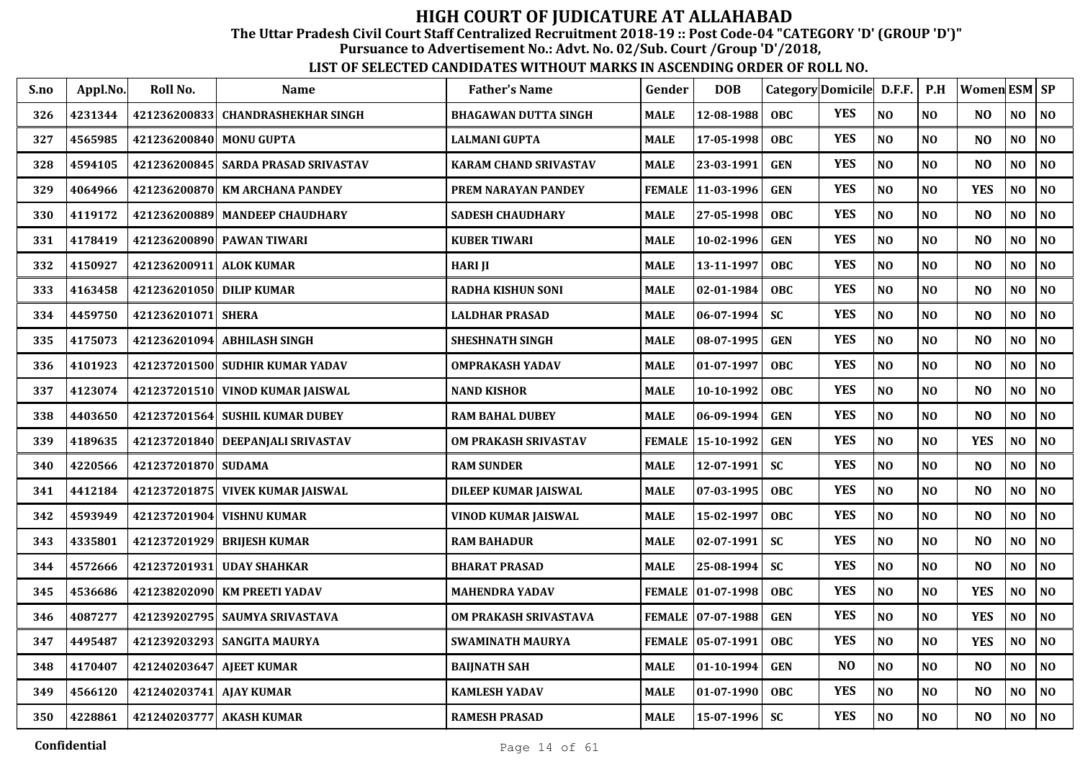The Uttar Pradesh Civil Court Staff Centralized Recruitment 2018-19 :: Post Code-04 "CATEGORY 'D' (GROUP 'D')"

Pursuance to Advertisement No.: Advt. No. 02/Sub. Court /Group 'D'/2018,

| S.no | Appl.No. | Roll No.                 | <b>Name</b>                           | <b>Father's Name</b>         | Gender        | <b>DOB</b>          | Category Domicile |                | D.F.F.         | P.H            | Women ESM SP   |                |    |
|------|----------|--------------------------|---------------------------------------|------------------------------|---------------|---------------------|-------------------|----------------|----------------|----------------|----------------|----------------|----|
| 326  | 4231344  |                          | 421236200833 CHANDRASHEKHAR SINGH     | <b>BHAGAWAN DUTTA SINGH</b>  | <b>MALE</b>   | 12-08-1988          | OBC               | <b>YES</b>     | NO             | N <sub>O</sub> | N <sub>O</sub> | <b>NO</b>      | NO |
| 327  | 4565985  | 421236200840 MONU GUPTA  |                                       | <b>LALMANI GUPTA</b>         | <b>MALE</b>   | 17-05-1998          | <b>OBC</b>        | <b>YES</b>     | NO             | N <sub>0</sub> | N <sub>O</sub> | NO             | NO |
| 328  | 4594105  |                          | 421236200845   SARDA PRASAD SRIVASTAV | <b>KARAM CHAND SRIVASTAV</b> | <b>MALE</b>   | 23-03-1991          | <b>GEN</b>        | <b>YES</b>     | N <sub>O</sub> | N <sub>O</sub> | N <sub>O</sub> | NO             | NO |
| 329  | 4064966  |                          | 421236200870 KM ARCHANA PANDEY        | PREM NARAYAN PANDEY          | <b>FEMALE</b> | $ 11-03-1996$       | <b>GEN</b>        | <b>YES</b>     | N <sub>O</sub> | N <sub>O</sub> | <b>YES</b>     | $\bf NO$       | NO |
| 330  | 4119172  |                          | 421236200889 MANDEEP CHAUDHARY        | <b>SADESH CHAUDHARY</b>      | <b>MALE</b>   | 27-05-1998          | <b>OBC</b>        | <b>YES</b>     | N <sub>O</sub> | N <sub>O</sub> | N <sub>O</sub> | N <sub>O</sub> | NO |
| 331  | 4178419  |                          | 421236200890 PAWAN TIWARI             | <b>KUBER TIWARI</b>          | <b>MALE</b>   | 10-02-1996          | <b>GEN</b>        | <b>YES</b>     | NO             | N <sub>O</sub> | N <sub>O</sub> | $\bf NO$       | NO |
| 332  | 4150927  | 421236200911 ALOK KUMAR  |                                       | <b>HARI JI</b>               | <b>MALE</b>   | 13-11-1997          | <b>OBC</b>        | <b>YES</b>     | NO             | N <sub>O</sub> | N <sub>O</sub> | NO             | NO |
| 333  | 4163458  | 421236201050 DILIP KUMAR |                                       | <b>RADHA KISHUN SONI</b>     | <b>MALE</b>   | $ 02-01-1984$       | <b>OBC</b>        | <b>YES</b>     | NO             | NO             | N <sub>O</sub> | NO             | NO |
| 334  | 4459750  | 421236201071 SHERA       |                                       | <b>LALDHAR PRASAD</b>        | <b>MALE</b>   | $ 06-07-1994$       | <b>SC</b>         | <b>YES</b>     | NO             | NO             | N <sub>O</sub> | NO             | NO |
| 335  | 4175073  |                          | 421236201094 ABHILASH SINGH           | <b>SHESHNATH SINGH</b>       | <b>MALE</b>   | $ 08-07-1995$       | <b>GEN</b>        | <b>YES</b>     | N <sub>O</sub> | NO             | N <sub>O</sub> | N <sub>O</sub> | NO |
| 336  | 4101923  |                          | 421237201500 SUDHIR KUMAR YADAV       | <b>OMPRAKASH YADAV</b>       | <b>MALE</b>   | $ 01-07-1997$       | <b>OBC</b>        | <b>YES</b>     | NO             | N <sub>O</sub> | N <sub>O</sub> | NO             | NO |
| 337  | 4123074  |                          | 421237201510 VINOD KUMAR JAISWAL      | <b>NAND KISHOR</b>           | <b>MALE</b>   | 10-10-1992          | <b>OBC</b>        | <b>YES</b>     | N <sub>O</sub> | NO             | N <sub>O</sub> | N <sub>O</sub> | NO |
| 338  | 4403650  |                          | 421237201564 SUSHIL KUMAR DUBEY       | <b>RAM BAHAL DUBEY</b>       | <b>MALE</b>   | $ 06-09-1994$       | <b>GEN</b>        | <b>YES</b>     | N <sub>O</sub> | NO             | N <sub>O</sub> | N <sub>O</sub> | NO |
| 339  | 4189635  |                          | 421237201840 DEEPANJALI SRIVASTAV     | <b>OM PRAKASH SRIVASTAV</b>  | <b>FEMALE</b> | 15-10-1992          | <b>GEN</b>        | <b>YES</b>     | N <sub>O</sub> | N <sub>O</sub> | <b>YES</b>     | NO             | NO |
| 340  | 4220566  | 421237201870 SUDAMA      |                                       | <b>RAM SUNDER</b>            | <b>MALE</b>   | 12-07-1991          | <b>SC</b>         | <b>YES</b>     | N <sub>O</sub> | N <sub>O</sub> | N <sub>O</sub> | NO             | NO |
| 341  | 4412184  |                          | 421237201875 VIVEK KUMAR JAISWAL      | DILEEP KUMAR JAISWAL         | <b>MALE</b>   | $ 07-03-1995$       | OBC               | <b>YES</b>     | NO             | N <sub>O</sub> | N <sub>O</sub> | NO             | NO |
| 342  | 4593949  |                          | 421237201904 VISHNU KUMAR             | VINOD KUMAR JAISWAL          | <b>MALE</b>   | $15-02-1997$        | <b>OBC</b>        | <b>YES</b>     | NO             | NO             | N <sub>0</sub> | N <sub>O</sub> | NO |
| 343  | 4335801  |                          | 421237201929 BRIJESH KUMAR            | <b>RAM BAHADUR</b>           | <b>MALE</b>   | $ 02-07-1991$       | <b>SC</b>         | <b>YES</b>     | NO             | N <sub>O</sub> | N <sub>O</sub> | NO             | NO |
| 344  | 4572666  |                          | 421237201931 UDAY SHAHKAR             | <b>BHARAT PRASAD</b>         | <b>MALE</b>   | 25-08-1994          | <b>SC</b>         | <b>YES</b>     | N <sub>O</sub> | N <sub>O</sub> | N <sub>O</sub> | NO             | NO |
| 345  | 4536686  |                          | 421238202090 KM PREETI YADAV          | <b>MAHENDRA YADAV</b>        |               | FEMALE   01-07-1998 | <b>OBC</b>        | <b>YES</b>     | NO             | N <sub>O</sub> | <b>YES</b>     | N <sub>O</sub> | NO |
| 346  | 4087277  |                          | 421239202795 SAUMYA SRIVASTAVA        | OM PRAKASH SRIVASTAVA        | <b>FEMALE</b> | $ 07-07-1988$       | <b>GEN</b>        | <b>YES</b>     | N <sub>O</sub> | N <sub>O</sub> | <b>YES</b>     | N <sub>0</sub> | NO |
| 347  | 4495487  |                          | 421239203293 SANGITA MAURYA           | <b>SWAMINATH MAURYA</b>      | <b>FEMALE</b> | $ 05-07-1991$       | <b>OBC</b>        | <b>YES</b>     | N <sub>O</sub> | N <sub>O</sub> | <b>YES</b>     | N <sub>O</sub> | NO |
| 348  | 4170407  | 421240203647 AJEET KUMAR |                                       | <b>BAIJNATH SAH</b>          | <b>MALE</b>   | $ 01-10-1994$       | <b>GEN</b>        | N <sub>O</sub> | N <sub>O</sub> | N <sub>O</sub> | N <sub>O</sub> | NO             | NO |
| 349  | 4566120  | 421240203741 AJAY KUMAR  |                                       | <b>KAMLESH YADAV</b>         | <b>MALE</b>   | $ 01-07-1990$       | <b>OBC</b>        | <b>YES</b>     | $\bf NO$       | $\bf NO$       | N <sub>O</sub> | $\bf NO$       | NO |
| 350  | 4228861  |                          | 421240203777 AKASH KUMAR              | <b>RAMESH PRASAD</b>         | <b>MALE</b>   | 15-07-1996          | <b>SC</b>         | <b>YES</b>     | $\bf NO$       | $\bf NO$       | N <sub>O</sub> | NO             | NO |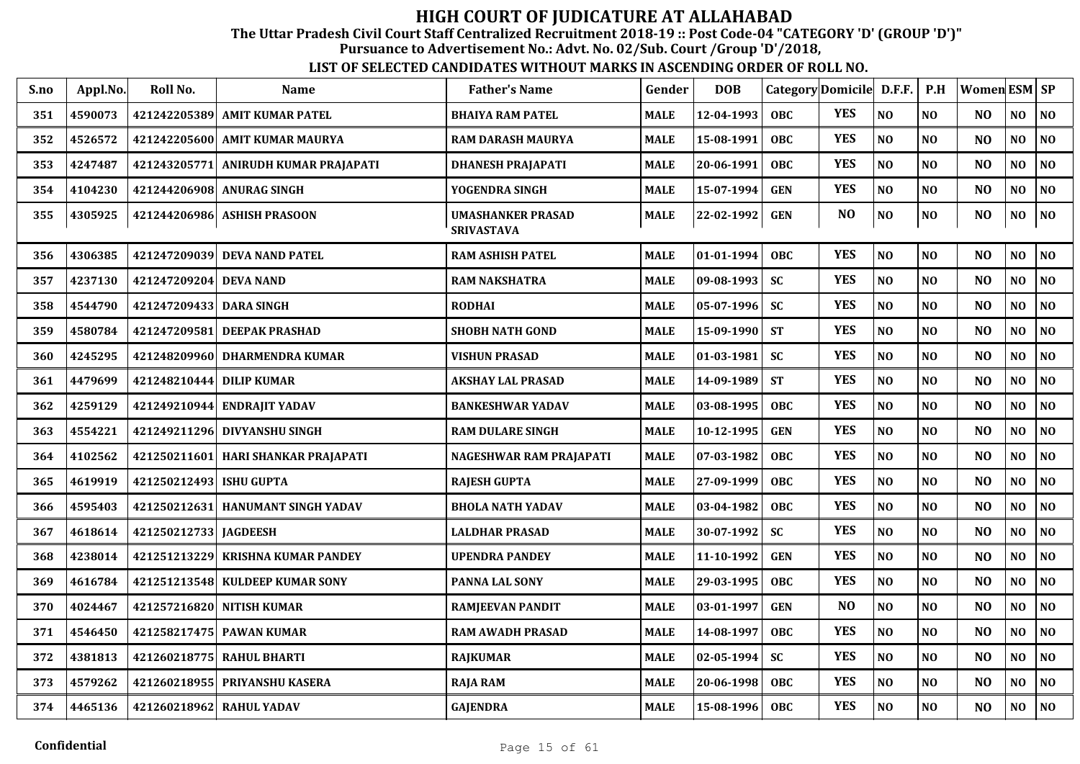The Uttar Pradesh Civil Court Staff Centralized Recruitment 2018-19 :: Post Code-04 "CATEGORY 'D' (GROUP 'D')"

Pursuance to Advertisement No.: Advt. No. 02/Sub. Court /Group 'D'/2018,

| S.no | Appl.No. | Roll No.                   | <b>Name</b>                        | <b>Father's Name</b>                          | Gender      | <b>DOB</b>     |            | Category Domicile D.F.F. |                | P.H            | Women ESM SP   |                |                             |
|------|----------|----------------------------|------------------------------------|-----------------------------------------------|-------------|----------------|------------|--------------------------|----------------|----------------|----------------|----------------|-----------------------------|
| 351  | 4590073  | 421242205389               | <b>AMIT KUMAR PATEL</b>            | <b>BHAIYA RAM PATEL</b>                       | <b>MALE</b> | 12-04-1993     | <b>OBC</b> | <b>YES</b>               | NO             | N <sub>O</sub> | NO.            | NO             | N <sub>O</sub>              |
| 352  | 4526572  | 421242205600               | <b>AMIT KUMAR MAURYA</b>           | <b>RAM DARASH MAURYA</b>                      | <b>MALE</b> | 15-08-1991     | OBC        | <b>YES</b>               | NO             | NO             | N <sub>O</sub> | NO             | N <sub>O</sub>              |
| 353  | 4247487  | 421243205771               | ANIRUDH KUMAR PRAJAPATI            | <b>DHANESH PRAJAPATI</b>                      | <b>MALE</b> | 20-06-1991     | <b>OBC</b> | <b>YES</b>               | N <sub>O</sub> | NO             | N <sub>O</sub> | NO             | N <sub>O</sub>              |
| 354  | 4104230  | 421244206908               | <b>ANURAG SINGH</b>                | YOGENDRA SINGH                                | <b>MALE</b> | 15-07-1994     | <b>GEN</b> | <b>YES</b>               | N <sub>O</sub> | N <sub>O</sub> | N <sub>O</sub> | NO             | N <sub>O</sub>              |
| 355  | 4305925  | 421244206986               | <b>ASHISH PRASOON</b>              | <b>UMASHANKER PRASAD</b><br><b>SRIVASTAVA</b> | <b>MALE</b> | 22-02-1992     | <b>GEN</b> | N <sub>O</sub>           | NO             | NO             | N <sub>O</sub> | N <sub>O</sub> | $\overline{\phantom{a}}$ NO |
| 356  | 4306385  | 421247209039               | <b>DEVA NAND PATEL</b>             | <b>RAM ASHISH PATEL</b>                       | <b>MALE</b> | $01-01-1994$   | <b>OBC</b> | <b>YES</b>               | NO             | NO             | N <sub>O</sub> | NO             | NO                          |
| 357  | 4237130  | 421247209204               | <b>DEVA NAND</b>                   | <b>RAM NAKSHATRA</b>                          | <b>MALE</b> | 09-08-1993     | <b>SC</b>  | <b>YES</b>               | N <sub>O</sub> | NO             | N <sub>O</sub> | NO             | NO                          |
| 358  | 4544790  | 421247209433               | <b>DARA SINGH</b>                  | <b>RODHAI</b>                                 | <b>MALE</b> | $ 05-07-1996 $ | <b>SC</b>  | <b>YES</b>               | $\bf NO$       | NO             | N <sub>O</sub> | NO             | NO                          |
| 359  | 4580784  | 421247209581               | <b>DEEPAK PRASHAD</b>              | <b>SHOBH NATH GOND</b>                        | <b>MALE</b> | 15-09-1990     | <b>ST</b>  | <b>YES</b>               | NO             | NO             | N <sub>O</sub> | NO             | NO                          |
| 360  | 4245295  |                            | 421248209960 DHARMENDRA KUMAR      | <b>VISHUN PRASAD</b>                          | MALE        | $ 01-03-1981 $ | <b>SC</b>  | <b>YES</b>               | NO             | NO             | N <sub>O</sub> | NO             | NO                          |
| 361  | 4479699  | 421248210444   DILIP KUMAR |                                    | <b>AKSHAY LAL PRASAD</b>                      | <b>MALE</b> | 14-09-1989     | <b>ST</b>  | <b>YES</b>               | NO             | NO             | N <sub>O</sub> | NO             | N <sub>O</sub>              |
| 362  | 4259129  | 421249210944               | <b>ENDRAIIT YADAV</b>              | <b>BANKESHWAR YADAV</b>                       | <b>MALE</b> | 03-08-1995     | <b>OBC</b> | <b>YES</b>               | NO             | NO             | N <sub>O</sub> | NO             | N <sub>O</sub>              |
| 363  | 4554221  |                            | 421249211296 DIVYANSHU SINGH       | <b>RAM DULARE SINGH</b>                       | <b>MALE</b> | 10-12-1995     | <b>GEN</b> | <b>YES</b>               | N <sub>O</sub> | NO             | N <sub>O</sub> | NO             | NO                          |
| 364  | 4102562  | 421250211601               | HARI SHANKAR PRAJAPATI             | NAGESHWAR RAM PRAJAPATI                       | <b>MALE</b> | 07-03-1982     | <b>OBC</b> | <b>YES</b>               | N <sub>O</sub> | NO             | N <sub>O</sub> | NO             | N <sub>O</sub>              |
| 365  | 4619919  | 421250212493               | <b>ISHU GUPTA</b>                  | <b>RAJESH GUPTA</b>                           | <b>MALE</b> | 27-09-1999     | <b>OBC</b> | <b>YES</b>               | NO             | NO             | N <sub>O</sub> | NO             | N <sub>O</sub>              |
| 366  | 4595403  |                            | 421250212631  HANUMANT SINGH YADAV | <b>BHOLA NATH YADAV</b>                       | <b>MALE</b> | 03-04-1982     | <b>OBC</b> | <b>YES</b>               | N <sub>O</sub> | NO             | N <sub>O</sub> | NO             | NO                          |
| 367  | 4618614  | 421250212733               | <b>JAGDEESH</b>                    | LALDHAR PRASAD                                | <b>MALE</b> | 30-07-1992     | <b>SC</b>  | <b>YES</b>               | N <sub>O</sub> | NO             | N <sub>O</sub> | NO             | N <sub>O</sub>              |
| 368  | 4238014  | 421251213229               | <b>KRISHNA KUMAR PANDEY</b>        | <b>UPENDRA PANDEY</b>                         | <b>MALE</b> | 11-10-1992     | <b>GEN</b> | <b>YES</b>               | NO             | NO             | N <sub>O</sub> | NO             | NO                          |
| 369  | 4616784  | 421251213548               | <b>KULDEEP KUMAR SONY</b>          | <b>PANNA LAL SONY</b>                         | <b>MALE</b> | 29-03-1995     | <b>OBC</b> | <b>YES</b>               | N <sub>O</sub> | NO             | N <sub>O</sub> | NO             | NO                          |
| 370  | 4024467  | 421257216820               | <b>NITISH KUMAR</b>                | <b>RAMJEEVAN PANDIT</b>                       | <b>MALE</b> | 03-01-1997     | <b>GEN</b> | N <sub>O</sub>           | N <sub>O</sub> | NO             | N <sub>O</sub> | NO             | N <sub>O</sub>              |
| 371  | 4546450  | 421258217475               | <b>PAWAN KUMAR</b>                 | <b>RAM AWADH PRASAD</b>                       | <b>MALE</b> | 14-08-1997     | <b>OBC</b> | <b>YES</b>               | NO             | NO             | N <sub>O</sub> | NO             | N <sub>O</sub>              |
| 372  | 4381813  | 421260218775               | <b>RAHUL BHARTI</b>                | <b>RAJKUMAR</b>                               | <b>MALE</b> | 02-05-1994     | <b>SC</b>  | <b>YES</b>               | NO             | N <sub>O</sub> | N <sub>O</sub> | NO             | NO                          |
| 373  | 4579262  | 421260218955               | PRIYANSHU KASERA                   | <b>RAJA RAM</b>                               | MALE        | 20-06-1998     | OBC        | <b>YES</b>               | NO             | NO             | N <sub>O</sub> | NO             | NO                          |
| 374  | 4465136  |                            | 421260218962 RAHUL YADAV           | <b>GAJENDRA</b>                               | MALE        | 15-08-1996     | <b>OBC</b> | <b>YES</b>               | NO             | NO             | N <sub>O</sub> | NO             | NO                          |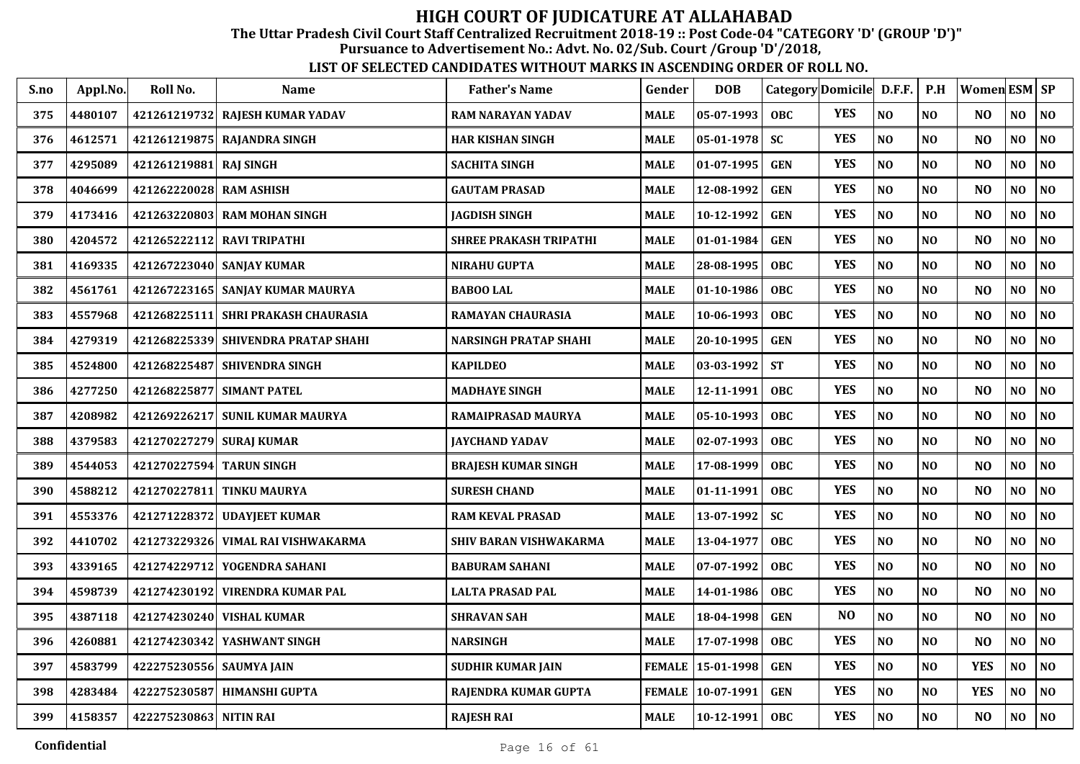The Uttar Pradesh Civil Court Staff Centralized Recruitment 2018-19 :: Post Code-04 "CATEGORY 'D' (GROUP 'D')"

Pursuance to Advertisement No.: Advt. No. 02/Sub. Court /Group 'D'/2018,

| S.no | Appl.No. | Roll No.                 | <b>Name</b>                           | <b>Father's Name</b>          | Gender        | <b>DOB</b> | Category Domicile D.F.F. |                |                | P.H            | <b>Women ESM SP</b> |                |                |
|------|----------|--------------------------|---------------------------------------|-------------------------------|---------------|------------|--------------------------|----------------|----------------|----------------|---------------------|----------------|----------------|
| 375  | 4480107  |                          | 421261219732 RAJESH KUMAR YADAV       | <b>RAM NARAYAN YADAV</b>      | <b>MALE</b>   | 05-07-1993 | <b>OBC</b>               | <b>YES</b>     | N <sub>O</sub> | N <sub>O</sub> | N <sub>O</sub>      | NO             | NO             |
| 376  | 4612571  |                          | 421261219875 RAJANDRA SINGH           | HAR KISHAN SINGH              | <b>MALE</b>   | 05-01-1978 | <b>SC</b>                | <b>YES</b>     | NO             | NO             | N <sub>O</sub>      | NO             | NO             |
| 377  | 4295089  | 421261219881 RAJ SINGH   |                                       | <b>SACHITA SINGH</b>          | <b>MALE</b>   | 01-07-1995 | <b>GEN</b>               | <b>YES</b>     | NO             | N <sub>O</sub> | N <sub>O</sub>      | NO             | NO             |
| 378  | 4046699  | 421262220028             | <b>RAM ASHISH</b>                     | <b>GAUTAM PRASAD</b>          | <b>MALE</b>   | 12-08-1992 | <b>GEN</b>               | <b>YES</b>     | NO             | NO             | N <sub>O</sub>      | N <sub>O</sub> | NO             |
| 379  | 4173416  |                          | 421263220803 RAM MOHAN SINGH          | <b>JAGDISH SINGH</b>          | <b>MALE</b>   | 10-12-1992 | <b>GEN</b>               | <b>YES</b>     | NO             | N <sub>O</sub> | N <sub>O</sub>      | NO             | NO             |
| 380  | 4204572  |                          | 421265222112 RAVI TRIPATHI            | <b>SHREE PRAKASH TRIPATHI</b> | <b>MALE</b>   | 01-01-1984 | <b>GEN</b>               | <b>YES</b>     | NO             | N <sub>0</sub> | N <sub>O</sub>      | NO             | $\bf NO$       |
| 381  | 4169335  |                          | 421267223040 SANJAY KUMAR             | <b>NIRAHU GUPTA</b>           | <b>MALE</b>   | 28-08-1995 | <b>OBC</b>               | <b>YES</b>     | NO             | N <sub>0</sub> | N <sub>O</sub>      | NO             | $\bf NO$       |
| 382  | 4561761  |                          | 421267223165 SANJAY KUMAR MAURYA      | <b>BABOO LAL</b>              | <b>MALE</b>   | 01-10-1986 | <b>OBC</b>               | <b>YES</b>     | NO             | N <sub>O</sub> | N <sub>O</sub>      | NO.            | N <sub>0</sub> |
| 383  | 4557968  |                          | 421268225111   SHRI PRAKASH CHAURASIA | RAMAYAN CHAURASIA             | <b>MALE</b>   | 10-06-1993 | <b>OBC</b>               | <b>YES</b>     | NO             | N <sub>O</sub> | N <sub>O</sub>      | NO             | N <sub>0</sub> |
| 384  | 4279319  |                          | 421268225339 SHIVENDRA PRATAP SHAHI   | <b>NARSINGH PRATAP SHAHI</b>  | <b>MALE</b>   | 20-10-1995 | <b>GEN</b>               | <b>YES</b>     | NO             | N <sub>0</sub> | N <sub>O</sub>      | NO.            | N <sub>0</sub> |
| 385  | 4524800  |                          | 421268225487 SHIVENDRA SINGH          | <b>KAPILDEO</b>               | <b>MALE</b>   | 03-03-1992 | <b>ST</b>                | <b>YES</b>     | $\bf NO$       | N <sub>O</sub> | NO                  | NO             | $\bf NO$       |
| 386  | 4277250  | 421268225877             | <b>SIMANT PATEL</b>                   | <b>MADHAYE SINGH</b>          | <b>MALE</b>   | 12-11-1991 | <b>OBC</b>               | <b>YES</b>     | NO             | N <sub>O</sub> | N <sub>O</sub>      | N <sub>O</sub> | N <sub>O</sub> |
| 387  | 4208982  | 421269226217             | <b>SUNIL KUMAR MAURYA</b>             | RAMAIPRASAD MAURYA            | <b>MALE</b>   | 05-10-1993 | <b>OBC</b>               | <b>YES</b>     | NO             | N <sub>O</sub> | N <sub>O</sub>      | NO             | N <sub>0</sub> |
| 388  | 4379583  | 421270227279 SURAJ KUMAR |                                       | <b>JAYCHAND YADAV</b>         | <b>MALE</b>   | 02-07-1993 | <b>OBC</b>               | <b>YES</b>     | N <sub>O</sub> | N <sub>O</sub> | N <sub>O</sub>      | N <sub>O</sub> | N <sub>O</sub> |
| 389  | 4544053  | 421270227594 TARUN SINGH |                                       | <b>BRAJESH KUMAR SINGH</b>    | <b>MALE</b>   | 17-08-1999 | <b>OBC</b>               | <b>YES</b>     | N <sub>O</sub> | N <sub>O</sub> | N <sub>O</sub>      | N <sub>O</sub> | NO             |
| 390  | 4588212  |                          | 421270227811 TINKU MAURYA             | <b>SURESH CHAND</b>           | <b>MALE</b>   | 01-11-1991 | <b>OBC</b>               | <b>YES</b>     | NO             | NO             | N <sub>O</sub>      | N <sub>O</sub> | N <sub>0</sub> |
| 391  | 4553376  | 421271228372             | <b>UDAYJEET KUMAR</b>                 | <b>RAM KEVAL PRASAD</b>       | <b>MALE</b>   | 13-07-1992 | <b>SC</b>                | <b>YES</b>     | NO             | NO             | N <sub>O</sub>      | NO             | NO             |
| 392  | 4410702  | 421273229326             | VIMAL RAI VISHWAKARMA                 | SHIV BARAN VISHWAKARMA        | <b>MALE</b>   | 13-04-1977 | OBC                      | <b>YES</b>     | NO             | N <sub>O</sub> | N <sub>O</sub>      | NO             | NO             |
| 393  | 4339165  |                          | 421274229712 YOGENDRA SAHANI          | <b>BABURAM SAHANI</b>         | <b>MALE</b>   | 07-07-1992 | <b>OBC</b>               | <b>YES</b>     | NO             | N <sub>O</sub> | N <sub>O</sub>      | NO             | N <sub>0</sub> |
| 394  | 4598739  |                          | 421274230192 VIRENDRA KUMAR PAL       | <b>LALTA PRASAD PAL</b>       | <b>MALE</b>   | 14-01-1986 | <b>OBC</b>               | <b>YES</b>     | NO             | N <sub>O</sub> | N <sub>O</sub>      | NO             | N <sub>0</sub> |
| 395  | 4387118  | 421274230240             | <b>VISHAL KUMAR</b>                   | <b>SHRAVAN SAH</b>            | <b>MALE</b>   | 18-04-1998 | <b>GEN</b>               | N <sub>O</sub> | NO             | N <sub>O</sub> | N <sub>O</sub>      | NO             | N <sub>0</sub> |
| 396  | 4260881  | 421274230342             | YASHWANT SINGH                        | <b>NARSINGH</b>               | <b>MALE</b>   | 17-07-1998 | <b>OBC</b>               | <b>YES</b>     | NO             | NO             | N <sub>O</sub>      | NO             | N <sub>0</sub> |
| 397  | 4583799  | 422275230556 SAUMYA JAIN |                                       | <b>SUDHIR KUMAR JAIN</b>      | <b>FEMALE</b> | 15-01-1998 | <b>GEN</b>               | <b>YES</b>     | NO             | NO             | <b>YES</b>          | NO             | N <sub>0</sub> |
| 398  | 4283484  | 422275230587             | <b>HIMANSHI GUPTA</b>                 | RAJENDRA KUMAR GUPTA          | <b>FEMALE</b> | 10-07-1991 | <b>GEN</b>               | <b>YES</b>     | $\bf NO$       | N <sub>0</sub> | <b>YES</b>          | NO             | N <sub>0</sub> |
| 399  | 4158357  | 422275230863 NITIN RAI   |                                       | <b>RAJESH RAI</b>             | <b>MALE</b>   | 10-12-1991 | <b>OBC</b>               | <b>YES</b>     | $\bf NO$       | $\bf NO$       | N <sub>O</sub>      | NO             | $\bf NO$       |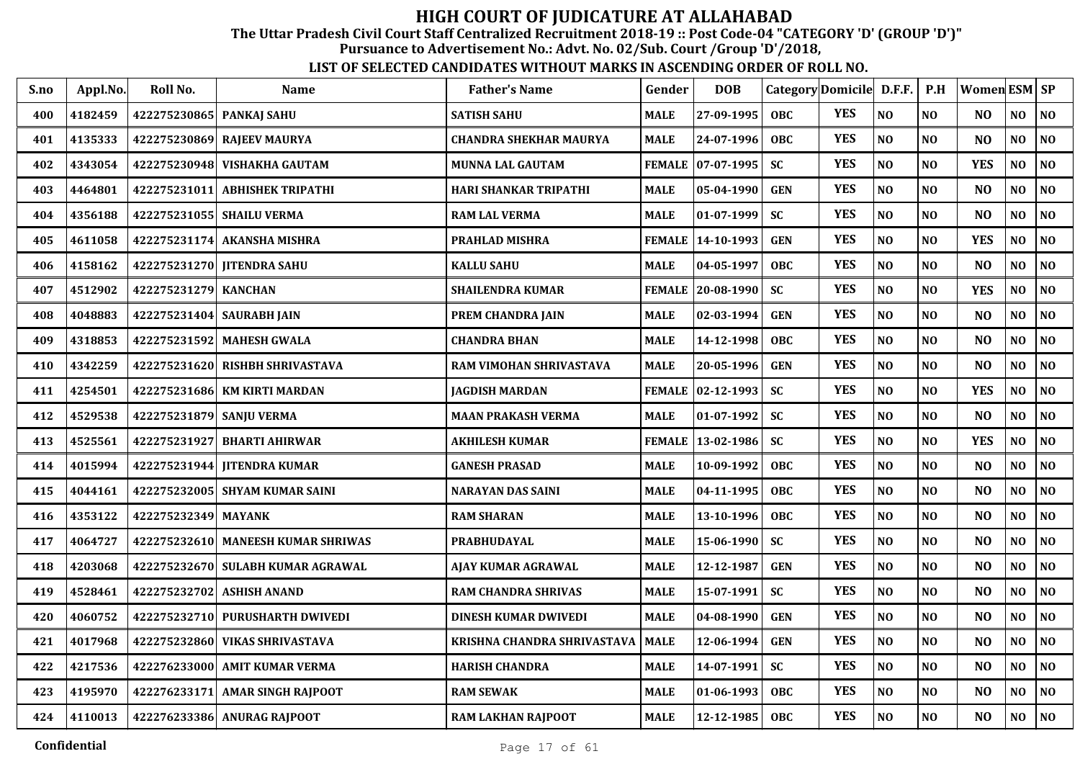The Uttar Pradesh Civil Court Staff Centralized Recruitment 2018-19 :: Post Code-04 "CATEGORY 'D' (GROUP 'D')"

Pursuance to Advertisement No.: Advt. No. 02/Sub. Court /Group 'D'/2018,

| S.no | Appl.No. | Roll No.                   | <b>Name</b>                        | <b>Father's Name</b>          | Gender        | <b>DOB</b>          |            | Category Domicile D.F.F. |                | P.H            | Women ESM SP   |                |                |
|------|----------|----------------------------|------------------------------------|-------------------------------|---------------|---------------------|------------|--------------------------|----------------|----------------|----------------|----------------|----------------|
| 400  | 4182459  | 422275230865   PANKAJ SAHU |                                    | <b>SATISH SAHU</b>            | <b>MALE</b>   | 27-09-1995          | <b>OBC</b> | <b>YES</b>               | N <sub>O</sub> | NO             | NO.            | NO.            | NO             |
| 401  | 4135333  | 422275230869               | <b>RAJEEV MAURYA</b>               | <b>CHANDRA SHEKHAR MAURYA</b> | <b>MALE</b>   | 24-07-1996          | <b>OBC</b> | <b>YES</b>               | N <sub>O</sub> | N <sub>O</sub> | N <sub>O</sub> | NO             | NO             |
| 402  | 4343054  | 422275230948               | <b>VISHAKHA GAUTAM</b>             | MUNNA LAL GAUTAM              |               | FEMALE   07-07-1995 | <b>SC</b>  | <b>YES</b>               | NO             | N <sub>O</sub> | <b>YES</b>     | NO             | $\bf NO$       |
| 403  | 4464801  | 422275231011               | <b>ABHISHEK TRIPATHI</b>           | HARI SHANKAR TRIPATHI         | MALE          | 05-04-1990          | <b>GEN</b> | <b>YES</b>               | NO             | NO             | NO             | NO             | NO             |
| 404  | 4356188  | 422275231055               | <b>SHAILU VERMA</b>                | <b>RAM LAL VERMA</b>          | MALE          | 01-07-1999          | <b>SC</b>  | <b>YES</b>               | N <sub>O</sub> | N <sub>0</sub> | N <sub>O</sub> | NO             | NO             |
| 405  | 4611058  | 422275231174               | <b>AKANSHA MISHRA</b>              | PRAHLAD MISHRA                | <b>FEMALE</b> | 14-10-1993          | <b>GEN</b> | <b>YES</b>               | N <sub>O</sub> | NO             | <b>YES</b>     | NO             | NO             |
| 406  | 4158162  |                            | 422275231270 JITENDRA SAHU         | <b>KALLU SAHU</b>             | <b>MALE</b>   | 04-05-1997          | <b>OBC</b> | <b>YES</b>               | NO             | N <sub>O</sub> | N <sub>O</sub> | N <sub>O</sub> | NO             |
| 407  | 4512902  | 422275231279 KANCHAN       |                                    | <b>SHAILENDRA KUMAR</b>       | <b>FEMALE</b> | 20-08-1990          | <b>SC</b>  | <b>YES</b>               | NO             | NO             | <b>YES</b>     | NO             | $\bf NO$       |
| 408  | 4048883  |                            | 422275231404 SAURABH JAIN          | PREM CHANDRA JAIN             | MALE          | 02-03-1994          | <b>GEN</b> | <b>YES</b>               | N <sub>O</sub> | <b>NO</b>      | N <sub>O</sub> | NO.            | N <sub>O</sub> |
| 409  | 4318853  | 422275231592               | <b>MAHESH GWALA</b>                | <b>CHANDRA BHAN</b>           | <b>MALE</b>   | 14-12-1998          | <b>OBC</b> | <b>YES</b>               | N <sub>O</sub> | NO             | N <sub>O</sub> | NO             | NO             |
| 410  | 4342259  | 422275231620               | <b>RISHBH SHRIVASTAVA</b>          | RAM VIMOHAN SHRIVASTAVA       | <b>MALE</b>   | 20-05-1996          | <b>GEN</b> | <b>YES</b>               | NO             | N <sub>O</sub> | N <sub>O</sub> | NO             | NO             |
| 411  | 4254501  |                            | 422275231686 KM KIRTI MARDAN       | JAGDISH MARDAN                | <b>FEMALE</b> | $ 02 - 12 - 1993$   | <b>SC</b>  | <b>YES</b>               | N <sub>O</sub> | N <sub>O</sub> | <b>YES</b>     | NO             | NO             |
| 412  | 4529538  | 422275231879               | <b>SANJU VERMA</b>                 | <b>MAAN PRAKASH VERMA</b>     | <b>MALE</b>   | 01-07-1992          | <b>SC</b>  | <b>YES</b>               | $\bf NO$       | NO             | NO             | $\bf NO$       | NO             |
| 413  | 4525561  | 422275231927               | <b>BHARTI AHIRWAR</b>              | <b>AKHILESH KUMAR</b>         | <b>FEMALE</b> | 13-02-1986          | <b>SC</b>  | <b>YES</b>               | N <sub>O</sub> | NO             | <b>YES</b>     | NO             | NO             |
| 414  | 4015994  | 422275231944               | <b>IITENDRA KUMAR</b>              | <b>GANESH PRASAD</b>          | <b>MALE</b>   | 10-09-1992          | <b>OBC</b> | <b>YES</b>               | N <sub>O</sub> | NO             | N <sub>O</sub> | NO             | N <sub>O</sub> |
| 415  | 4044161  |                            | 422275232005 SHYAM KUMAR SAINI     | NARAYAN DAS SAINI             | <b>MALE</b>   | 04-11-1995          | <b>OBC</b> | <b>YES</b>               | N <sub>O</sub> | NO             | N <sub>O</sub> | NO             | NO             |
| 416  | 4353122  | 422275232349 MAYANK        |                                    | <b>RAM SHARAN</b>             | <b>MALE</b>   | 13-10-1996          | <b>OBC</b> | <b>YES</b>               | NO             | N <sub>O</sub> | NO             | NO             | $\bf NO$       |
| 417  | 4064727  | 422275232610               | <b>MANEESH KUMAR SHRIWAS</b>       | PRABHUDAYAL                   | MALE          | 15-06-1990          | <b>SC</b>  | <b>YES</b>               | N <sub>O</sub> | NO             | N <sub>O</sub> | NO             | NO             |
| 418  | 4203068  |                            | 422275232670  SULABH KUMAR AGRAWAL | AJAY KUMAR AGRAWAL            | <b>MALE</b>   | 12-12-1987          | <b>GEN</b> | <b>YES</b>               | NO             | NO             | N <sub>O</sub> | NO.            | N <sub>O</sub> |
| 419  | 4528461  | 422275232702               | <b>ASHISH ANAND</b>                | <b>RAM CHANDRA SHRIVAS</b>    | <b>MALE</b>   | 15-07-1991          | <b>SC</b>  | <b>YES</b>               | $\bf NO$       | NO             | N <sub>O</sub> | NO             | NO             |
| 420  | 4060752  | 422275232710               | PURUSHARTH DWIVEDI                 | <b>DINESH KUMAR DWIVEDI</b>   | <b>MALE</b>   | 04-08-1990          | <b>GEN</b> | <b>YES</b>               | N <sub>O</sub> | N <sub>O</sub> | N <sub>O</sub> | NO             | NO             |
| 421  | 4017968  | 422275232860               | <b>VIKAS SHRIVASTAVA</b>           | KRISHNA CHANDRA SHRIVASTAVA   | <b>MALE</b>   | 12-06-1994          | <b>GEN</b> | <b>YES</b>               | $\bf NO$       | NO             | N <sub>O</sub> | NO             | $\bf NO$       |
| 422  | 4217536  | 422276233000               | <b>AMIT KUMAR VERMA</b>            | <b>HARISH CHANDRA</b>         | <b>MALE</b>   | 14-07-1991          | <b>SC</b>  | <b>YES</b>               | NO             | NO             | N <sub>O</sub> | NO             | NO             |
| 423  | 4195970  | 422276233171               | <b>AMAR SINGH RAJPOOT</b>          | <b>RAM SEWAK</b>              | <b>MALE</b>   | 01-06-1993          | <b>OBC</b> | <b>YES</b>               | NO             | $\bf NO$       | N <sub>O</sub> | NO             | N <sub>0</sub> |
| 424  | 4110013  |                            | 422276233386 ANURAG RAJPOOT        | RAM LAKHAN RAJPOOT            | <b>MALE</b>   | 12-12-1985          | <b>OBC</b> | <b>YES</b>               | N <sub>O</sub> | NO             | NO             | NO.            | NO             |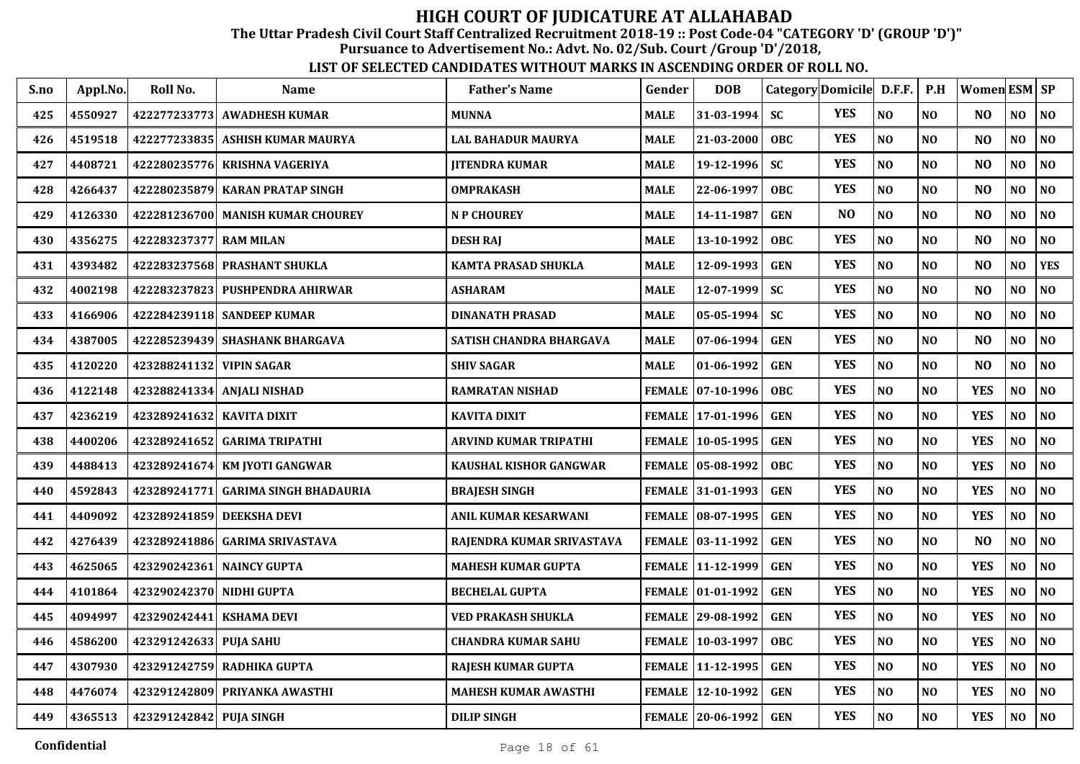The Uttar Pradesh Civil Court Staff Centralized Recruitment 2018-19 :: Post Code-04 "CATEGORY 'D' (GROUP 'D')"

Pursuance to Advertisement No.: Advt. No. 02/Sub. Court /Group 'D'/2018,

| S.no | Appl.No. | Roll No.                  | Name                                | <b>Father's Name</b>        | Gender        | <b>DOB</b>          |            | Category Domicile D.F.F. |                | P.H            | Women ESM   SP |                |                |
|------|----------|---------------------------|-------------------------------------|-----------------------------|---------------|---------------------|------------|--------------------------|----------------|----------------|----------------|----------------|----------------|
| 425  | 4550927  |                           | 422277233773 AWADHESH KUMAR         | <b>MUNNA</b>                | <b>MALE</b>   | $31 - 03 - 1994$    | <b>SC</b>  | <b>YES</b>               | NO             | NO             | NO             | NO             | NO             |
| 426  | 4519518  |                           | 422277233835  ASHISH KUMAR MAURYA   | LAL BAHADUR MAURYA          | MALE          | 21-03-2000          | <b>OBC</b> | <b>YES</b>               | NO             | N <sub>O</sub> | N <sub>O</sub> | NO             | N <sub>O</sub> |
| 427  | 4408721  | 422280235776              | KRISHNA VAGERIYA                    | <b>JITENDRA KUMAR</b>       | MALE          | 19-12-1996          | <b>SC</b>  | <b>YES</b>               | N <sub>O</sub> | NO             | N <sub>O</sub> | NO             | NO             |
| 428  | 4266437  | 422280235879              | <b>KARAN PRATAP SINGH</b>           | OMPRAKASH                   | MALE          | 22-06-1997          | <b>OBC</b> | <b>YES</b>               | NO             | NO             | N <sub>O</sub> | NO             | NO             |
| 429  | 4126330  |                           | 422281236700 MANISH KUMAR CHOUREY   | <b>N P CHOUREY</b>          | MALE          | 14-11-1987          | <b>GEN</b> | N <sub>O</sub>           | N <sub>O</sub> | NO             | N <sub>O</sub> | NO             | N <sub>0</sub> |
| 430  | 4356275  | 422283237377 RAM MILAN    |                                     | <b>DESH RAI</b>             | <b>MALE</b>   | 13-10-1992          | <b>OBC</b> | <b>YES</b>               | N <sub>O</sub> | NO             | N <sub>O</sub> | NO             | N <sub>O</sub> |
| 431  | 4393482  |                           | 422283237568 PRASHANT SHUKLA        | <b>KAMTA PRASAD SHUKLA</b>  | MALE          | 12-09-1993          | <b>GEN</b> | <b>YES</b>               | N <sub>O</sub> | NO             | N <sub>O</sub> | N <sub>O</sub> | <b>YES</b>     |
| 432  | 4002198  |                           | 422283237823 PUSHPENDRA AHIRWAR     | ASHARAM                     | <b>MALE</b>   | 12-07-1999          | <b>SC</b>  | <b>YES</b>               | NO             | N <sub>O</sub> | N <sub>O</sub> | NO             | N <sub>O</sub> |
| 433  | 4166906  |                           | 422284239118 SANDEEP KUMAR          | <b>DINANATH PRASAD</b>      | MALE          | $05 - 05 - 1994$    | <b>SC</b>  | <b>YES</b>               | N <sub>O</sub> | N <sub>O</sub> | N <sub>O</sub> | NO             | N <sub>O</sub> |
| 434  | 4387005  |                           | 422285239439 SHASHANK BHARGAVA      | SATISH CHANDRA BHARGAVA     | MALE          | $07 - 06 - 1994$    | <b>GEN</b> | <b>YES</b>               | N <sub>O</sub> | NO             | N <sub>O</sub> | NO             | N <sub>O</sub> |
| 435  | 4120220  | 423288241132 VIPIN SAGAR  |                                     | <b>SHIV SAGAR</b>           | <b>MALE</b>   | $01-06-1992$        | <b>GEN</b> | <b>YES</b>               | N <sub>O</sub> | N <sub>O</sub> | N <sub>O</sub> | NO             | N <sub>O</sub> |
| 436  | 4122148  |                           | 423288241334 ANJALI NISHAD          | <b>RAMRATAN NISHAD</b>      | <b>FEMALE</b> | $ 07-10-1996 $      | <b>OBC</b> | <b>YES</b>               | NO             | NO             | <b>YES</b>     | NO             | N <sub>O</sub> |
| 437  | 4236219  | 423289241632 KAVITA DIXIT |                                     | <b>KAVITA DIXIT</b>         | <b>FEMALE</b> | $ 17-01-1996 $      | <b>GEN</b> | <b>YES</b>               | N <sub>O</sub> | NO             | <b>YES</b>     | NO             | NO             |
| 438  | 4400206  | 423289241652              | <b>GARIMA TRIPATHI</b>              | ARVIND KUMAR TRIPATHI       | <b>FEMALE</b> | $10-05-1995$        | <b>GEN</b> | <b>YES</b>               | NO             | NO             | <b>YES</b>     | NO             | NO             |
| 439  | 4488413  | 423289241674              | KM IYOTI GANGWAR                    | KAUSHAL KISHOR GANGWAR      |               | FEMALE   05-08-1992 | <b>OBC</b> | <b>YES</b>               | NO             | NO             | <b>YES</b>     | NO.            | NO             |
| 440  | 4592843  |                           | 423289241771 GARIMA SINGH BHADAURIA | <b>BRAJESH SINGH</b>        |               | FEMALE 31-01-1993   | <b>GEN</b> | <b>YES</b>               | N <sub>O</sub> | NO             | <b>YES</b>     | NO.            | NO             |
| 441  | 4409092  |                           | 423289241859 DEEKSHA DEVI           | ANIL KUMAR KESARWANI        |               | FEMALE 08-07-1995   | <b>GEN</b> | <b>YES</b>               | NO             | NO             | <b>YES</b>     | NO.            | NO             |
| 442  | 4276439  |                           | 423289241886 GARIMA SRIVASTAVA      | RAJENDRA KUMAR SRIVASTAVA   |               | FEMALE 03-11-1992   | <b>GEN</b> | <b>YES</b>               | N <sub>O</sub> | NO             | N <sub>O</sub> | NO             | N <sub>0</sub> |
| 443  | 4625065  |                           | 423290242361 NAINCY GUPTA           | MAHESH KUMAR GUPTA          |               | FEMALE  11-12-1999  | <b>GEN</b> | <b>YES</b>               | NO             | N <sub>O</sub> | <b>YES</b>     | NO.            | N <sub>O</sub> |
| 444  | 4101864  | 423290242370 NIDHI GUPTA  |                                     | <b>BECHELAL GUPTA</b>       |               | FEMALE 01-01-1992   | <b>GEN</b> | <b>YES</b>               | NO             | NO             | <b>YES</b>     | NO             | NO             |
| 445  | 4094997  | 423290242441              | <b>KSHAMA DEVI</b>                  | VED PRAKASH SHUKLA          | <b>FEMALE</b> | $ 29-08-1992 $      | <b>GEN</b> | <b>YES</b>               | N <sub>O</sub> | NO             | <b>YES</b>     | NO             | N <sub>O</sub> |
| 446  | 4586200  | 423291242633              | <b>PUJA SAHU</b>                    | <b>CHANDRA KUMAR SAHU</b>   |               | FEMALE 10-03-1997   | <b>OBC</b> | <b>YES</b>               | NO             | NO             | <b>YES</b>     | NO             | NO             |
| 447  | 4307930  |                           | 423291242759 RADHIKA GUPTA          | RAJESH KUMAR GUPTA          | <b>FEMALE</b> | $11-12-1995$        | <b>GEN</b> | <b>YES</b>               | N <sub>O</sub> | NO             | <b>YES</b>     | N <sub>O</sub> | N <sub>O</sub> |
| 448  | 4476074  |                           | 423291242809 PRIYANKA AWASTHI       | <b>MAHESH KUMAR AWASTHI</b> | <b>FEMALE</b> | 12-10-1992          | <b>GEN</b> | <b>YES</b>               | N <sub>O</sub> | N <sub>O</sub> | <b>YES</b>     | NO             | N <sub>O</sub> |
| 449  | 4365513  | 423291242842 PUJA SINGH   |                                     | <b>DILIP SINGH</b>          |               | FEMALE 20-06-1992   | <b>GEN</b> | <b>YES</b>               | N <sub>O</sub> | N <sub>O</sub> | <b>YES</b>     | NO             | N <sub>O</sub> |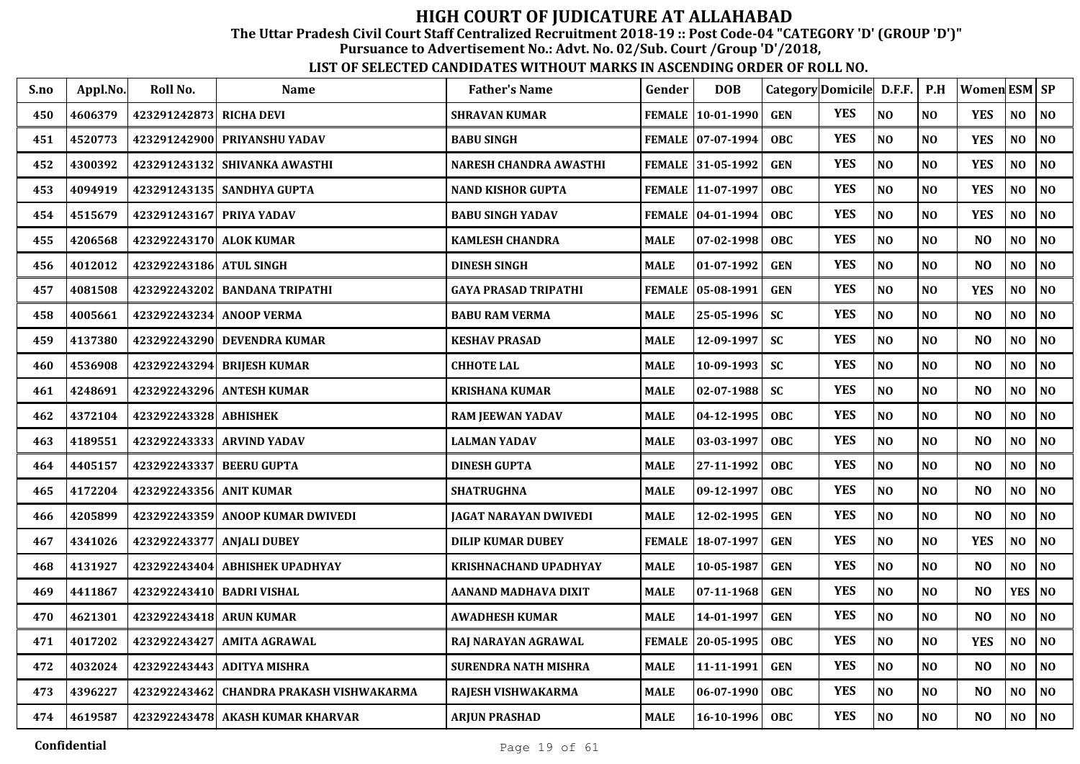The Uttar Pradesh Civil Court Staff Centralized Recruitment 2018-19 :: Post Code-04 "CATEGORY 'D' (GROUP 'D')"

Pursuance to Advertisement No.: Advt. No. 02/Sub. Court /Group 'D'/2018,

| S.no | Appl.No. | Roll No.                  | <b>Name</b>                              | <b>Father's Name</b>          | Gender        | <b>DOB</b>          | Category Domicile D.F.F. |            |                | P.H            | Women ESM SP   |                |                |
|------|----------|---------------------------|------------------------------------------|-------------------------------|---------------|---------------------|--------------------------|------------|----------------|----------------|----------------|----------------|----------------|
| 450  | 4606379  | 423291242873 RICHA DEVI   |                                          | <b>SHRAVAN KUMAR</b>          |               | FEMALE   10-01-1990 | <b>GEN</b>               | <b>YES</b> | N <sub>O</sub> | N <sub>O</sub> | <b>YES</b>     | NO             | N <sub>O</sub> |
| 451  | 4520773  |                           | 423291242900 PRIYANSHU YADAV             | <b>BABU SINGH</b>             |               | FEMALE 07-07-1994   | <b>OBC</b>               | <b>YES</b> | N <sub>O</sub> | N <sub>O</sub> | <b>YES</b>     | NO             | NO             |
| 452  | 4300392  |                           | 423291243132 SHIVANKA AWASTHI            | <b>NARESH CHANDRA AWASTHI</b> |               | FEMALE 31-05-1992   | <b>GEN</b>               | <b>YES</b> | N <sub>O</sub> | N <sub>O</sub> | <b>YES</b>     | $\bf NO$       | NO             |
| 453  | 4094919  | 423291243135              | <b>SANDHYA GUPTA</b>                     | <b>NAND KISHOR GUPTA</b>      |               | FEMALE 11-07-1997   | <b>OBC</b>               | <b>YES</b> | N <sub>O</sub> | N <sub>O</sub> | <b>YES</b>     | NO             | N <sub>O</sub> |
| 454  | 4515679  | 423291243167 PRIYA YADAV  |                                          | <b>BABU SINGH YADAV</b>       | <b>FEMALE</b> | $ 04 - 01 - 1994$   | <b>OBC</b>               | <b>YES</b> | N <sub>O</sub> | NO             | <b>YES</b>     | NO             | $\bf NO$       |
| 455  | 4206568  | 423292243170 ALOK KUMAR   |                                          | <b>KAMLESH CHANDRA</b>        | <b>MALE</b>   | 07-02-1998          | <b>OBC</b>               | <b>YES</b> | N <sub>O</sub> | N <sub>O</sub> | N <sub>O</sub> | NO             | NO             |
| 456  | 4012012  | 423292243186 ATUL SINGH   |                                          | <b>DINESH SINGH</b>           | <b>MALE</b>   | 01-07-1992          | <b>GEN</b>               | <b>YES</b> | NO             | NO             | N <sub>O</sub> | NO             | $\bf NO$       |
| 457  | 4081508  | 423292243202              | <b>BANDANA TRIPATHI</b>                  | <b>GAYA PRASAD TRIPATHI</b>   | <b>FEMALE</b> | 05-08-1991          | <b>GEN</b>               | <b>YES</b> | N <sub>O</sub> | NO             | <b>YES</b>     | NO             | NO             |
| 458  | 4005661  |                           | 423292243234 ANOOP VERMA                 | <b>BABU RAM VERMA</b>         | <b>MALE</b>   | 25-05-1996          | <b>SC</b>                | <b>YES</b> | N <sub>O</sub> | N <sub>O</sub> | N <sub>O</sub> | NO             | NO             |
| 459  | 4137380  |                           | 423292243290 DEVENDRA KUMAR              | <b>KESHAV PRASAD</b>          | <b>MALE</b>   | 12-09-1997          | <b>SC</b>                | <b>YES</b> | N <sub>O</sub> | N <sub>O</sub> | N <sub>O</sub> | NO.            | NO             |
| 460  | 4536908  |                           | 423292243294 BRIJESH KUMAR               | <b>CHHOTE LAL</b>             | <b>MALE</b>   | $10-09-1993$        | <b>SC</b>                | <b>YES</b> | NO             | N <sub>O</sub> | N <sub>O</sub> | NO             | NO             |
| 461  | 4248691  |                           | 423292243296 ANTESH KUMAR                | <b>KRISHANA KUMAR</b>         | <b>MALE</b>   | $02 - 07 - 1988$    | <b>SC</b>                | <b>YES</b> | N <sub>O</sub> | N <sub>O</sub> | N <sub>O</sub> | NO             | NO             |
| 462  | 4372104  | 423292243328 ABHISHEK     |                                          | <b>RAM JEEWAN YADAV</b>       | <b>MALE</b>   | 04-12-1995          | <b>OBC</b>               | <b>YES</b> | N <sub>O</sub> | N <sub>O</sub> | N <sub>O</sub> | NO             | NO             |
| 463  | 4189551  |                           | 423292243333 ARVIND YADAV                | <b>LALMAN YADAV</b>           | <b>MALE</b>   | 03-03-1997          | <b>OBC</b>               | <b>YES</b> | N <sub>O</sub> | N <sub>O</sub> | N <sub>O</sub> | NO             | NO             |
| 464  | 4405157  | 423292243337 BEERU GUPTA  |                                          | <b>DINESH GUPTA</b>           | <b>MALE</b>   | 27-11-1992          | <b>OBC</b>               | <b>YES</b> | N <sub>O</sub> | NO             | N <sub>O</sub> | NO             | N <sub>0</sub> |
| 465  | 4172204  | 423292243356 ANIT KUMAR   |                                          | <b>SHATRUGHNA</b>             | <b>MALE</b>   | 09-12-1997          | <b>OBC</b>               | <b>YES</b> | NO             | N <sub>0</sub> | N <sub>O</sub> | NO             | N <sub>0</sub> |
| 466  | 4205899  |                           | 423292243359 ANOOP KUMAR DWIVEDI         | JAGAT NARAYAN DWIVEDI         | <b>MALE</b>   | 12-02-1995          | <b>GEN</b>               | <b>YES</b> | N <sub>O</sub> | N <sub>O</sub> | N <sub>O</sub> | NO             | NO             |
| 467  | 4341026  | 423292243377 ANJALI DUBEY |                                          | <b>DILIP KUMAR DUBEY</b>      | <b>FEMALE</b> | 18-07-1997          | <b>GEN</b>               | <b>YES</b> | NO             | N <sub>O</sub> | <b>YES</b>     | NO             | NO             |
| 468  | 4131927  |                           | 423292243404 ABHISHEK UPADHYAY           | <b>KRISHNACHAND UPADHYAY</b>  | <b>MALE</b>   | 10-05-1987          | <b>GEN</b>               | <b>YES</b> | N <sub>O</sub> | NO             | N <sub>O</sub> | NO             | NO             |
| 469  | 4411867  | 423292243410 BADRI VISHAL |                                          | AANAND MADHAVA DIXIT          | <b>MALE</b>   | 07-11-1968          | <b>GEN</b>               | <b>YES</b> | N <sub>O</sub> | NO             | N <sub>O</sub> | <b>YES</b>     | N <sub>0</sub> |
| 470  | 4621301  | 423292243418 ARUN KUMAR   |                                          | <b>AWADHESH KUMAR</b>         | <b>MALE</b>   | 14-01-1997          | <b>GEN</b>               | <b>YES</b> | N <sub>O</sub> | N <sub>O</sub> | N <sub>O</sub> | NO             | NO             |
| 471  | 4017202  | 423292243427              | AMITA AGRAWAL                            | RAJ NARAYAN AGRAWAL           | <b>FEMALE</b> | 20-05-1995          | <b>OBC</b>               | <b>YES</b> | N <sub>O</sub> | N <sub>O</sub> | <b>YES</b>     | N <sub>O</sub> | N <sub>0</sub> |
| 472  | 4032024  |                           | 423292243443 ADITYA MISHRA               | <b>SURENDRA NATH MISHRA</b>   | <b>MALE</b>   | 11-11-1991          | <b>GEN</b>               | <b>YES</b> | NO             | N <sub>O</sub> | N <sub>O</sub> | NO             | NO             |
| 473  | 4396227  |                           | 423292243462 CHANDRA PRAKASH VISHWAKARMA | RAJESH VISHWAKARMA            | <b>MALE</b>   | 06-07-1990          | <b>OBC</b>               | <b>YES</b> | N <sub>O</sub> | <b>NO</b>      | N <sub>O</sub> | N <sub>O</sub> | N <sub>0</sub> |
| 474  | 4619587  |                           | 423292243478 AKASH KUMAR KHARVAR         | <b>ARJUN PRASHAD</b>          | <b>MALE</b>   | $16 - 10 - 1996$    | <b>OBC</b>               | <b>YES</b> | N <sub>O</sub> | <b>NO</b>      | N <sub>O</sub> | NO.            | NO             |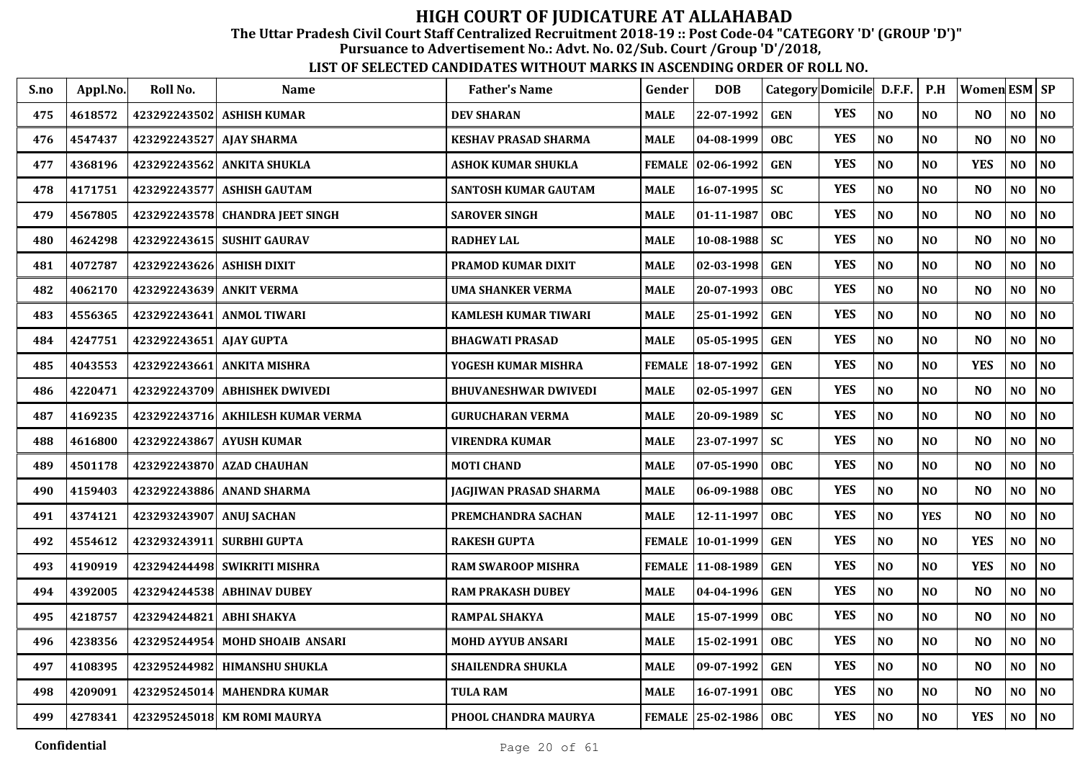The Uttar Pradesh Civil Court Staff Centralized Recruitment 2018-19 :: Post Code-04 "CATEGORY 'D' (GROUP 'D')"

Pursuance to Advertisement No.: Advt. No. 02/Sub. Court /Group 'D'/2018,

| S.no | Appl.No. | Roll No.                 | <b>Name</b>                  | <b>Father's Name</b>        | Gender        | <b>DOB</b>          |            | Category Domicile D.F.F. |                | P.H            | Women ESM SP   |                |                |
|------|----------|--------------------------|------------------------------|-----------------------------|---------------|---------------------|------------|--------------------------|----------------|----------------|----------------|----------------|----------------|
| 475  | 4618572  | 423292243502             | <b>ASHISH KUMAR</b>          | <b>DEV SHARAN</b>           | <b>MALE</b>   | 22-07-1992          | <b>GEN</b> | <b>YES</b>               | N <sub>O</sub> | N <sub>O</sub> | NO.            | NO.            | NO             |
| 476  | 4547437  | 423292243527 AJAY SHARMA |                              | KESHAV PRASAD SHARMA        | <b>MALE</b>   | 04-08-1999          | <b>OBC</b> | <b>YES</b>               | NO             | NO             | N <sub>O</sub> | NO             | N <sub>O</sub> |
| 477  | 4368196  | 423292243562             | <b>ANKITA SHUKLA</b>         | <b>ASHOK KUMAR SHUKLA</b>   |               | FEMALE 02-06-1992   | <b>GEN</b> | <b>YES</b>               | N <sub>O</sub> | N <sub>O</sub> | <b>YES</b>     | NO             | NO             |
| 478  | 4171751  |                          | 423292243577 ASHISH GAUTAM   | SANTOSH KUMAR GAUTAM        | <b>MALE</b>   | $16 - 07 - 1995$    | <b>SC</b>  | <b>YES</b>               | NO             | NO             | NO             | NO             | NO             |
| 479  | 4567805  | 423292243578             | <b>CHANDRA JEET SINGH</b>    | <b>SAROVER SINGH</b>        | <b>MALE</b>   | 01-11-1987          | <b>OBC</b> | <b>YES</b>               | N <sub>O</sub> | NO             | N <sub>O</sub> | NO             | N <sub>0</sub> |
| 480  | 4624298  |                          | 423292243615 SUSHIT GAURAV   | <b>RADHEY LAL</b>           | <b>MALE</b>   | 10-08-1988          | <b>SC</b>  | <b>YES</b>               | NO             | NO             | N <sub>O</sub> | NO             | NO             |
| 481  | 4072787  | 423292243626             | <b>ASHISH DIXIT</b>          | PRAMOD KUMAR DIXIT          | <b>MALE</b>   | 02-03-1998          | <b>GEN</b> | <b>YES</b>               | N <sub>O</sub> | N <sub>O</sub> | N <sub>O</sub> | N <sub>O</sub> | NO             |
| 482  | 4062170  | 423292243639 ANKIT VERMA |                              | UMA SHANKER VERMA           | <b>MALE</b>   | 20-07-1993          | <b>OBC</b> | <b>YES</b>               | N <sub>O</sub> | NO             | N <sub>O</sub> | NO             | NO             |
| 483  | 4556365  | 423292243641             | <b>ANMOL TIWARI</b>          | <b>KAMLESH KUMAR TIWARI</b> | MALE          | 25-01-1992          | <b>GEN</b> | <b>YES</b>               | N <sub>O</sub> | <b>NO</b>      | N <sub>O</sub> | NO             | NO             |
| 484  | 4247751  | 423292243651             | <b>AJAY GUPTA</b>            | <b>BHAGWATI PRASAD</b>      | <b>MALE</b>   | 05-05-1995          | <b>GEN</b> | <b>YES</b>               | N <sub>O</sub> | NO             | N <sub>O</sub> | NO             | NO             |
| 485  | 4043553  |                          | 423292243661 ANKITA MISHRA   | YOGESH KUMAR MISHRA         |               | FEMALE   18-07-1992 | <b>GEN</b> | <b>YES</b>               | N <sub>O</sub> | N <sub>O</sub> | <b>YES</b>     | NO.            | N <sub>O</sub> |
| 486  | 4220471  | 423292243709             | <b>ABHISHEK DWIVEDI</b>      | <b>BHUVANESHWAR DWIVEDI</b> | <b>MALE</b>   | 02-05-1997          | <b>GEN</b> | <b>YES</b>               | N <sub>O</sub> | NO             | N <sub>O</sub> | NO             | NO             |
| 487  | 4169235  | 423292243716             | <b>AKHILESH KUMAR VERMA</b>  | <b>GURUCHARAN VERMA</b>     | <b>MALE</b>   | 20-09-1989          | <b>SC</b>  | <b>YES</b>               | N <sub>O</sub> | NO             | N <sub>O</sub> | N <sub>O</sub> | NO             |
| 488  | 4616800  |                          | 423292243867 AYUSH KUMAR     | VIRENDRA KUMAR              | <b>MALE</b>   | 23-07-1997          | <b>SC</b>  | <b>YES</b>               | NO             | NO             | N <sub>O</sub> | N <sub>O</sub> | NO             |
| 489  | 4501178  | 423292243870             | <b>AZAD CHAUHAN</b>          | <b>MOTI CHAND</b>           | <b>MALE</b>   | 07-05-1990          | <b>OBC</b> | <b>YES</b>               | NO             | NO             | N <sub>O</sub> | NO             | NO             |
| 490  | 4159403  |                          | 423292243886 ANAND SHARMA    | JAGJIWAN PRASAD SHARMA      | MALE          | 06-09-1988          | <b>OBC</b> | <b>YES</b>               | N <sub>O</sub> | NO             | N <sub>O</sub> | NO             | $\bf NO$       |
| 491  | 4374121  | 423293243907             | <b>ANUI SACHAN</b>           | PREMCHANDRA SACHAN          | <b>MALE</b>   | 12-11-1997          | <b>OBC</b> | <b>YES</b>               | NO             | <b>YES</b>     | N <sub>O</sub> | NO.            | NO             |
| 492  | 4554612  | 423293243911             | <b>SURBHI GUPTA</b>          | <b>RAKESH GUPTA</b>         | <b>FEMALE</b> | $ 10-01-1999$       | <b>GEN</b> | <b>YES</b>               | N <sub>O</sub> | NO             | <b>YES</b>     | NO             | NO             |
| 493  | 4190919  |                          | 423294244498 SWIKRITI MISHRA | <b>RAM SWAROOP MISHRA</b>   |               | FEMALE   11-08-1989 | <b>GEN</b> | <b>YES</b>               | N <sub>O</sub> | N <sub>O</sub> | <b>YES</b>     | NO.            | NO             |
| 494  | 4392005  |                          | 423294244538 ABHINAV DUBEY   | <b>RAM PRAKASH DUBEY</b>    | <b>MALE</b>   | 04-04-1996          | <b>GEN</b> | <b>YES</b>               | N <sub>O</sub> | N <sub>O</sub> | N <sub>O</sub> | NO             | NO             |
| 495  | 4218757  | 423294244821             | <b>ABHI SHAKYA</b>           | RAMPAL SHAKYA               | <b>MALE</b>   | 15-07-1999          | <b>OBC</b> | <b>YES</b>               | N <sub>O</sub> | NO             | NO             | NO             | NO             |
| 496  | 4238356  | 423295244954             | <b>MOHD SHOAIB ANSARI</b>    | <b>MOHD AYYUB ANSARI</b>    | <b>MALE</b>   | 15-02-1991          | <b>OBC</b> | <b>YES</b>               | NO             | NO             | NO             | NO             | NO             |
| 497  | 4108395  |                          | 423295244982 HIMANSHU SHUKLA | <b>SHAILENDRA SHUKLA</b>    | <b>MALE</b>   | 09-07-1992          | <b>GEN</b> | <b>YES</b>               | N <sub>O</sub> | NO             | N <sub>O</sub> | NO             | NO             |
| 498  | 4209091  |                          | 423295245014 MAHENDRA KUMAR  | TULA RAM                    | <b>MALE</b>   | 16-07-1991          | <b>OBC</b> | <b>YES</b>               | NO             | N <sub>0</sub> | N <sub>O</sub> | NO             | NO             |
| 499  | 4278341  |                          | 423295245018 KM ROMI MAURYA  | PHOOL CHANDRA MAURYA        |               | FEMALE 25-02-1986   | <b>OBC</b> | <b>YES</b>               | NO             | <b>NO</b>      | <b>YES</b>     | NO.            | NO             |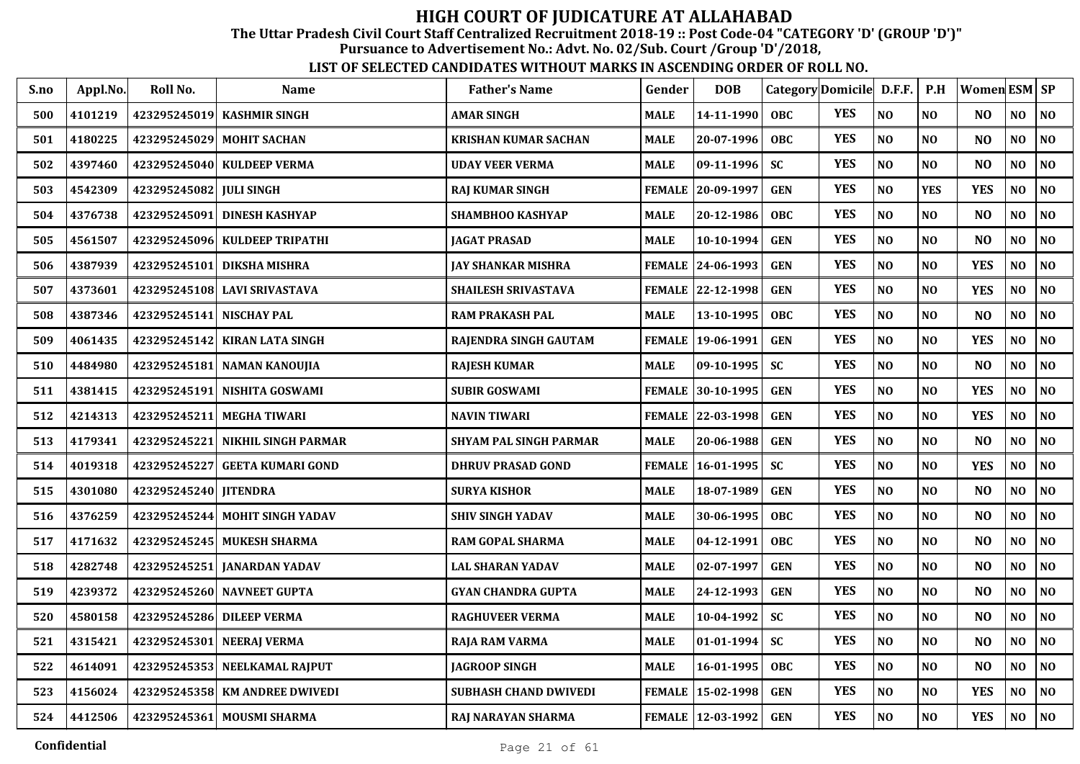The Uttar Pradesh Civil Court Staff Centralized Recruitment 2018-19 :: Post Code-04 "CATEGORY 'D' (GROUP 'D')"

Pursuance to Advertisement No.: Advt. No. 02/Sub. Court /Group 'D'/2018,

| S.no | Appl.No. | Roll No.                | <b>Name</b>                    | <b>Father's Name</b>          | Gender        | <b>DOB</b>          |            | Category Domicile D.F.F. |                | P.H            | Women ESM SP   |                |                |
|------|----------|-------------------------|--------------------------------|-------------------------------|---------------|---------------------|------------|--------------------------|----------------|----------------|----------------|----------------|----------------|
| 500  | 4101219  |                         | 423295245019 KASHMIR SINGH     | <b>AMAR SINGH</b>             | <b>MALE</b>   | 14-11-1990          | <b>OBC</b> | <b>YES</b>               | NO             | NO             | N <sub>O</sub> | N <sub>O</sub> | NO             |
| 501  | 4180225  | 423295245029            | <b>MOHIT SACHAN</b>            | <b>KRISHAN KUMAR SACHAN</b>   | MALE          | 20-07-1996          | <b>OBC</b> | <b>YES</b>               | N <sub>O</sub> | N <sub>O</sub> | N <sub>O</sub> | NO             | NO             |
| 502  | 4397460  |                         | 423295245040 KULDEEP VERMA     | <b>UDAY VEER VERMA</b>        | MALE          | 09-11-1996          | <b>SC</b>  | <b>YES</b>               | NO             | N <sub>O</sub> | N <sub>O</sub> | NO             | NO             |
| 503  | 4542309  | 423295245082 JULI SINGH |                                | RAJ KUMAR SINGH               | <b>FEMALE</b> | 20-09-1997          | <b>GEN</b> | <b>YES</b>               | NO             | <b>YES</b>     | <b>YES</b>     | NO             | NO             |
| 504  | 4376738  | 423295245091            | <b>DINESH KASHYAP</b>          | SHAMBHOO KASHYAP              | MALE          | 20-12-1986          | <b>OBC</b> | <b>YES</b>               | N <sub>O</sub> | N <sub>O</sub> | N <sub>O</sub> | N <sub>0</sub> | NO             |
| 505  | 4561507  | 423295245096            | <b>KULDEEP TRIPATHI</b>        | <b>JAGAT PRASAD</b>           | <b>MALE</b>   | 10-10-1994          | <b>GEN</b> | <b>YES</b>               | NO             | N <sub>O</sub> | N <sub>O</sub> | $\bf NO$       | $\bf NO$       |
| 506  | 4387939  | 423295245101            | <b>DIKSHA MISHRA</b>           | JAY SHANKAR MISHRA            | FEMALE        | 24-06-1993          | <b>GEN</b> | <b>YES</b>               | NO             | N <sub>O</sub> | <b>YES</b>     | NO             | NO             |
| 507  | 4373601  |                         | 423295245108 LAVI SRIVASTAVA   | SHAILESH SRIVASTAVA           |               | FEMALE 22-12-1998   | <b>GEN</b> | <b>YES</b>               | NO             | NO             | <b>YES</b>     | NO             | $\bf NO$       |
| 508  | 4387346  | 423295245141            | <b>NISCHAY PAL</b>             | <b>RAM PRAKASH PAL</b>        | MALE          | 13-10-1995          | <b>OBC</b> | <b>YES</b>               | N <sub>O</sub> | N <sub>O</sub> | N <sub>O</sub> | NO             | NO             |
| 509  | 4061435  | 423295245142            | <b>KIRAN LATA SINGH</b>        | RAJENDRA SINGH GAUTAM         | FEMALE        | 19-06-1991          | <b>GEN</b> | <b>YES</b>               | N <sub>O</sub> | N <sub>O</sub> | <b>YES</b>     | NO             | $\bf NO$       |
| 510  | 4484980  | 423295245181            | NAMAN KANOUJIA                 | <b>RAJESH KUMAR</b>           | MALE          | $09-10-1995$        | <b>SC</b>  | <b>YES</b>               | NO             | N <sub>O</sub> | N <sub>O</sub> | NO             | NO             |
| 511  | 4381415  | 423295245191            | NISHITA GOSWAMI                | <b>SUBIR GOSWAMI</b>          | <b>FEMALE</b> | 30-10-1995          | <b>GEN</b> | <b>YES</b>               | N <sub>O</sub> | N <sub>O</sub> | <b>YES</b>     | NO             | NO             |
| 512  | 4214313  | 423295245211            | <b>MEGHA TIWARI</b>            | <b>NAVIN TIWARI</b>           | <b>FEMALE</b> | 22-03-1998          | <b>GEN</b> | <b>YES</b>               | NO             | N <sub>O</sub> | <b>YES</b>     | NO             | NO             |
| 513  | 4179341  | 423295245221            | <b>NIKHIL SINGH PARMAR</b>     | <b>SHYAM PAL SINGH PARMAR</b> | <b>MALE</b>   | 20-06-1988          | <b>GEN</b> | <b>YES</b>               | NO             | N <sub>O</sub> | N <sub>O</sub> | NO             | NO             |
| 514  | 4019318  | 423295245227            | <b>GEETA KUMARI GOND</b>       | <b>DHRUV PRASAD GOND</b>      | <b>FEMALE</b> | $16 - 01 - 1995$    | <b>SC</b>  | <b>YES</b>               | NO             | N <sub>O</sub> | <b>YES</b>     | NO             | NO             |
| 515  | 4301080  | 423295245240 JITENDRA   |                                | <b>SURYA KISHOR</b>           | <b>MALE</b>   | 18-07-1989          | <b>GEN</b> | <b>YES</b>               | N <sub>O</sub> | NO             | N <sub>O</sub> | NO             | $\bf NO$       |
| 516  | 4376259  | 423295245244            | <b>MOHIT SINGH YADAV</b>       | <b>SHIV SINGH YADAV</b>       | MALE          | 30-06-1995          | <b>OBC</b> | <b>YES</b>               | NO             | N <sub>O</sub> | N <sub>O</sub> | NO             | NO             |
| 517  | 4171632  |                         | 423295245245 MUKESH SHARMA     | <b>RAM GOPAL SHARMA</b>       | MALE          | 04-12-1991          | <b>OBC</b> | <b>YES</b>               | N <sub>O</sub> | N <sub>O</sub> | N <sub>O</sub> | N <sub>O</sub> | N <sub>0</sub> |
| 518  | 4282748  |                         | 423295245251 JANARDAN YADAV    | <b>LAL SHARAN YADAV</b>       | MALE          | 02-07-1997          | <b>GEN</b> | <b>YES</b>               | $\bf NO$       | N <sub>O</sub> | N <sub>O</sub> | NO             | $\bf NO$       |
| 519  | 4239372  |                         | 423295245260 NAVNEET GUPTA     | <b>GYAN CHANDRA GUPTA</b>     | MALE          | 24-12-1993          | <b>GEN</b> | <b>YES</b>               | N <sub>O</sub> | N <sub>O</sub> | N <sub>O</sub> | $\bf NO$       | $\bf NO$       |
| 520  | 4580158  | 423295245286            | <b>DILEEP VERMA</b>            | <b>RAGHUVEER VERMA</b>        | MALE          | 10-04-1992          | <b>SC</b>  | <b>YES</b>               | NO             | N <sub>O</sub> | N <sub>O</sub> | NO             | NO             |
| 521  | 4315421  | 423295245301            | <b>NEERAJ VERMA</b>            | RAJA RAM VARMA                | <b>MALE</b>   | $01-01-1994$        | <b>SC</b>  | <b>YES</b>               | NO             | N <sub>O</sub> | N <sub>O</sub> | $\bf NO$       | N <sub>0</sub> |
| 522  | 4614091  |                         | 423295245353 NEELKAMAL RAJPUT  | <b>JAGROOP SINGH</b>          | MALE          | 16-01-1995          | <b>OBC</b> | <b>YES</b>               | NO             | N <sub>O</sub> | N <sub>O</sub> | NO             | $\bf NO$       |
| 523  | 4156024  |                         | 423295245358 KM ANDREE DWIVEDI | SUBHASH CHAND DWIVEDI         | <b>FEMALE</b> | 15-02-1998          | <b>GEN</b> | <b>YES</b>               | $\bf NO$       | NO             | <b>YES</b>     | NO             | $\bf NO$       |
| 524  | 4412506  |                         | 423295245361 MOUSMI SHARMA     | RAJ NARAYAN SHARMA            |               | FEMALE   12-03-1992 | <b>GEN</b> | <b>YES</b>               | NO             | NO             | <b>YES</b>     | NO             | N <sub>0</sub> |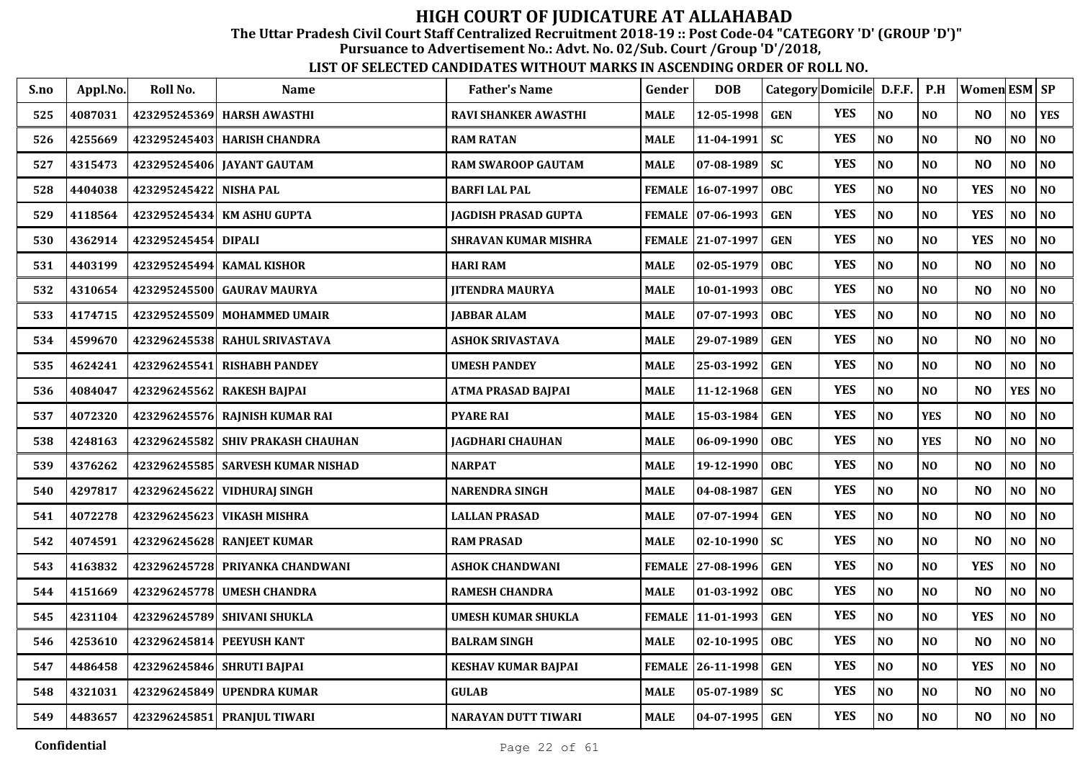The Uttar Pradesh Civil Court Staff Centralized Recruitment 2018-19 :: Post Code-04 "CATEGORY 'D' (GROUP 'D')"

Pursuance to Advertisement No.: Advt. No. 02/Sub. Court /Group 'D'/2018,

| S.no | Appl.No. | Roll No.     | <b>Name</b>                         | <b>Father's Name</b>        | Gender        | <b>DOB</b>          | Category Domicile D.F.F. |            |                | P.H            | Women ESM SP   |                |                 |
|------|----------|--------------|-------------------------------------|-----------------------------|---------------|---------------------|--------------------------|------------|----------------|----------------|----------------|----------------|-----------------|
| 525  | 4087031  | 423295245369 | <b>HARSH AWASTHI</b>                | <b>RAVI SHANKER AWASTHI</b> | <b>MALE</b>   | 12-05-1998          | <b>GEN</b>               | <b>YES</b> | NO             | NO             | N <sub>0</sub> | NO             | $ {\rm \,}$ YES |
| 526  | 4255669  |              | 423295245403   HARISH CHANDRA       | <b>RAM RATAN</b>            | <b>MALE</b>   | 11-04-1991          | <b>SC</b>                | <b>YES</b> | NO             | NO             | N <sub>O</sub> | NO             | NO              |
| 527  | 4315473  |              | 423295245406 JAYANT GAUTAM          | <b>RAM SWAROOP GAUTAM</b>   | <b>MALE</b>   | 07-08-1989          | <b>SC</b>                | <b>YES</b> | N <sub>O</sub> | N <sub>O</sub> | N <sub>O</sub> | NO             | <b>NO</b>       |
| 528  | 4404038  | 423295245422 | <b>NISHA PAL</b>                    | <b>BARFI LAL PAL</b>        | <b>FEMALE</b> | 16-07-1997          | <b>OBC</b>               | <b>YES</b> | NO             | NO             | <b>YES</b>     | NO             | NO              |
| 529  | 4118564  |              | 423295245434 KM ASHU GUPTA          | <b>JAGDISH PRASAD GUPTA</b> |               | FEMALE   07-06-1993 | <b>GEN</b>               | <b>YES</b> | NO             | N <sub>O</sub> | <b>YES</b>     | NO             | N <sub>0</sub>  |
| 530  | 4362914  | 423295245454 | <b>DIPALI</b>                       | <b>SHRAVAN KUMAR MISHRA</b> |               | FEMALE 21-07-1997   | <b>GEN</b>               | <b>YES</b> | NO             | N <sub>O</sub> | <b>YES</b>     | NO             | NO              |
| 531  | 4403199  |              | 423295245494 KAMAL KISHOR           | <b>HARI RAM</b>             | <b>MALE</b>   | 02-05-1979          | <b>OBC</b>               | <b>YES</b> | NO             | N <sub>O</sub> | N <sub>O</sub> | NO             | NO              |
| 532  | 4310654  |              | 423295245500 GAURAV MAURYA          | <b>JITENDRA MAURYA</b>      | <b>MALE</b>   | 10-01-1993          | <b>OBC</b>               | <b>YES</b> | NO             | N <sub>O</sub> | N <sub>O</sub> | N <sub>O</sub> | NO              |
| 533  | 4174715  | 423295245509 | <b>MOHAMMED UMAIR</b>               | <b>JABBAR ALAM</b>          | <b>MALE</b>   | 07-07-1993          | <b>OBC</b>               | <b>YES</b> | N <sub>O</sub> | N <sub>O</sub> | N <sub>O</sub> | N <sub>0</sub> | $\bf NO$        |
| 534  | 4599670  |              | 423296245538 RAHUL SRIVASTAVA       | ASHOK SRIVASTAVA            | <b>MALE</b>   | 29-07-1989          | <b>GEN</b>               | <b>YES</b> | N <sub>O</sub> | N <sub>0</sub> | N <sub>O</sub> | NO             | NO              |
| 535  | 4624241  |              | 423296245541 RISHABH PANDEY         | <b>UMESH PANDEY</b>         | <b>MALE</b>   | 25-03-1992          | <b>GEN</b>               | <b>YES</b> | N <sub>O</sub> | N <sub>O</sub> | N <sub>O</sub> | NO             | <b>NO</b>       |
| 536  | 4084047  | 423296245562 | RAKESH BAJPAI                       | ATMA PRASAD BAJPAI          | <b>MALE</b>   | 11-12-1968          | <b>GEN</b>               | <b>YES</b> | NO             | N <sub>O</sub> | N <sub>O</sub> | <b>YES</b>     | NO              |
| 537  | 4072320  | 423296245576 | RAJNISH KUMAR RAI                   | <b>PYARE RAI</b>            | <b>MALE</b>   | 15-03-1984          | <b>GEN</b>               | <b>YES</b> | NO             | <b>YES</b>     | N <sub>O</sub> | NO             | NO              |
| 538  | 4248163  |              | 423296245582 SHIV PRAKASH CHAUHAN   | <b>JAGDHARI CHAUHAN</b>     | <b>MALE</b>   | 06-09-1990          | <b>OBC</b>               | <b>YES</b> | NO             | <b>YES</b>     | N <sub>O</sub> | NO             | N <sub>0</sub>  |
| 539  | 4376262  |              | 423296245585   SARVESH KUMAR NISHAD | <b>NARPAT</b>               | <b>MALE</b>   | 19-12-1990          | <b>OBC</b>               | <b>YES</b> | NO             | N <sub>O</sub> | N <sub>O</sub> | NO             | NO              |
| 540  | 4297817  |              | 423296245622 VIDHURAI SINGH         | <b>NARENDRA SINGH</b>       | <b>MALE</b>   | 04-08-1987          | <b>GEN</b>               | <b>YES</b> | N <sub>O</sub> | N <sub>O</sub> | N <sub>O</sub> | NO             | NO              |
| 541  | 4072278  | 423296245623 | VIKASH MISHRA                       | <b>LALLAN PRASAD</b>        | <b>MALE</b>   | 07-07-1994          | <b>GEN</b>               | <b>YES</b> | N <sub>O</sub> | N <sub>O</sub> | N <sub>O</sub> | NO             | NO              |
| 542  | 4074591  |              | 423296245628 RANJEET KUMAR          | <b>RAM PRASAD</b>           | <b>MALE</b>   | 02-10-1990          | <b>SC</b>                | <b>YES</b> | N <sub>O</sub> | N <sub>O</sub> | N <sub>O</sub> | N <sub>O</sub> | N <sub>O</sub>  |
| 543  | 4163832  |              | 423296245728 PRIYANKA CHANDWANI     | <b>ASHOK CHANDWANI</b>      |               | FEMALE 27-08-1996   | <b>GEN</b>               | <b>YES</b> | NO             | N <sub>O</sub> | <b>YES</b>     | N <sub>0</sub> | <b>NO</b>       |
| 544  | 4151669  |              | 423296245778 UMESH CHANDRA          | <b>RAMESH CHANDRA</b>       | <b>MALE</b>   | 01-03-1992          | OBC                      | <b>YES</b> | NO             | NO             | N <sub>O</sub> | NO             | $\bf NO$        |
| 545  | 4231104  | 423296245789 | <b>SHIVANI SHUKLA</b>               | <b>UMESH KUMAR SHUKLA</b>   | <b>FEMALE</b> | 11-01-1993          | <b>GEN</b>               | <b>YES</b> | N <sub>O</sub> | NO             | <b>YES</b>     | NO             | NO              |
| 546  | 4253610  | 423296245814 | <b>PEEYUSH KANT</b>                 | <b>BALRAM SINGH</b>         | <b>MALE</b>   | 02-10-1995          | <b>OBC</b>               | <b>YES</b> | NO             | N <sub>O</sub> | N <sub>O</sub> | NO             | NO              |
| 547  | 4486458  |              | 423296245846 SHRUTI BAJPAI          | <b>KESHAV KUMAR BAJPAI</b>  |               | FEMALE 26-11-1998   | <b>GEN</b>               | <b>YES</b> | NO             | NO             | <b>YES</b>     | NO             | N <sub>0</sub>  |
| 548  | 4321031  |              | 423296245849 UPENDRA KUMAR          | <b>GULAB</b>                | <b>MALE</b>   | 05-07-1989          | <b>SC</b>                | <b>YES</b> | $\bf NO$       | N <sub>O</sub> | N <sub>O</sub> | NO             | N <sub>O</sub>  |
| 549  | 4483657  |              | 423296245851 PRANJUL TIWARI         | <b>NARAYAN DUTT TIWARI</b>  | <b>MALE</b>   | 04-07-1995          | <b>GEN</b>               | <b>YES</b> | NO             | NO             | N <sub>O</sub> | N <sub>O</sub> | <b>NO</b>       |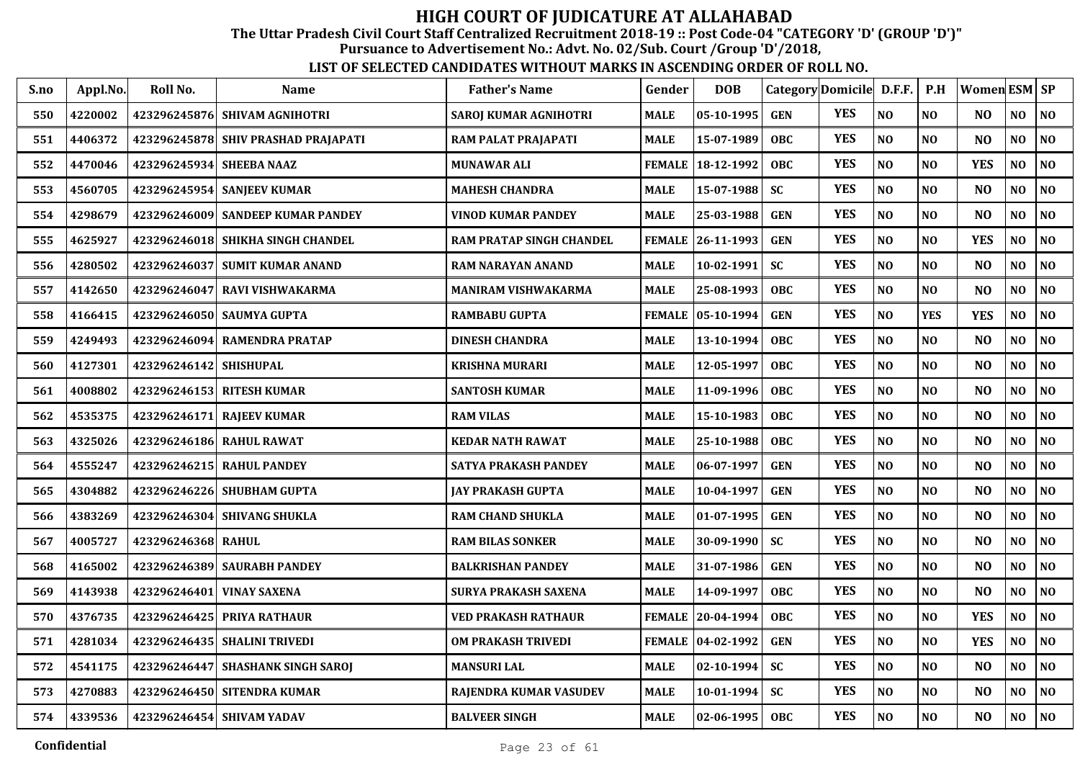The Uttar Pradesh Civil Court Staff Centralized Recruitment 2018-19 :: Post Code-04 "CATEGORY 'D' (GROUP 'D')"

Pursuance to Advertisement No.: Advt. No. 02/Sub. Court /Group 'D'/2018,

| S.no | Appl.No. | Roll No.                 | <b>Name</b>                         | <b>Father's Name</b>       | Gender        | <b>DOB</b>       |            | Category Domicile D.F.F. |                | P.H            | Women ESM SP   |                |                |
|------|----------|--------------------------|-------------------------------------|----------------------------|---------------|------------------|------------|--------------------------|----------------|----------------|----------------|----------------|----------------|
| 550  | 4220002  |                          | 423296245876 SHIVAM AGNIHOTRI       | SAROJ KUMAR AGNIHOTRI      | MALE          | $05 - 10 - 1995$ | <b>GEN</b> | <b>YES</b>               | NO             | N <sub>O</sub> | N <sub>O</sub> | NO             | N <sub>0</sub> |
| 551  | 4406372  |                          | 423296245878 SHIV PRASHAD PRAJAPATI | RAM PALAT PRAJAPATI        | MALE          | 15-07-1989       | <b>OBC</b> | <b>YES</b>               | NO             | N <sub>O</sub> | N <sub>O</sub> | N <sub>O</sub> | NO             |
| 552  | 4470046  | 423296245934 SHEEBA NAAZ |                                     | <b>MUNAWAR ALI</b>         | <b>FEMALE</b> | 18-12-1992       | <b>OBC</b> | <b>YES</b>               | NO             | N <sub>O</sub> | <b>YES</b>     | N <sub>O</sub> | NO             |
| 553  | 4560705  |                          | 423296245954 SANJEEV KUMAR          | <b>MAHESH CHANDRA</b>      | MALE          | 15-07-1988       | <b>SC</b>  | <b>YES</b>               | NO             | N <sub>O</sub> | N <sub>O</sub> | NO             | NO             |
| 554  | 4298679  | 423296246009             | <b>SANDEEP KUMAR PANDEY</b>         | <b>VINOD KUMAR PANDEY</b>  | MALE          | 25-03-1988       | <b>GEN</b> | <b>YES</b>               | NO             | N <sub>O</sub> | N <sub>O</sub> | NO             | N <sub>O</sub> |
| 555  | 4625927  | 423296246018             | SHIKHA SINGH CHANDEL                | RAM PRATAP SINGH CHANDEL   | <b>FEMALE</b> | 26-11-1993       | <b>GEN</b> | <b>YES</b>               | $\bf NO$       | N <sub>O</sub> | <b>YES</b>     | $\bf NO$       | $\bf NO$       |
| 556  | 4280502  | 423296246037             | <b>SUMIT KUMAR ANAND</b>            | RAM NARAYAN ANAND          | MALE          | 10-02-1991       | <b>SC</b>  | <b>YES</b>               | NO             | NO             | N <sub>O</sub> | NO             | NO             |
| 557  | 4142650  |                          | 423296246047 RAVI VISHWAKARMA       | <b>MANIRAM VISHWAKARMA</b> | MALE          | 25-08-1993       | <b>OBC</b> | <b>YES</b>               | $\bf NO$       | NO             | N <sub>O</sub> | NO             | $\bf NO$       |
| 558  | 4166415  |                          | 423296246050 SAUMYA GUPTA           | <b>RAMBABU GUPTA</b>       | <b>FEMALE</b> | $ 05-10-1994 $   | <b>GEN</b> | <b>YES</b>               | N <sub>O</sub> | <b>YES</b>     | <b>YES</b>     | NO             | NO             |
| 559  | 4249493  | 423296246094             | <b>RAMENDRA PRATAP</b>              | <b>DINESH CHANDRA</b>      | MALE          | $13 - 10 - 1994$ | <b>OBC</b> | <b>YES</b>               | N <sub>O</sub> | NO             | N <sub>O</sub> | NO             | N <sub>0</sub> |
| 560  | 4127301  | 423296246142 SHISHUPAL   |                                     | KRISHNA MURARI             | MALE          | 12-05-1997       | <b>OBC</b> | <b>YES</b>               | N <sub>O</sub> | N <sub>O</sub> | N <sub>O</sub> | NO             | NO             |
| 561  | 4008802  |                          | 423296246153 RITESH KUMAR           | <b>SANTOSH KUMAR</b>       | MALE          | 11-09-1996       | <b>OBC</b> | <b>YES</b>               | NO             | N <sub>O</sub> | N <sub>O</sub> | N <sub>O</sub> | NO             |
| 562  | 4535375  | 423296246171             | <b>RAJEEV KUMAR</b>                 | <b>RAM VILAS</b>           | MALE          | 15-10-1983       | <b>OBC</b> | <b>YES</b>               | NO             | N <sub>O</sub> | N <sub>O</sub> | N <sub>0</sub> | NO             |
| 563  | 4325026  | 423296246186             | <b>RAHUL RAWAT</b>                  | <b>KEDAR NATH RAWAT</b>    | MALE          | 25-10-1988       | <b>OBC</b> | <b>YES</b>               | NO             | N <sub>O</sub> | N <sub>O</sub> | NO             | N <sub>0</sub> |
| 564  | 4555247  | 423296246215             | <b>RAHUL PANDEY</b>                 | SATYA PRAKASH PANDEY       | <b>MALE</b>   | 06-07-1997       | <b>GEN</b> | <b>YES</b>               | NO             | N <sub>O</sub> | N <sub>O</sub> | $\bf NO$       | NO             |
| 565  | 4304882  |                          | 423296246226 SHUBHAM GUPTA          | JAY PRAKASH GUPTA          | MALE          | 10-04-1997       | <b>GEN</b> | <b>YES</b>               | NO             | N <sub>O</sub> | N <sub>O</sub> | NO             | NO             |
| 566  | 4383269  |                          | 423296246304 SHIVANG SHUKLA         | <b>RAM CHAND SHUKLA</b>    | MALE          | 01-07-1995       | <b>GEN</b> | <b>YES</b>               | $\bf NO$       | NO             | N <sub>O</sub> | NO             | $\bf NO$       |
| 567  | 4005727  | 423296246368 RAHUL       |                                     | <b>RAM BILAS SONKER</b>    | MALE          | 30-09-1990       | <b>SC</b>  | <b>YES</b>               | N <sub>O</sub> | N <sub>O</sub> | N <sub>O</sub> | NO             | N <sub>0</sub> |
| 568  | 4165002  |                          | 423296246389 SAURABH PANDEY         | <b>BALKRISHAN PANDEY</b>   | MALE          | 31-07-1986       | <b>GEN</b> | <b>YES</b>               | NO             | N <sub>O</sub> | N <sub>O</sub> | NO             | N <sub>0</sub> |
| 569  | 4143938  | 423296246401             | <b>VINAY SAXENA</b>                 | SURYA PRAKASH SAXENA       | MALE          | 14-09-1997       | <b>OBC</b> | <b>YES</b>               | $\bf NO$       | N <sub>O</sub> | N <sub>O</sub> | NO             | N <sub>0</sub> |
| 570  | 4376735  |                          | 423296246425 PRIYA RATHAUR          | VED PRAKASH RATHAUR        | <b>FEMALE</b> | 20-04-1994       | <b>OBC</b> | <b>YES</b>               | NO             | N <sub>O</sub> | <b>YES</b>     | NO             | NO             |
| 571  | 4281034  | 423296246435             | <b>SHALINI TRIVEDI</b>              | <b>OM PRAKASH TRIVEDI</b>  | <b>FEMALE</b> | $ 04-02-1992 $   | <b>GEN</b> | <b>YES</b>               | NO             | N <sub>O</sub> | <b>YES</b>     | NO             | NO             |
| 572  | 4541175  | 423296246447             | <b>SHASHANK SINGH SAROJ</b>         | <b>MANSURI LAL</b>         | <b>MALE</b>   | $02 - 10 - 1994$ | <b>SC</b>  | <b>YES</b>               | NO             | N <sub>O</sub> | N <sub>O</sub> | NO             | N <sub>0</sub> |
| 573  | 4270883  |                          | 423296246450 SITENDRA KUMAR         | RAJENDRA KUMAR VASUDEV     | MALE          | $10-01-1994$     | <b>SC</b>  | <b>YES</b>               | NO             | N <sub>O</sub> | N <sub>O</sub> | NO             | NO             |
| 574  | 4339536  |                          | 423296246454 SHIVAM YADAV           | <b>BALVEER SINGH</b>       | MALE          | $02 - 06 - 1995$ | OBC        | <b>YES</b>               | $\bf NO$       | N <sub>O</sub> | N <sub>O</sub> | NO             | $\bf NO$       |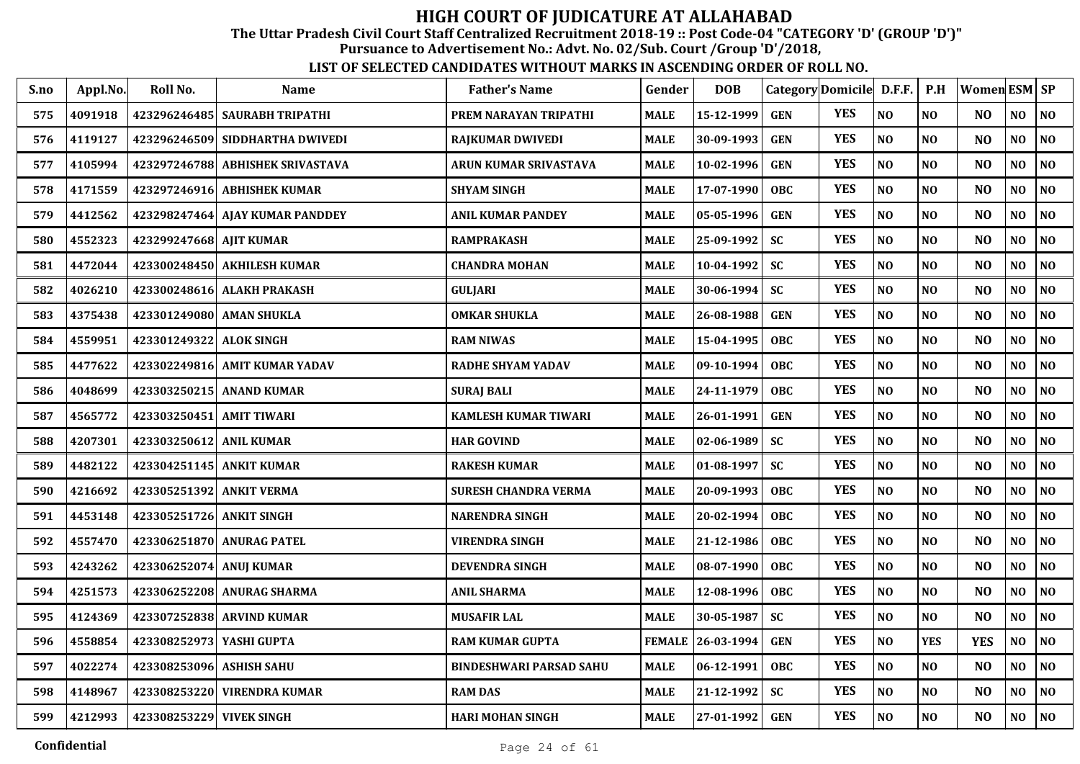The Uttar Pradesh Civil Court Staff Centralized Recruitment 2018-19 :: Post Code-04 "CATEGORY 'D' (GROUP 'D')"

Pursuance to Advertisement No.: Advt. No. 02/Sub. Court /Group 'D'/2018,

| S.no | Appl.No. | Roll No.                  | Name                               | <b>Father's Name</b>        | Gender        | <b>DOB</b>   |            | Category Domicile D.F.F. |                | P.H            | Women $ESM$ $SP$ |     |                |
|------|----------|---------------------------|------------------------------------|-----------------------------|---------------|--------------|------------|--------------------------|----------------|----------------|------------------|-----|----------------|
| 575  | 4091918  |                           | 423296246485 SAURABH TRIPATHI      | PREM NARAYAN TRIPATHI       | MALE          | 15-12-1999   | <b>GEN</b> | <b>YES</b>               | NO             | NO             | N <sub>O</sub>   | NO  | NO             |
| 576  | 4119127  |                           | 423296246509 SIDDHARTHA DWIVEDI    | <b>RAJKUMAR DWIVEDI</b>     | MALE          | 30-09-1993   | <b>GEN</b> | <b>YES</b>               | N <sub>O</sub> | NO             | N <sub>O</sub>   | NO  | NO             |
| 577  | 4105994  |                           | 423297246788   ABHISHEK SRIVASTAVA | ARUN KUMAR SRIVASTAVA       | MALE          | 10-02-1996   | <b>GEN</b> | <b>YES</b>               | NO             | N <sub>0</sub> | N <sub>O</sub>   | NO  | NO             |
| 578  | 4171559  |                           | 423297246916  ABHISHEK KUMAR       | <b>SHYAM SINGH</b>          | <b>MALE</b>   | 17-07-1990   | OBC.       | <b>YES</b>               | N <sub>O</sub> | N <sub>O</sub> | N <sub>O</sub>   | NO  | NO             |
| 579  | 4412562  |                           | 423298247464 AJAY KUMAR PANDDEY    | <b>ANIL KUMAR PANDEY</b>    | <b>MALE</b>   | 05-05-1996   | <b>GEN</b> | <b>YES</b>               | NO             | N <sub>O</sub> | N <sub>O</sub>   | NO  | NO             |
| 580  | 4552323  | 423299247668 AJIT KUMAR   |                                    | <b>RAMPRAKASH</b>           | <b>MALE</b>   | 25-09-1992   | <b>SC</b>  | <b>YES</b>               | N <sub>O</sub> | N <sub>O</sub> | N <sub>O</sub>   | NO  | NO             |
| 581  | 4472044  |                           | 423300248450 AKHILESH KUMAR        | <b>CHANDRA MOHAN</b>        | MALE          | 10-04-1992   | SC         | <b>YES</b>               | $\bf NO$       | <b>NO</b>      | N <sub>O</sub>   | NO  | $\bf NO$       |
| 582  | 4026210  |                           | 423300248616  ALAKH PRAKASH        | GULJARI                     | <b>MALE</b>   | 30-06-1994   | <b>SC</b>  | <b>YES</b>               | N <sub>O</sub> | <b>NO</b>      | N <sub>O</sub>   | NO  | NO             |
| 583  | 4375438  |                           | 423301249080   AMAN SHUKLA         | <b>OMKAR SHUKLA</b>         | MALE          | 26-08-1988   | <b>GEN</b> | <b>YES</b>               | NO             | NO             | N <sub>O</sub>   | NO  | NO             |
| 584  | 4559951  | 423301249322 ALOK SINGH   |                                    | <b>RAM NIWAS</b>            | <b>MALE</b>   | 15-04-1995   | <b>OBC</b> | <b>YES</b>               | N <sub>O</sub> | N <sub>0</sub> | N <sub>O</sub>   | NO. | NO             |
| 585  | 4477622  |                           | 423302249816 AMIT KUMAR YADAV      | <b>RADHE SHYAM YADAV</b>    | MALE          | 09-10-1994   | <b>OBC</b> | <b>YES</b>               | N <sub>O</sub> | N <sub>0</sub> | N <sub>O</sub>   | NO  | NO             |
| 586  | 4048699  |                           | 423303250215 ANAND KUMAR           | <b>SURAJ BALI</b>           | <b>MALE</b>   | 24-11-1979   | <b>OBC</b> | <b>YES</b>               | N <sub>O</sub> | N <sub>O</sub> | N <sub>O</sub>   | NO  | NO             |
| 587  | 4565772  | 423303250451              | <b>AMIT TIWARI</b>                 | <b>KAMLESH KUMAR TIWARI</b> | <b>MALE</b>   | 26-01-1991   | <b>GEN</b> | <b>YES</b>               | NO             | N <sub>0</sub> | NO               | NO  | $\bf NO$       |
| 588  | 4207301  | 423303250612 ANIL KUMAR   |                                    | <b>HAR GOVIND</b>           | <b>MALE</b>   | 02-06-1989   | <b>SC</b>  | <b>YES</b>               | N <sub>O</sub> | N <sub>0</sub> | N <sub>O</sub>   | NO  | N <sub>0</sub> |
| 589  | 4482122  |                           | 423304251145  ANKIT KUMAR          | <b>RAKESH KUMAR</b>         | <b>MALE</b>   | $01-08-1997$ | <b>SC</b>  | <b>YES</b>               | N <sub>O</sub> | N <sub>0</sub> | N <sub>O</sub>   | NO  | NO             |
| 590  | 4216692  | 423305251392  ANKIT VERMA |                                    | SURESH CHANDRA VERMA        | <b>MALE</b>   | 20-09-1993   | <b>OBC</b> | <b>YES</b>               | NO             | N <sub>0</sub> | N <sub>O</sub>   | NO  | NO             |
| 591  | 4453148  | 423305251726 ANKIT SINGH  |                                    | <b>NARENDRA SINGH</b>       | <b>MALE</b>   | 20-02-1994   | <b>OBC</b> | <b>YES</b>               | N <sub>O</sub> | NO             | N <sub>O</sub>   | NO  | NO             |
| 592  | 4557470  |                           | 423306251870 ANURAG PATEL          | <b>VIRENDRA SINGH</b>       | <b>MALE</b>   | 21-12-1986   | <b>OBC</b> | <b>YES</b>               | N <sub>O</sub> | N <sub>O</sub> | N <sub>O</sub>   | NO. | NO             |
| 593  | 4243262  | 423306252074  ANUJ KUMAR  |                                    | <b>DEVENDRA SINGH</b>       | MALE          | 08-07-1990   | <b>OBC</b> | <b>YES</b>               | N <sub>O</sub> | N <sub>O</sub> | N <sub>O</sub>   | NO  | NO             |
| 594  | 4251573  |                           | 423306252208 ANURAG SHARMA         | <b>ANIL SHARMA</b>          | <b>MALE</b>   | 12-08-1996   | <b>OBC</b> | <b>YES</b>               | NO             | N <sub>O</sub> | N <sub>O</sub>   | NO  | NO             |
| 595  | 4124369  |                           | 423307252838 ARVIND KUMAR          | <b>MUSAFIR LAL</b>          | <b>MALE</b>   | 30-05-1987   | <b>SC</b>  | <b>YES</b>               | NO             | NO             | N <sub>O</sub>   | NO  | NO             |
| 596  | 4558854  | 423308252973 YASHI GUPTA  |                                    | <b>RAM KUMAR GUPTA</b>      | <b>FEMALE</b> | 26-03-1994   | <b>GEN</b> | <b>YES</b>               | NO             | <b>YES</b>     | <b>YES</b>       | NO  | $\bf NO$       |
| 597  | 4022274  | 423308253096 ASHISH SAHU  |                                    | BINDESHWARI PARSAD SAHU     | MALE          | 06-12-1991   | <b>OBC</b> | <b>YES</b>               | N <sub>O</sub> | NO             | N <sub>O</sub>   | NO. | NO             |
| 598  | 4148967  |                           | 423308253220  VIRENDRA KUMAR       | <b>RAM DAS</b>              | MALE          | 21-12-1992   | <b>SC</b>  | <b>YES</b>               | $\bf NO$       | NO             | N <sub>O</sub>   | NO  | NO             |
| 599  | 4212993  | 423308253229 VIVEK SINGH  |                                    | HARI MOHAN SINGH            | <b>MALE</b>   | 27-01-1992   | <b>GEN</b> | <b>YES</b>               | N <sub>O</sub> | N <sub>O</sub> | N <sub>O</sub>   | NO  | NO             |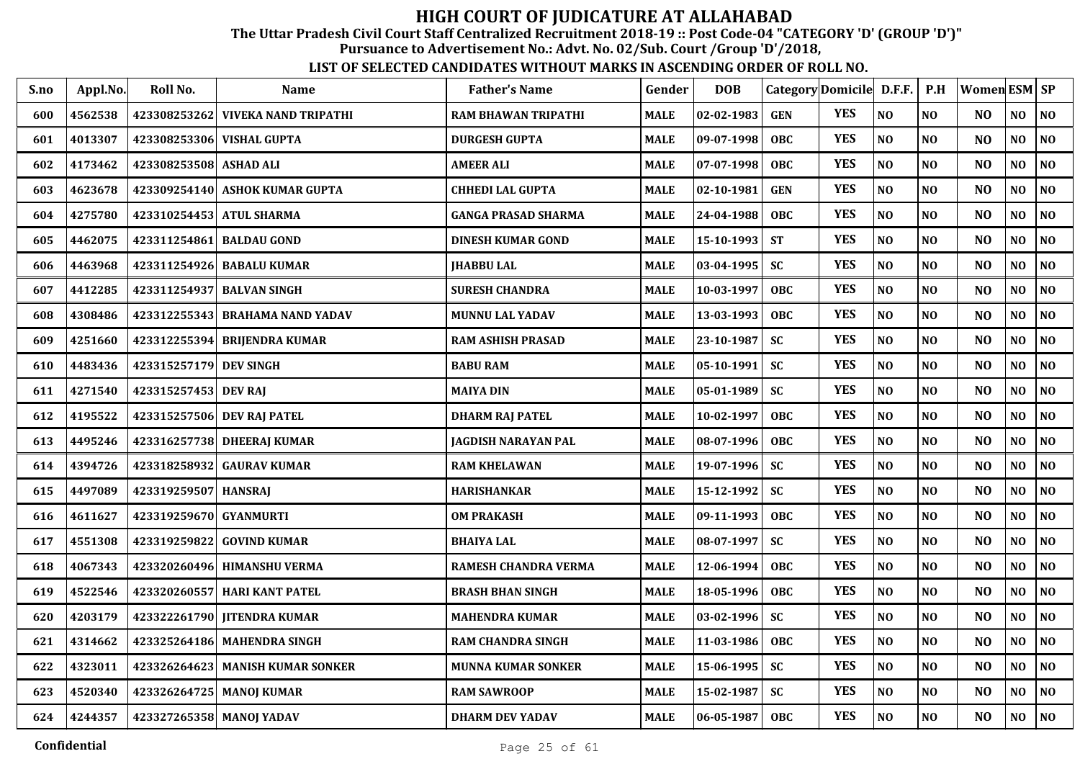The Uttar Pradesh Civil Court Staff Centralized Recruitment 2018-19 :: Post Code-04 "CATEGORY 'D' (GROUP 'D')"

Pursuance to Advertisement No.: Advt. No. 02/Sub. Court /Group 'D'/2018,

| S.no | Appl.No. | Roll No.                 | <b>Name</b>                       | <b>Father's Name</b>       | Gender      | <b>DOB</b>         |            | Category Domicile D.F.F. |                | $\mathbf{P}.\mathbf{H}$ | Women ESM SP   |                |                |
|------|----------|--------------------------|-----------------------------------|----------------------------|-------------|--------------------|------------|--------------------------|----------------|-------------------------|----------------|----------------|----------------|
| 600  | 4562538  |                          | 423308253262 VIVEKA NAND TRIPATHI | RAM BHAWAN TRIPATHI        | <b>MALE</b> | 02-02-1983         | <b>GEN</b> | <b>YES</b>               | $\bf NO$       | $\bf NO$                | N <sub>O</sub> | NO             | N <sub>O</sub> |
| 601  | 4013307  | 423308253306             | <b>VISHAL GUPTA</b>               | <b>DURGESH GUPTA</b>       | MALE        | 09-07-1998         | <b>OBC</b> | <b>YES</b>               | NO             | NO                      | N <sub>O</sub> | NO             | N <sub>0</sub> |
| 602  | 4173462  | 423308253508             | <b>ASHAD ALI</b>                  | <b>AMEER ALI</b>           | MALE        | $07 - 07 - 1998$   | <b>OBC</b> | <b>YES</b>               | NO             | N <sub>O</sub>          | N <sub>O</sub> | N <sub>O</sub> | N <sub>0</sub> |
| 603  | 4623678  |                          | 423309254140 ASHOK KUMAR GUPTA    | <b>CHHEDI LAL GUPTA</b>    | MALE        | 02-10-1981         | <b>GEN</b> | <b>YES</b>               | NO             | N <sub>O</sub>          | N <sub>O</sub> | N <sub>O</sub> | NO             |
| 604  | 4275780  |                          | 423310254453 ATUL SHARMA          | <b>GANGA PRASAD SHARMA</b> | <b>MALE</b> | 24-04-1988         | <b>OBC</b> | <b>YES</b>               | N <sub>O</sub> | N <sub>O</sub>          | N <sub>O</sub> | NO             | $\bf NO$       |
| 605  | 4462075  | 423311254861             | <b>BALDAU GOND</b>                | <b>DINESH KUMAR GOND</b>   | MALE        | 15-10-1993         | <b>ST</b>  | <b>YES</b>               | NO             | N <sub>O</sub>          | N <sub>O</sub> | NO             | N <sub>0</sub> |
| 606  | 4463968  | 423311254926             | <b>BABALU KUMAR</b>               | <b>JHABBU LAL</b>          | MALE        | $03 - 04 - 1995$   | <b>SC</b>  | <b>YES</b>               | NO             | N <sub>O</sub>          | N <sub>O</sub> | NO             | NO             |
| 607  | 4412285  |                          | 423311254937 BALVAN SINGH         | <b>SURESH CHANDRA</b>      | MALE        | 10-03-1997         | <b>OBC</b> | <b>YES</b>               | NO             | N <sub>O</sub>          | N <sub>O</sub> | NO             | NO             |
| 608  | 4308486  |                          | 423312255343 BRAHAMA NAND YADAV   | <b>MUNNU LAL YADAV</b>     | MALE        | 13-03-1993         | <b>OBC</b> | <b>YES</b>               | NO             | NO                      | N <sub>O</sub> | NO             | $\bf NO$       |
| 609  | 4251660  | 423312255394             | <b>BRIJENDRA KUMAR</b>            | <b>RAM ASHISH PRASAD</b>   | MALE        | 23-10-1987         | <b>SC</b>  | <b>YES</b>               | N <sub>O</sub> | NO                      | N <sub>O</sub> | NO             | N <sub>0</sub> |
| 610  | 4483436  | 423315257179 DEV SINGH   |                                   | <b>BABU RAM</b>            | MALE        | $05 - 10 - 1991$   | <b>SC</b>  | <b>YES</b>               | N <sub>O</sub> | N <sub>O</sub>          | N <sub>O</sub> | NO             | NO             |
| 611  | 4271540  | 423315257453 DEV RAJ     |                                   | <b>MAIYA DIN</b>           | MALE        | $05 - 01 - 1989$   | <b>SC</b>  | <b>YES</b>               | $\bf NO$       | N <sub>O</sub>          | N <sub>O</sub> | NO             | $\bf NO$       |
| 612  | 4195522  |                          | 423315257506 DEV RAJ PATEL        | <b>DHARM RAJ PATEL</b>     | MALE        | 10-02-1997         | <b>OBC</b> | <b>YES</b>               | NO             | NO                      | N <sub>O</sub> | NO             | $\bf NO$       |
| 613  | 4495246  | 423316257738             | <b>DHEERAJ KUMAR</b>              | <b>JAGDISH NARAYAN PAL</b> | MALE        | 08-07-1996         | <b>OBC</b> | <b>YES</b>               | NO             | N <sub>O</sub>          | N <sub>O</sub> | NO             | NO             |
| 614  | 4394726  | 423318258932             | <b>GAURAV KUMAR</b>               | <b>RAM KHELAWAN</b>        | <b>MALE</b> | 19-07-1996         | <b>SC</b>  | <b>YES</b>               | NO             | N <sub>O</sub>          | N <sub>O</sub> | NO             | NO             |
| 615  | 4497089  | 423319259507 HANSRAJ     |                                   | HARISHANKAR                | MALE        | 15-12-1992         | <b>SC</b>  | <b>YES</b>               | NO             | NO                      | N <sub>O</sub> | NO             | $\bf NO$       |
| 616  | 4611627  | 423319259670 GYANMURTI   |                                   | <b>OM PRAKASH</b>          | MALE        | 09-11-1993         | <b>OBC</b> | <b>YES</b>               | NO             | N <sub>O</sub>          | N <sub>O</sub> | NO             | NO             |
| 617  | 4551308  | 423319259822             | <b>GOVIND KUMAR</b>               | <b>BHAIYA LAL</b>          | MALE        | $08 - 07 - 1997$   | <b>SC</b>  | <b>YES</b>               | N <sub>O</sub> | N <sub>O</sub>          | N <sub>O</sub> | N <sub>O</sub> | NO             |
| 618  | 4067343  |                          | 423320260496 HIMANSHU VERMA       | RAMESH CHANDRA VERMA       | MALE        | $12 - 06 - 1994$   | <b>OBC</b> | <b>YES</b>               | NO             | N <sub>O</sub>          | N <sub>O</sub> | N <sub>O</sub> | NO             |
| 619  | 4522546  |                          | 423320260557 HARI KANT PATEL      | <b>BRASH BHAN SINGH</b>    | MALE        | 18-05-1996         | <b>OBC</b> | <b>YES</b>               | $\bf NO$       | N <sub>O</sub>          | N <sub>O</sub> | NO             | $\bf NO$       |
| 620  | 4203179  |                          | 423322261790 JITENDRA KUMAR       | <b>MAHENDRA KUMAR</b>      | MALE        | $03 - 02 - 1996$   | <b>SC</b>  | <b>YES</b>               | NO             | N <sub>O</sub>          | N <sub>O</sub> | NO             | NO             |
| 621  | 4314662  |                          | 423325264186 MAHENDRA SINGH       | <b>RAM CHANDRA SINGH</b>   | <b>MALE</b> | 11-03-1986         | OBC        | <b>YES</b>               | NO             | N <sub>O</sub>          | N <sub>O</sub> | NO             | NO             |
| 622  | 4323011  |                          | 423326264623 MANISH KUMAR SONKER  | <b>MUNNA KUMAR SONKER</b>  | MALE        | 15-06-1995         | <b>SC</b>  | <b>YES</b>               | $\bf NO$       | N <sub>O</sub>          | N <sub>O</sub> | NO             | $\bf NO$       |
| 623  | 4520340  |                          | 423326264725 MANOJ KUMAR          | <b>RAM SAWROOP</b>         | <b>MALE</b> | 15-02-1987         | <b>SC</b>  | <b>YES</b>               | $\bf NO$       | NO                      | N <sub>O</sub> | NO             | $\bf NO$       |
| 624  | 4244357  | 423327265358 MANOJ YADAV |                                   | <b>DHARM DEV YADAV</b>     | <b>MALE</b> | $ 06 - 05 - 1987 $ | <b>OBC</b> | <b>YES</b>               | NO             | NO                      | N <sub>O</sub> | N <sub>O</sub> | <b>NO</b>      |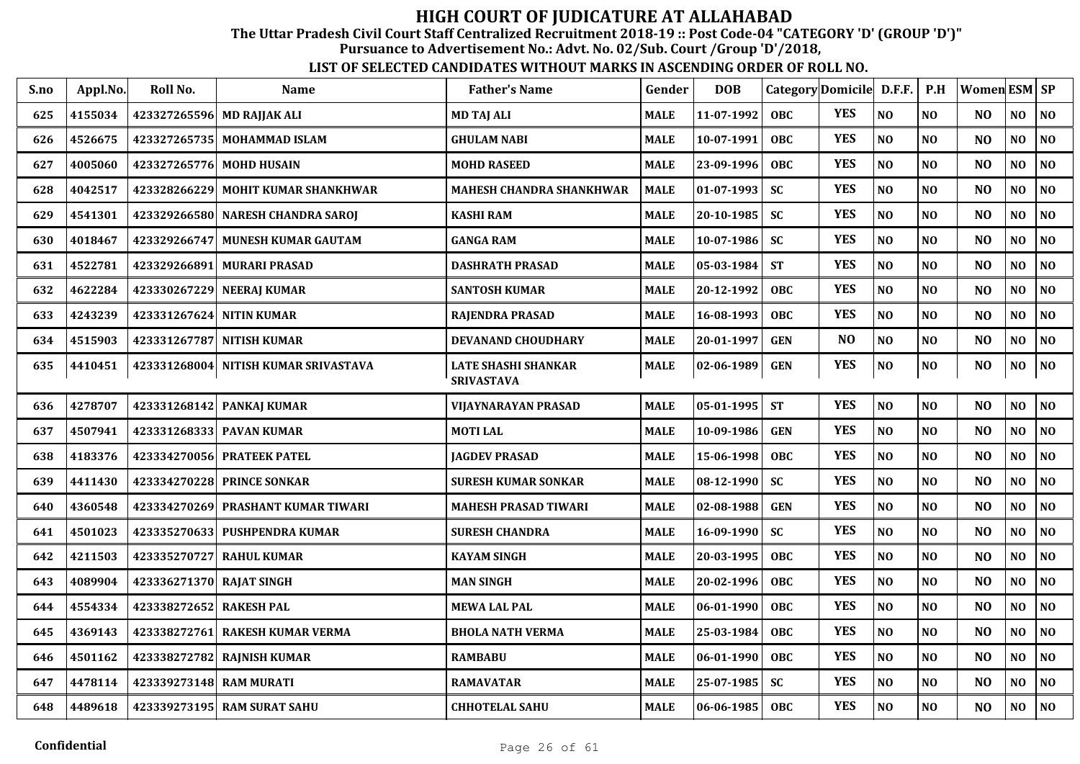The Uttar Pradesh Civil Court Staff Centralized Recruitment 2018-19 :: Post Code-04 "CATEGORY 'D' (GROUP 'D')"

Pursuance to Advertisement No.: Advt. No. 02/Sub. Court /Group 'D'/2018,

| S.no | Appl.No. | Roll No.                   | <b>Name</b>                          | <b>Father's Name</b>                            | Gender      | <b>DOB</b> |            | Category Domicile D.F.F. |          | P.H            | Women $ESM$ $SP$ |                |                |
|------|----------|----------------------------|--------------------------------------|-------------------------------------------------|-------------|------------|------------|--------------------------|----------|----------------|------------------|----------------|----------------|
| 625  | 4155034  | 423327265596 MD RAJJAK ALI |                                      | <b>MD TAJ ALI</b>                               | <b>MALE</b> | 11-07-1992 | <b>OBC</b> | <b>YES</b>               | NO       | NO             | NO               | NO             | $\bf NO$       |
| 626  | 4526675  |                            | 423327265735   MOHAMMAD ISLAM        | <b>GHULAM NABI</b>                              | <b>MALE</b> | 10-07-1991 | <b>OBC</b> | <b>YES</b>               | NO       | N <sub>O</sub> | N <sub>O</sub>   | NO             | NO             |
| 627  | 4005060  | 423327265776 MOHD HUSAIN   |                                      | <b>MOHD RASEED</b>                              | <b>MALE</b> | 23-09-1996 | <b>OBC</b> | <b>YES</b>               | NO       | N <sub>O</sub> | N <sub>O</sub>   | NO             | NO             |
| 628  | 4042517  | 423328266229               | <b>MOHIT KUMAR SHANKHWAR</b>         | <b>MAHESH CHANDRA SHANKHWAR</b>                 | <b>MALE</b> | 01-07-1993 | <b>SC</b>  | <b>YES</b>               | NO       | N <sub>O</sub> | N <sub>O</sub>   | NO             | NO             |
| 629  | 4541301  |                            | 423329266580 NARESH CHANDRA SAROJ    | KASHI RAM                                       | <b>MALE</b> | 20-10-1985 | <b>SC</b>  | <b>YES</b>               | $\bf NO$ | NO             | N <sub>O</sub>   | NO             | $\bf NO$       |
| 630  | 4018467  | 423329266747               | <b>MUNESH KUMAR GAUTAM</b>           | <b>GANGA RAM</b>                                | <b>MALE</b> | 10-07-1986 | <b>SC</b>  | <b>YES</b>               | NO       | NO             | NO               | NO             | NO             |
| 631  | 4522781  | 423329266891               | <b>MURARI PRASAD</b>                 | <b>DASHRATH PRASAD</b>                          | <b>MALE</b> | 05-03-1984 | <b>ST</b>  | <b>YES</b>               | NO       | NO             | N <sub>O</sub>   | NO             | N <sub>0</sub> |
| 632  | 4622284  | 423330267229               | <b>NEERAJ KUMAR</b>                  | <b>SANTOSH KUMAR</b>                            | <b>MALE</b> | 20-12-1992 | <b>OBC</b> | <b>YES</b>               | NO       | N <sub>O</sub> | N <sub>O</sub>   | $\bf NO$       | N <sub>0</sub> |
| 633  | 4243239  | 423331267624 NITIN KUMAR   |                                      | <b>RAJENDRA PRASAD</b>                          | <b>MALE</b> | 16-08-1993 | <b>OBC</b> | <b>YES</b>               | NO       | N <sub>O</sub> | N <sub>O</sub>   | N <sub>O</sub> | N <sub>O</sub> |
| 634  | 4515903  |                            | 423331267787 NITISH KUMAR            | DEVANAND CHOUDHARY                              | <b>MALE</b> | 20-01-1997 | <b>GEN</b> | N <sub>O</sub>           | NO       | NO             | N <sub>O</sub>   | NO             | NO             |
| 635  | 4410451  |                            | 423331268004 NITISH KUMAR SRIVASTAVA | <b>LATE SHASHI SHANKAR</b><br><b>SRIVASTAVA</b> | <b>MALE</b> | 02-06-1989 | <b>GEN</b> | <b>YES</b>               | $\bf NO$ | $\bf NO$       | NO               | $\bf NO$       | $\bf NO$       |
| 636  | 4278707  |                            | 423331268142 PANKAJ KUMAR            | VIJAYNARAYAN PRASAD                             | <b>MALE</b> | 05-01-1995 | <b>ST</b>  | <b>YES</b>               | NO       | N <sub>O</sub> | N <sub>O</sub>   | NO             | N <sub>O</sub> |
| 637  | 4507941  |                            | 423331268333 PAVAN KUMAR             | <b>MOTILAL</b>                                  | <b>MALE</b> | 10-09-1986 | <b>GEN</b> | <b>YES</b>               | NO       | N <sub>O</sub> | NO               | N <sub>O</sub> | NO             |
| 638  | 4183376  |                            | 423334270056 PRATEEK PATEL           | <b>JAGDEV PRASAD</b>                            | <b>MALE</b> | 15-06-1998 | <b>OBC</b> | <b>YES</b>               | NO       | NO             | N <sub>O</sub>   | NO             | N <sub>0</sub> |
| 639  | 4411430  |                            | 423334270228 PRINCE SONKAR           | <b>SURESH KUMAR SONKAR</b>                      | <b>MALE</b> | 08-12-1990 | <b>SC</b>  | <b>YES</b>               | NO       | N <sub>O</sub> | N <sub>O</sub>   | NO             | $\bf NO$       |
| 640  | 4360548  | 423334270269               | PRASHANT KUMAR TIWARI                | <b>MAHESH PRASAD TIWARI</b>                     | <b>MALE</b> | 02-08-1988 | <b>GEN</b> | <b>YES</b>               | NO       | NO             | N <sub>O</sub>   | NO             | N <sub>0</sub> |
| 641  | 4501023  | 423335270633               | <b>PUSHPENDRA KUMAR</b>              | <b>SURESH CHANDRA</b>                           | <b>MALE</b> | 16-09-1990 | <b>SC</b>  | <b>YES</b>               | NO       | NO             | N <sub>O</sub>   | NO             | NO             |
| 642  | 4211503  | 423335270727               | <b>RAHUL KUMAR</b>                   | <b>KAYAM SINGH</b>                              | <b>MALE</b> | 20-03-1995 | <b>OBC</b> | <b>YES</b>               | NO       | N <sub>O</sub> | N <sub>O</sub>   | NO             | N <sub>O</sub> |
| 643  | 4089904  | 423336271370               | <b>RAJAT SINGH</b>                   | <b>MAN SINGH</b>                                | <b>MALE</b> | 20-02-1996 | <b>OBC</b> | <b>YES</b>               | NO       | N <sub>O</sub> | N <sub>O</sub>   | NO             | N <sub>0</sub> |
| 644  | 4554334  | 423338272652 RAKESH PAL    |                                      | <b>MEWA LAL PAL</b>                             | <b>MALE</b> | 06-01-1990 | <b>OBC</b> | <b>YES</b>               | NO       | NO             | N <sub>O</sub>   | N <sub>O</sub> | N <sub>0</sub> |
| 645  | 4369143  | 423338272761               | <b>RAKESH KUMAR VERMA</b>            | <b>BHOLA NATH VERMA</b>                         | <b>MALE</b> | 25-03-1984 | <b>OBC</b> | <b>YES</b>               | NO       | NO             | N <sub>O</sub>   | NO             | $\bf NO$       |
| 646  | 4501162  | 423338272782               | <b>RAINISH KUMAR</b>                 | <b>RAMBABU</b>                                  | <b>MALE</b> | 06-01-1990 | <b>OBC</b> | <b>YES</b>               | NO       | NO             | N <sub>O</sub>   | NO.            | NO             |
| 647  | 4478114  | 423339273148 RAM MURATI    |                                      | <b>RAMAVATAR</b>                                | <b>MALE</b> | 25-07-1985 | <b>SC</b>  | <b>YES</b>               | NO       | NO             | N <sub>O</sub>   | NO             | NO             |
| 648  | 4489618  |                            | 423339273195 RAM SURAT SAHU          | <b>CHHOTELAL SAHU</b>                           | <b>MALE</b> | 06-06-1985 | <b>OBC</b> | <b>YES</b>               | NO       | N <sub>O</sub> | N <sub>O</sub>   | NO             | NO             |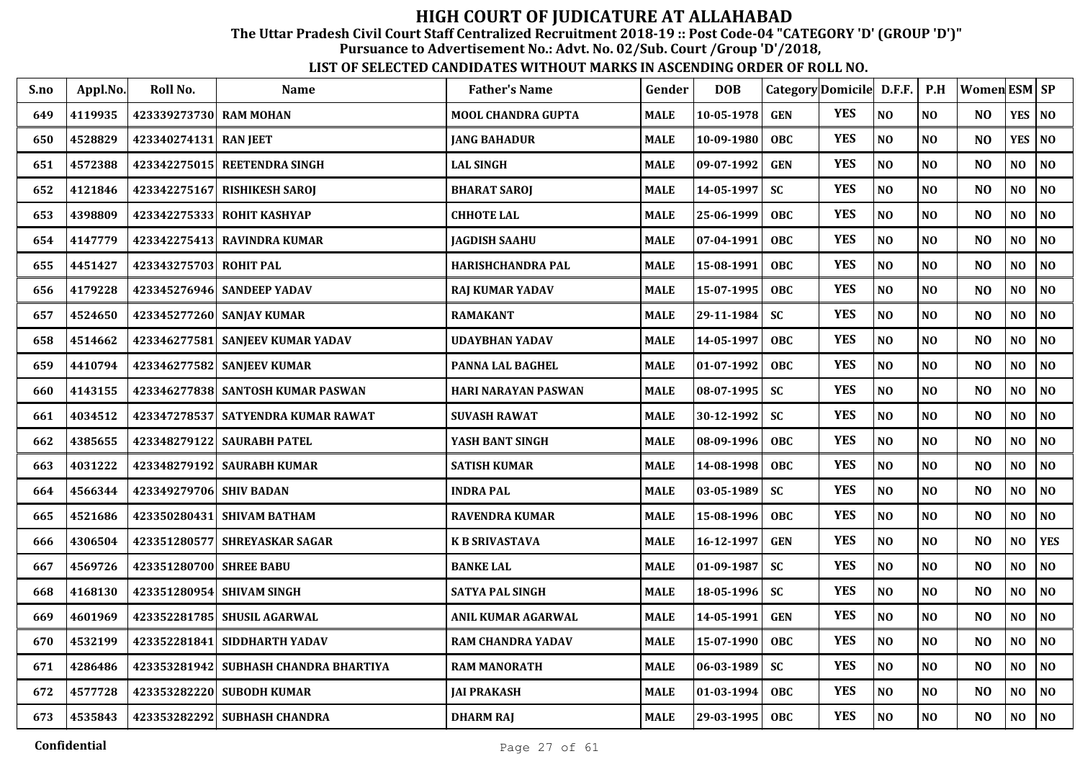The Uttar Pradesh Civil Court Staff Centralized Recruitment 2018-19 :: Post Code-04 "CATEGORY 'D' (GROUP 'D')"

Pursuance to Advertisement No.: Advt. No. 02/Sub. Court /Group 'D'/2018,

| S.no | Appl.No. | Roll No.                  | <b>Name</b>                           | <b>Father's Name</b>       | Gender      | <b>DOB</b> | Category Domicile D.F.F. |            |          | P.H            | <b>Women ESM SP</b> |                |                |
|------|----------|---------------------------|---------------------------------------|----------------------------|-------------|------------|--------------------------|------------|----------|----------------|---------------------|----------------|----------------|
| 649  | 4119935  | 423339273730 RAM MOHAN    |                                       | <b>MOOL CHANDRA GUPTA</b>  | <b>MALE</b> | 10-05-1978 | <b>GEN</b>               | <b>YES</b> | NO       | N <sub>O</sub> | N <sub>O</sub>      | YES            | N <sub>O</sub> |
| 650  | 4528829  | 423340274131              | <b>RAN JEET</b>                       | <b>JANG BAHADUR</b>        | <b>MALE</b> | 10-09-1980 | OBC                      | <b>YES</b> | NO       | NO             | N <sub>O</sub>      | <b>YES</b>     | N <sub>O</sub> |
| 651  | 4572388  |                           | 423342275015 REETENDRA SINGH          | <b>LAL SINGH</b>           | <b>MALE</b> | 09-07-1992 | <b>GEN</b>               | <b>YES</b> | NO       | N <sub>O</sub> | N <sub>O</sub>      | NO             | NO             |
| 652  | 4121846  | 423342275167              | <b>RISHIKESH SAROJ</b>                | <b>BHARAT SAROJ</b>        | <b>MALE</b> | 14-05-1997 | <b>SC</b>                | <b>YES</b> | NO       | NO             | N <sub>O</sub>      | N <sub>O</sub> | NO             |
| 653  | 4398809  |                           | 423342275333 ROHIT KASHYAP            | <b>CHHOTE LAL</b>          | <b>MALE</b> | 25-06-1999 | <b>OBC</b>               | <b>YES</b> | NO       | N <sub>O</sub> | N <sub>O</sub>      | NO             | NO             |
| 654  | 4147779  |                           | 423342275413 RAVINDRA KUMAR           | <b>JAGDISH SAAHU</b>       | <b>MALE</b> | 07-04-1991 | <b>OBC</b>               | <b>YES</b> | NO       | NO             | N <sub>O</sub>      | NO             | $\bf NO$       |
| 655  | 4451427  | 423343275703 ROHIT PAL    |                                       | HARISHCHANDRA PAL          | <b>MALE</b> | 15-08-1991 | OBC                      | <b>YES</b> | $\bf NO$ | NO             | N <sub>O</sub>      | NO             | $\bf NO$       |
| 656  | 4179228  |                           | 423345276946 SANDEEP YADAV            | <b>RAJ KUMAR YADAV</b>     | <b>MALE</b> | 15-07-1995 | <b>OBC</b>               | <b>YES</b> | NO       | NO             | N <sub>O</sub>      | NO.            | NO             |
| 657  | 4524650  |                           | 423345277260 SANJAY KUMAR             | <b>RAMAKANT</b>            | <b>MALE</b> | 29-11-1984 | <b>SC</b>                | <b>YES</b> | NO       | NO             | N <sub>O</sub>      | NO             | NO             |
| 658  | 4514662  |                           | 423346277581 SANJEEV KUMAR YADAV      | <b>UDAYBHAN YADAV</b>      | <b>MALE</b> | 14-05-1997 | OBC                      | <b>YES</b> | NO       | NO             | N <sub>O</sub>      | NO             | NO             |
| 659  | 4410794  |                           | 423346277582 SANJEEV KUMAR            | PANNA LAL BAGHEL           | <b>MALE</b> | 01-07-1992 | <b>OBC</b>               | <b>YES</b> | $\bf NO$ | N <sub>O</sub> | NO                  | NO             | $\bf NO$       |
| 660  | 4143155  |                           | 423346277838 SANTOSH KUMAR PASWAN     | <b>HARI NARAYAN PASWAN</b> | <b>MALE</b> | 08-07-1995 | <b>SC</b>                | <b>YES</b> | NO       | N <sub>O</sub> | N <sub>O</sub>      | N <sub>O</sub> | N <sub>O</sub> |
| 661  | 4034512  | 423347278537              | SATYENDRA KUMAR RAWAT                 | <b>SUVASH RAWAT</b>        | <b>MALE</b> | 30-12-1992 | <b>SC</b>                | <b>YES</b> | NO       | N <sub>O</sub> | N <sub>O</sub>      | NO             | N <sub>0</sub> |
| 662  | 4385655  |                           | 423348279122   SAURABH PATEL          | YASH BANT SINGH            | <b>MALE</b> | 08-09-1996 | <b>OBC</b>               | <b>YES</b> | NO       | N <sub>O</sub> | N <sub>O</sub>      | N <sub>O</sub> | N <sub>0</sub> |
| 663  | 4031222  |                           | 423348279192   SAURABH KUMAR          | <b>SATISH KUMAR</b>        | <b>MALE</b> | 14-08-1998 | <b>OBC</b>               | <b>YES</b> | NO       | N <sub>O</sub> | N <sub>O</sub>      | N <sub>O</sub> | NO             |
| 664  | 4566344  | 423349279706 SHIV BADAN   |                                       | <b>INDRA PAL</b>           | <b>MALE</b> | 03-05-1989 | <b>SC</b>                | <b>YES</b> | NO       | NO             | N <sub>O</sub>      | NO             | N <sub>0</sub> |
| 665  | 4521686  | 423350280431              | <b>SHIVAM BATHAM</b>                  | <b>RAVENDRA KUMAR</b>      | <b>MALE</b> | 15-08-1996 | <b>OBC</b>               | <b>YES</b> | NO       | NO             | N <sub>O</sub>      | NO             | NO             |
| 666  | 4306504  | 423351280577              | <b>SHREYASKAR SAGAR</b>               | <b>K B SRIVASTAVA</b>      | <b>MALE</b> | 16-12-1997 | <b>GEN</b>               | <b>YES</b> | NO       | NO             | N <sub>O</sub>      | NO             | <b>YES</b>     |
| 667  | 4569726  | 423351280700 SHREE BABU   |                                       | <b>BANKE LAL</b>           | <b>MALE</b> | 01-09-1987 | <b>SC</b>                | <b>YES</b> | NO       | N <sub>O</sub> | N <sub>O</sub>      | NO             | N <sub>0</sub> |
| 668  | 4168130  | 423351280954 SHIVAM SINGH |                                       | <b>SATYA PAL SINGH</b>     | <b>MALE</b> | 18-05-1996 | <b>SC</b>                | <b>YES</b> | $\bf NO$ | NO             | N <sub>O</sub>      | NO             | $\bf NO$       |
| 669  | 4601969  | 423352281785              | <b>SHUSIL AGARWAL</b>                 | <b>ANIL KUMAR AGARWAL</b>  | <b>MALE</b> | 14-05-1991 | <b>GEN</b>               | <b>YES</b> | NO       | N <sub>O</sub> | N <sub>O</sub>      | NO             | N <sub>0</sub> |
| 670  | 4532199  | 423352281841              | <b>SIDDHARTH YADAV</b>                | <b>RAM CHANDRA YADAV</b>   | <b>MALE</b> | 15-07-1990 | <b>OBC</b>               | <b>YES</b> | NO       | NO             | NO                  | NO             | N <sub>0</sub> |
| 671  | 4286486  |                           | 423353281942 SUBHASH CHANDRA BHARTIYA | <b>RAM MANORATH</b>        | <b>MALE</b> | 06-03-1989 | <b>SC</b>                | <b>YES</b> | NO       | NO             | N <sub>O</sub>      | NO             | N <sub>0</sub> |
| 672  | 4577728  |                           | 423353282220 SUBODH KUMAR             | <b>JAI PRAKASH</b>         | <b>MALE</b> | 01-03-1994 | <b>OBC</b>               | <b>YES</b> | $\bf NO$ | $\bf NO$       | NO                  | NO             | NO             |
| 673  | 4535843  |                           | 423353282292 SUBHASH CHANDRA          | <b>DHARM RAJ</b>           | <b>MALE</b> | 29-03-1995 | <b>OBC</b>               | <b>YES</b> | $\bf NO$ | $\bf NO$       | N <sub>O</sub>      | NO             | NO             |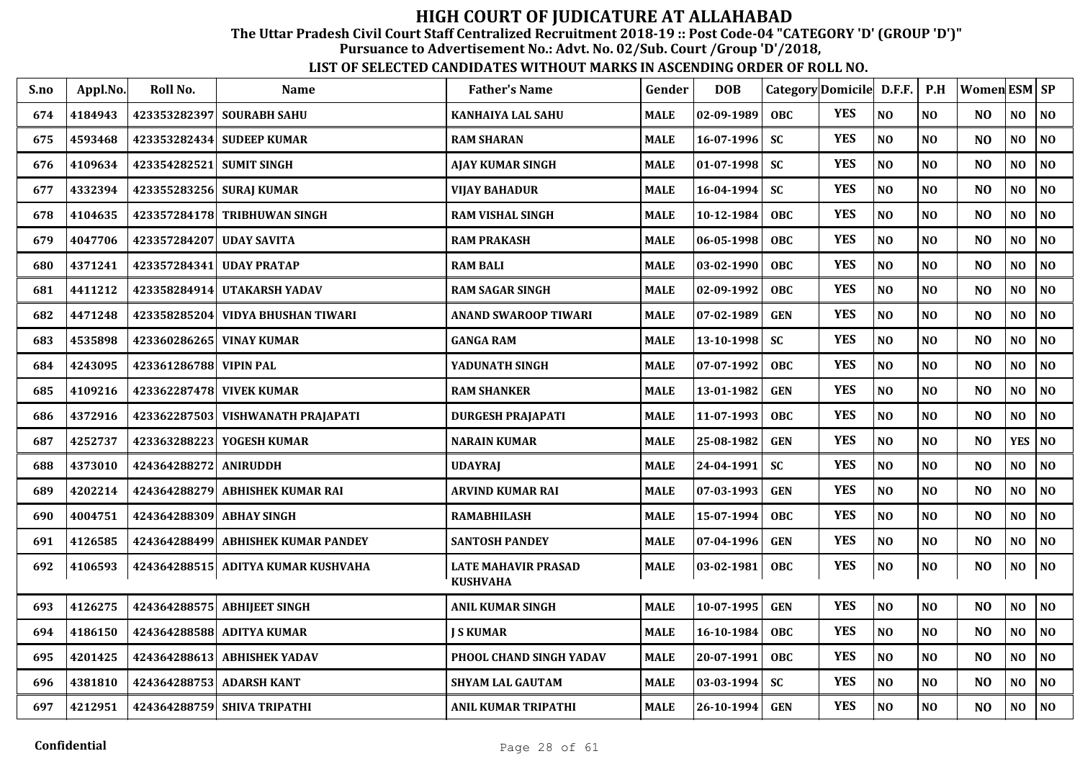The Uttar Pradesh Civil Court Staff Centralized Recruitment 2018-19 :: Post Code-04 "CATEGORY 'D' (GROUP 'D')"

Pursuance to Advertisement No.: Advt. No. 02/Sub. Court /Group 'D'/2018,

| S.no | Appl.No. | Roll No.                 | Name                               | <b>Father's Name</b>                          | Gender      | <b>DOB</b>       | Category Domicile D.F.F. |            |                | P.H            | Women ESM   SP |                |                |
|------|----------|--------------------------|------------------------------------|-----------------------------------------------|-------------|------------------|--------------------------|------------|----------------|----------------|----------------|----------------|----------------|
| 674  | 4184943  |                          | 423353282397 SOURABH SAHU          | <b>KANHAIYA LAL SAHU</b>                      | <b>MALE</b> | $02 - 09 - 1989$ | <b>OBC</b>               | <b>YES</b> | N <sub>O</sub> | N <sub>O</sub> | NO.            | NO.            | N <sub>O</sub> |
| 675  | 4593468  |                          | 423353282434 SUDEEP KUMAR          | <b>RAM SHARAN</b>                             | <b>MALE</b> | $16 - 07 - 1996$ | <b>SC</b>                | <b>YES</b> | NO             | N <sub>O</sub> | NO             | NO             | N <sub>O</sub> |
| 676  | 4109634  | 423354282521 SUMIT SINGH |                                    | <b>AJAY KUMAR SINGH</b>                       | <b>MALE</b> | $01 - 07 - 1998$ | <b>SC</b>                | <b>YES</b> | NO             | N <sub>0</sub> | N <sub>O</sub> | N <sub>O</sub> | NO             |
| 677  | 4332394  | 423355283256 SURAJ KUMAR |                                    | <b>VIJAY BAHADUR</b>                          | <b>MALE</b> | $16 - 04 - 1994$ | <b>SC</b>                | <b>YES</b> | NO             | N <sub>0</sub> | N <sub>O</sub> | NO             | $\bf NO$       |
| 678  | 4104635  |                          | 423357284178 TRIBHUWAN SINGH       | <b>RAM VISHAL SINGH</b>                       | <b>MALE</b> | 10-12-1984       | <b>OBC</b>               | <b>YES</b> | N <sub>O</sub> | N <sub>0</sub> | N <sub>O</sub> | NO             | N <sub>O</sub> |
| 679  | 4047706  | 423357284207 UDAY SAVITA |                                    | <b>RAM PRAKASH</b>                            | <b>MALE</b> | 06-05-1998       | <b>OBC</b>               | <b>YES</b> | NO             | NO             | N <sub>O</sub> | NO             | NO             |
| 680  | 4371241  | 423357284341             | <b>UDAY PRATAP</b>                 | <b>RAM BALI</b>                               | <b>MALE</b> | 03-02-1990       | <b>OBC</b>               | <b>YES</b> | NO             | NO             | N <sub>O</sub> | NO             | NO             |
| 681  | 4411212  |                          | 423358284914 UTAKARSH YADAV        | <b>RAM SAGAR SINGH</b>                        | <b>MALE</b> | 02-09-1992       | <b>OBC</b>               | <b>YES</b> | N <sub>O</sub> | N <sub>O</sub> | N <sub>O</sub> | NO             | NO             |
| 682  | 4471248  |                          | 423358285204 VIDYA BHUSHAN TIWARI  | <b>ANAND SWAROOP TIWARI</b>                   | <b>MALE</b> | 07-02-1989       | <b>GEN</b>               | <b>YES</b> | N <sub>O</sub> | N <sub>O</sub> | N <sub>O</sub> | NO             | N <sub>O</sub> |
| 683  | 4535898  |                          | 423360286265 VINAY KUMAR           | <b>GANGA RAM</b>                              | <b>MALE</b> | 13-10-1998       | <b>SC</b>                | <b>YES</b> | N <sub>O</sub> | NO             | N <sub>O</sub> | NO             | N <sub>O</sub> |
| 684  | 4243095  | 423361286788 VIPIN PAL   |                                    | YADUNATH SINGH                                | <b>MALE</b> | 07-07-1992       | <b>OBC</b>               | <b>YES</b> | NO             | N <sub>0</sub> | NO             | N <sub>O</sub> | NO             |
| 685  | 4109216  |                          | 423362287478 VIVEK KUMAR           | <b>RAM SHANKER</b>                            | <b>MALE</b> | 13-01-1982       | <b>GEN</b>               | <b>YES</b> | N <sub>O</sub> | NO             | NO             | NO             | NO             |
| 686  | 4372916  |                          | 423362287503 VISHWANATH PRAJAPATI  | <b>DURGESH PRAJAPATI</b>                      | <b>MALE</b> | 11-07-1993       | <b>OBC</b>               | <b>YES</b> | N <sub>O</sub> | N <sub>O</sub> | N <sub>O</sub> | NO.            | N <sub>O</sub> |
| 687  | 4252737  |                          | 423363288223 YOGESH KUMAR          | <b>NARAIN KUMAR</b>                           | <b>MALE</b> | 25-08-1982       | <b>GEN</b>               | <b>YES</b> | N <sub>O</sub> | N <sub>0</sub> | N <sub>O</sub> | <b>YES</b>     | N <sub>O</sub> |
| 688  | 4373010  | 424364288272 ANIRUDDH    |                                    | <b>UDAYRAJ</b>                                | <b>MALE</b> | 24-04-1991       | <b>SC</b>                | <b>YES</b> | NO             | NO             | N <sub>O</sub> | N <sub>O</sub> | N <sub>O</sub> |
| 689  | 4202214  |                          | 424364288279 ABHISHEK KUMAR RAI    | <b>ARVIND KUMAR RAI</b>                       | <b>MALE</b> | $07 - 03 - 1993$ | <b>GEN</b>               | <b>YES</b> | N <sub>O</sub> | N <sub>O</sub> | N <sub>O</sub> | NO             | N <sub>O</sub> |
| 690  | 4004751  | 424364288309 ABHAY SINGH |                                    | <b>RAMABHILASH</b>                            | <b>MALE</b> | 15-07-1994       | <b>OBC</b>               | <b>YES</b> | NO             | N <sub>O</sub> | NO             | N <sub>O</sub> | N <sub>O</sub> |
| 691  | 4126585  |                          | 424364288499 ABHISHEK KUMAR PANDEY | <b>SANTOSH PANDEY</b>                         | <b>MALE</b> | 07-04-1996       | <b>GEN</b>               | <b>YES</b> | N <sub>O</sub> | N <sub>O</sub> | NO             | N <sub>O</sub> | N <sub>O</sub> |
| 692  | 4106593  |                          | 424364288515 ADITYA KUMAR KUSHVAHA | <b>LATE MAHAVIR PRASAD</b><br><b>KUSHVAHA</b> | <b>MALE</b> | $03 - 02 - 1981$ | <b>OBC</b>               | <b>YES</b> | $\bf NO$       | $\bf NO$       | NO             | NO             | $\bf NO$       |
| 693  | 4126275  |                          | 424364288575 ABHIJEET SINGH        | <b>ANIL KUMAR SINGH</b>                       | <b>MALE</b> | 10-07-1995       | <b>GEN</b>               | <b>YES</b> | NO             | N <sub>0</sub> | NO             | N <sub>O</sub> | NO             |
| 694  | 4186150  |                          | 424364288588 ADITYA KUMAR          | <b>I S KUMAR</b>                              | <b>MALE</b> | $16 - 10 - 1984$ | <b>OBC</b>               | <b>YES</b> | N <sub>O</sub> | N <sub>O</sub> | N <sub>O</sub> | NO             | NO             |
| 695  | 4201425  |                          | 424364288613 ABHISHEK YADAV        | PHOOL CHAND SINGH YADAV                       | <b>MALE</b> | 20-07-1991       | <b>OBC</b>               | <b>YES</b> | N <sub>O</sub> | N <sub>O</sub> | N <sub>O</sub> | NO             | N <sub>O</sub> |
| 696  | 4381810  |                          | 424364288753 ADARSH KANT           | <b>SHYAM LAL GAUTAM</b>                       | <b>MALE</b> | $03 - 03 - 1994$ | <b>SC</b>                | <b>YES</b> | $\bf NO$       | $\bf NO$       | N <sub>O</sub> | NO             | $\bf NO$       |
| 697  | 4212951  |                          | 424364288759 SHIVA TRIPATHI        | <b>ANIL KUMAR TRIPATHI</b>                    | <b>MALE</b> | $26 - 10 - 1994$ | <b>GEN</b>               | <b>YES</b> | NO             | N <sub>0</sub> | NO             | NO             | N <sub>O</sub> |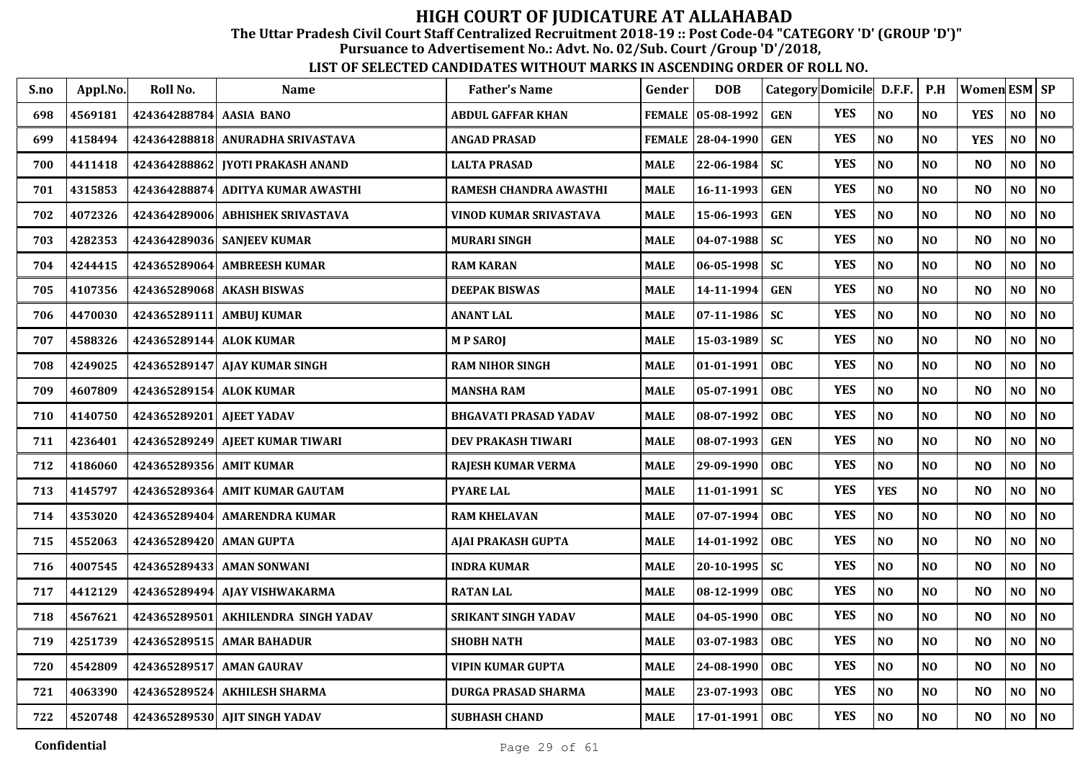The Uttar Pradesh Civil Court Staff Centralized Recruitment 2018-19 :: Post Code-04 "CATEGORY 'D' (GROUP 'D')"

Pursuance to Advertisement No.: Advt. No. 02/Sub. Court /Group 'D'/2018,

| S.no | Appl.No. | Roll No.                | Name                               | <b>Father's Name</b>     | Gender      | <b>DOB</b>        |            | Category Domicile D.F.F. |                | P.H            | Women ESM SP   |                |                |
|------|----------|-------------------------|------------------------------------|--------------------------|-------------|-------------------|------------|--------------------------|----------------|----------------|----------------|----------------|----------------|
| 698  | 4569181  | 424364288784 AASIA BANO |                                    | <b>ABDUL GAFFAR KHAN</b> |             | FEMALE 05-08-1992 | <b>GEN</b> | <b>YES</b>               | N <sub>O</sub> | NO             | <b>YES</b>     | N <sub>O</sub> | $\bf NO$       |
| 699  | 4158494  |                         | 424364288818 ANURADHA SRIVASTAVA   | <b>ANGAD PRASAD</b>      |             | FEMALE 28-04-1990 | <b>GEN</b> | <b>YES</b>               | N <sub>O</sub> | NO             | <b>YES</b>     | N <sub>O</sub> | NO             |
| 700  | 4411418  |                         | 424364288862   JYOTI PRAKASH ANAND | <b>LALTA PRASAD</b>      | MALE        | 22-06-1984        | SC         | <b>YES</b>               | $\bf NO$       | NO             | N <sub>O</sub> | NO             | NO             |
| 701  | 4315853  | 424364288874            | <b>ADITYA KUMAR AWASTHI</b>        | RAMESH CHANDRA AWASTHI   | MALE        | 16-11-1993        | <b>GEN</b> | <b>YES</b>               | NO             | NO             | N <sub>O</sub> | NO             | $\bf NO$       |
| 702  | 4072326  | 424364289006            | <b>ABHISHEK SRIVASTAVA</b>         | VINOD KUMAR SRIVASTAVA   | <b>MALE</b> | 15-06-1993        | <b>GEN</b> | <b>YES</b>               | N <sub>O</sub> | NO             | N <sub>O</sub> | $\bf NO$       | NO             |
| 703  | 4282353  |                         | 424364289036 SANJEEV KUMAR         | <b>MURARI SINGH</b>      | <b>MALE</b> | 04-07-1988        | SC         | <b>YES</b>               | N <sub>O</sub> | NO             | N <sub>O</sub> | NO             | NO             |
| 704  | 4244415  |                         | 424365289064 AMBREESH KUMAR        | <b>RAM KARAN</b>         | MALE        | $06 - 05 - 1998$  | <b>SC</b>  | <b>YES</b>               | $\bf NO$       | NO             | N <sub>O</sub> | NO             | N <sub>0</sub> |
| 705  | 4107356  |                         | 424365289068 AKASH BISWAS          | <b>DEEPAK BISWAS</b>     | <b>MALE</b> | 14-11-1994        | <b>GEN</b> | <b>YES</b>               | N <sub>O</sub> | NO             | N <sub>O</sub> | NO             | $\bf NO$       |
| 706  | 4470030  | 424365289111            | <b>AMBUI KUMAR</b>                 | <b>ANANT LAL</b>         | MALE        | $07 - 11 - 1986$  | <b>SC</b>  | <b>YES</b>               | N <sub>O</sub> | NO             | N <sub>O</sub> | NO             | NO             |
| 707  | 4588326  | 424365289144 ALOK KUMAR |                                    | <b>MPSAROJ</b>           | <b>MALE</b> | 15-03-1989        | <b>SC</b>  | <b>YES</b>               | N <sub>O</sub> | NO             | N <sub>O</sub> | NO             | NO             |
| 708  | 4249025  |                         | 424365289147   AJAY KUMAR SINGH    | <b>RAM NIHOR SINGH</b>   | MALE        | 01-01-1991        | <b>OBC</b> | <b>YES</b>               | NO             | N <sub>O</sub> | N <sub>O</sub> | N <sub>O</sub> | N <sub>O</sub> |
| 709  | 4607809  | 424365289154 ALOK KUMAR |                                    | <b>MANSHA RAM</b>        | <b>MALE</b> | 05-07-1991        | <b>OBC</b> | <b>YES</b>               | N <sub>O</sub> | NO             | N <sub>O</sub> | N <sub>O</sub> | NO             |
| 710  | 4140750  | 424365289201            | <b>AJEET YADAV</b>                 | BHGAVATI PRASAD YADAV    | MALE        | 08-07-1992        | <b>OBC</b> | <b>YES</b>               | N <sub>O</sub> | NO             | N <sub>O</sub> | N <sub>O</sub> | N <sub>0</sub> |
| 711  | 4236401  |                         | 424365289249 AJEET KUMAR TIWARI    | DEV PRAKASH TIWARI       | <b>MALE</b> | 08-07-1993        | <b>GEN</b> | <b>YES</b>               | N <sub>O</sub> | NO             | N <sub>O</sub> | NO             | NO             |
| 712  | 4186060  | 424365289356 AMIT KUMAR |                                    | RAJESH KUMAR VERMA       | <b>MALE</b> | 29-09-1990        | <b>OBC</b> | <b>YES</b>               | N <sub>O</sub> | N <sub>O</sub> | N <sub>O</sub> | N <sub>O</sub> | NO             |
| 713  | 4145797  |                         | 424365289364 AMIT KUMAR GAUTAM     | <b>PYARE LAL</b>         | MALE        | 11-01-1991        | <b>SC</b>  | <b>YES</b>               | <b>YES</b>     | <b>NO</b>      | N <sub>O</sub> | NO             | NO             |
| 714  | 4353020  |                         | 424365289404 AMARENDRA KUMAR       | <b>RAM KHELAVAN</b>      | MALE        | $07 - 07 - 1994$  | <b>OBC</b> | <b>YES</b>               | NO             | NO             | N <sub>O</sub> | NO             | NO             |
| 715  | 4552063  | 424365289420 AMAN GUPTA |                                    | AJAI PRAKASH GUPTA       | <b>MALE</b> | 14-01-1992        | <b>OBC</b> | <b>YES</b>               | NO             | NO             | N <sub>O</sub> | NO             | NO             |
| 716  | 4007545  |                         | 424365289433 AMAN SONWANI          | <b>INDRA KUMAR</b>       | <b>MALE</b> | 20-10-1995        | <b>SC</b>  | <b>YES</b>               | N <sub>O</sub> | N <sub>O</sub> | N <sub>O</sub> | NO             | NO             |
| 717  | 4412129  |                         | 424365289494 AJAY VISHWAKARMA      | <b>RATAN LAL</b>         | MALE        | 08-12-1999        | <b>OBC</b> | <b>YES</b>               | $\bf NO$       | NO             | N <sub>O</sub> | N <sub>O</sub> | N <sub>O</sub> |
| 718  | 4567621  | 424365289501            | AKHILENDRA SINGH YADAV             | SRIKANT SINGH YADAV      | <b>MALE</b> | 04-05-1990        | <b>OBC</b> | <b>YES</b>               | NO             | N <sub>O</sub> | N <sub>O</sub> | NO             | NO             |
| 719  | 4251739  | 424365289515            | <b>AMAR BAHADUR</b>                | <b>SHOBH NATH</b>        | <b>MALE</b> | 03-07-1983        | <b>OBC</b> | <b>YES</b>               | N <sub>O</sub> | N <sub>O</sub> | N <sub>O</sub> | NO             | NO             |
| 720  | 4542809  | 424365289517            | <b>AMAN GAURAV</b>                 | <b>VIPIN KUMAR GUPTA</b> | <b>MALE</b> | 24-08-1990        | <b>OBC</b> | <b>YES</b>               | $\bf NO$       | N <sub>O</sub> | N <sub>O</sub> | NO             | NO             |
| 721  | 4063390  |                         | 424365289524 AKHILESH SHARMA       | DURGA PRASAD SHARMA      | MALE        | 23-07-1993        | <b>OBC</b> | <b>YES</b>               | $\bf NO$       | N <sub>0</sub> | N <sub>O</sub> | NO             | $\bf NO$       |
| 722  | 4520748  |                         | 424365289530 AJIT SINGH YADAV      | <b>SUBHASH CHAND</b>     | <b>MALE</b> | 17-01-1991        | <b>OBC</b> | <b>YES</b>               | $\bf NO$       | N <sub>O</sub> | NO             | NO             | N <sub>O</sub> |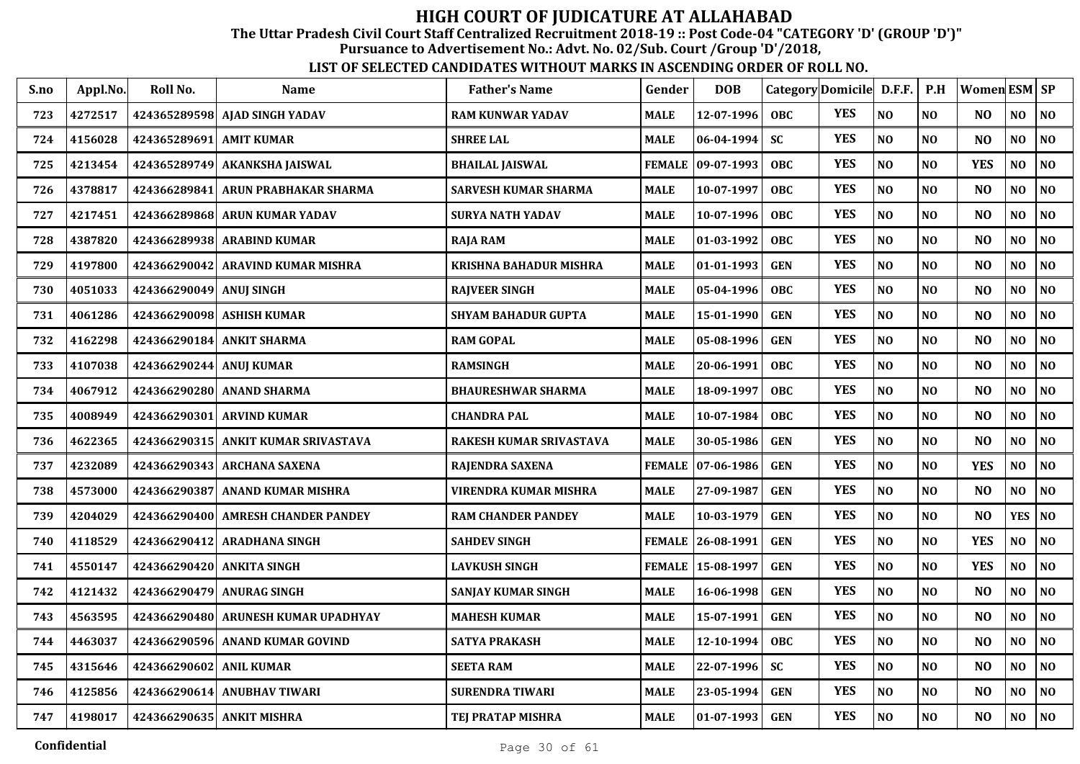The Uttar Pradesh Civil Court Staff Centralized Recruitment 2018-19 :: Post Code-04 "CATEGORY 'D' (GROUP 'D')"

Pursuance to Advertisement No.: Advt. No. 02/Sub. Court /Group 'D'/2018,

| S.no | Appl.No. | Roll No.                  | <b>Name</b>                         | <b>Father's Name</b>          | Gender        | <b>DOB</b>          | Category Domicile |            | D.F.F.         | P.H            | <b>Women ESM SP</b> |                |    |
|------|----------|---------------------------|-------------------------------------|-------------------------------|---------------|---------------------|-------------------|------------|----------------|----------------|---------------------|----------------|----|
| 723  | 4272517  |                           | 424365289598 AJAD SINGH YADAV       | <b>RAM KUNWAR YADAV</b>       | <b>MALE</b>   | 12-07-1996          | <b>OBC</b>        | <b>YES</b> | N <sub>O</sub> | N <sub>O</sub> | N <sub>O</sub>      | N <sub>O</sub> | NO |
| 724  | 4156028  | 424365289691 AMIT KUMAR   |                                     | <b>SHREE LAL</b>              | <b>MALE</b>   | $ 06-04-1994$       | <b>SC</b>         | <b>YES</b> | N <sub>O</sub> | N <sub>O</sub> | N <sub>O</sub>      | NO             | NO |
| 725  | 4213454  |                           | 424365289749 AKANKSHA JAISWAL       | <b>BHAILAL JAISWAL</b>        | <b>FEMALE</b> | $ 09-07-1993$       | <b>OBC</b>        | <b>YES</b> | N <sub>O</sub> | NO             | <b>YES</b>          | N <sub>O</sub> | NO |
| 726  | 4378817  | 424366289841              | ARUN PRABHAKAR SHARMA               | <b>SARVESH KUMAR SHARMA</b>   | <b>MALE</b>   | 10-07-1997          | <b>OBC</b>        | <b>YES</b> | NO             | NO             | N <sub>O</sub>      | N <sub>O</sub> | NO |
| 727  | 4217451  |                           | 424366289868 ARUN KUMAR YADAV       | <b>SURYA NATH YADAV</b>       | <b>MALE</b>   | 10-07-1996          | <b>OBC</b>        | <b>YES</b> | NO             | N <sub>O</sub> | N <sub>O</sub>      | NO             | NO |
| 728  | 4387820  |                           | 424366289938 ARABIND KUMAR          | <b>RAJA RAM</b>               | <b>MALE</b>   | $ 01-03-1992$       | <b>OBC</b>        | <b>YES</b> | NO             | N <sub>O</sub> | N <sub>O</sub>      | $\bf NO$       | NO |
| 729  | 4197800  |                           | 424366290042 ARAVIND KUMAR MISHRA   | <b>KRISHNA BAHADUR MISHRA</b> | <b>MALE</b>   | $ 01-01-1993$       | <b>GEN</b>        | <b>YES</b> | $\bf NO$       | NO             | N <sub>O</sub>      | NO             | NO |
| 730  | 4051033  | 424366290049 ANUJ SINGH   |                                     | <b>RAJVEER SINGH</b>          | <b>MALE</b>   | 05-04-1996          | <b>OBC</b>        | <b>YES</b> | NO             | NO             | N <sub>O</sub>      | NO             | NO |
| 731  | 4061286  |                           | 424366290098 ASHISH KUMAR           | <b>SHYAM BAHADUR GUPTA</b>    | <b>MALE</b>   | 15-01-1990          | <b>GEN</b>        | <b>YES</b> | NO             | N <sub>O</sub> | N <sub>O</sub>      | NO             | NO |
| 732  | 4162298  |                           | 424366290184 ANKIT SHARMA           | <b>RAM GOPAL</b>              | <b>MALE</b>   | 05-08-1996          | <b>GEN</b>        | <b>YES</b> | NO             | N <sub>0</sub> | N <sub>O</sub>      | NO             | NO |
| 733  | 4107038  | 424366290244 ANUJ KUMAR   |                                     | <b>RAMSINGH</b>               | <b>MALE</b>   | 20-06-1991          | <b>OBC</b>        | <b>YES</b> | N <sub>O</sub> | N <sub>O</sub> | N <sub>O</sub>      | $\bf NO$       | NO |
| 734  | 4067912  |                           | 424366290280 ANAND SHARMA           | <b>BHAURESHWAR SHARMA</b>     | <b>MALE</b>   | 18-09-1997          | <b>OBC</b>        | <b>YES</b> | N <sub>O</sub> | N <sub>O</sub> | N <sub>O</sub>      | N <sub>O</sub> | NO |
| 735  | 4008949  | 424366290301              | <b>ARVIND KUMAR</b>                 | <b>CHANDRA PAL</b>            | <b>MALE</b>   | 10-07-1984          | <b>OBC</b>        | <b>YES</b> | NO             | N <sub>O</sub> | N <sub>O</sub>      | N <sub>O</sub> | NO |
| 736  | 4622365  |                           | 424366290315 ANKIT KUMAR SRIVASTAVA | RAKESH KUMAR SRIVASTAVA       | <b>MALE</b>   | 30-05-1986          | <b>GEN</b>        | <b>YES</b> | N <sub>O</sub> | N <sub>O</sub> | N <sub>O</sub>      | NO             | NO |
| 737  | 4232089  |                           | 424366290343 ARCHANA SAXENA         | <b>RAJENDRA SAXENA</b>        | <b>FEMALE</b> | $ 07-06-1986$       | <b>GEN</b>        | <b>YES</b> | N <sub>O</sub> | N <sub>O</sub> | <b>YES</b>          | NO             | NO |
| 738  | 4573000  |                           | 424366290387 ANAND KUMAR MISHRA     | VIRENDRA KUMAR MISHRA         | <b>MALE</b>   | 27-09-1987          | <b>GEN</b>        | <b>YES</b> | NO             | NO             | N <sub>O</sub>      | NO             | NO |
| 739  | 4204029  |                           | 424366290400 AMRESH CHANDER PANDEY  | <b>RAM CHANDER PANDEY</b>     | <b>MALE</b>   | 10-03-1979          | <b>GEN</b>        | <b>YES</b> | NO             | N <sub>O</sub> | N <sub>O</sub>      | <b>YES</b>     | NO |
| 740  | 4118529  |                           | 424366290412 ARADHANA SINGH         | <b>SAHDEV SINGH</b>           | <b>FEMALE</b> | $ 26-08-1991$       | <b>GEN</b>        | <b>YES</b> | N <sub>O</sub> | NO             | <b>YES</b>          | N <sub>O</sub> | NO |
| 741  | 4550147  | 424366290420 ANKITA SINGH |                                     | <b>LAVKUSH SINGH</b>          |               | FEMALE   15-08-1997 | <b>GEN</b>        | <b>YES</b> | NO             | N <sub>O</sub> | <b>YES</b>          | NO             | NO |
| 742  | 4121432  |                           | 424366290479 ANURAG SINGH           | SANJAY KUMAR SINGH            | <b>MALE</b>   | 16-06-1998          | <b>GEN</b>        | <b>YES</b> | NO             | N <sub>O</sub> | N <sub>O</sub>      | $\bf NO$       | NO |
| 743  | 4563595  |                           | 424366290480 ARUNESH KUMAR UPADHYAY | <b>MAHESH KUMAR</b>           | <b>MALE</b>   | 15-07-1991          | <b>GEN</b>        | <b>YES</b> | NO             | N <sub>O</sub> | N <sub>O</sub>      | $\bf NO$       | NO |
| 744  | 4463037  |                           | 424366290596 ANAND KUMAR GOVIND     | <b>SATYA PRAKASH</b>          | <b>MALE</b>   | 12-10-1994          | <b>OBC</b>        | <b>YES</b> | NO             | NO             | N <sub>O</sub>      | N <sub>O</sub> | NO |
| 745  | 4315646  | 424366290602 ANIL KUMAR   |                                     | <b>SEETA RAM</b>              | <b>MALE</b>   | 22-07-1996          | <b>SC</b>         | <b>YES</b> | NO             | N <sub>O</sub> | N <sub>O</sub>      | $\bf NO$       | NO |
| 746  | 4125856  |                           | 424366290614 ANUBHAV TIWARI         | <b>SURENDRA TIWARI</b>        | <b>MALE</b>   | 23-05-1994          | <b>GEN</b>        | <b>YES</b> | $\bf NO$       | $\bf NO$       | N <sub>O</sub>      | $\bf NO$       | NO |
| 747  | 4198017  |                           | 424366290635 ANKIT MISHRA           | <b>TEJ PRATAP MISHRA</b>      | <b>MALE</b>   | $ 01-07-1993$       | <b>GEN</b>        | <b>YES</b> | $\bf NO$       | $\bf NO$       | N <sub>O</sub>      | NO             | NO |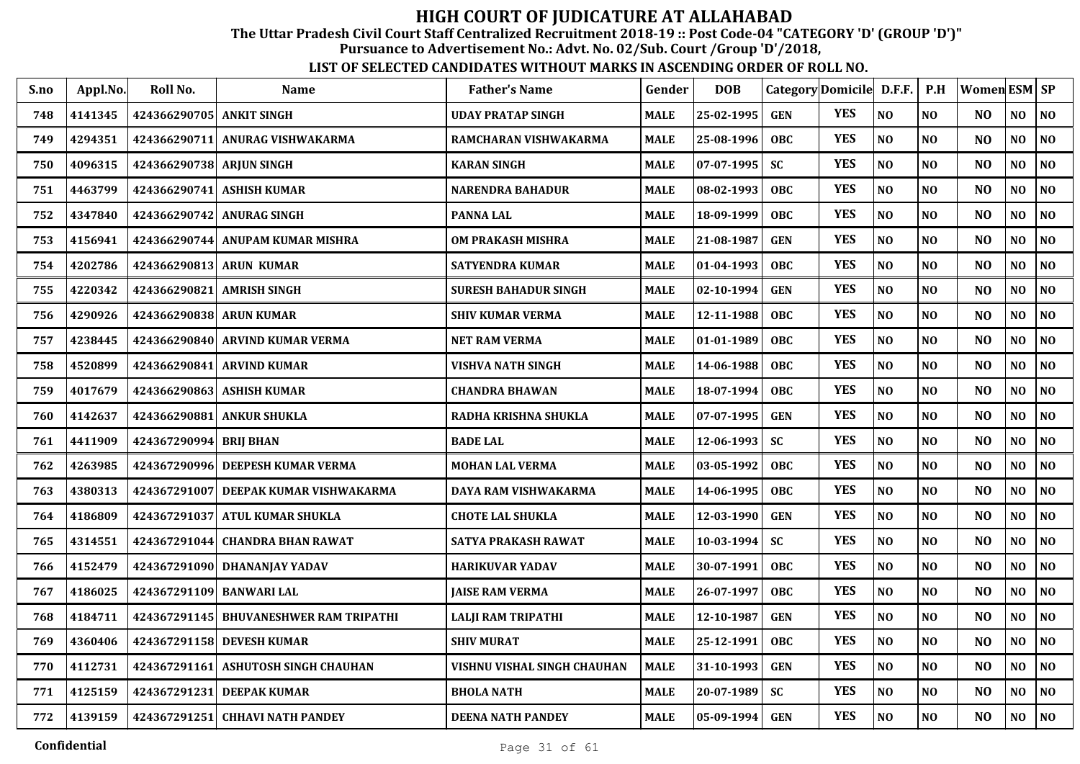The Uttar Pradesh Civil Court Staff Centralized Recruitment 2018-19 :: Post Code-04 "CATEGORY 'D' (GROUP 'D')"

Pursuance to Advertisement No.: Advt. No. 02/Sub. Court /Group 'D'/2018,

| S.no | Appl.No. | Roll No.                  | <b>Name</b>                             | <b>Father's Name</b>        | Gender      | <b>DOB</b> |            | Category Domicile D.F.F. |                | P.H            | Women ESM   SP |                |                |
|------|----------|---------------------------|-----------------------------------------|-----------------------------|-------------|------------|------------|--------------------------|----------------|----------------|----------------|----------------|----------------|
| 748  | 4141345  | 424366290705 ANKIT SINGH  |                                         | <b>UDAY PRATAP SINGH</b>    | <b>MALE</b> | 25-02-1995 | <b>GEN</b> | <b>YES</b>               | N <sub>O</sub> | NO             | N <sub>O</sub> | N <sub>O</sub> | N <sub>O</sub> |
| 749  | 4294351  |                           | 424366290711  ANURAG VISHWAKARMA        | RAMCHARAN VISHWAKARMA       | <b>MALE</b> | 25-08-1996 | <b>OBC</b> | <b>YES</b>               | NO             | NO             | N <sub>O</sub> | NO             | N <sub>O</sub> |
| 750  | 4096315  | 424366290738  ARJUN SINGH |                                         | <b>KARAN SINGH</b>          | <b>MALE</b> | 07-07-1995 | <b>SC</b>  | <b>YES</b>               | NO             | NO             | N <sub>O</sub> | NO             | N <sub>O</sub> |
| 751  | 4463799  |                           | 424366290741 ASHISH KUMAR               | <b>NARENDRA BAHADUR</b>     | <b>MALE</b> | 08-02-1993 | <b>OBC</b> | <b>YES</b>               | NO             | NO             | NO             | NO             | N <sub>O</sub> |
| 752  | 4347840  |                           | 424366290742 ANURAG SINGH               | <b>PANNA LAL</b>            | <b>MALE</b> | 18-09-1999 | <b>OBC</b> | <b>YES</b>               | NO             | NO             | N <sub>O</sub> | NO             | N <sub>O</sub> |
| 753  | 4156941  |                           | 424366290744 ANUPAM KUMAR MISHRA        | OM PRAKASH MISHRA           | <b>MALE</b> | 21-08-1987 | <b>GEN</b> | <b>YES</b>               | NO             | NO             | N <sub>O</sub> | NO             | N <sub>O</sub> |
| 754  | 4202786  | 424366290813 ARUN KUMAR   |                                         | <b>SATYENDRA KUMAR</b>      | <b>MALE</b> | 01-04-1993 | <b>OBC</b> | <b>YES</b>               | $\bf NO$       | NO             | N <sub>O</sub> | NO             | N <sub>O</sub> |
| 755  | 4220342  |                           | 424366290821 AMRISH SINGH               | SURESH BAHADUR SINGH        | <b>MALE</b> | 02-10-1994 | <b>GEN</b> | <b>YES</b>               | NO             | NO             | N <sub>O</sub> | NO             | NO             |
| 756  | 4290926  | 424366290838 ARUN KUMAR   |                                         | <b>SHIV KUMAR VERMA</b>     | <b>MALE</b> | 12-11-1988 | <b>OBC</b> | <b>YES</b>               | NO             | NO             | NO             | NO             | N <sub>O</sub> |
| 757  | 4238445  |                           | 424366290840 ARVIND KUMAR VERMA         | <b>NET RAM VERMA</b>        | <b>MALE</b> | 01-01-1989 | <b>OBC</b> | <b>YES</b>               | NO             | NO             | N <sub>O</sub> | NO             | N <sub>O</sub> |
| 758  | 4520899  |                           | 424366290841 ARVIND KUMAR               | VISHVA NATH SINGH           | <b>MALE</b> | 14-06-1988 | <b>OBC</b> | <b>YES</b>               | $\bf NO$       | NO             | N <sub>O</sub> | NO             | N <sub>O</sub> |
| 759  | 4017679  |                           | 424366290863   ASHISH KUMAR             | <b>CHANDRA BHAWAN</b>       | <b>MALE</b> | 18-07-1994 | <b>OBC</b> | <b>YES</b>               | $\bf NO$       | N <sub>O</sub> | NO             | NO             | N <sub>O</sub> |
| 760  | 4142637  | 424366290881              | <b>ANKUR SHUKLA</b>                     | RADHA KRISHNA SHUKLA        | MALE        | 07-07-1995 | <b>GEN</b> | <b>YES</b>               | $\bf NO$       | NO             | N <sub>O</sub> | NO             | NO             |
| 761  | 4411909  | 424367290994              | <b>BRIJ BHAN</b>                        | <b>BADE LAL</b>             | <b>MALE</b> | 12-06-1993 | <b>SC</b>  | <b>YES</b>               | $\bf NO$       | NO             | NO             | NO             | N <sub>O</sub> |
| 762  | 4263985  | 424367290996              | <b>DEEPESH KUMAR VERMA</b>              | <b>MOHAN LAL VERMA</b>      | <b>MALE</b> | 03-05-1992 | <b>OBC</b> | <b>YES</b>               | NO             | NO             | N <sub>O</sub> | NO             | N <sub>O</sub> |
| 763  | 4380313  |                           | 424367291007   DEEPAK KUMAR VISHWAKARMA | DAYA RAM VISHWAKARMA        | <b>MALE</b> | 14-06-1995 | <b>OBC</b> | <b>YES</b>               | $\bf NO$       | NO             | N <sub>O</sub> | NO             | N <sub>O</sub> |
| 764  | 4186809  |                           | 424367291037  ATUL KUMAR SHUKLA         | <b>CHOTE LAL SHUKLA</b>     | <b>MALE</b> | 12-03-1990 | <b>GEN</b> | <b>YES</b>               | NO             | NO             | N <sub>O</sub> | NO             | N <sub>O</sub> |
| 765  | 4314551  |                           | 424367291044 CHANDRA BHAN RAWAT         | SATYA PRAKASH RAWAT         | MALE        | 10-03-1994 | SC         | <b>YES</b>               | NO             | NO             | N <sub>O</sub> | NO             | N <sub>O</sub> |
| 766  | 4152479  |                           | 424367291090  DHANANJAY YADAV           | <b>HARIKUVAR YADAV</b>      | <b>MALE</b> | 30-07-1991 | <b>OBC</b> | <b>YES</b>               | NO             | NO             | N <sub>O</sub> | NO             | N <sub>O</sub> |
| 767  | 4186025  | 424367291109 BANWARI LAL  |                                         | <b>JAISE RAM VERMA</b>      | MALE        | 26-07-1997 | <b>OBC</b> | <b>YES</b>               | $\bf NO$       | NO             | N <sub>O</sub> | NO             | N <sub>O</sub> |
| 768  | 4184711  |                           | 424367291145  BHUVANESHWER RAM TRIPATHI | <b>LALJI RAM TRIPATHI</b>   | <b>MALE</b> | 12-10-1987 | <b>GEN</b> | <b>YES</b>               | NO             | NO             | NO             | NO             | NO             |
| 769  | 4360406  |                           | 424367291158 DEVESH KUMAR               | <b>SHIV MURAT</b>           | MALE        | 25-12-1991 | <b>OBC</b> | <b>YES</b>               | NO             | NO             | N <sub>O</sub> | NO             | N <sub>O</sub> |
| 770  | 4112731  |                           | 424367291161 ASHUTOSH SINGH CHAUHAN     | VISHNU VISHAL SINGH CHAUHAN | <b>MALE</b> | 31-10-1993 | <b>GEN</b> | <b>YES</b>               | NO             | NO             | NO             | NO             | N <sub>O</sub> |
| 771  | 4125159  |                           | 424367291231 DEEPAK KUMAR               | <b>BHOLA NATH</b>           | <b>MALE</b> | 20-07-1989 | <b>SC</b>  | <b>YES</b>               | $\bf NO$       | NO             | N <sub>O</sub> | NO             | N <sub>O</sub> |
| 772  | 4139159  |                           | 424367291251 CHHAVI NATH PANDEY         | <b>DEENA NATH PANDEY</b>    | <b>MALE</b> | 05-09-1994 | <b>GEN</b> | <b>YES</b>               | $\bf NO$       | NO             | NO             | NO             | $\bf NO$       |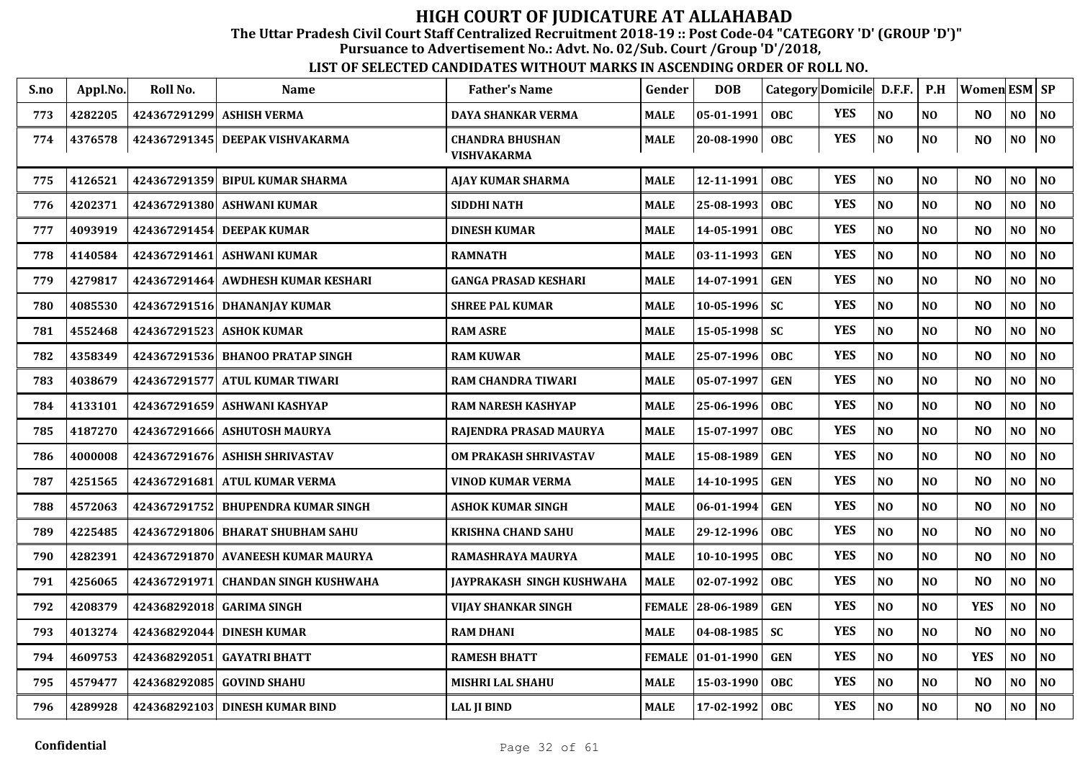The Uttar Pradesh Civil Court Staff Centralized Recruitment 2018-19 :: Post Code-04 "CATEGORY 'D' (GROUP 'D')"

Pursuance to Advertisement No.: Advt. No. 02/Sub. Court /Group 'D'/2018,

| S.no | Appl.No. | Roll No.     | <b>Name</b>                      | <b>Father's Name</b>                         | Gender        | <b>DOB</b>          |            | Category Domicile D.F.F. |          | P.H            | Women ESM SP   |                |                |
|------|----------|--------------|----------------------------------|----------------------------------------------|---------------|---------------------|------------|--------------------------|----------|----------------|----------------|----------------|----------------|
| 773  | 4282205  | 424367291299 | <b>ASHISH VERMA</b>              | DAYA SHANKAR VERMA                           | <b>MALE</b>   | 05-01-1991          | <b>OBC</b> | <b>YES</b>               | NO       | NO             | N <sub>O</sub> | N <sub>O</sub> | $\bf NO$       |
| 774  | 4376578  |              | 424367291345 DEEPAK VISHVAKARMA  | <b>CHANDRA BHUSHAN</b><br><b>VISHVAKARMA</b> | <b>MALE</b>   | $ 20 - 08 - 1990 $  | OBC        | <b>YES</b>               | NO       | NO             | NO             | NO             | N <sub>0</sub> |
| 775  | 4126521  | 424367291359 | <b>BIPUL KUMAR SHARMA</b>        | <b>AJAY KUMAR SHARMA</b>                     | <b>MALE</b>   | 12-11-1991          | <b>OBC</b> | <b>YES</b>               | NO       | NO             | N <sub>O</sub> | NO             | N <sub>0</sub> |
| 776  | 4202371  | 424367291380 | <b>ASHWANI KUMAR</b>             | <b>SIDDHI NATH</b>                           | <b>MALE</b>   | 25-08-1993          | <b>OBC</b> | <b>YES</b>               | NO       | NO             | NO             | N <sub>O</sub> | N <sub>0</sub> |
| 777  | 4093919  | 424367291454 | <b>DEEPAK KUMAR</b>              | <b>DINESH KUMAR</b>                          | <b>MALE</b>   | 14-05-1991          | <b>OBC</b> | <b>YES</b>               | NO       | NO             | N <sub>O</sub> | NO             | N <sub>0</sub> |
| 778  | 4140584  | 424367291461 | <b>ASHWANI KUMAR</b>             | <b>RAMNATH</b>                               | <b>MALE</b>   | 03-11-1993          | <b>GEN</b> | <b>YES</b>               | NO       | N <sub>O</sub> | N <sub>O</sub> | NO             | NO             |
| 779  | 4279817  | 424367291464 | <b>AWDHESH KUMAR KESHARI</b>     | <b>GANGA PRASAD KESHARI</b>                  | <b>MALE</b>   | 14-07-1991          | <b>GEN</b> | <b>YES</b>               | NO       | N <sub>O</sub> | N <sub>O</sub> | N <sub>O</sub> | N <sub>O</sub> |
| 780  | 4085530  |              | 424367291516 DHANANJAY KUMAR     | <b>SHREE PAL KUMAR</b>                       | <b>MALE</b>   | 10-05-1996          | <b>SC</b>  | <b>YES</b>               | $\bf NO$ | NO             | N <sub>O</sub> | NO             | $\bf NO$       |
| 781  | 4552468  |              | 424367291523 ASHOK KUMAR         | <b>RAM ASRE</b>                              | <b>MALE</b>   | 15-05-1998          | <b>SC</b>  | <b>YES</b>               | NO       | NO             | N <sub>O</sub> | N <sub>O</sub> | N <sub>0</sub> |
| 782  | 4358349  |              | 424367291536 BHANOO PRATAP SINGH | <b>RAM KUWAR</b>                             | <b>MALE</b>   | 25-07-1996          | <b>OBC</b> | <b>YES</b>               | NO       | N <sub>O</sub> | N <sub>O</sub> | NO             | N <sub>0</sub> |
| 783  | 4038679  | 424367291577 | <b>ATUL KUMAR TIWARI</b>         | <b>RAM CHANDRA TIWARI</b>                    | <b>MALE</b>   | 05-07-1997          | <b>GEN</b> | <b>YES</b>               | NO       | NO             | N <sub>O</sub> | N <sub>O</sub> | N <sub>0</sub> |
| 784  | 4133101  | 424367291659 | <b>ASHWANI KASHYAP</b>           | <b>RAM NARESH KASHYAP</b>                    | <b>MALE</b>   | 25-06-1996          | <b>OBC</b> | <b>YES</b>               | NO       | N <sub>O</sub> | N <sub>O</sub> | N <sub>O</sub> | N <sub>O</sub> |
| 785  | 4187270  |              | 424367291666 ASHUTOSH MAURYA     | RAJENDRA PRASAD MAURYA                       | <b>MALE</b>   | 15-07-1997          | <b>OBC</b> | <b>YES</b>               | NO       | N <sub>O</sub> | N <sub>O</sub> | NO             | NO             |
| 786  | 4000008  |              | 424367291676 ASHISH SHRIVASTAV   | <b>OM PRAKASH SHRIVASTAV</b>                 | <b>MALE</b>   | 15-08-1989          | <b>GEN</b> | <b>YES</b>               | NO       | N <sub>O</sub> | N <sub>O</sub> | NO             | N <sub>0</sub> |
| 787  | 4251565  | 424367291681 | <b>ATUL KUMAR VERMA</b>          | VINOD KUMAR VERMA                            | <b>MALE</b>   | 14-10-1995          | <b>GEN</b> | <b>YES</b>               | NO       | NO             | N <sub>O</sub> | NO             | $\bf NO$       |
| 788  | 4572063  | 424367291752 | <b>BHUPENDRA KUMAR SINGH</b>     | <b>ASHOK KUMAR SINGH</b>                     | <b>MALE</b>   | 06-01-1994          | <b>GEN</b> | <b>YES</b>               | NO       | N <sub>O</sub> | NO             | N <sub>O</sub> | NO             |
| 789  | 4225485  | 424367291806 | <b>BHARAT SHUBHAM SAHU</b>       | <b>KRISHNA CHAND SAHU</b>                    | <b>MALE</b>   | 29-12-1996          | <b>OBC</b> | <b>YES</b>               | NO       | NO             | NO             | $\bf NO$       | N <sub>O</sub> |
| 790  | 4282391  | 424367291870 | <b>AVANEESH KUMAR MAURYA</b>     | RAMASHRAYA MAURYA                            | <b>MALE</b>   | 10-10-1995          | OBC        | <b>YES</b>               | NO       | NO             | N <sub>O</sub> | N <sub>O</sub> | N <sub>0</sub> |
| 791  | 4256065  | 424367291971 | <b>CHANDAN SINGH KUSHWAHA</b>    | <b>JAYPRAKASH SINGH KUSHWAHA</b>             | <b>MALE</b>   | 02-07-1992          | <b>OBC</b> | <b>YES</b>               | NO       | N <sub>O</sub> | N <sub>O</sub> | N <sub>O</sub> | NO             |
| 792  | 4208379  |              | 424368292018 GARIMA SINGH        | VIJAY SHANKAR SINGH                          | <b>FEMALE</b> | 28-06-1989          | <b>GEN</b> | <b>YES</b>               | NO       | N <sub>O</sub> | <b>YES</b>     | NO.            | N <sub>0</sub> |
| 793  | 4013274  | 424368292044 | <b>DINESH KUMAR</b>              | <b>RAM DHANI</b>                             | <b>MALE</b>   | 04-08-1985          | <b>SC</b>  | <b>YES</b>               | NO       | NO             | NO             | N <sub>O</sub> | NO             |
| 794  | 4609753  | 424368292051 | <b>GAYATRI BHATT</b>             | <b>RAMESH BHATT</b>                          |               | FEMALE   01-01-1990 | <b>GEN</b> | <b>YES</b>               | NO       | NO             | <b>YES</b>     | NO             | $\bf NO$       |
| 795  | 4579477  | 424368292085 | <b>GOVIND SHAHU</b>              | <b>MISHRI LAL SHAHU</b>                      | <b>MALE</b>   | 15-03-1990          | <b>OBC</b> | <b>YES</b>               | NO       | N <sub>O</sub> | N <sub>O</sub> | NO             | NO             |
| 796  | 4289928  |              | 424368292103 DINESH KUMAR BIND   | <b>LAL JI BIND</b>                           | <b>MALE</b>   | 17-02-1992          | <b>OBC</b> | <b>YES</b>               | NO       | N <sub>O</sub> | N <sub>O</sub> | N <sub>O</sub> | N <sub>0</sub> |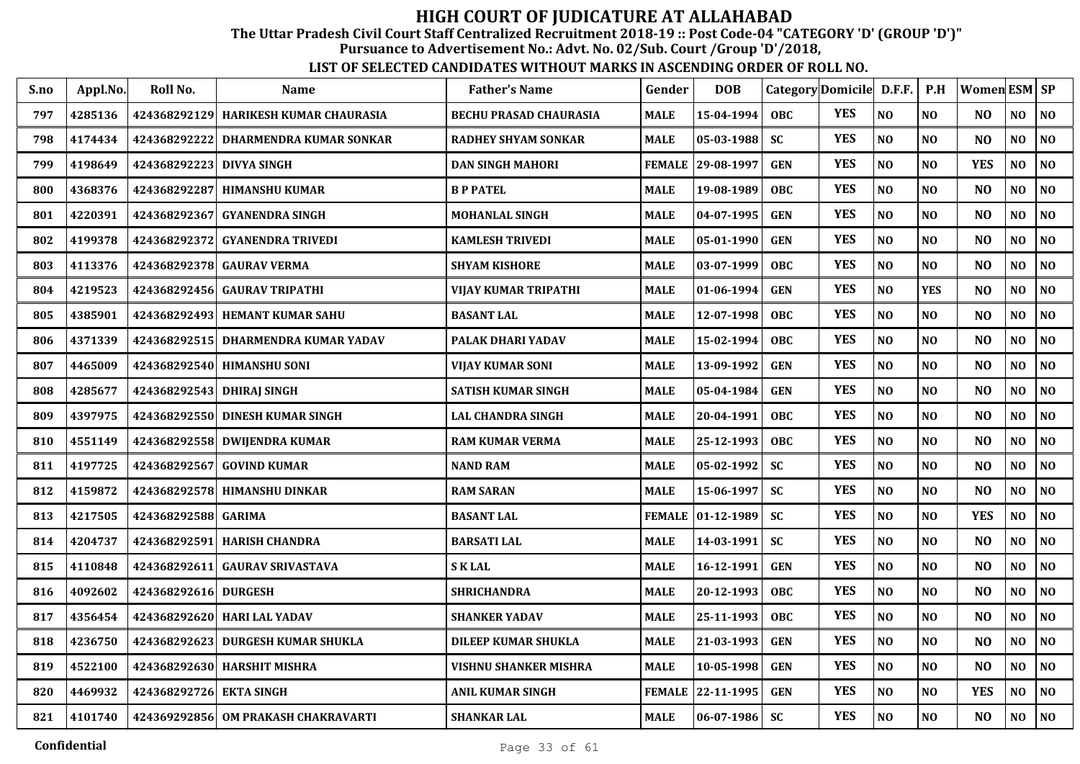The Uttar Pradesh Civil Court Staff Centralized Recruitment 2018-19 :: Post Code-04 "CATEGORY 'D' (GROUP 'D')"

Pursuance to Advertisement No.: Advt. No. 02/Sub. Court /Group 'D'/2018,

| S.no | Appl.No. | Roll No.                  | <b>Name</b>                           | <b>Father's Name</b>          | Gender        | <b>DOB</b>       |            | Category Domicile D.F.F. |                | P.H            | Women ESM SP   |                |                |
|------|----------|---------------------------|---------------------------------------|-------------------------------|---------------|------------------|------------|--------------------------|----------------|----------------|----------------|----------------|----------------|
| 797  | 4285136  |                           | 424368292129 HARIKESH KUMAR CHAURASIA | <b>BECHU PRASAD CHAURASIA</b> | <b>MALE</b>   | 15-04-1994       | <b>OBC</b> | <b>YES</b>               | N <sub>O</sub> | NO.            | N <sub>O</sub> | NO.            | NO             |
| 798  | 4174434  | 424368292222              | DHARMENDRA KUMAR SONKAR               | <b>RADHEY SHYAM SONKAR</b>    | <b>MALE</b>   | $ 05-03-1988 $   | <b>SC</b>  | <b>YES</b>               | NO             | N <sub>O</sub> | N <sub>O</sub> | NO             | N <sub>0</sub> |
| 799  | 4198649  | 424368292223 DIVYA SINGH  |                                       | <b>DAN SINGH MAHORI</b>       | <b>FEMALE</b> | 29-08-1997       | <b>GEN</b> | <b>YES</b>               | $\bf NO$       | N <sub>O</sub> | <b>YES</b>     | NO             | NO             |
| 800  | 4368376  |                           | 424368292287 HIMANSHU KUMAR           | <b>B P PATEL</b>              | <b>MALE</b>   | 19-08-1989       | <b>OBC</b> | <b>YES</b>               | NO             | N <sub>O</sub> | N <sub>O</sub> | NO             | N <sub>0</sub> |
| 801  | 4220391  | 424368292367              | <b>GYANENDRA SINGH</b>                | <b>MOHANLAL SINGH</b>         | <b>MALE</b>   | 04-07-1995       | <b>GEN</b> | <b>YES</b>               | N <sub>O</sub> | N <sub>O</sub> | N <sub>O</sub> | NO             | N <sub>0</sub> |
| 802  | 4199378  | 424368292372              | <b>GYANENDRA TRIVEDI</b>              | <b>KAMLESH TRIVEDI</b>        | <b>MALE</b>   | 05-01-1990       | <b>GEN</b> | <b>YES</b>               | N <sub>O</sub> | N <sub>O</sub> | N <sub>O</sub> | N <sub>O</sub> | N <sub>0</sub> |
| 803  | 4113376  |                           | 424368292378 GAURAV VERMA             | <b>SHYAM KISHORE</b>          | <b>MALE</b>   | 03-07-1999       | <b>OBC</b> | <b>YES</b>               | NO             | N <sub>O</sub> | N <sub>O</sub> | N <sub>O</sub> | NO             |
| 804  | 4219523  | 424368292456              | <b>GAURAV TRIPATHI</b>                | VIJAY KUMAR TRIPATHI          | <b>MALE</b>   | $01-06-1994$     | <b>GEN</b> | <b>YES</b>               | $\bf NO$       | <b>YES</b>     | N <sub>O</sub> | NO             | $\bf NO$       |
| 805  | 4385901  |                           | 424368292493 HEMANT KUMAR SAHU        | <b>BASANT LAL</b>             | <b>MALE</b>   | 12-07-1998       | <b>OBC</b> | <b>YES</b>               | NO             | N <sub>0</sub> | N <sub>O</sub> | NO.            | NO             |
| 806  | 4371339  |                           | 424368292515 DHARMENDRA KUMAR YADAV   | PALAK DHARI YADAV             | <b>MALE</b>   | 15-02-1994       | <b>OBC</b> | <b>YES</b>               | N <sub>O</sub> | N <sub>O</sub> | N <sub>O</sub> | NO             | NO             |
| 807  | 4465009  |                           | 424368292540 HIMANSHU SONI            | VIJAY KUMAR SONI              | <b>MALE</b>   | 13-09-1992       | <b>GEN</b> | <b>YES</b>               | NO             | N <sub>O</sub> | N <sub>O</sub> | NO             | NO             |
| 808  | 4285677  | 424368292543 DHIRAJ SINGH |                                       | <b>SATISH KUMAR SINGH</b>     | <b>MALE</b>   | $05 - 04 - 1984$ | <b>GEN</b> | <b>YES</b>               | NO             | N <sub>O</sub> | N <sub>O</sub> | NO             | NO             |
| 809  | 4397975  |                           | 424368292550 DINESH KUMAR SINGH       | LAL CHANDRA SINGH             | <b>MALE</b>   | 20-04-1991       | <b>OBC</b> | <b>YES</b>               | NO             | N <sub>O</sub> | N <sub>O</sub> | NO             | NO             |
| 810  | 4551149  |                           | 424368292558 DWIJENDRA KUMAR          | <b>RAM KUMAR VERMA</b>        | <b>MALE</b>   | 25-12-1993       | <b>OBC</b> | <b>YES</b>               | NO             | N <sub>O</sub> | N <sub>O</sub> | NO             | NO             |
| 811  | 4197725  | 424368292567              | <b>GOVIND KUMAR</b>                   | <b>NAND RAM</b>               | <b>MALE</b>   | 05-02-1992       | <b>SC</b>  | <b>YES</b>               | NO             | NO             | N <sub>O</sub> | NO             | NO             |
| 812  | 4159872  |                           | 424368292578 HIMANSHU DINKAR          | <b>RAM SARAN</b>              | <b>MALE</b>   | 15-06-1997       | <b>SC</b>  | <b>YES</b>               | NO             | <b>NO</b>      | N <sub>O</sub> | NO             | NO             |
| 813  | 4217505  | 424368292588 GARIMA       |                                       | <b>BASANT LAL</b>             | <b>FEMALE</b> | $ 01-12-1989 $   | <b>SC</b>  | <b>YES</b>               | N <sub>O</sub> | NO             | <b>YES</b>     | NO.            | N <sub>O</sub> |
| 814  | 4204737  | 424368292591              | <b>HARISH CHANDRA</b>                 | <b>BARSATI LAL</b>            | <b>MALE</b>   | 14-03-1991       | <b>SC</b>  | <b>YES</b>               | N <sub>O</sub> | N <sub>O</sub> | N <sub>O</sub> | NO             | NO             |
| 815  | 4110848  |                           | 424368292611 GAURAV SRIVASTAVA        | <b>SKLAL</b>                  | <b>MALE</b>   | 16-12-1991       | <b>GEN</b> | <b>YES</b>               | N <sub>O</sub> | N <sub>O</sub> | N <sub>O</sub> | NO             | N <sub>O</sub> |
| 816  | 4092602  | 424368292616 DURGESH      |                                       | SHRICHANDRA                   | MALE          | 20-12-1993       | <b>OBC</b> | <b>YES</b>               | NO             | NO             | N <sub>O</sub> | NO             | N <sub>0</sub> |
| 817  | 4356454  | 424368292620              | <b>HARI LAL YADAV</b>                 | <b>SHANKER YADAV</b>          | <b>MALE</b>   | 25-11-1993       | <b>OBC</b> | <b>YES</b>               | N <sub>O</sub> | N <sub>O</sub> | N <sub>O</sub> | NO             | NO             |
| 818  | 4236750  |                           | 424368292623 DURGESH KUMAR SHUKLA     | DILEEP KUMAR SHUKLA           | <b>MALE</b>   | 21-03-1993       | <b>GEN</b> | <b>YES</b>               | $\bf NO$       | NO             | N <sub>O</sub> | NO             | $\bf NO$       |
| 819  | 4522100  |                           | 424368292630 HARSHIT MISHRA           | VISHNU SHANKER MISHRA         | <b>MALE</b>   | 10-05-1998       | <b>GEN</b> | <b>YES</b>               | NO             | NO.            | N <sub>O</sub> | NO.            | NO             |
| 820  | 4469932  | 424368292726              | <b>EKTA SINGH</b>                     | ANIL KUMAR SINGH              | <b>FEMALE</b> | 22-11-1995       | <b>GEN</b> | <b>YES</b>               | $\bf NO$       | $\bf NO$       | <b>YES</b>     | NO             | $\bf NO$       |
| 821  | 4101740  |                           | 424369292856   OM PRAKASH CHAKRAVARTI | <b>SHANKAR LAL</b>            | <b>MALE</b>   | $ 06-07-1986 $   | <b>SC</b>  | <b>YES</b>               | N <sub>O</sub> | N <sub>O</sub> | N <sub>O</sub> | NO             | NO             |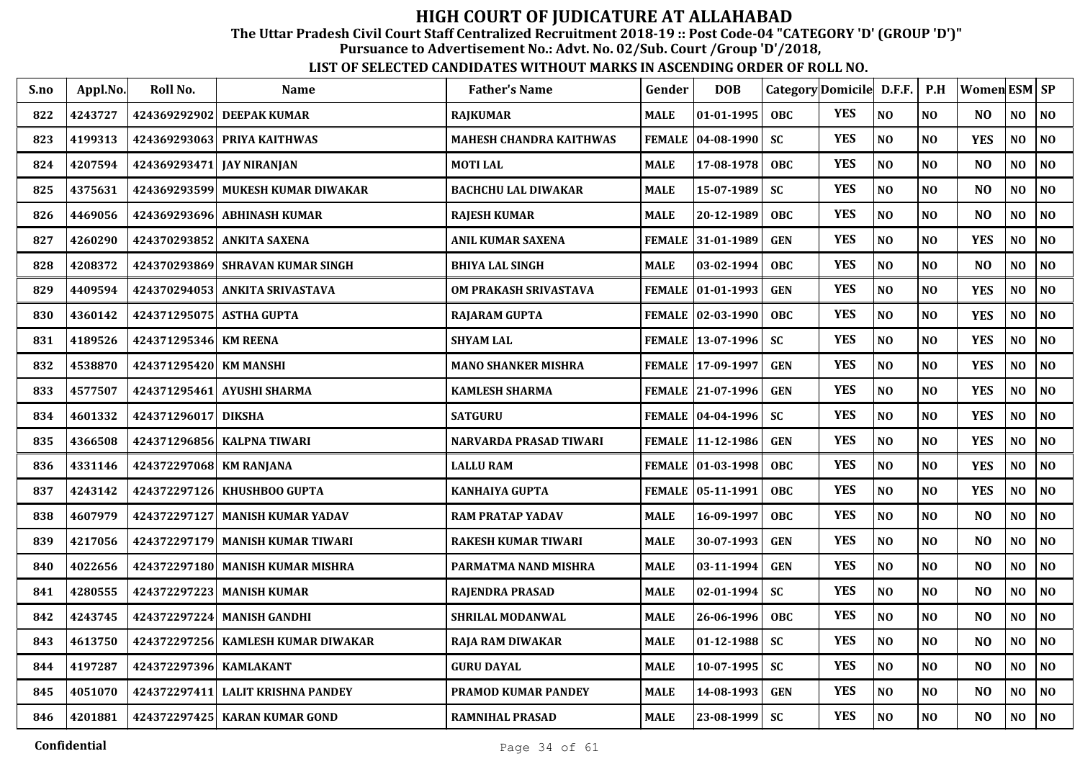The Uttar Pradesh Civil Court Staff Centralized Recruitment 2018-19 :: Post Code-04 "CATEGORY 'D' (GROUP 'D')"

Pursuance to Advertisement No.: Advt. No. 02/Sub. Court /Group 'D'/2018,

| S.no | Appl.No. | Roll No.                  | <b>Name</b>                      | <b>Father's Name</b>           | Gender        | <b>DOB</b>          |            | Category Domicile D.F.F. |                | P.H            | Women ESM SP   |                |                |
|------|----------|---------------------------|----------------------------------|--------------------------------|---------------|---------------------|------------|--------------------------|----------------|----------------|----------------|----------------|----------------|
| 822  | 4243727  |                           | 424369292902 DEEPAK KUMAR        | <b>RAJKUMAR</b>                | <b>MALE</b>   | 01-01-1995          | <b>OBC</b> | <b>YES</b>               | NO             | N <sub>O</sub> | NO.            | NO             | N <sub>O</sub> |
| 823  | 4199313  |                           | 424369293063 PRIYA KAITHWAS      | <b>MAHESH CHANDRA KAITHWAS</b> | <b>FEMALE</b> | $ 04 - 08 - 1990 $  | <b>SC</b>  | <b>YES</b>               | NO             | N <sub>O</sub> | <b>YES</b>     | NO             | N <sub>0</sub> |
| 824  | 4207594  | 424369293471 JAY NIRANJAN |                                  | <b>MOTILAL</b>                 | <b>MALE</b>   | 17-08-1978          | <b>OBC</b> | <b>YES</b>               | N <sub>O</sub> | N <sub>O</sub> | N <sub>O</sub> | NO             | N <sub>0</sub> |
| 825  | 4375631  | 424369293599              | <b>MUKESH KUMAR DIWAKAR</b>      | <b>BACHCHU LAL DIWAKAR</b>     | <b>MALE</b>   | 15-07-1989          | <b>SC</b>  | <b>YES</b>               | NO             | N <sub>O</sub> | N <sub>O</sub> | $\bf NO$       | N <sub>O</sub> |
| 826  | 4469056  |                           | 424369293696 ABHINASH KUMAR      | <b>RAJESH KUMAR</b>            | <b>MALE</b>   | 20-12-1989          | <b>OBC</b> | <b>YES</b>               | NO             | NO             | N <sub>O</sub> | NO             | N <sub>0</sub> |
| 827  | 4260290  |                           | 424370293852 ANKITA SAXENA       | <b>ANIL KUMAR SAXENA</b>       | <b>FEMALE</b> | 31-01-1989          | <b>GEN</b> | <b>YES</b>               | NO             | N <sub>O</sub> | <b>YES</b>     | NO             | $\bf NO$       |
| 828  | 4208372  |                           | 424370293869 SHRAVAN KUMAR SINGH | <b>BHIYA LAL SINGH</b>         | <b>MALE</b>   | 03-02-1994          | <b>OBC</b> | <b>YES</b>               | NO             | N <sub>0</sub> | N <sub>O</sub> | NO             | $\bf NO$       |
| 829  | 4409594  | 424370294053              | ANKITA SRIVASTAVA                | OM PRAKASH SRIVASTAVA          | <b>FEMALE</b> | 01-01-1993          | <b>GEN</b> | <b>YES</b>               | NO             | N <sub>O</sub> | <b>YES</b>     | NO.            | NO             |
| 830  | 4360142  | 424371295075 ASTHA GUPTA  |                                  | <b>RAJARAM GUPTA</b>           |               | FEMALE 02-03-1990   | OBC        | <b>YES</b>               | NO             | N <sub>O</sub> | <b>YES</b>     | NO             | NO             |
| 831  | 4189526  | 424371295346 KM REENA     |                                  | <b>SHYAM LAL</b>               |               | FEMALE   13-07-1996 | <b>SC</b>  | <b>YES</b>               | NO             | N <sub>0</sub> | <b>YES</b>     | NO.            | NO             |
| 832  | 4538870  | 424371295420 KM MANSHI    |                                  | <b>MANO SHANKER MISHRA</b>     |               | FEMALE 17-09-1997   | <b>GEN</b> | <b>YES</b>               | NO             | N <sub>O</sub> | <b>YES</b>     | NO             | NO             |
| 833  | 4577507  |                           | 424371295461 AYUSHI SHARMA       | KAMLESH SHARMA                 |               | FEMALE 21-07-1996   | <b>GEN</b> | <b>YES</b>               | NO             | N <sub>O</sub> | <b>YES</b>     | NO             | NO             |
| 834  | 4601332  | 424371296017              | <b>DIKSHA</b>                    | <b>SATGURU</b>                 |               | FEMALE 04-04-1996   | <b>SC</b>  | <b>YES</b>               | NO             | NO             | <b>YES</b>     | NO             | NO             |
| 835  | 4366508  |                           | 424371296856 KALPNA TIWARI       | NARVARDA PRASAD TIWARI         |               | FEMALE 11-12-1986   | <b>GEN</b> | <b>YES</b>               | NO             | N <sub>O</sub> | <b>YES</b>     | NO             | NO             |
| 836  | 4331146  | 424372297068 KM RANJANA   |                                  | <b>LALLU RAM</b>               |               | FEMALE   01-03-1998 | <b>OBC</b> | <b>YES</b>               | NO             | N <sub>O</sub> | <b>YES</b>     | NO             | NO             |
| 837  | 4243142  | 424372297126              | KHUSHBOO GUPTA                   | KANHAIYA GUPTA                 |               | FEMALE 05-11-1991   | <b>OBC</b> | <b>YES</b>               | NO             | NO             | <b>YES</b>     | NO             | NO             |
| 838  | 4607979  | 424372297127              | <b>MANISH KUMAR YADAV</b>        | <b>RAM PRATAP YADAV</b>        | <b>MALE</b>   | 16-09-1997          | OBC        | <b>YES</b>               | NO             | N <sub>O</sub> | N <sub>O</sub> | N <sub>O</sub> | NO             |
| 839  | 4217056  |                           | 424372297179 MANISH KUMAR TIWARI | <b>RAKESH KUMAR TIWARI</b>     | <b>MALE</b>   | 30-07-1993          | <b>GEN</b> | <b>YES</b>               | N <sub>O</sub> | N <sub>O</sub> | N <sub>O</sub> | N <sub>O</sub> | NO             |
| 840  | 4022656  |                           | 424372297180 MANISH KUMAR MISHRA | PARMATMA NAND MISHRA           | <b>MALE</b>   | 03-11-1994          | <b>GEN</b> | <b>YES</b>               | NO             | N <sub>O</sub> | N <sub>O</sub> | N <sub>O</sub> | NO             |
| 841  | 4280555  |                           | 424372297223 MANISH KUMAR        | <b>RAJENDRA PRASAD</b>         | <b>MALE</b>   | 02-01-1994          | <b>SC</b>  | <b>YES</b>               | NO             | NO             | N <sub>O</sub> | NO             | NO             |
| 842  | 4243745  | 424372297224              | <b>MANISH GANDHI</b>             | <b>SHRILAL MODANWAL</b>        | <b>MALE</b>   | 26-06-1996          | <b>OBC</b> | <b>YES</b>               | N <sub>O</sub> | N <sub>O</sub> | N <sub>O</sub> | N <sub>O</sub> | NO             |
| 843  | 4613750  | 424372297256              | <b>KAMLESH KUMAR DIWAKAR</b>     | <b>RAJA RAM DIWAKAR</b>        | <b>MALE</b>   | 01-12-1988          | <b>SC</b>  | <b>YES</b>               | NO             | N <sub>O</sub> | N <sub>O</sub> | N <sub>O</sub> | N <sub>0</sub> |
| 844  | 4197287  | 424372297396 KAMLAKANT    |                                  | <b>GURU DAYAL</b>              | <b>MALE</b>   | $10-07-1995$        | <b>SC</b>  | <b>YES</b>               | N <sub>O</sub> | N <sub>O</sub> | N <sub>O</sub> | N <sub>O</sub> | NO             |
| 845  | 4051070  | 424372297411              | <b>LALIT KRISHNA PANDEY</b>      | PRAMOD KUMAR PANDEY            | <b>MALE</b>   | 14-08-1993          | <b>GEN</b> | <b>YES</b>               | NO             | NO             | N <sub>O</sub> | N <sub>O</sub> | NO             |
| 846  | 4201881  |                           | 424372297425   KARAN KUMAR GOND  | <b>RAMNIHAL PRASAD</b>         | <b>MALE</b>   | 23-08-1999          | <b>SC</b>  | <b>YES</b>               | NO             | NO             | N <sub>O</sub> | NO.            | NO             |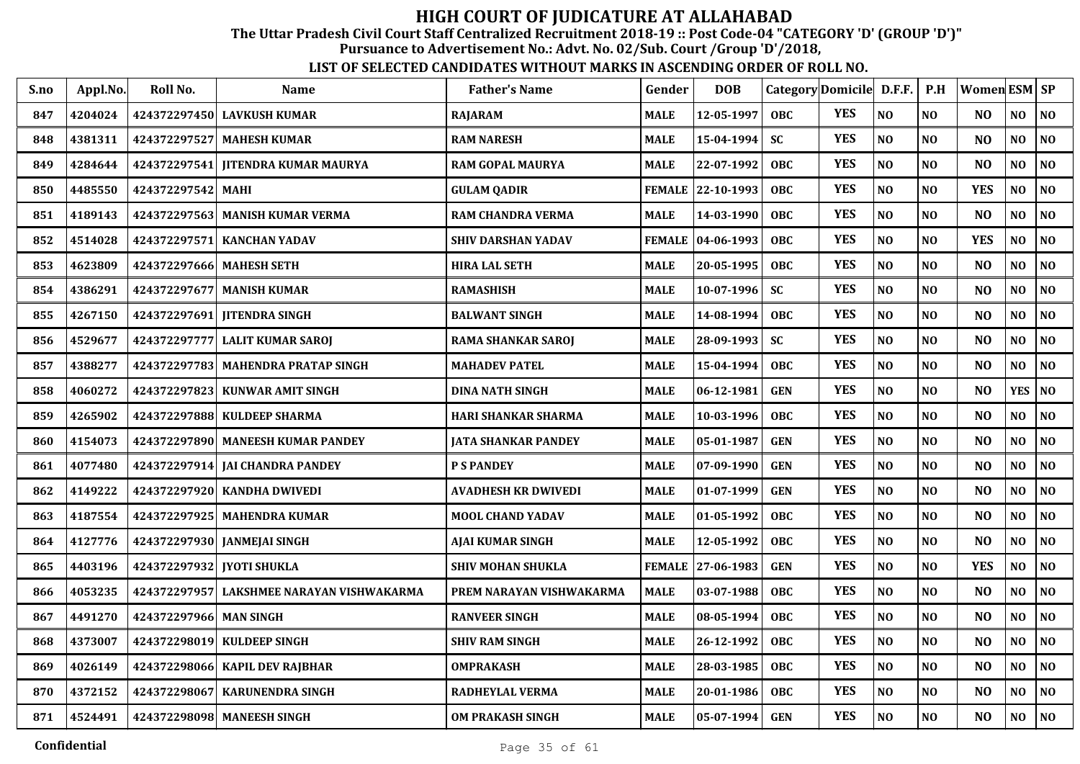The Uttar Pradesh Civil Court Staff Centralized Recruitment 2018-19 :: Post Code-04 "CATEGORY 'D' (GROUP 'D')"

Pursuance to Advertisement No.: Advt. No. 02/Sub. Court /Group 'D'/2018,

| S.no | Appl.No. | Roll No.                    | <b>Name</b>                          | <b>Father's Name</b>       | Gender        | <b>DOB</b>        |            | Category Domicile D.F.F. |                | P.H            | Women ESM SP   |                |                |
|------|----------|-----------------------------|--------------------------------------|----------------------------|---------------|-------------------|------------|--------------------------|----------------|----------------|----------------|----------------|----------------|
| 847  | 4204024  |                             | 424372297450 LAVKUSH KUMAR           | RAJARAM                    | <b>MALE</b>   | 12-05-1997        | OBC        | <b>YES</b>               | NO             | NO             | N <sub>O</sub> | NO             | NO             |
| 848  | 4381311  |                             | 424372297527 MAHESH KUMAR            | <b>RAM NARESH</b>          | <b>MALE</b>   | 15-04-1994        | <b>SC</b>  | <b>YES</b>               | NO             | N <sub>O</sub> | N <sub>O</sub> | NO             | N <sub>0</sub> |
| 849  | 4284644  |                             | 424372297541 JITENDRA KUMAR MAURYA   | <b>RAM GOPAL MAURYA</b>    | <b>MALE</b>   | 22-07-1992        | <b>OBC</b> | <b>YES</b>               | NO             | N <sub>O</sub> | N <sub>O</sub> | N <sub>O</sub> | NO             |
| 850  | 4485550  | 424372297542                | <b>MAHI</b>                          | <b>GULAM QADIR</b>         |               | FEMALE 22-10-1993 | <b>OBC</b> | <b>YES</b>               | N <sub>O</sub> | N <sub>O</sub> | <b>YES</b>     | N <sub>O</sub> | NO             |
| 851  | 4189143  | 424372297563                | <b>MANISH KUMAR VERMA</b>            | <b>RAM CHANDRA VERMA</b>   | <b>MALE</b>   | 14-03-1990        | <b>OBC</b> | <b>YES</b>               | NO             | N <sub>O</sub> | N <sub>O</sub> | NO             | N <sub>0</sub> |
| 852  | 4514028  | 424372297571                | <b>KANCHAN YADAV</b>                 | <b>SHIV DARSHAN YADAV</b>  | <b>FEMALE</b> | 04-06-1993        | <b>OBC</b> | <b>YES</b>               | N <sub>O</sub> | N <sub>O</sub> | <b>YES</b>     | NO             | NO             |
| 853  | 4623809  | 424372297666 MAHESH SETH    |                                      | <b>HIRA LAL SETH</b>       | <b>MALE</b>   | 20-05-1995        | <b>OBC</b> | <b>YES</b>               | $\bf NO$       | N <sub>0</sub> | NO             | NO             | $\bf NO$       |
| 854  | 4386291  |                             | 424372297677 MANISH KUMAR            | <b>RAMASHISH</b>           | <b>MALE</b>   | 10-07-1996        | <b>SC</b>  | <b>YES</b>               | NO             | N <sub>0</sub> | N <sub>O</sub> | NO.            | N <sub>0</sub> |
| 855  | 4267150  |                             | 424372297691   IITENDRA SINGH        | <b>BALWANT SINGH</b>       | <b>MALE</b>   | 14-08-1994        | <b>OBC</b> | <b>YES</b>               | NO             | N <sub>O</sub> | N <sub>O</sub> | NO             | N <sub>0</sub> |
| 856  | 4529677  |                             | 424372297777 LALIT KUMAR SAROJ       | <b>RAMA SHANKAR SAROJ</b>  | <b>MALE</b>   | 28-09-1993        | <b>SC</b>  | <b>YES</b>               | NO             | N <sub>O</sub> | N <sub>O</sub> | NO             | NO             |
| 857  | 4388277  |                             | 424372297783   MAHENDRA PRATAP SINGH | <b>MAHADEV PATEL</b>       | <b>MALE</b>   | 15-04-1994        | <b>OBC</b> | <b>YES</b>               | NO             | N <sub>O</sub> | N <sub>O</sub> | NO             | NO             |
| 858  | 4060272  |                             | 424372297823 KUNWAR AMIT SINGH       | <b>DINA NATH SINGH</b>     | <b>MALE</b>   | 06-12-1981        | <b>GEN</b> | <b>YES</b>               | N <sub>O</sub> | N <sub>O</sub> | N <sub>O</sub> | <b>YES</b>     | NO             |
| 859  | 4265902  | 424372297888                | <b>KULDEEP SHARMA</b>                | HARI SHANKAR SHARMA        | <b>MALE</b>   | 10-03-1996        | <b>OBC</b> | <b>YES</b>               | NO             | N <sub>O</sub> | N <sub>O</sub> | NO             | $\bf NO$       |
| 860  | 4154073  |                             | 424372297890 MANEESH KUMAR PANDEY    | <b>JATA SHANKAR PANDEY</b> | <b>MALE</b>   | 05-01-1987        | <b>GEN</b> | <b>YES</b>               | NO             | NO             | N <sub>O</sub> | NO             | N <sub>0</sub> |
| 861  | 4077480  |                             | 424372297914   JAI CHANDRA PANDEY    | <b>P S PANDEY</b>          | <b>MALE</b>   | 07-09-1990        | <b>GEN</b> | <b>YES</b>               | NO             | N <sub>O</sub> | NO             | NO             | $\bf NO$       |
| 862  | 4149222  |                             | 424372297920 KANDHA DWIVEDI          | <b>AVADHESH KR DWIVEDI</b> | <b>MALE</b>   | 01-07-1999        | <b>GEN</b> | <b>YES</b>               | NO             | N <sub>0</sub> | N <sub>O</sub> | NO             | N <sub>0</sub> |
| 863  | 4187554  |                             | 424372297925 MAHENDRA KUMAR          | <b>MOOL CHAND YADAV</b>    | <b>MALE</b>   | 01-05-1992        | OBC        | <b>YES</b>               | NO             | NO             | N <sub>O</sub> | N <sub>O</sub> | NO             |
| 864  | 4127776  |                             | 424372297930 JANMEJAI SINGH          | AJAI KUMAR SINGH           | <b>MALE</b>   | 12-05-1992        | <b>OBC</b> | <b>YES</b>               | NO             | N <sub>O</sub> | N <sub>O</sub> | NO             | NO             |
| 865  | 4403196  | 424372297932   IYOTI SHUKLA |                                      | <b>SHIV MOHAN SHUKLA</b>   | <b>FEMALE</b> | 27-06-1983        | <b>GEN</b> | <b>YES</b>               | NO             | N <sub>O</sub> | <b>YES</b>     | NO             | NO             |
| 866  | 4053235  | 424372297957                | LAKSHMEE NARAYAN VISHWAKARMA         | PREM NARAYAN VISHWAKARMA   | <b>MALE</b>   | 03-07-1988        | <b>OBC</b> | <b>YES</b>               | NO             | N <sub>O</sub> | NO             | NO             | NO             |
| 867  | 4491270  | 424372297966                | <b>MAN SINGH</b>                     | <b>RANVEER SINGH</b>       | <b>MALE</b>   | 08-05-1994        | <b>OBC</b> | <b>YES</b>               | NO             | N <sub>O</sub> | N <sub>O</sub> | NO.            | N <sub>0</sub> |
| 868  | 4373007  |                             | 424372298019 KULDEEP SINGH           | <b>SHIV RAM SINGH</b>      | <b>MALE</b>   | 26-12-1992        | <b>OBC</b> | <b>YES</b>               | NO             | NO             | N <sub>O</sub> | NO             | N <sub>0</sub> |
| 869  | 4026149  |                             | 424372298066   KAPIL DEV RAJBHAR     | <b>OMPRAKASH</b>           | <b>MALE</b>   | 28-03-1985        | <b>OBC</b> | <b>YES</b>               | NO             | N <sub>0</sub> | N <sub>O</sub> | NO             | N <sub>0</sub> |
| 870  | 4372152  | 424372298067                | <b>KARUNENDRA SINGH</b>              | RADHEYLAL VERMA            | <b>MALE</b>   | 20-01-1986        | <b>OBC</b> | <b>YES</b>               | $\bf NO$       | N <sub>0</sub> | N <sub>O</sub> | NO             | N <sub>O</sub> |
| 871  | 4524491  |                             | 424372298098 MANEESH SINGH           | <b>OM PRAKASH SINGH</b>    | <b>MALE</b>   | 05-07-1994        | <b>GEN</b> | <b>YES</b>               | NO             | NO             | N <sub>O</sub> | NO             | NO             |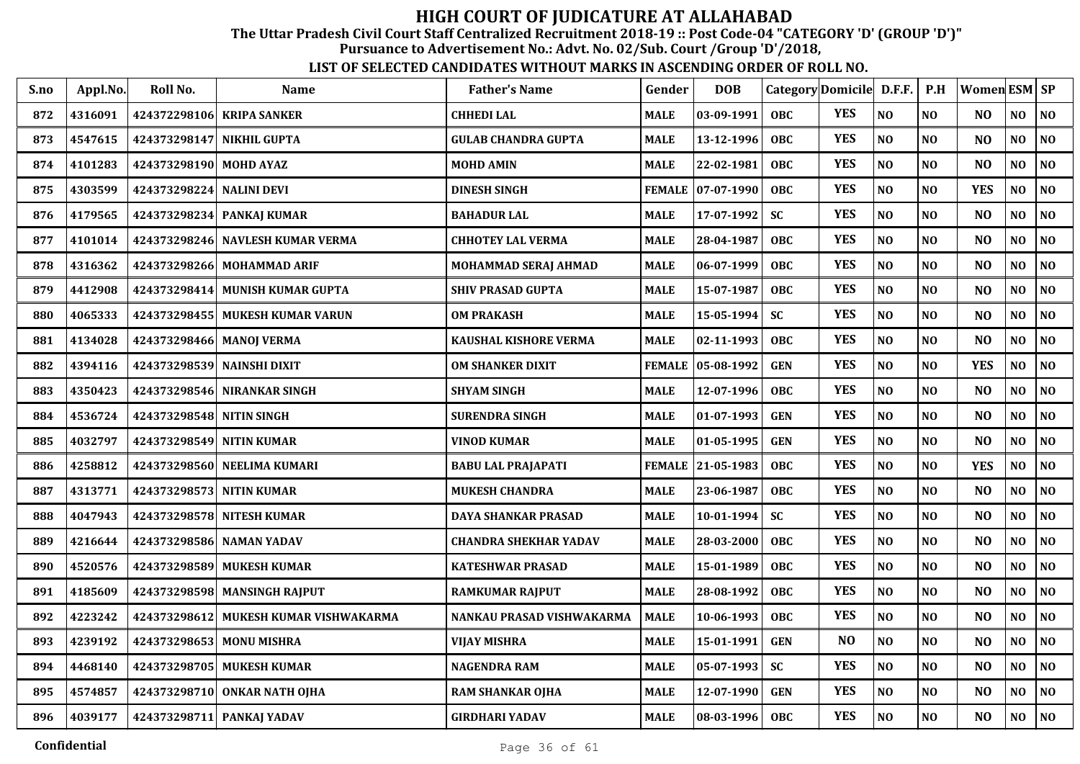The Uttar Pradesh Civil Court Staff Centralized Recruitment 2018-19 :: Post Code-04 "CATEGORY 'D' (GROUP 'D')"

Pursuance to Advertisement No.: Advt. No. 02/Sub. Court /Group 'D'/2018,

| S.no | Appl.No. | Roll No.                   | <b>Name</b>                           | <b>Father's Name</b>         | Gender        | <b>DOB</b>        | Category Domicile D.F.F. |            |                | P.H            | Women $ESM$ $SP$ |                |                |
|------|----------|----------------------------|---------------------------------------|------------------------------|---------------|-------------------|--------------------------|------------|----------------|----------------|------------------|----------------|----------------|
| 872  | 4316091  | 424372298106               | <b>KRIPA SANKER</b>                   | <b>CHHEDI LAL</b>            | <b>MALE</b>   | 03-09-1991        | <b>OBC</b>               | <b>YES</b> | NO             | NO             | N <sub>O</sub>   | NO             | NO             |
| 873  | 4547615  | 424373298147               | NIKHIL GUPTA                          | <b>GULAB CHANDRA GUPTA</b>   | <b>MALE</b>   | 13-12-1996        | <b>OBC</b>               | <b>YES</b> | NO             | N <sub>O</sub> | N <sub>O</sub>   | NO             | N <sub>0</sub> |
| 874  | 4101283  | 424373298190 MOHD AYAZ     |                                       | <b>MOHD AMIN</b>             | <b>MALE</b>   | 22-02-1981        | <b>OBC</b>               | <b>YES</b> | NO             | N <sub>O</sub> | N <sub>O</sub>   | NO             | N <sub>0</sub> |
| 875  | 4303599  | 424373298224               | <b>NALINI DEVI</b>                    | <b>DINESH SINGH</b>          | <b>FEMALE</b> | $ 07-07-1990$     | <b>OBC</b>               | <b>YES</b> | NO             | N <sub>O</sub> | <b>YES</b>       | NO             | NO             |
| 876  | 4179565  | 424373298234               | <b>PANKAJ KUMAR</b>                   | <b>BAHADUR LAL</b>           | <b>MALE</b>   | 17-07-1992        | <b>SC</b>                | <b>YES</b> | NO             | N <sub>O</sub> | N <sub>O</sub>   | NO             | N <sub>0</sub> |
| 877  | 4101014  | 424373298246               | <b>NAVLESH KUMAR VERMA</b>            | <b>CHHOTEY LAL VERMA</b>     | <b>MALE</b>   | 28-04-1987        | <b>OBC</b>               | <b>YES</b> | N <sub>O</sub> | N <sub>O</sub> | N <sub>O</sub>   | NO             | NO             |
| 878  | 4316362  |                            | 424373298266 MOHAMMAD ARIF            | <b>MOHAMMAD SERAJ AHMAD</b>  | <b>MALE</b>   | 06-07-1999        | <b>OBC</b>               | <b>YES</b> | NO             | N <sub>0</sub> | N <sub>O</sub>   | NO             | N <sub>0</sub> |
| 879  | 4412908  |                            | 424373298414 MUNISH KUMAR GUPTA       | <b>SHIV PRASAD GUPTA</b>     | <b>MALE</b>   | 15-07-1987        | <b>OBC</b>               | <b>YES</b> | N <sub>O</sub> | NO             | N <sub>O</sub>   | NO             | N <sub>0</sub> |
| 880  | 4065333  |                            | 424373298455 MUKESH KUMAR VARUN       | <b>OM PRAKASH</b>            | <b>MALE</b>   | 15-05-1994        | <b>SC</b>                | <b>YES</b> | NO             | N <sub>O</sub> | NO               | NO             | N <sub>0</sub> |
| 881  | 4134028  | 424373298466 MANOJ VERMA   |                                       | <b>KAUSHAL KISHORE VERMA</b> | <b>MALE</b>   | 02-11-1993        | <b>OBC</b>               | <b>YES</b> | NO             | N <sub>O</sub> | N <sub>O</sub>   | NO             | N <sub>0</sub> |
| 882  | 4394116  | 424373298539 NAINSHI DIXIT |                                       | <b>OM SHANKER DIXIT</b>      | <b>FEMALE</b> | 05-08-1992        | <b>GEN</b>               | <b>YES</b> | NO             | NO             | <b>YES</b>       | NO             | N <sub>O</sub> |
| 883  | 4350423  |                            | 424373298546 NIRANKAR SINGH           | <b>SHYAM SINGH</b>           | <b>MALE</b>   | 12-07-1996        | <b>OBC</b>               | <b>YES</b> | NO             | N <sub>O</sub> | N <sub>O</sub>   | NO             | N <sub>0</sub> |
| 884  | 4536724  | 424373298548               | NITIN SINGH                           | <b>SURENDRA SINGH</b>        | <b>MALE</b>   | 01-07-1993        | <b>GEN</b>               | <b>YES</b> | NO             | NO             | N <sub>O</sub>   | NO             | N <sub>0</sub> |
| 885  | 4032797  | 424373298549 NITIN KUMAR   |                                       | <b>VINOD KUMAR</b>           | <b>MALE</b>   | 01-05-1995        | <b>GEN</b>               | <b>YES</b> | NO             | N <sub>O</sub> | N <sub>O</sub>   | NO             | NO             |
| 886  | 4258812  |                            | 424373298560 NEELIMA KUMARI           | <b>BABU LAL PRAJAPATI</b>    |               | FEMALE 21-05-1983 | <b>OBC</b>               | <b>YES</b> | NO             | N <sub>O</sub> | <b>YES</b>       | N <sub>O</sub> | NO             |
| 887  | 4313771  | 424373298573 NITIN KUMAR   |                                       | <b>MUKESH CHANDRA</b>        | <b>MALE</b>   | 23-06-1987        | <b>OBC</b>               | <b>YES</b> | NO             | NO             | N <sub>O</sub>   | N <sub>O</sub> | N <sub>0</sub> |
| 888  | 4047943  |                            | 424373298578 NITESH KUMAR             | <b>DAYA SHANKAR PRASAD</b>   | <b>MALE</b>   | 10-01-1994        | <b>SC</b>                | <b>YES</b> | NO             | N <sub>O</sub> | N <sub>O</sub>   | N <sub>O</sub> | NO             |
| 889  | 4216644  | 424373298586 NAMAN YADAV   |                                       | <b>CHANDRA SHEKHAR YADAV</b> | <b>MALE</b>   | 28-03-2000        | <b>OBC</b>               | <b>YES</b> | N <sub>O</sub> | N <sub>O</sub> | N <sub>O</sub>   | N <sub>O</sub> | N <sub>O</sub> |
| 890  | 4520576  |                            | 424373298589 MUKESH KUMAR             | <b>KATESHWAR PRASAD</b>      | <b>MALE</b>   | 15-01-1989        | <b>OBC</b>               | <b>YES</b> | $\bf NO$       | NO             | N <sub>O</sub>   | NO.            | N <sub>0</sub> |
| 891  | 4185609  |                            | 424373298598 MANSINGH RAJPUT          | <b>RAMKUMAR RAJPUT</b>       | <b>MALE</b>   | 28-08-1992        | OBC                      | <b>YES</b> | $\bf NO$       | NO             | N <sub>O</sub>   | NO             | $\bf NO$       |
| 892  | 4223242  |                            | 424373298612 MUKESH KUMAR VISHWAKARMA | NANKAU PRASAD VISHWAKARMA    | <b>MALE</b>   | 10-06-1993        | <b>OBC</b>               | <b>YES</b> | NO             | N <sub>O</sub> | N <sub>O</sub>   | NO             | N <sub>0</sub> |
| 893  | 4239192  | 424373298653 MONU MISHRA   |                                       | <b>VIJAY MISHRA</b>          | <b>MALE</b>   | 15-01-1991        | <b>GEN</b>               | NO         | NO             | NO             | N <sub>O</sub>   | NO             | NO             |
| 894  | 4468140  |                            | 424373298705 MUKESH KUMAR             | <b>NAGENDRA RAM</b>          | <b>MALE</b>   | 05-07-1993        | <b>SC</b>                | <b>YES</b> | NO             | N <sub>O</sub> | N <sub>O</sub>   | NO.            | NO             |
| 895  | 4574857  |                            | 424373298710 ONKAR NATH OJHA          | <b>RAM SHANKAR OJHA</b>      | <b>MALE</b>   | 12-07-1990        | <b>GEN</b>               | <b>YES</b> | NO             | NO             | N <sub>O</sub>   | NO             | $\bf NO$       |
| 896  | 4039177  |                            | 424373298711 PANKAJ YADAV             | <b>GIRDHARI YADAV</b>        | <b>MALE</b>   | $08-03-1996$      | <b>OBC</b>               | <b>YES</b> | NO             | NO             | N <sub>O</sub>   | NO.            | NO             |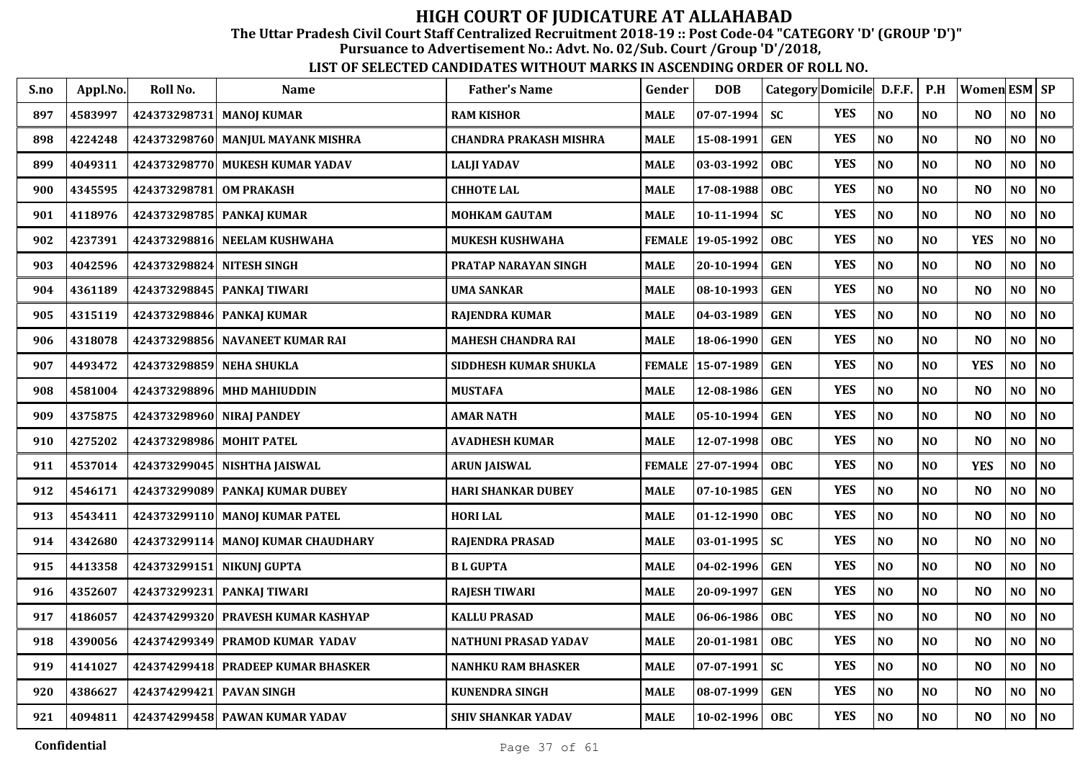The Uttar Pradesh Civil Court Staff Centralized Recruitment 2018-19 :: Post Code-04 "CATEGORY 'D' (GROUP 'D')"

Pursuance to Advertisement No.: Advt. No. 02/Sub. Court /Group 'D'/2018,

| S.no | Appl.No. | Roll No.                 | <b>Name</b>                        | <b>Father's Name</b>          | Gender        | <b>DOB</b>       |            | Category Domicile | D.F.F.         | P.H            | Women ESM SP   |                |                |
|------|----------|--------------------------|------------------------------------|-------------------------------|---------------|------------------|------------|-------------------|----------------|----------------|----------------|----------------|----------------|
| 897  | 4583997  | 424373298731             | <b>MANOJ KUMAR</b>                 | <b>RAM KISHOR</b>             | <b>MALE</b>   | 07-07-1994       | SC         | <b>YES</b>        | N <sub>0</sub> | N <sub>0</sub> | N <sub>O</sub> | N <sub>O</sub> | <b>NO</b>      |
| 898  | 4224248  |                          | 424373298760  MANJUL MAYANK MISHRA | <b>CHANDRA PRAKASH MISHRA</b> | <b>MALE</b>   | 15-08-1991       | <b>GEN</b> | <b>YES</b>        | $\bf NO$       | N <sub>O</sub> | N <sub>O</sub> | N <sub>O</sub> | N <sub>O</sub> |
| 899  | 4049311  |                          | 424373298770 MUKESH KUMAR YADAV    | <b>LALJI YADAV</b>            | <b>MALE</b>   | 03-03-1992       | OBC.       | <b>YES</b>        | $\bf NO$       | N <sub>O</sub> | N <sub>O</sub> | $\bf NO$       | <b>NO</b>      |
| 900  | 4345595  | 424373298781             | <b>OM PRAKASH</b>                  | <b>CHHOTE LAL</b>             | <b>MALE</b>   | 17-08-1988       | OBC.       | <b>YES</b>        | $\bf NO$       | <b>NO</b>      | N <sub>O</sub> | $\bf NO$       | <b>NO</b>      |
| 901  | 4118976  | 424373298785             | <b>PANKAJ KUMAR</b>                | <b>MOHKAM GAUTAM</b>          | <b>MALE</b>   | 10-11-1994       | <b>SC</b>  | <b>YES</b>        | N <sub>O</sub> | N <sub>O</sub> | N <sub>O</sub> | NO             | NO             |
| 902  | 4237391  | 424373298816             | <b>NEELAM KUSHWAHA</b>             | MUKESH KUSHWAHA               | <b>FEMALE</b> | 19-05-1992       | <b>OBC</b> | <b>YES</b>        | N <sub>O</sub> | N <sub>0</sub> | <b>YES</b>     | $\bf NO$       | NO             |
| 903  | 4042596  | 424373298824             | <b>NITESH SINGH</b>                | PRATAP NARAYAN SINGH          | MALE          | 20-10-1994       | <b>GEN</b> | <b>YES</b>        | $\bf NO$       | <b>NO</b>      | N <sub>O</sub> | NO             | N <sub>O</sub> |
| 904  | 4361189  |                          | 424373298845 PANKAJ TIWARI         | <b>UMA SANKAR</b>             | <b>MALE</b>   | 08-10-1993       | <b>GEN</b> | <b>YES</b>        | NO             | N <sub>0</sub> | N <sub>O</sub> | NO.            | <b>NO</b>      |
| 905  | 4315119  |                          | 424373298846  PANKAI KUMAR         | <b>RAJENDRA KUMAR</b>         | <b>MALE</b>   | 04-03-1989       | <b>GEN</b> | <b>YES</b>        | NO             | N <sub>0</sub> | N <sub>O</sub> | NO             | N <sub>0</sub> |
| 906  | 4318078  | 424373298856             | <b>NAVANEET KUMAR RAI</b>          | <b>MAHESH CHANDRA RAI</b>     | <b>MALE</b>   | 18-06-1990       | <b>GEN</b> | <b>YES</b>        | N <sub>O</sub> | <b>NO</b>      | N <sub>O</sub> | N <sub>O</sub> | <b>NO</b>      |
| 907  | 4493472  |                          | 424373298859  NEHA SHUKLA          | SIDDHESH KUMAR SHUKLA         | <b>FEMALE</b> | 15-07-1989       | <b>GEN</b> | <b>YES</b>        | NO             | N <sub>O</sub> | <b>YES</b>     | NO             | <b>NO</b>      |
| 908  | 4581004  | 424373298896             | <b>MHD MAHIUDDIN</b>               | <b>MUSTAFA</b>                | <b>MALE</b>   | 12-08-1986       | <b>GEN</b> | <b>YES</b>        | N <sub>O</sub> | NO             | N <sub>O</sub> | N <sub>0</sub> | N <sub>O</sub> |
| 909  | 4375875  | 424373298960             | <b>NIRAJ PANDEY</b>                | <b>AMAR NATH</b>              | <b>MALE</b>   | 05-10-1994       | <b>GEN</b> | <b>YES</b>        | NO             | NO             | N <sub>O</sub> | $\bf NO$       | NO             |
| 910  | 4275202  | 424373298986 MOHIT PATEL |                                    | <b>AVADHESH KUMAR</b>         | <b>MALE</b>   | 12-07-1998       | <b>OBC</b> | <b>YES</b>        | N <sub>O</sub> | NO             | N <sub>O</sub> | $\bf NO$       | NO             |
| 911  | 4537014  |                          | 424373299045  NISHTHA JAISWAL      | <b>ARUN JAISWAL</b>           | <b>FEMALE</b> | 27-07-1994       | <b>OBC</b> | <b>YES</b>        | N <sub>O</sub> | NO             | <b>YES</b>     | N <sub>O</sub> | NO             |
| 912  | 4546171  |                          | 424373299089 PANKAJ KUMAR DUBEY    | <b>HARI SHANKAR DUBEY</b>     | MALE          | 07-10-1985       | <b>GEN</b> | <b>YES</b>        | N <sub>O</sub> | <b>NO</b>      | N <sub>O</sub> | N <sub>O</sub> | <b>NO</b>      |
| 913  | 4543411  |                          | 424373299110  MANOI KUMAR PATEL    | <b>HORI LAL</b>               | <b>MALE</b>   | $01 - 12 - 1990$ | <b>OBC</b> | <b>YES</b>        | N <sub>O</sub> | NO             | N <sub>O</sub> | N <sub>O</sub> | <b>NO</b>      |
| 914  | 4342680  |                          | 424373299114 MANOJ KUMAR CHAUDHARY | <b>RAJENDRA PRASAD</b>        | <b>MALE</b>   | 03-01-1995       | <b>SC</b>  | <b>YES</b>        | N <sub>O</sub> | <b>NO</b>      | N <sub>O</sub> | NO             | <b>NO</b>      |
| 915  | 4413358  |                          | 424373299151 NIKUNJ GUPTA          | <b>BLGUPTA</b>                | <b>MALE</b>   | 04-02-1996       | <b>GEN</b> | <b>YES</b>        | N <sub>O</sub> | N <sub>O</sub> | N <sub>O</sub> | NO             | N <sub>O</sub> |
| 916  | 4352607  | 424373299231             | PANKAJ TIWARI                      | <b>RAJESH TIWARI</b>          | <b>MALE</b>   | 20-09-1997       | <b>GEN</b> | <b>YES</b>        | $\bf NO$       | <b>NO</b>      | N <sub>O</sub> | N <sub>0</sub> | <b>NO</b>      |
| 917  | 4186057  | 424374299320             | PRAVESH KUMAR KASHYAP              | <b>KALLU PRASAD</b>           | <b>MALE</b>   | 06-06-1986       | <b>OBC</b> | <b>YES</b>        | NO             | N <sub>O</sub> | N <sub>O</sub> | NO             | <b>NO</b>      |
| 918  | 4390056  | 424374299349             | PRAMOD KUMAR YADAV                 | NATHUNI PRASAD YADAV          | <b>MALE</b>   | 20-01-1981       | <b>OBC</b> | <b>YES</b>        | NO             | N <sub>O</sub> | N <sub>O</sub> | N <sub>0</sub> | NO             |
| 919  | 4141027  | 424374299418             | <b>PRADEEP KUMAR BHASKER</b>       | <b>NANHKU RAM BHASKER</b>     | <b>MALE</b>   | 07-07-1991       | <b>SC</b>  | <b>YES</b>        | N <sub>O</sub> | N <sub>O</sub> | N <sub>O</sub> | N <sub>0</sub> | N <sub>O</sub> |
| 920  | 4386627  | 424374299421             | <b>PAVAN SINGH</b>                 | <b>KUNENDRA SINGH</b>         | <b>MALE</b>   | 08-07-1999       | <b>GEN</b> | <b>YES</b>        | N <sub>O</sub> | <b>NO</b>      | N <sub>O</sub> | $\bf NO$       | NO             |
| 921  | 4094811  |                          | 424374299458 PAWAN KUMAR YADAV     | <b>SHIV SHANKAR YADAV</b>     | <b>MALE</b>   | 10-02-1996       | <b>OBC</b> | <b>YES</b>        | N <sub>O</sub> | <b>NO</b>      | N <sub>O</sub> | NO             | <b>NO</b>      |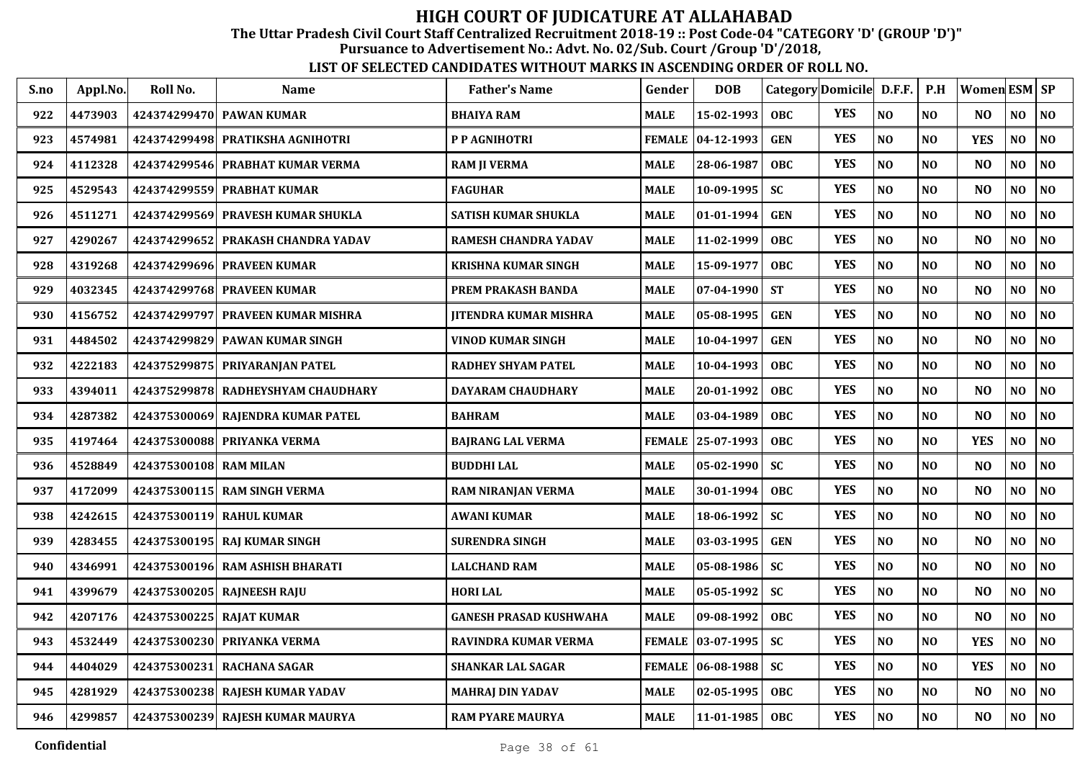The Uttar Pradesh Civil Court Staff Centralized Recruitment 2018-19 :: Post Code-04 "CATEGORY 'D' (GROUP 'D')"

Pursuance to Advertisement No.: Advt. No. 02/Sub. Court /Group 'D'/2018,

| S.no | Appl.No. | Roll No.                 | <b>Name</b>                        | <b>Father's Name</b>          | Gender        | <b>DOB</b>          |            | Category Domicile D.F.F. |                | P.H            | Women ESM SP   |                |                |
|------|----------|--------------------------|------------------------------------|-------------------------------|---------------|---------------------|------------|--------------------------|----------------|----------------|----------------|----------------|----------------|
| 922  | 4473903  |                          | 424374299470 PAWAN KUMAR           | <b>BHAIYA RAM</b>             | <b>MALE</b>   | 15-02-1993          | <b>OBC</b> | <b>YES</b>               | NO             | NO             | N <sub>O</sub> | NO             | NO             |
| 923  | 4574981  |                          | 424374299498 PRATIKSHA AGNIHOTRI   | P P AGNIHOTRI                 |               | FEMALE   04-12-1993 | <b>GEN</b> | <b>YES</b>               | NO             | N <sub>O</sub> | <b>YES</b>     | NO.            | N <sub>0</sub> |
| 924  | 4112328  |                          | 424374299546 PRABHAT KUMAR VERMA   | <b>RAM JI VERMA</b>           | <b>MALE</b>   | 28-06-1987          | <b>OBC</b> | <b>YES</b>               | NO             | N <sub>O</sub> | N <sub>O</sub> | NO             | N <sub>0</sub> |
| 925  | 4529543  | 424374299559             | <b>PRABHAT KUMAR</b>               | FAGUHAR                       | <b>MALE</b>   | 10-09-1995          | <b>SC</b>  | <b>YES</b>               | NO             | N <sub>O</sub> | N <sub>O</sub> | NO             | NO             |
| 926  | 4511271  | 424374299569             | <b>PRAVESH KUMAR SHUKLA</b>        | <b>SATISH KUMAR SHUKLA</b>    | <b>MALE</b>   | 01-01-1994          | <b>GEN</b> | <b>YES</b>               | NO             | N <sub>O</sub> | N <sub>O</sub> | NO             | N <sub>0</sub> |
| 927  | 4290267  |                          | 424374299652 PRAKASH CHANDRA YADAV | <b>RAMESH CHANDRA YADAV</b>   | <b>MALE</b>   | 11-02-1999          | <b>OBC</b> | <b>YES</b>               | N <sub>O</sub> | N <sub>O</sub> | N <sub>O</sub> | N <sub>O</sub> | NO             |
| 928  | 4319268  |                          | 424374299696 PRAVEEN KUMAR         | <b>KRISHNA KUMAR SINGH</b>    | <b>MALE</b>   | 15-09-1977          | <b>OBC</b> | <b>YES</b>               | NO             | N <sub>0</sub> | N <sub>O</sub> | NO             | N <sub>0</sub> |
| 929  | 4032345  |                          | 424374299768 PRAVEEN KUMAR         | PREM PRAKASH BANDA            | <b>MALE</b>   | $07 - 04 - 1990$    | <b>ST</b>  | <b>YES</b>               | N <sub>O</sub> | NO             | N <sub>O</sub> | NO             | N <sub>0</sub> |
| 930  | 4156752  |                          | 424374299797 PRAVEEN KUMAR MISHRA  | <b>JITENDRA KUMAR MISHRA</b>  | <b>MALE</b>   | 05-08-1995          | <b>GEN</b> | <b>YES</b>               | NO             | N <sub>O</sub> | NO             | NO.            | N <sub>0</sub> |
| 931  | 4484502  |                          | 424374299829 PAWAN KUMAR SINGH     | <b>VINOD KUMAR SINGH</b>      | <b>MALE</b>   | 10-04-1997          | <b>GEN</b> | <b>YES</b>               | NO             | N <sub>O</sub> | N <sub>O</sub> | NO             | N <sub>0</sub> |
| 932  | 4222183  |                          | 424375299875 PRIYARANJAN PATEL     | RADHEY SHYAM PATEL            | <b>MALE</b>   | 10-04-1993          | <b>OBC</b> | <b>YES</b>               | $\bf NO$       | N <sub>O</sub> | N <sub>O</sub> | NO             | N <sub>O</sub> |
| 933  | 4394011  |                          | 424375299878 RADHEYSHYAM CHAUDHARY | DAYARAM CHAUDHARY             | <b>MALE</b>   | 20-01-1992          | <b>OBC</b> | <b>YES</b>               | NO             | N <sub>O</sub> | N <sub>O</sub> | NO             | N <sub>0</sub> |
| 934  | 4287382  | 424375300069             | <b>RAJENDRA KUMAR PATEL</b>        | <b>BAHRAM</b>                 | <b>MALE</b>   | 03-04-1989          | <b>OBC</b> | <b>YES</b>               | NO             | N <sub>O</sub> | N <sub>O</sub> | NO             | N <sub>0</sub> |
| 935  | 4197464  |                          | 424375300088 PRIYANKA VERMA        | <b>BAJRANG LAL VERMA</b>      | <b>FEMALE</b> | 25-07-1993          | <b>OBC</b> | <b>YES</b>               | NO             | N <sub>O</sub> | <b>YES</b>     | N <sub>O</sub> | NO             |
| 936  | 4528849  | 424375300108 RAM MILAN   |                                    | <b>BUDDHI LAL</b>             | <b>MALE</b>   | $05 - 02 - 1990$    | <b>SC</b>  | <b>YES</b>               | NO             | N <sub>O</sub> | N <sub>O</sub> | N <sub>O</sub> | NO             |
| 937  | 4172099  |                          | 424375300115 RAM SINGH VERMA       | RAM NIRANJAN VERMA            | <b>MALE</b>   | 30-01-1994          | <b>OBC</b> | <b>YES</b>               | NO             | NO             | N <sub>O</sub> | N <sub>O</sub> | NO             |
| 938  | 4242615  |                          | 424375300119 RAHUL KUMAR           | <b>AWANI KUMAR</b>            | <b>MALE</b>   | 18-06-1992          | <b>SC</b>  | <b>YES</b>               | NO             | N <sub>O</sub> | N <sub>O</sub> | N <sub>O</sub> | NO             |
| 939  | 4283455  |                          | 424375300195 RAJ KUMAR SINGH       | <b>SURENDRA SINGH</b>         | <b>MALE</b>   | 03-03-1995          | <b>GEN</b> | <b>YES</b>               | N <sub>O</sub> | N <sub>O</sub> | N <sub>O</sub> | NO             | N <sub>O</sub> |
| 940  | 4346991  |                          | 424375300196 RAM ASHISH BHARATI    | <b>LALCHAND RAM</b>           | <b>MALE</b>   | 05-08-1986          | <b>SC</b>  | <b>YES</b>               | $\bf NO$       | N <sub>O</sub> | N <sub>O</sub> | NO             | $\bf NO$       |
| 941  | 4399679  |                          | 424375300205 RAJNEESH RAJU         | <b>HORI LAL</b>               | <b>MALE</b>   | 05-05-1992          | <b>SC</b>  | <b>YES</b>               | $\bf NO$       | NO             | N <sub>O</sub> | $\bf NO$       | $\bf NO$       |
| 942  | 4207176  | 424375300225 RAJAT KUMAR |                                    | <b>GANESH PRASAD KUSHWAHA</b> | <b>MALE</b>   | 09-08-1992          | <b>OBC</b> | <b>YES</b>               | NO             | N <sub>O</sub> | N <sub>O</sub> | NO             | NO             |
| 943  | 4532449  |                          | 424375300230 PRIYANKA VERMA        | RAVINDRA KUMAR VERMA          | <b>FEMALE</b> | $ 03-07-1995 $      | <b>SC</b>  | <b>YES</b>               | NO             | NO             | <b>YES</b>     | NO             | NO             |
| 944  | 4404029  |                          | 424375300231 RACHANA SAGAR         | <b>SHANKAR LAL SAGAR</b>      |               | FEMALE 06-08-1988   | <b>SC</b>  | <b>YES</b>               | NO             | N <sub>0</sub> | <b>YES</b>     | NO.            | NO             |
| 945  | 4281929  |                          | 424375300238 RAJESH KUMAR YADAV    | <b>MAHRAJ DIN YADAV</b>       | <b>MALE</b>   | 02-05-1995          | OBC        | <b>YES</b>               | NO             | NO             | NO             | NO             | $\bf NO$       |
| 946  | 4299857  |                          | 424375300239 RAJESH KUMAR MAURYA   | <b>RAM PYARE MAURYA</b>       | <b>MALE</b>   | 11-01-1985          | <b>OBC</b> | <b>YES</b>               | NO             | NO             | N <sub>O</sub> | NO.            | NO             |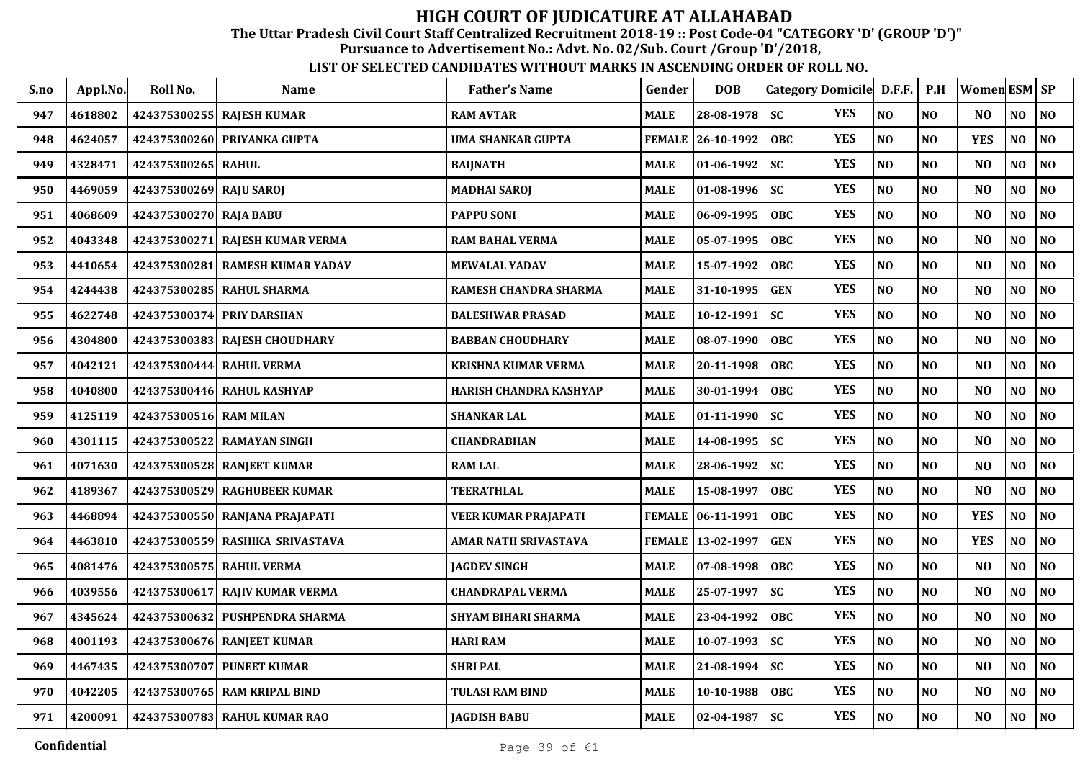The Uttar Pradesh Civil Court Staff Centralized Recruitment 2018-19 :: Post Code-04 "CATEGORY 'D' (GROUP 'D')"

Pursuance to Advertisement No.: Advt. No. 02/Sub. Court /Group 'D'/2018,

| S.no | Appl.No. | Roll No.                | <b>Name</b>                     | <b>Father's Name</b>        | Gender        | <b>DOB</b>        |            | Category Domicile D.F.F. |                | P.H            | Women ESM SP   |                |          |
|------|----------|-------------------------|---------------------------------|-----------------------------|---------------|-------------------|------------|--------------------------|----------------|----------------|----------------|----------------|----------|
| 947  | 4618802  |                         | 424375300255 RAJESH KUMAR       | <b>RAM AVTAR</b>            | <b>MALE</b>   | 28-08-1978        | <b>SC</b>  | <b>YES</b>               | NO             | NO             | N <sub>O</sub> | NO             | NO       |
| 948  | 4624057  |                         | 424375300260 PRIYANKA GUPTA     | <b>UMA SHANKAR GUPTA</b>    |               | FEMALE 26-10-1992 | <b>OBC</b> | <b>YES</b>               | NO             | NO             | <b>YES</b>     | NO.            | NO       |
| 949  | 4328471  | 424375300265 RAHUL      |                                 | <b>BAIJNATH</b>             | <b>MALE</b>   | 01-06-1992        | <b>SC</b>  | <b>YES</b>               | $\bf NO$       | N <sub>O</sub> | N <sub>O</sub> | NO             | $\bf NO$ |
| 950  | 4469059  | 424375300269 RAJU SAROJ |                                 | MADHAI SAROJ                | <b>MALE</b>   | 01-08-1996        | <b>SC</b>  | <b>YES</b>               | NO             | NO             | N <sub>O</sub> | NO             | $\bf NO$ |
| 951  | 4068609  | 424375300270 RAJA BABU  |                                 | <b>PAPPU SONI</b>           | <b>MALE</b>   | 06-09-1995        | <b>OBC</b> | <b>YES</b>               | NO             | NO             | N <sub>O</sub> | NO             | NO       |
| 952  | 4043348  |                         | 424375300271 RAJESH KUMAR VERMA | <b>RAM BAHAL VERMA</b>      | <b>MALE</b>   | 05-07-1995        | <b>OBC</b> | <b>YES</b>               | NO             | NO             | N <sub>O</sub> | NO             | NO       |
| 953  | 4410654  |                         | 424375300281 RAMESH KUMAR YADAV | <b>MEWALAL YADAV</b>        | <b>MALE</b>   | 15-07-1992        | <b>OBC</b> | <b>YES</b>               | NO             | N <sub>O</sub> | NO             | NO             | NO       |
| 954  | 4244438  |                         | 424375300285 RAHUL SHARMA       | RAMESH CHANDRA SHARMA       | <b>MALE</b>   | 31-10-1995        | <b>GEN</b> | <b>YES</b>               | NO             | NO             | N <sub>O</sub> | NO             | $\bf NO$ |
| 955  | 4622748  |                         | 424375300374 PRIY DARSHAN       | <b>BALESHWAR PRASAD</b>     | <b>MALE</b>   | 10-12-1991        | <b>SC</b>  | <b>YES</b>               | NO             | NO             | N <sub>O</sub> | NO             | NO       |
| 956  | 4304800  |                         | 424375300383 RAJESH CHOUDHARY   | <b>BABBAN CHOUDHARY</b>     | <b>MALE</b>   | 08-07-1990        | OBC        | <b>YES</b>               | NO             | N <sub>O</sub> | N <sub>O</sub> | N <sub>O</sub> | NO       |
| 957  | 4042121  |                         | 424375300444 RAHUL VERMA        | <b>KRISHNA KUMAR VERMA</b>  | <b>MALE</b>   | 20-11-1998        | <b>OBC</b> | <b>YES</b>               | NO             | N <sub>O</sub> | N <sub>O</sub> | NO             | NO       |
| 958  | 4040800  |                         | 424375300446 RAHUL KASHYAP      | HARISH CHANDRA KASHYAP      | <b>MALE</b>   | 30-01-1994        | <b>OBC</b> | <b>YES</b>               | NO             | N <sub>O</sub> | N <sub>O</sub> | NO             | NO       |
| 959  | 4125119  | 424375300516 RAM MILAN  |                                 | <b>SHANKAR LAL</b>          | <b>MALE</b>   | 01-11-1990        | <b>SC</b>  | <b>YES</b>               | NO             | N <sub>O</sub> | N <sub>O</sub> | NO             | NO       |
| 960  | 4301115  | 424375300522            | <b>RAMAYAN SINGH</b>            | <b>CHANDRABHAN</b>          | <b>MALE</b>   | 14-08-1995        | <b>SC</b>  | <b>YES</b>               | NO             | N <sub>O</sub> | N <sub>O</sub> | N <sub>O</sub> | NO       |
| 961  | 4071630  |                         | 424375300528 RANJEET KUMAR      | <b>RAM LAL</b>              | <b>MALE</b>   | 28-06-1992        | <b>SC</b>  | <b>YES</b>               | NO             | N <sub>O</sub> | N <sub>O</sub> | N <sub>O</sub> | NO       |
| 962  | 4189367  |                         | 424375300529 RAGHUBEER KUMAR    | <b>TEERATHLAL</b>           | <b>MALE</b>   | 15-08-1997        | OBC        | <b>YES</b>               | NO             | NO             | N <sub>O</sub> | NO             | NO       |
| 963  | 4468894  |                         | 424375300550 RANJANA PRAJAPATI  | <b>VEER KUMAR PRAJAPATI</b> | <b>FEMALE</b> | 06-11-1991        | <b>OBC</b> | <b>YES</b>               | NO             | NO             | <b>YES</b>     | N <sub>O</sub> | NO       |
| 964  | 4463810  |                         | 424375300559 RASHIKA SRIVASTAVA | AMAR NATH SRIVASTAVA        |               | FEMALE 13-02-1997 | <b>GEN</b> | <b>YES</b>               | NO             | N <sub>O</sub> | <b>YES</b>     | N <sub>O</sub> | NO       |
| 965  | 4081476  |                         | 424375300575 RAHUL VERMA        | <b>JAGDEV SINGH</b>         | <b>MALE</b>   | 07-08-1998        | <b>OBC</b> | <b>YES</b>               | N <sub>O</sub> | N <sub>O</sub> | N <sub>O</sub> | NO             | NO       |
| 966  | 4039556  |                         | 424375300617 RAJIV KUMAR VERMA  | <b>CHANDRAPAL VERMA</b>     | <b>MALE</b>   | 25-07-1997        | <b>SC</b>  | <b>YES</b>               | NO             | N <sub>O</sub> | N <sub>O</sub> | NO             | NO       |
| 967  | 4345624  |                         | 424375300632 PUSHPENDRA SHARMA  | <b>SHYAM BIHARI SHARMA</b>  | <b>MALE</b>   | 23-04-1992        | <b>OBC</b> | <b>YES</b>               | NO             | N <sub>O</sub> | N <sub>O</sub> | NO             | NO       |
| 968  | 4001193  |                         | 424375300676 RANJEET KUMAR      | <b>HARI RAM</b>             | <b>MALE</b>   | 10-07-1993        | <b>SC</b>  | <b>YES</b>               | NO             | N <sub>O</sub> | N <sub>O</sub> | N <sub>O</sub> | NO       |
| 969  | 4467435  |                         | 424375300707 PUNEET KUMAR       | <b>SHRIPAL</b>              | <b>MALE</b>   | 21-08-1994        | <b>SC</b>  | <b>YES</b>               | N <sub>O</sub> | N <sub>O</sub> | N <sub>O</sub> | NO             | $\bf NO$ |
| 970  | 4042205  |                         | 424375300765 RAM KRIPAL BIND    | TULASI RAM BIND             | <b>MALE</b>   | 10-10-1988        | <b>OBC</b> | <b>YES</b>               | $\bf NO$       | $\bf NO$       | NO             | NO             | $\bf NO$ |
| 971  | 4200091  |                         | 424375300783 RAHUL KUMAR RAO    | <b>JAGDISH BABU</b>         | <b>MALE</b>   | $02 - 04 - 1987$  | <b>SC</b>  | <b>YES</b>               | $\bf NO$       | $\bf NO$       | NO             | NO             | $\bf NO$ |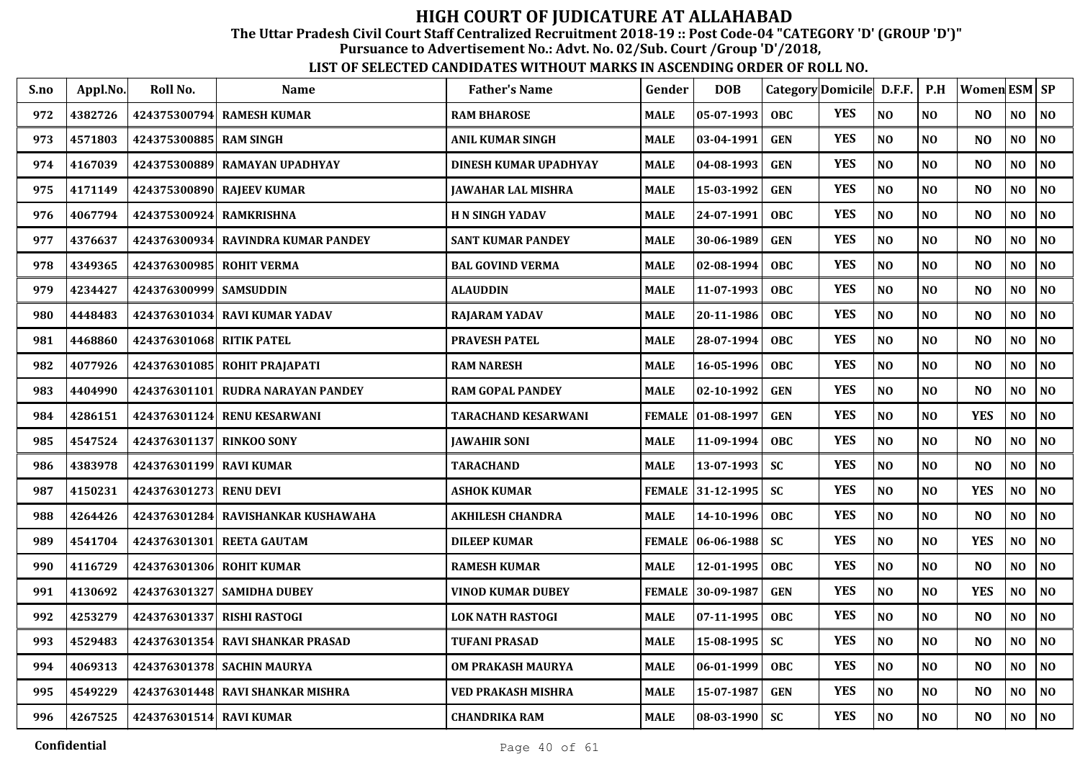The Uttar Pradesh Civil Court Staff Centralized Recruitment 2018-19 :: Post Code-04 "CATEGORY 'D' (GROUP 'D')"

Pursuance to Advertisement No.: Advt. No. 02/Sub. Court /Group 'D'/2018,

| S.no | Appl.No. | Roll No.                 | <b>Name</b>                        | <b>Father's Name</b>      | Gender        | <b>DOB</b>          | Category Domicile D.F.F. |            |          | P.H            | <b>Women ESM SP</b> |                |                |
|------|----------|--------------------------|------------------------------------|---------------------------|---------------|---------------------|--------------------------|------------|----------|----------------|---------------------|----------------|----------------|
| 972  | 4382726  |                          | 424375300794 RAMESH KUMAR          | <b>RAM BHAROSE</b>        | <b>MALE</b>   | 05-07-1993          | <b>OBC</b>               | <b>YES</b> | NO       | N <sub>O</sub> | N <sub>O</sub>      | NO             | N <sub>O</sub> |
| 973  | 4571803  | 424375300885 RAM SINGH   |                                    | <b>ANIL KUMAR SINGH</b>   | <b>MALE</b>   | 03-04-1991          | <b>GEN</b>               | <b>YES</b> | NO       | NO             | N <sub>O</sub>      | NO             | NO             |
| 974  | 4167039  | 424375300889             | <b>RAMAYAN UPADHYAY</b>            | DINESH KUMAR UPADHYAY     | <b>MALE</b>   | 04-08-1993          | <b>GEN</b>               | <b>YES</b> | NO       | N <sub>O</sub> | N <sub>O</sub>      | NO             | NO             |
| 975  | 4171149  | 424375300890             | <b>RAJEEV KUMAR</b>                | <b>JAWAHAR LAL MISHRA</b> | <b>MALE</b>   | 15-03-1992          | <b>GEN</b>               | <b>YES</b> | NO       | N <sub>O</sub> | N <sub>O</sub>      | N <sub>O</sub> | NO             |
| 976  | 4067794  | 424375300924 RAMKRISHNA  |                                    | <b>H N SINGH YADAV</b>    | <b>MALE</b>   | 24-07-1991          | OBC                      | <b>YES</b> | NO       | N <sub>O</sub> | N <sub>O</sub>      | N <sub>O</sub> | N <sub>0</sub> |
| 977  | 4376637  |                          | 424376300934 RAVINDRA KUMAR PANDEY | <b>SANT KUMAR PANDEY</b>  | <b>MALE</b>   | 30-06-1989          | <b>GEN</b>               | <b>YES</b> | NO       | N <sub>O</sub> | N <sub>O</sub>      | N <sub>O</sub> | NO             |
| 978  | 4349365  | 424376300985 ROHIT VERMA |                                    | <b>BAL GOVIND VERMA</b>   | <b>MALE</b>   | 02-08-1994          | OBC                      | <b>YES</b> | NO       | N <sub>0</sub> | N <sub>O</sub>      | NO             | N <sub>0</sub> |
| 979  | 4234427  | 424376300999 SAMSUDDIN   |                                    | <b>ALAUDDIN</b>           | <b>MALE</b>   | 11-07-1993          | <b>OBC</b>               | <b>YES</b> | NO       | NO             | N <sub>O</sub>      | NO.            | NO             |
| 980  | 4448483  |                          | 424376301034 RAVI KUMAR YADAV      | <b>RAJARAM YADAV</b>      | <b>MALE</b>   | 20-11-1986          | OBC                      | <b>YES</b> | NO       | NO             | N <sub>O</sub>      | N <sub>O</sub> | N <sub>0</sub> |
| 981  | 4468860  | 424376301068 RITIK PATEL |                                    | <b>PRAVESH PATEL</b>      | <b>MALE</b>   | 28-07-1994          | <b>OBC</b>               | <b>YES</b> | NO       | N <sub>O</sub> | N <sub>O</sub>      | NO             | NO             |
| 982  | 4077926  |                          | 424376301085 ROHIT PRAJAPATI       | <b>RAM NARESH</b>         | <b>MALE</b>   | 16-05-1996          | <b>OBC</b>               | <b>YES</b> | NO       | NO             | N <sub>O</sub>      | NO             | NO             |
| 983  | 4404990  | 424376301101             | <b>RUDRA NARAYAN PANDEY</b>        | <b>RAM GOPAL PANDEY</b>   | <b>MALE</b>   | 02-10-1992          | <b>GEN</b>               | <b>YES</b> | NO       | N <sub>O</sub> | N <sub>O</sub>      | NO             | N <sub>0</sub> |
| 984  | 4286151  | 424376301124             | <b>RENU KESARWANI</b>              | TARACHAND KESARWANI       | <b>FEMALE</b> | $ 01-08-1997$       | <b>GEN</b>               | <b>YES</b> | NO       | NO             | <b>YES</b>          | NO             | N <sub>0</sub> |
| 985  | 4547524  | 424376301137 RINKOO SONY |                                    | <b>JAWAHIR SONI</b>       | <b>MALE</b>   | 11-09-1994          | <b>OBC</b>               | <b>YES</b> | NO       | NO             | N <sub>O</sub>      | NO             | N <sub>0</sub> |
| 986  | 4383978  | 424376301199 RAVI KUMAR  |                                    | <b>TARACHAND</b>          | <b>MALE</b>   | 13-07-1993          | <b>SC</b>                | <b>YES</b> | NO       | N <sub>O</sub> | N <sub>O</sub>      | NO.            | N <sub>0</sub> |
| 987  | 4150231  | 424376301273 RENU DEVI   |                                    | <b>ASHOK KUMAR</b>        |               | FEMALE 31-12-1995   | <b>SC</b>                | <b>YES</b> | NO       | N <sub>0</sub> | <b>YES</b>          | NO             | NO             |
| 988  | 4264426  | 424376301284             | RAVISHANKAR KUSHAWAHA              | <b>AKHILESH CHANDRA</b>   | <b>MALE</b>   | 14-10-1996          | <b>OBC</b>               | <b>YES</b> | NO       | N <sub>0</sub> | N <sub>O</sub>      | NO             | N <sub>0</sub> |
| 989  | 4541704  | 424376301301             | <b>REETA GAUTAM</b>                | <b>DILEEP KUMAR</b>       |               | FEMALE   06-06-1988 | <b>SC</b>                | <b>YES</b> | NO       | NO             | <b>YES</b>          | NO             | NO             |
| 990  | 4116729  |                          | 424376301306 ROHIT KUMAR           | <b>RAMESH KUMAR</b>       | <b>MALE</b>   | 12-01-1995          | OBC                      | <b>YES</b> | NO       | N <sub>O</sub> | N <sub>O</sub>      | NO             | N <sub>0</sub> |
| 991  | 4130692  |                          | 424376301327   SAMIDHA DUBEY       | VINOD KUMAR DUBEY         |               | FEMALE 30-09-1987   | <b>GEN</b>               | <b>YES</b> | $\bf NO$ | NO             | <b>YES</b>          | NO             | $\bf NO$       |
| 992  | 4253279  |                          | 424376301337 RISHI RASTOGI         | <b>LOK NATH RASTOGI</b>   | <b>MALE</b>   | 07-11-1995          | OBC                      | <b>YES</b> | NO       | NO             | N <sub>O</sub>      | NO             | $\bf NO$       |
| 993  | 4529483  | 424376301354             | <b>RAVI SHANKAR PRASAD</b>         | <b>TUFANI PRASAD</b>      | <b>MALE</b>   | 15-08-1995          | <b>SC</b>                | <b>YES</b> | NO       | NO             | NO                  | NO             | N <sub>0</sub> |
| 994  | 4069313  |                          | 424376301378 SACHIN MAURYA         | OM PRAKASH MAURYA         | <b>MALE</b>   | 06-01-1999          | <b>OBC</b>               | <b>YES</b> | NO       | NO             | N <sub>O</sub>      | NO             | N <sub>0</sub> |
| 995  | 4549229  |                          | 424376301448 RAVI SHANKAR MISHRA   | VED PRAKASH MISHRA        | <b>MALE</b>   | 15-07-1987          | <b>GEN</b>               | <b>YES</b> | $\bf NO$ | $\bf NO$       | N <sub>O</sub>      | NO             | NO             |
| 996  | 4267525  | 424376301514 RAVI KUMAR  |                                    | <b>CHANDRIKA RAM</b>      | <b>MALE</b>   | $ 08-03-1990 $      | <b>SC</b>                | <b>YES</b> | $\bf NO$ | $\bf NO$       | N <sub>O</sub>      | NO             | NO             |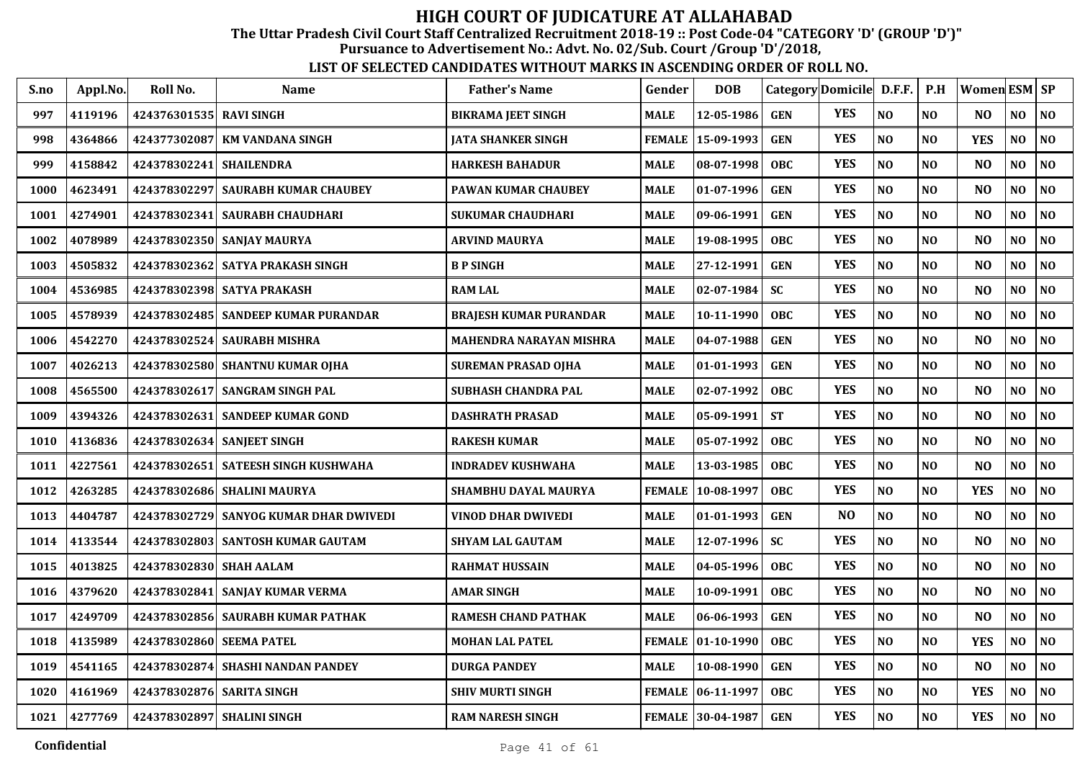The Uttar Pradesh Civil Court Staff Centralized Recruitment 2018-19 :: Post Code-04 "CATEGORY 'D' (GROUP 'D')"

Pursuance to Advertisement No.: Advt. No. 02/Sub. Court /Group 'D'/2018,

| S.no | Appl.No. | Roll No.                | Name                                   | <b>Father's Name</b>       | Gender        | <b>DOB</b>         |            | Category Domicile D.F.F. |                | P.H            | Women ESM SP   |                |                |
|------|----------|-------------------------|----------------------------------------|----------------------------|---------------|--------------------|------------|--------------------------|----------------|----------------|----------------|----------------|----------------|
| 997  | 4119196  | 424376301535 RAVI SINGH |                                        | <b>BIKRAMA JEET SINGH</b>  | <b>MALE</b>   | 12-05-1986         | <b>GEN</b> | <b>YES</b>               | N <sub>O</sub> | NO             | N <sub>O</sub> | N <sub>O</sub> | NO             |
| 998  | 4364866  | 424377302087            | <b>KM VANDANA SINGH</b>                | JATA SHANKER SINGH         | <b>FEMALE</b> | 15-09-1993         | <b>GEN</b> | <b>YES</b>               | N <sub>O</sub> | N <sub>O</sub> | <b>YES</b>     | NO             | NO             |
| 999  | 4158842  | 424378302241 SHAILENDRA |                                        | HARKESH BAHADUR            | <b>MALE</b>   | 08-07-1998         | <b>OBC</b> | <b>YES</b>               | $\bf NO$       | NO             | N <sub>O</sub> | NO             | NO             |
| 1000 | 4623491  | 424378302297            | <b>SAURABH KUMAR CHAUBEY</b>           | PAWAN KUMAR CHAUBEY        | MALE          | 01-07-1996         | <b>GEN</b> | <b>YES</b>               | NO             | NO             | N <sub>O</sub> | NO             | $\bf NO$       |
| 1001 | 4274901  | 424378302341            | <b>SAURABH CHAUDHARI</b>               | SUKUMAR CHAUDHARI          | <b>MALE</b>   | 09-06-1991         | <b>GEN</b> | <b>YES</b>               | N <sub>O</sub> | NO             | N <sub>O</sub> | NO             | NO             |
| 1002 | 4078989  |                         | 424378302350 SANJAY MAURYA             | <b>ARVIND MAURYA</b>       | <b>MALE</b>   | 19-08-1995         | <b>OBC</b> | <b>YES</b>               | N <sub>O</sub> | NO             | N <sub>O</sub> | NO             | NO             |
| 1003 | 4505832  |                         | 424378302362 SATYA PRAKASH SINGH       | <b>B P SINGH</b>           | MALE          | 27-12-1991         | <b>GEN</b> | <b>YES</b>               | NO             | NO             | N <sub>O</sub> | NO             | NO             |
| 1004 | 4536985  |                         | 424378302398 SATYA PRAKASH             | <b>RAM LAL</b>             | <b>MALE</b>   | $02 - 07 - 1984$   | <b>SC</b>  | <b>YES</b>               | N <sub>O</sub> | NO             | N <sub>O</sub> | NO             | $\bf NO$       |
| 1005 | 4578939  |                         | 424378302485   SANDEEP KUMAR PURANDAR  | BRAJESH KUMAR PURANDAR     | MALE          | 10-11-1990         | <b>OBC</b> | <b>YES</b>               | NO             | NO             | N <sub>O</sub> | NO             | NO             |
| 1006 | 4542270  |                         | 424378302524 SAURABH MISHRA            | MAHENDRA NARAYAN MISHRA    | MALE          | 04-07-1988         | <b>GEN</b> | <b>YES</b>               | N <sub>O</sub> | N <sub>O</sub> | N <sub>O</sub> | NO             | NO             |
| 1007 | 4026213  |                         | 424378302580 SHANTNU KUMAR OJHA        | SUREMAN PRASAD OJHA        | <b>MALE</b>   | $01-01-1993$       | <b>GEN</b> | <b>YES</b>               | N <sub>O</sub> | N <sub>O</sub> | N <sub>O</sub> | NO             | N <sub>O</sub> |
| 1008 | 4565500  |                         | 424378302617   SANGRAM SINGH PAL       | SUBHASH CHANDRA PAL        | MALE          | $02 - 07 - 1992$   | <b>OBC</b> | <b>YES</b>               | N <sub>O</sub> | N <sub>O</sub> | N <sub>O</sub> | N <sub>O</sub> | N <sub>O</sub> |
| 1009 | 4394326  | 424378302631            | <b>SANDEEP KUMAR GOND</b>              | <b>DASHRATH PRASAD</b>     | MALE          | 05-09-1991         | <b>ST</b>  | <b>YES</b>               | NO             | N <sub>O</sub> | N <sub>O</sub> | N <sub>O</sub> | N <sub>O</sub> |
| 1010 | 4136836  | 424378302634            | <b>SANJEET SINGH</b>                   | <b>RAKESH KUMAR</b>        | <b>MALE</b>   | 05-07-1992         | <b>OBC</b> | <b>YES</b>               | NO             | NO             | N <sub>O</sub> | NO             | NO             |
| 1011 | 4227561  | 424378302651            | SATEESH SINGH KUSHWAHA                 | <b>INDRADEV KUSHWAHA</b>   | <b>MALE</b>   | 13-03-1985         | <b>OBC</b> | <b>YES</b>               | N <sub>O</sub> | N <sub>O</sub> | N <sub>O</sub> | N <sub>O</sub> | NO             |
| 1012 | 4263285  |                         | 424378302686 SHALINI MAURYA            | SHAMBHU DAYAL MAURYA       | <b>FEMALE</b> | 10-08-1997         | <b>OBC</b> | <b>YES</b>               | NO             | NO             | <b>YES</b>     | NO             | NO             |
| 1013 | 4404787  |                         | 424378302729 SANYOG KUMAR DHAR DWIVEDI | VINOD DHAR DWIVEDI         | <b>MALE</b>   | 01-01-1993         | <b>GEN</b> | N <sub>O</sub>           | N <sub>O</sub> | NO             | N <sub>O</sub> | NO             | NO             |
| 1014 | 4133544  | 424378302803            | <b>SANTOSH KUMAR GAUTAM</b>            | SHYAM LAL GAUTAM           | <b>MALE</b>   | 12-07-1996         | <b>SC</b>  | <b>YES</b>               | N <sub>O</sub> | NO             | N <sub>O</sub> | NO             | NO             |
| 1015 | 4013825  | 424378302830 SHAH AALAM |                                        | <b>RAHMAT HUSSAIN</b>      | <b>MALE</b>   | 04-05-1996         | <b>OBC</b> | <b>YES</b>               | N <sub>O</sub> | N <sub>O</sub> | N <sub>O</sub> | NO             | NO             |
| 1016 | 4379620  |                         | 424378302841 SANJAY KUMAR VERMA        | AMAR SINGH                 | MALE          | 10-09-1991         | <b>OBC</b> | <b>YES</b>               | N <sub>O</sub> | NO             | N <sub>O</sub> | N <sub>O</sub> | N <sub>O</sub> |
| 1017 | 4249709  |                         | 424378302856   SAURABH KUMAR PATHAK    | <b>RAMESH CHAND PATHAK</b> | <b>MALE</b>   | 06-06-1993         | <b>GEN</b> | <b>YES</b>               | NO             | N <sub>O</sub> | N <sub>O</sub> | N <sub>O</sub> | NO             |
| 1018 | 4135989  | 424378302860            | <b>SEEMA PATEL</b>                     | <b>MOHAN LAL PATEL</b>     | <b>FEMALE</b> | $\vert$ 01-10-1990 | <b>OBC</b> | <b>YES</b>               | N <sub>O</sub> | N <sub>O</sub> | <b>YES</b>     | N <sub>O</sub> | NO             |
| 1019 | 4541165  | 424378302874            | <b>SHASHI NANDAN PANDEY</b>            | <b>DURGA PANDEY</b>        | <b>MALE</b>   | 10-08-1990         | <b>GEN</b> | <b>YES</b>               | $\bf NO$       | N <sub>O</sub> | N <sub>O</sub> | NO             | NO             |
| 1020 | 4161969  |                         | 424378302876 SARITA SINGH              | SHIV MURTI SINGH           | <b>FEMALE</b> | 06-11-1997         | <b>OBC</b> | <b>YES</b>               | $\bf NO$       | $\bf NO$       | <b>YES</b>     | NO             | NO             |
| 1021 | 4277769  |                         | 424378302897 SHALINI SINGH             | <b>RAM NARESH SINGH</b>    |               | FEMALE 30-04-1987  | <b>GEN</b> | <b>YES</b>               | $\bf NO$       | N <sub>O</sub> | <b>YES</b>     | NO             | NO             |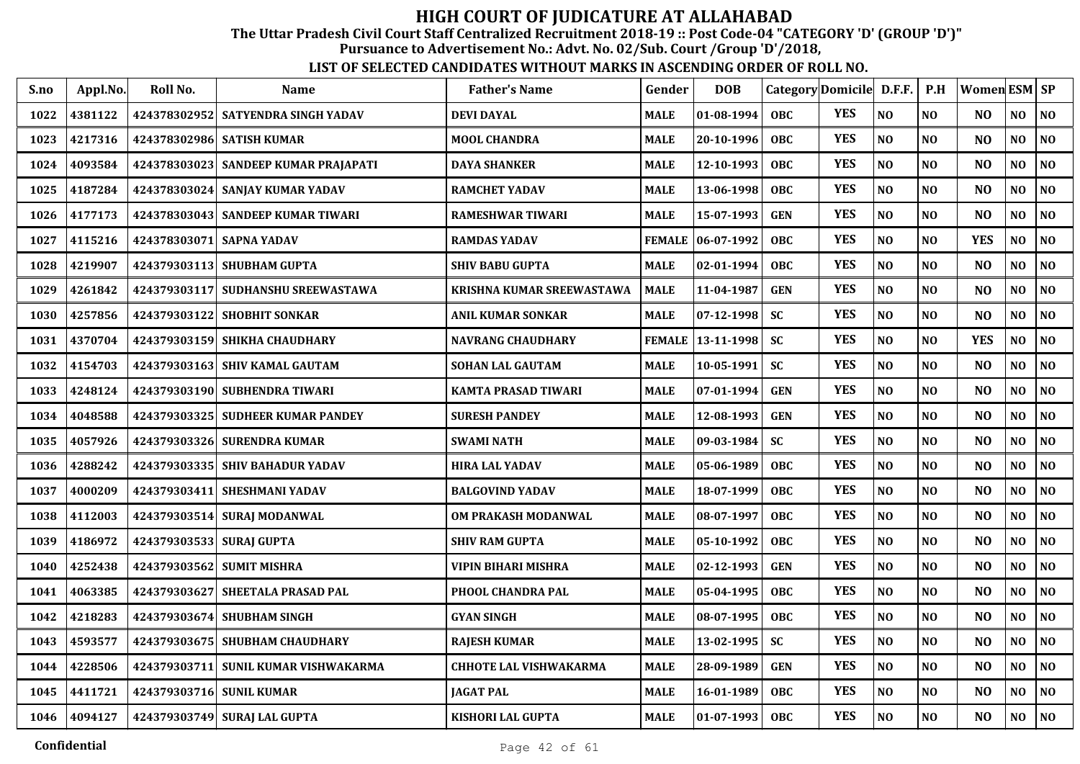The Uttar Pradesh Civil Court Staff Centralized Recruitment 2018-19 :: Post Code-04 "CATEGORY 'D' (GROUP 'D')"

Pursuance to Advertisement No.: Advt. No. 02/Sub. Court /Group 'D'/2018,

| S.no | Appl.No. | Roll No.                 | <b>Name</b>                          | <b>Father's Name</b>          | Gender        | <b>DOB</b>       |            | Category Domicile D.F.F. |                | P.H            | Women ESM SP   |                |                |
|------|----------|--------------------------|--------------------------------------|-------------------------------|---------------|------------------|------------|--------------------------|----------------|----------------|----------------|----------------|----------------|
| 1022 | 4381122  |                          | 424378302952 SATYENDRA SINGH YADAV   | <b>DEVI DAYAL</b>             | <b>MALE</b>   | 01-08-1994       | <b>OBC</b> | <b>YES</b>               | NO             | N <sub>O</sub> | N <sub>O</sub> | NO             | NO             |
| 1023 | 4217316  |                          | 424378302986 SATISH KUMAR            | <b>MOOL CHANDRA</b>           | <b>MALE</b>   | 20-10-1996       | <b>OBC</b> | <b>YES</b>               | NO             | N <sub>O</sub> | N <sub>O</sub> | NO.            | NO             |
| 1024 | 4093584  |                          | 424378303023 SANDEEP KUMAR PRAJAPATI | <b>DAYA SHANKER</b>           | <b>MALE</b>   | 12-10-1993       | <b>OBC</b> | <b>YES</b>               | NO             | N <sub>O</sub> | N <sub>O</sub> | NO             | NO             |
| 1025 | 4187284  | 424378303024             | SANJAY KUMAR YADAV                   | RAMCHET YADAV                 | <b>MALE</b>   | 13-06-1998       | <b>OBC</b> | <b>YES</b>               | N <sub>O</sub> | N <sub>O</sub> | N <sub>O</sub> | N <sub>O</sub> | NO             |
| 1026 | 4177173  | 424378303043             | <b>SANDEEP KUMAR TIWARI</b>          | <b>RAMESHWAR TIWARI</b>       | <b>MALE</b>   | 15-07-1993       | <b>GEN</b> | <b>YES</b>               | N <sub>O</sub> | N <sub>O</sub> | N <sub>O</sub> | N <sub>O</sub> | NO             |
| 1027 | 4115216  | 424378303071 SAPNA YADAV |                                      | <b>RAMDAS YADAV</b>           | <b>FEMALE</b> | 06-07-1992       | <b>OBC</b> | <b>YES</b>               | N <sub>O</sub> | N <sub>O</sub> | <b>YES</b>     | N <sub>O</sub> | NO             |
| 1028 | 4219907  |                          | 424379303113 SHUBHAM GUPTA           | <b>SHIV BABU GUPTA</b>        | <b>MALE</b>   | 02-01-1994       | <b>OBC</b> | <b>YES</b>               | NO             | N <sub>O</sub> | N <sub>O</sub> | N <sub>O</sub> | NO             |
| 1029 | 4261842  |                          | 424379303117 SUDHANSHU SREEWASTAWA   | KRISHNA KUMAR SREEWASTAWA     | <b>MALE</b>   | 11-04-1987       | <b>GEN</b> | <b>YES</b>               | N <sub>O</sub> | NO             | N <sub>O</sub> | NO             | N <sub>0</sub> |
| 1030 | 4257856  | 424379303122             | <b>SHOBHIT SONKAR</b>                | <b>ANIL KUMAR SONKAR</b>      | <b>MALE</b>   | 07-12-1998       | <b>SC</b>  | <b>YES</b>               | NO             | N <sub>O</sub> | N <sub>O</sub> | NO.            | NO             |
| 1031 | 4370704  |                          | 424379303159 SHIKHA CHAUDHARY        | <b>NAVRANG CHAUDHARY</b>      | <b>FEMALE</b> | $13 - 11 - 1998$ | <b>SC</b>  | <b>YES</b>               | NO             | N <sub>O</sub> | <b>YES</b>     | NO.            | NO             |
| 1032 | 4154703  |                          | 424379303163   SHIV KAMAL GAUTAM     | <b>SOHAN LAL GAUTAM</b>       | <b>MALE</b>   | 10-05-1991       | <b>SC</b>  | <b>YES</b>               | NO             | N <sub>O</sub> | N <sub>O</sub> | NO             | N <sub>O</sub> |
| 1033 | 4248124  |                          | 424379303190 SUBHENDRA TIWARI        | KAMTA PRASAD TIWARI           | <b>MALE</b>   | 07-01-1994       | <b>GEN</b> | <b>YES</b>               | NO             | N <sub>O</sub> | N <sub>O</sub> | NO             | NO             |
| 1034 | 4048588  | 424379303325             | <b>SUDHEER KUMAR PANDEY</b>          | <b>SURESH PANDEY</b>          | <b>MALE</b>   | 12-08-1993       | <b>GEN</b> | <b>YES</b>               | NO             | NO             | N <sub>O</sub> | NO             | NO             |
| 1035 | 4057926  |                          | 424379303326 SURENDRA KUMAR          | <b>SWAMI NATH</b>             | <b>MALE</b>   | 09-03-1984       | <b>SC</b>  | <b>YES</b>               | N <sub>O</sub> | N <sub>O</sub> | N <sub>O</sub> | NO             | NO             |
| 1036 | 4288242  |                          | 424379303335 SHIV BAHADUR YADAV      | <b>HIRA LAL YADAV</b>         | <b>MALE</b>   | 05-06-1989       | <b>OBC</b> | <b>YES</b>               | N <sub>O</sub> | N <sub>O</sub> | N <sub>O</sub> | NO.            | N <sub>O</sub> |
| 1037 | 4000209  |                          | 424379303411 SHESHMANI YADAV         | <b>BALGOVIND YADAV</b>        | <b>MALE</b>   | 18-07-1999       | <b>OBC</b> | <b>YES</b>               | NO             | NO             | N <sub>O</sub> | N <sub>O</sub> | NO             |
| 1038 | 4112003  |                          | 424379303514 SURAJ MODANWAL          | OM PRAKASH MODANWAL           | <b>MALE</b>   | 08-07-1997       | <b>OBC</b> | <b>YES</b>               | N <sub>O</sub> | N <sub>O</sub> | N <sub>O</sub> | NO.            | NO             |
| 1039 | 4186972  | 424379303533 SURAJ GUPTA |                                      | <b>SHIV RAM GUPTA</b>         | <b>MALE</b>   | 05-10-1992       | <b>OBC</b> | <b>YES</b>               | N <sub>O</sub> | N <sub>O</sub> | N <sub>O</sub> | NO             | N <sub>O</sub> |
| 1040 | 4252438  |                          | 424379303562 SUMIT MISHRA            | <b>VIPIN BIHARI MISHRA</b>    | <b>MALE</b>   | 02-12-1993       | <b>GEN</b> | <b>YES</b>               | $\bf NO$       | NO             | N <sub>O</sub> | NO.            | NO.            |
| 1041 | 4063385  |                          | 424379303627 SHEETALA PRASAD PAL     | PHOOL CHANDRA PAL             | <b>MALE</b>   | 05-04-1995       | <b>OBC</b> | <b>YES</b>               | $\bf NO$       | N <sub>O</sub> | N <sub>O</sub> | NO             | $\bf NO$       |
| 1042 | 4218283  | 424379303674             | <b>SHUBHAM SINGH</b>                 | <b>GYAN SINGH</b>             | <b>MALE</b>   | 08-07-1995       | <b>OBC</b> | <b>YES</b>               | NO             | N <sub>O</sub> | N <sub>O</sub> | NO.            | N <sub>0</sub> |
| 1043 | 4593577  |                          | 424379303675 SHUBHAM CHAUDHARY       | <b>RAJESH KUMAR</b>           | <b>MALE</b>   | 13-02-1995       | <b>SC</b>  | <b>YES</b>               | NO             | NO             | N <sub>O</sub> | NO             | N <sub>0</sub> |
| 1044 | 4228506  |                          | 424379303711 SUNIL KUMAR VISHWAKARMA | <b>CHHOTE LAL VISHWAKARMA</b> | <b>MALE</b>   | 28-09-1989       | <b>GEN</b> | <b>YES</b>               | N <sub>O</sub> | N <sub>O</sub> | N <sub>O</sub> | NO.            | N <sub>O</sub> |
| 1045 | 4411721  | 424379303716 SUNIL KUMAR |                                      | <b>JAGAT PAL</b>              | <b>MALE</b>   | 16-01-1989       | OBC        | <b>YES</b>               | NO             | NO             | N <sub>O</sub> | N <sub>O</sub> | NO             |
| 1046 | 4094127  |                          | 424379303749 SURAJ LAL GUPTA         | <b>KISHORI LAL GUPTA</b>      | <b>MALE</b>   | 01-07-1993       | <b>OBC</b> | <b>YES</b>               | NO             | N <sub>O</sub> | N <sub>O</sub> | NO.            | NO             |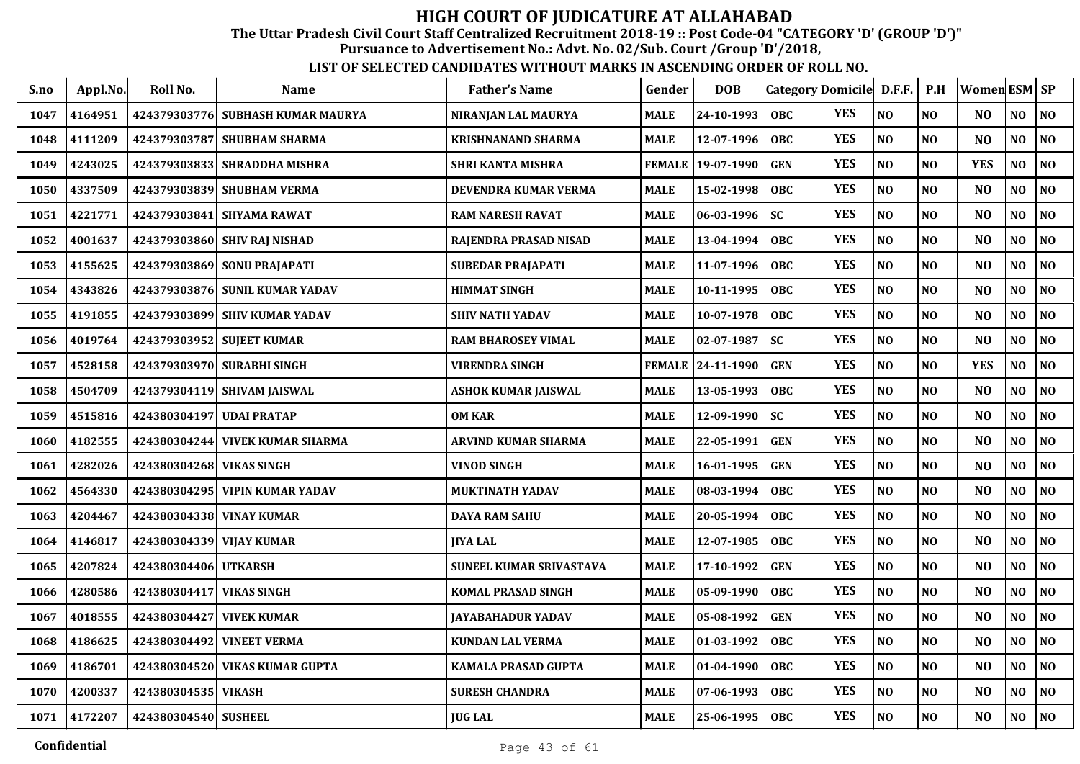The Uttar Pradesh Civil Court Staff Centralized Recruitment 2018-19 :: Post Code-04 "CATEGORY 'D' (GROUP 'D')"

Pursuance to Advertisement No.: Advt. No. 02/Sub. Court /Group 'D'/2018,

| S.no | Appl.No. | Roll No.                   | Name                            | <b>Father's Name</b>           | Gender        | <b>DOB</b>        |            | Category Domicile D.F.F. |                | P.H            | Women ESM SP   |          |                |
|------|----------|----------------------------|---------------------------------|--------------------------------|---------------|-------------------|------------|--------------------------|----------------|----------------|----------------|----------|----------------|
| 1047 | 4164951  | 424379303776               | <b>SUBHASH KUMAR MAURYA</b>     | NIRANJAN LAL MAURYA            | MALE          | 24-10-1993        | <b>OBC</b> | <b>YES</b>               | N <sub>0</sub> | N <sub>0</sub> | N <sub>O</sub> | NO       | NO             |
| 1048 | 4111209  | 424379303787               | <b>SHUBHAM SHARMA</b>           | <b>KRISHNANAND SHARMA</b>      | MALE          | 12-07-1996        | <b>OBC</b> | <b>YES</b>               | N <sub>O</sub> | NO             | N <sub>O</sub> | NO       | NO             |
| 1049 | 4243025  |                            | 424379303833  SHRADDHA MISHRA   | <b>SHRI KANTA MISHRA</b>       | <b>FEMALE</b> | 19-07-1990        | <b>GEN</b> | <b>YES</b>               | N <sub>O</sub> | NO             | <b>YES</b>     | NO       | NO             |
| 1050 | 4337509  |                            | 424379303839  SHUBHAM VERMA     | DEVENDRA KUMAR VERMA           | <b>MALE</b>   | 15-02-1998        | OBC.       | <b>YES</b>               | N <sub>O</sub> | N <sub>O</sub> | N <sub>O</sub> | NO       | NO             |
| 1051 | 4221771  | 424379303841               | <b>SHYAMA RAWAT</b>             | <b>RAM NARESH RAVAT</b>        | <b>MALE</b>   | 06-03-1996        | <b>SC</b>  | <b>YES</b>               | N <sub>O</sub> | N <sub>O</sub> | N <sub>O</sub> | NO       | NO             |
| 1052 | 4001637  |                            | 424379303860 SHIV RAJ NISHAD    | RAJENDRA PRASAD NISAD          | <b>MALE</b>   | 13-04-1994        | <b>OBC</b> | <b>YES</b>               | N <sub>O</sub> | N <sub>O</sub> | N <sub>O</sub> | NO       | NO             |
| 1053 | 4155625  |                            | 424379303869 SONU PRAJAPATI     | <b>SUBEDAR PRAJAPATI</b>       | MALE          | 11-07-1996        | <b>OBC</b> | <b>YES</b>               | $\bf NO$       | NO             | N <sub>O</sub> | NO       | $\bf NO$       |
| 1054 | 4343826  |                            | 424379303876 SUNIL KUMAR YADAV  | <b>HIMMAT SINGH</b>            | <b>MALE</b>   | 10-11-1995        | <b>OBC</b> | <b>YES</b>               | N <sub>O</sub> | NO             | N <sub>O</sub> | NO       | NO             |
| 1055 | 4191855  |                            | 424379303899  SHIV KUMAR YADAV  | <b>SHIV NATH YADAV</b>         | MALE          | 10-07-1978        | <b>OBC</b> | <b>YES</b>               | NO             | NO             | N <sub>O</sub> | NO       | NO             |
| 1056 | 4019764  |                            | 424379303952  SUJEET KUMAR      | <b>RAM BHAROSEY VIMAL</b>      | <b>MALE</b>   | 02-07-1987        | <b>SC</b>  | <b>YES</b>               | N <sub>O</sub> | N <sub>0</sub> | N <sub>O</sub> | NO.      | NO             |
| 1057 | 4528158  |                            | 424379303970  SURABHI SINGH     | <b>VIRENDRA SINGH</b>          |               | FEMALE 24-11-1990 | <b>GEN</b> | <b>YES</b>               | N <sub>O</sub> | NO             | <b>YES</b>     | NO       | NO             |
| 1058 | 4504709  |                            | 424379304119  SHIVAM JAISWAL    | <b>ASHOK KUMAR JAISWAL</b>     | <b>MALE</b>   | 13-05-1993        | <b>OBC</b> | <b>YES</b>               | N <sub>O</sub> | N <sub>O</sub> | N <sub>O</sub> | NO       | NO             |
| 1059 | 4515816  | 424380304197               | <b>UDAI PRATAP</b>              | <b>OM KAR</b>                  | <b>MALE</b>   | 12-09-1990        | <b>SC</b>  | <b>YES</b>               | NO             | N <sub>O</sub> | NO             | NO       | $\bf NO$       |
| 1060 | 4182555  | 424380304244               | <b>VIVEK KUMAR SHARMA</b>       | <b>ARVIND KUMAR SHARMA</b>     | <b>MALE</b>   | 22-05-1991        | <b>GEN</b> | <b>YES</b>               | N <sub>O</sub> | N <sub>0</sub> | N <sub>O</sub> | NO       | N <sub>0</sub> |
| 1061 | 4282026  | 424380304268  VIKAS SINGH  |                                 | <b>VINOD SINGH</b>             | MALE          | 16-01-1995        | <b>GEN</b> | <b>YES</b>               | N <sub>O</sub> | N <sub>0</sub> | N <sub>O</sub> | NO       | NO             |
| 1062 | 4564330  |                            | 424380304295  VIPIN KUMAR YADAV | <b>MUKTINATH YADAV</b>         | <b>MALE</b>   | 08-03-1994        | <b>OBC</b> | <b>YES</b>               | NO             | N <sub>0</sub> | N <sub>O</sub> | NO       | N <sub>0</sub> |
| 1063 | 4204467  |                            | 424380304338  VINAY KUMAR       | <b>DAYA RAM SAHU</b>           | <b>MALE</b>   | 20-05-1994        | <b>OBC</b> | <b>YES</b>               | N <sub>O</sub> | NO             | N <sub>O</sub> | NO       | NO             |
| 1064 | 4146817  | 424380304339  VIJAY KUMAR  |                                 | <b>JIYA LAL</b>                | <b>MALE</b>   | 12-07-1985        | <b>OBC</b> | <b>YES</b>               | NO             | N <sub>O</sub> | N <sub>O</sub> | NO.      | NO             |
| 1065 | 4207824  | 424380304406 UTKARSH       |                                 | <b>SUNEEL KUMAR SRIVASTAVA</b> | <b>MALE</b>   | 17-10-1992        | <b>GEN</b> | <b>YES</b>               | N <sub>O</sub> | N <sub>O</sub> | N <sub>O</sub> | NO       | NO             |
| 1066 | 4280586  | 424380304417   VIKAS SINGH |                                 | <b>KOMAL PRASAD SINGH</b>      | MALE          | 05-09-1990        | OBC.       | <b>YES</b>               | NO             | N <sub>O</sub> | N <sub>O</sub> | $\bf NO$ | NO             |
| 1067 | 4018555  | 424380304427               | <b>VIVEK KUMAR</b>              | <b>JAYABAHADUR YADAV</b>       | <b>MALE</b>   | 05-08-1992        | <b>GEN</b> | <b>YES</b>               | N <sub>O</sub> | N <sub>O</sub> | N <sub>O</sub> | NO.      | N <sub>0</sub> |
| 1068 | 4186625  | 424380304492               | <b>VINEET VERMA</b>             | <b>KUNDAN LAL VERMA</b>        | <b>MALE</b>   | 01-03-1992        | <b>OBC</b> | <b>YES</b>               | N <sub>O</sub> | NO             | N <sub>O</sub> | NO       | N <sub>0</sub> |
| 1069 | 4186701  |                            | 424380304520  VIKAS KUMAR GUPTA | KAMALA PRASAD GUPTA            | MALE          | 01-04-1990        | <b>OBC</b> | <b>YES</b>               | N <sub>O</sub> | N <sub>0</sub> | N <sub>O</sub> | NO.      | NO             |
| 1070 | 4200337  | 424380304535  VIKASH       |                                 | <b>SURESH CHANDRA</b>          | <b>MALE</b>   | 07-06-1993        | <b>OBC</b> | <b>YES</b>               | $\bf NO$       | N <sub>0</sub> | N <sub>O</sub> | NO       | N <sub>O</sub> |
| 1071 | 4172207  | 424380304540 SUSHEEL       |                                 | <b>JUG LAL</b>                 | <b>MALE</b>   | 25-06-1995        | OBC        | <b>YES</b>               | N <sub>O</sub> | NO             | N <sub>O</sub> | NO       | NO             |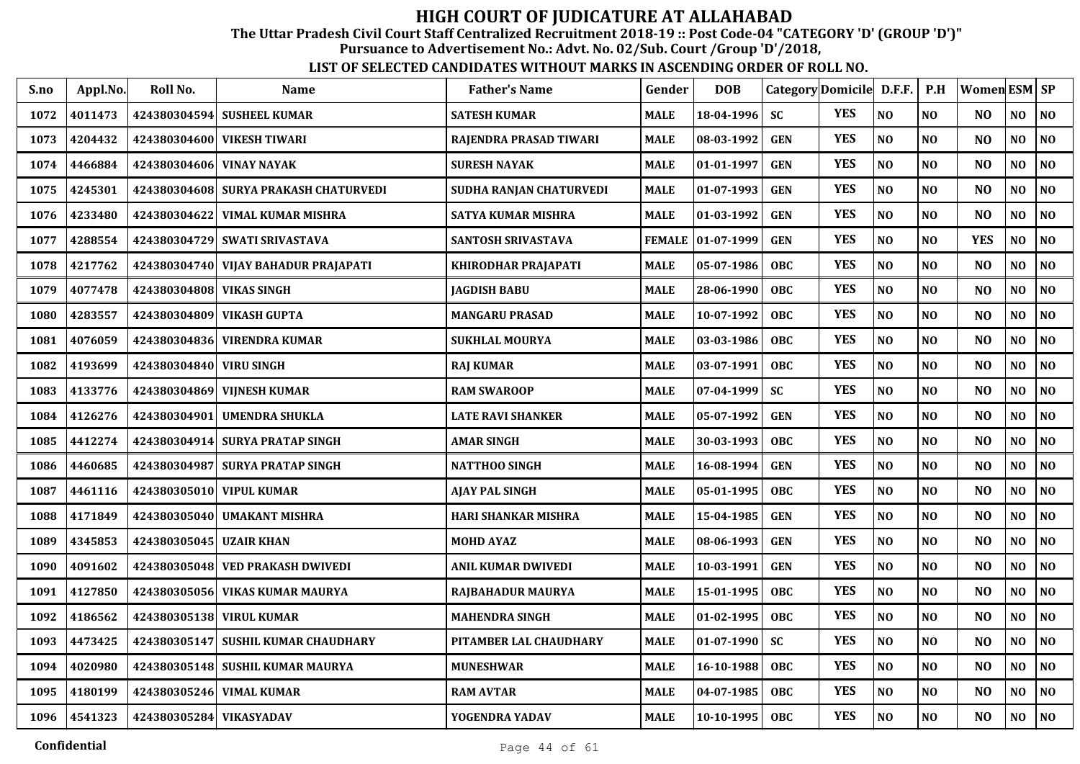The Uttar Pradesh Civil Court Staff Centralized Recruitment 2018-19 :: Post Code-04 "CATEGORY 'D' (GROUP 'D')"

Pursuance to Advertisement No.: Advt. No. 02/Sub. Court /Group 'D'/2018,

| S.no | Appl.No. | Roll No.                 | Name                                  | <b>Father's Name</b>      | Gender        | <b>DOB</b>    | Category Domicile D.F.F. |            |                | P.H            | Women ESM SP   |                |                |
|------|----------|--------------------------|---------------------------------------|---------------------------|---------------|---------------|--------------------------|------------|----------------|----------------|----------------|----------------|----------------|
| 1072 | 4011473  | 424380304594             | <b>SUSHEEL KUMAR</b>                  | <b>SATESH KUMAR</b>       | MALE          | 18-04-1996    | <b>SC</b>                | <b>YES</b> | N <sub>O</sub> | NO             | N <sub>O</sub> | NO             | N <sub>0</sub> |
| 1073 | 4204432  |                          | 424380304600 VIKESH TIWARI            | RAJENDRA PRASAD TIWARI    | MALE          | 08-03-1992    | <b>GEN</b>               | <b>YES</b> | N <sub>O</sub> | N <sub>O</sub> | N <sub>O</sub> | NO             | N <sub>0</sub> |
| 1074 | 4466884  | 424380304606             | <b>VINAY NAYAK</b>                    | SURESH NAYAK              | <b>MALE</b>   | 01-01-1997    | <b>GEN</b>               | <b>YES</b> | NO             | NO             | N <sub>O</sub> | NO             | N <sub>0</sub> |
| 1075 | 4245301  |                          | 424380304608 SURYA PRAKASH CHATURVEDI | SUDHA RANJAN CHATURVEDI   | <b>MALE</b>   | 01-07-1993    | <b>GEN</b>               | <b>YES</b> | N <sub>O</sub> | N <sub>0</sub> | N <sub>O</sub> | NO             | NO             |
| 1076 | 4233480  | 424380304622             | <b>VIMAL KUMAR MISHRA</b>             | SATYA KUMAR MISHRA        | <b>MALE</b>   | 01-03-1992    | <b>GEN</b>               | <b>YES</b> | N <sub>O</sub> | N <sub>O</sub> | N <sub>O</sub> | NO             | N <sub>0</sub> |
| 1077 | 4288554  | 424380304729             | <b>SWATI SRIVASTAVA</b>               | <b>SANTOSH SRIVASTAVA</b> | <b>FEMALE</b> | $ 01-07-1999$ | <b>GEN</b>               | <b>YES</b> | N <sub>O</sub> | NO             | <b>YES</b>     | N <sub>O</sub> | NO             |
| 1078 | 4217762  |                          | 424380304740 VIJAY BAHADUR PRAJAPATI  | KHIRODHAR PRAJAPATI       | <b>MALE</b>   | 05-07-1986    | <b>OBC</b>               | <b>YES</b> | N <sub>O</sub> | N <sub>0</sub> | N <sub>O</sub> | NO             | NO             |
| 1079 | 4077478  | 424380304808 VIKAS SINGH |                                       | JAGDISH BABU              | <b>MALE</b>   | 28-06-1990    | <b>OBC</b>               | <b>YES</b> | N <sub>O</sub> | N <sub>O</sub> | N <sub>O</sub> | NO             | NO             |
| 1080 | 4283557  | 424380304809             | <b>VIKASH GUPTA</b>                   | <b>MANGARU PRASAD</b>     | <b>MALE</b>   | 10-07-1992    | <b>OBC</b>               | <b>YES</b> | N <sub>O</sub> | N <sub>0</sub> | N <sub>O</sub> | NO             | N <sub>0</sub> |
| 1081 | 4076059  | 424380304836             | <b>VIRENDRA KUMAR</b>                 | <b>SUKHLAL MOURYA</b>     | <b>MALE</b>   | 03-03-1986    | <b>OBC</b>               | <b>YES</b> | N <sub>O</sub> | N <sub>O</sub> | N <sub>O</sub> | NO             | N <sub>0</sub> |
| 1082 | 4193699  | 424380304840             | <b>VIRU SINGH</b>                     | RAJ KUMAR                 | MALE          | 03-07-1991    | <b>OBC</b>               | <b>YES</b> | NO             | NO             | N <sub>O</sub> | NO             | N <sub>O</sub> |
| 1083 | 4133776  | 424380304869             | <b>VIJNESH KUMAR</b>                  | <b>RAM SWAROOP</b>        | <b>MALE</b>   | 07-04-1999    | <b>SC</b>                | <b>YES</b> | N <sub>O</sub> | N <sub>0</sub> | N <sub>O</sub> | NO             | N <sub>0</sub> |
| 1084 | 4126276  | 424380304901             | <b>UMENDRA SHUKLA</b>                 | <b>LATE RAVI SHANKER</b>  | <b>MALE</b>   | 05-07-1992    | <b>GEN</b>               | <b>YES</b> | N <sub>O</sub> | NO             | N <sub>O</sub> | $\bf NO$       | N <sub>0</sub> |
| 1085 | 4412274  | 424380304914             | <b>SURYA PRATAP SINGH</b>             | <b>AMAR SINGH</b>         | <b>MALE</b>   | 30-03-1993    | <b>OBC</b>               | <b>YES</b> | N <sub>O</sub> | NO             | N <sub>O</sub> | NO             | NO             |
| 1086 | 4460685  | 424380304987             | <b>SURYA PRATAP SINGH</b>             | <b>NATTHOO SINGH</b>      | <b>MALE</b>   | 16-08-1994    | <b>GEN</b>               | <b>YES</b> | N <sub>O</sub> | N <sub>O</sub> | N <sub>O</sub> | NO             | NO             |
| 1087 | 4461116  |                          | 424380305010 VIPUL KUMAR              | <b>AJAY PAL SINGH</b>     | <b>MALE</b>   | 05-01-1995    | <b>OBC</b>               | <b>YES</b> | N <sub>O</sub> | N <sub>0</sub> | N <sub>O</sub> | NO             | NO             |
| 1088 | 4171849  | 424380305040             | <b>UMAKANT MISHRA</b>                 | HARI SHANKAR MISHRA       | <b>MALE</b>   | 15-04-1985    | <b>GEN</b>               | <b>YES</b> | N <sub>O</sub> | N <sub>O</sub> | N <sub>O</sub> | NO.            | NO             |
| 1089 | 4345853  | 424380305045             | <b>UZAIR KHAN</b>                     | <b>MOHD AYAZ</b>          | MALE          | 08-06-1993    | <b>GEN</b>               | <b>YES</b> | N <sub>O</sub> | N <sub>O</sub> | N <sub>O</sub> | NO             | $\bf NO$       |
| 1090 | 4091602  | 424380305048             | <b>VED PRAKASH DWIVEDI</b>            | ANIL KUMAR DWIVEDI        | <b>MALE</b>   | 10-03-1991    | <b>GEN</b>               | <b>YES</b> | NO             | N <sub>0</sub> | N <sub>O</sub> | NO             | NO             |
| 1091 | 4127850  | 424380305056             | <b>VIKAS KUMAR MAURYA</b>             | RAJBAHADUR MAURYA         | MALE          | 15-01-1995    | <b>OBC</b>               | <b>YES</b> | $\bf NO$       | N <sub>0</sub> | NO             | NO             | N <sub>0</sub> |
| 1092 | 4186562  | 424380305138             | <b>VIRUL KUMAR</b>                    | <b>MAHENDRA SINGH</b>     | <b>MALE</b>   | 01-02-1995    | <b>OBC</b>               | <b>YES</b> | N <sub>O</sub> | NO             | N <sub>O</sub> | NO             | N <sub>0</sub> |
| 1093 | 4473425  | 424380305147             | <b>SUSHIL KUMAR CHAUDHARY</b>         | PITAMBER LAL CHAUDHARY    | <b>MALE</b>   | 01-07-1990    | <b>SC</b>                | <b>YES</b> | N <sub>O</sub> | NO             | N <sub>O</sub> | $\bf NO$       | N <sub>0</sub> |
| 1094 | 4020980  | 424380305148             | <b>SUSHIL KUMAR MAURYA</b>            | <b>MUNESHWAR</b>          | <b>MALE</b>   | 16-10-1988    | <b>OBC</b>               | <b>YES</b> | N <sub>O</sub> | NO             | N <sub>O</sub> | NO.            | NO             |
| 1095 | 4180199  | 424380305246             | <b>VIMAL KUMAR</b>                    | <b>RAM AVTAR</b>          | <b>MALE</b>   | 04-07-1985    | <b>OBC</b>               | <b>YES</b> | NO             | NO             | N <sub>O</sub> | NO             | N <sub>0</sub> |
| 1096 | 4541323  | 424380305284 VIKASYADAV  |                                       | YOGENDRA YADAV            | <b>MALE</b>   | 10-10-1995    | <b>OBC</b>               | <b>YES</b> | N <sub>O</sub> | <b>NO</b>      | NO             | NO.            | NO             |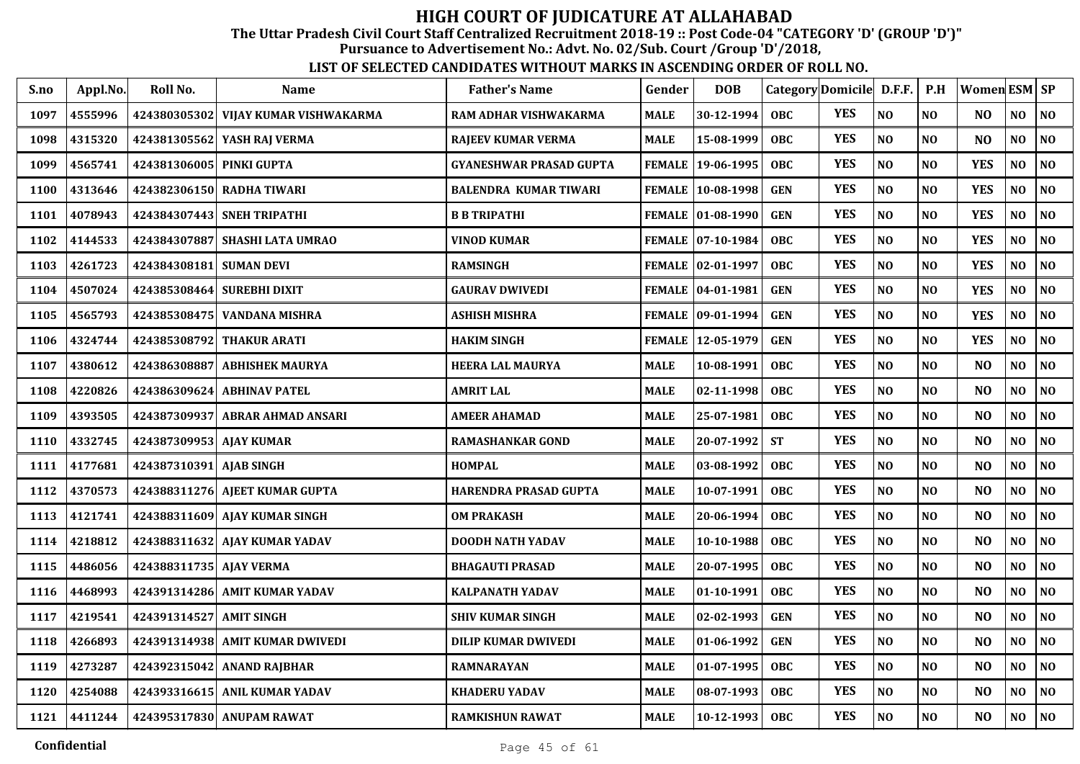The Uttar Pradesh Civil Court Staff Centralized Recruitment 2018-19 :: Post Code-04 "CATEGORY 'D' (GROUP 'D')"

Pursuance to Advertisement No.: Advt. No. 02/Sub. Court /Group 'D'/2018,

| S.no | Appl.No. | Roll No.                | <b>Name</b>                     | <b>Father's Name</b>           | Gender        | <b>DOB</b>          |            | Category Domicile D.F.F. |                | P.H            | Women ESM SP   |                |                |
|------|----------|-------------------------|---------------------------------|--------------------------------|---------------|---------------------|------------|--------------------------|----------------|----------------|----------------|----------------|----------------|
| 1097 | 4555996  | 424380305302            | VIJAY KUMAR VISHWAKARMA         | RAM ADHAR VISHWAKARMA          | <b>MALE</b>   | 30-12-1994          | <b>OBC</b> | <b>YES</b>               | N <sub>O</sub> | NO             | NO             | NO.            | NO             |
| 1098 | 4315320  | 424381305562            | YASH RAJ VERMA                  | <b>RAJEEV KUMAR VERMA</b>      | <b>MALE</b>   | 15-08-1999          | <b>OBC</b> | <b>YES</b>               | N <sub>O</sub> | NO             | N <sub>O</sub> | NO             | N <sub>0</sub> |
| 1099 | 4565741  | 424381306005            | <b>PINKI GUPTA</b>              | <b>GYANESHWAR PRASAD GUPTA</b> | <b>FEMALE</b> | 19-06-1995          | <b>OBC</b> | <b>YES</b>               | N <sub>O</sub> | NO             | <b>YES</b>     | NO             | NO             |
| 1100 | 4313646  |                         | 424382306150 RADHA TIWARI       | <b>BALENDRA KUMAR TIWARI</b>   |               | FEMALE   10-08-1998 | <b>GEN</b> | <b>YES</b>               | NO             | NO             | <b>YES</b>     | NO             | N <sub>0</sub> |
| 1101 | 4078943  | 424384307443            | <b>SNEH TRIPATHI</b>            | <b>B B TRIPATHI</b>            |               | FEMALE   01-08-1990 | <b>GEN</b> | <b>YES</b>               | N <sub>O</sub> | NO             | <b>YES</b>     | NO             | N <sub>0</sub> |
| 1102 | 4144533  | 424384307887            | <b>SHASHI LATA UMRAO</b>        | <b>VINOD KUMAR</b>             |               | FEMALE 07-10-1984   | <b>OBC</b> | <b>YES</b>               | NO             | NO             | <b>YES</b>     | NO             | NO             |
| 1103 | 4261723  | 424384308181            | <b>SUMAN DEVI</b>               | <b>RAMSINGH</b>                |               | FEMALE   02-01-1997 | <b>OBC</b> | <b>YES</b>               | N <sub>O</sub> | NO             | <b>YES</b>     | N <sub>O</sub> | NO             |
| 1104 | 4507024  | 424385308464            | <b>SUREBHI DIXIT</b>            | <b>GAURAV DWIVEDI</b>          |               | FEMALE 04-01-1981   | <b>GEN</b> | <b>YES</b>               | N <sub>O</sub> | NO             | <b>YES</b>     | NO             | NO             |
| 1105 | 4565793  |                         | 424385308475 VANDANA MISHRA     | ASHISH MISHRA                  |               | FEMALE   09-01-1994 | <b>GEN</b> | <b>YES</b>               | N <sub>O</sub> | N <sub>O</sub> | <b>YES</b>     | NO.            | NO             |
| 1106 | 4324744  | 424385308792            | <b>THAKUR ARATI</b>             | <b>HAKIM SINGH</b>             |               | FEMALE 12-05-1979   | <b>GEN</b> | <b>YES</b>               | N <sub>O</sub> | NO             | <b>YES</b>     | NO             | N <sub>0</sub> |
| 1107 | 4380612  | 424386308887            | <b>ABHISHEK MAURYA</b>          | <b>HEERA LAL MAURYA</b>        | <b>MALE</b>   | 10-08-1991          | <b>OBC</b> | <b>YES</b>               | N <sub>O</sub> | NO             | N <sub>O</sub> | NO             | NO             |
| 1108 | 4220826  | 424386309624            | <b>ABHINAV PATEL</b>            | <b>AMRIT LAL</b>               | <b>MALE</b>   | 02-11-1998          | <b>OBC</b> | <b>YES</b>               | N <sub>O</sub> | NO             | N <sub>O</sub> | NO             | NO             |
| 1109 | 4393505  | 424387309937            | <b>ABRAR AHMAD ANSARI</b>       | AMEER AHAMAD                   | <b>MALE</b>   | 25-07-1981          | <b>OBC</b> | <b>YES</b>               | N <sub>O</sub> | NO             | N <sub>O</sub> | NO             | NO             |
| 1110 | 4332745  | 424387309953 AJAY KUMAR |                                 | <b>RAMASHANKAR GOND</b>        | <b>MALE</b>   | 20-07-1992          | <b>ST</b>  | <b>YES</b>               | N <sub>O</sub> | NO             | N <sub>O</sub> | NO             | NO             |
| 1111 | 4177681  | 424387310391            | <b>AJAB SINGH</b>               | <b>HOMPAL</b>                  | <b>MALE</b>   | 03-08-1992          | OBC        | <b>YES</b>               | N <sub>O</sub> | NO             | N <sub>O</sub> | NO             | NO.            |
| 1112 | 4370573  |                         | 424388311276 AJEET KUMAR GUPTA  | HARENDRA PRASAD GUPTA          | <b>MALE</b>   | 10-07-1991          | <b>OBC</b> | <b>YES</b>               | N <sub>O</sub> | NO             | N <sub>O</sub> | NO             | $\bf NO$       |
| 1113 | 4121741  |                         | 424388311609 AJAY KUMAR SINGH   | <b>OM PRAKASH</b>              | <b>MALE</b>   | 20-06-1994          | <b>OBC</b> | <b>YES</b>               | NO             | NO             | N <sub>O</sub> | NO.            | NO             |
| 1114 | 4218812  |                         | 424388311632 AJAY KUMAR YADAV   | DOODH NATH YADAV               | <b>MALE</b>   | 10-10-1988          | <b>OBC</b> | <b>YES</b>               | N <sub>O</sub> | NO             | N <sub>O</sub> | NO             | NO             |
| 1115 | 4486056  | 424388311735 AJAY VERMA |                                 | <b>BHAGAUTI PRASAD</b>         | <b>MALE</b>   | 20-07-1995          | <b>OBC</b> | <b>YES</b>               | N <sub>O</sub> | N <sub>O</sub> | NO             | NO.            | NO             |
| 1116 | 4468993  |                         | 424391314286 AMIT KUMAR YADAV   | <b>KALPANATH YADAV</b>         | <b>MALE</b>   | 01-10-1991          | <b>OBC</b> | <b>YES</b>               | N <sub>O</sub> | NO             | N <sub>O</sub> | NO             | NO             |
| 1117 | 4219541  | 424391314527            | <b>AMIT SINGH</b>               | <b>SHIV KUMAR SINGH</b>        | <b>MALE</b>   | 02-02-1993          | <b>GEN</b> | <b>YES</b>               | N <sub>O</sub> | NO             | N <sub>O</sub> | NO             | NO.            |
| 1118 | 4266893  |                         | 424391314938 AMIT KUMAR DWIVEDI | <b>DILIP KUMAR DWIVEDI</b>     | <b>MALE</b>   | 01-06-1992          | <b>GEN</b> | <b>YES</b>               | NO             | NO             | NO             | NO             | N <sub>0</sub> |
| 1119 | 4273287  |                         | 424392315042 ANAND RAJBHAR      | <b>RAMNARAYAN</b>              | <b>MALE</b>   | 01-07-1995          | <b>OBC</b> | <b>YES</b>               | N <sub>O</sub> | NO             | N <sub>O</sub> | NO             | N <sub>0</sub> |
| 1120 | 4254088  |                         | 424393316615 ANIL KUMAR YADAV   | <b>KHADERU YADAV</b>           | <b>MALE</b>   | 08-07-1993          | <b>OBC</b> | <b>YES</b>               | NO             | NO             | N <sub>O</sub> | NO             | $\bf NO$       |
| 1121 | 4411244  |                         | 424395317830 ANUPAM RAWAT       | <b>RAMKISHUN RAWAT</b>         | <b>MALE</b>   | 10-12-1993          | <b>OBC</b> | <b>YES</b>               | NO             | NO             | NO             | NO.            | NO             |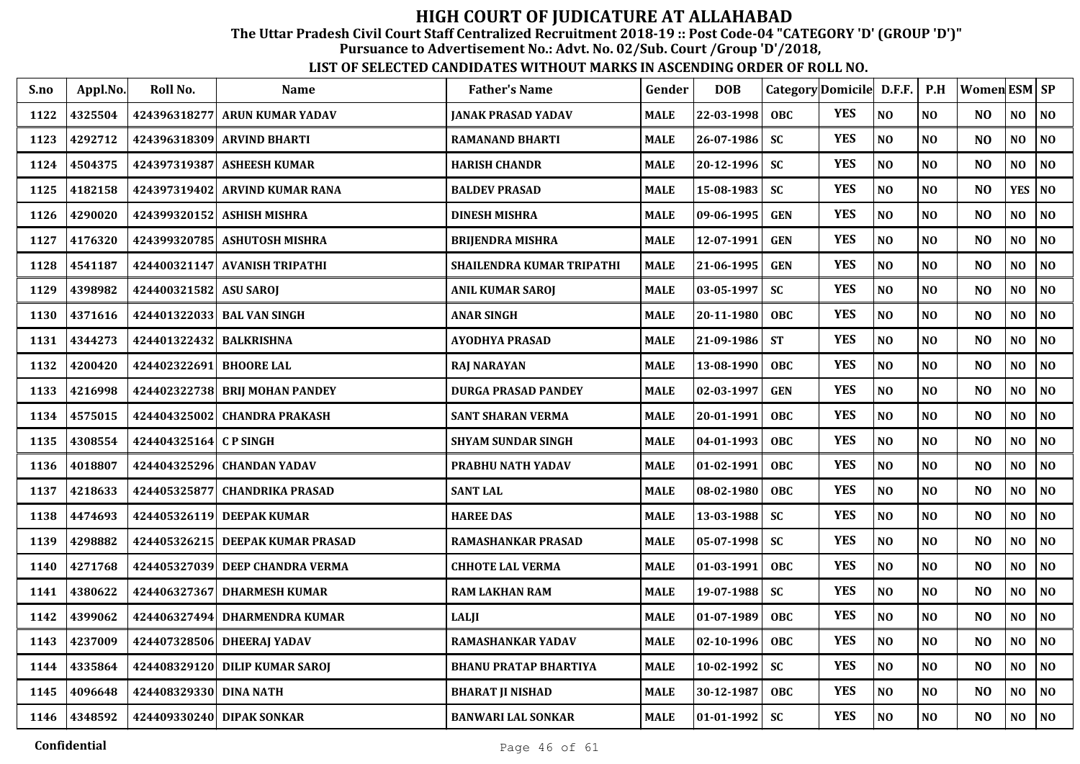The Uttar Pradesh Civil Court Staff Centralized Recruitment 2018-19 :: Post Code-04 "CATEGORY 'D' (GROUP 'D')"

Pursuance to Advertisement No.: Advt. No. 02/Sub. Court /Group 'D'/2018,

| S.no | Appl.No. | Roll No.               | <b>Name</b>                    | <b>Father's Name</b>         | Gender      | <b>DOB</b> |            | Category Domicile D.F.F. |                | P.H            | Women ESM SP   |                |                |
|------|----------|------------------------|--------------------------------|------------------------------|-------------|------------|------------|--------------------------|----------------|----------------|----------------|----------------|----------------|
| 1122 | 4325504  | 424396318277           | <b>ARUN KUMAR YADAV</b>        | <b>JANAK PRASAD YADAV</b>    | <b>MALE</b> | 22-03-1998 | <b>OBC</b> | <b>YES</b>               | N <sub>O</sub> | N <sub>O</sub> | NO.            | NO.            | NO             |
| 1123 | 4292712  | 424396318309           | <b>ARVIND BHARTI</b>           | <b>RAMANAND BHARTI</b>       | <b>MALE</b> | 26-07-1986 | <b>SC</b>  | <b>YES</b>               | N <sub>O</sub> | N <sub>O</sub> | N <sub>O</sub> | NO             | N <sub>0</sub> |
| 1124 | 4504375  | 424397319387           | <b>ASHEESH KUMAR</b>           | <b>HARISH CHANDR</b>         | <b>MALE</b> | 20-12-1996 | <b>SC</b>  | <b>YES</b>               | NO             | N <sub>O</sub> | N <sub>O</sub> | NO             | $\bf NO$       |
| 1125 | 4182158  | 424397319402           | <b>ARVIND KUMAR RANA</b>       | <b>BALDEV PRASAD</b>         | MALE        | 15-08-1983 | SC         | <b>YES</b>               | NO             | NO             | N <sub>O</sub> | <b>YES</b>     | N <sub>O</sub> |
| 1126 | 4290020  | 424399320152           | <b>ASHISH MISHRA</b>           | <b>DINESH MISHRA</b>         | <b>MALE</b> | 09-06-1995 | <b>GEN</b> | <b>YES</b>               | N <sub>O</sub> | N <sub>0</sub> | N <sub>O</sub> | NO             | N <sub>0</sub> |
| 1127 | 4176320  | 424399320785           | <b>ASHUTOSH MISHRA</b>         | <b>BRIJENDRA MISHRA</b>      | <b>MALE</b> | 12-07-1991 | <b>GEN</b> | <b>YES</b>               | N <sub>O</sub> | NO             | N <sub>O</sub> | NO             | N <sub>0</sub> |
| 1128 | 4541187  | 424400321147           | <b>AVANISH TRIPATHI</b>        | SHAILENDRA KUMAR TRIPATHI    | <b>MALE</b> | 21-06-1995 | <b>GEN</b> | <b>YES</b>               | NO             | N <sub>O</sub> | N <sub>O</sub> | N <sub>O</sub> | NO             |
| 1129 | 4398982  | 424400321582           | <b>ASU SAROJ</b>               | <b>ANIL KUMAR SAROJ</b>      | <b>MALE</b> | 03-05-1997 | SC         | <b>YES</b>               | NO             | $\bf NO$       | N <sub>O</sub> | NO             | $\bf NO$       |
| 1130 | 4371616  | 424401322033           | <b>BAL VAN SINGH</b>           | <b>ANAR SINGH</b>            | MALE        | 20-11-1980 | <b>OBC</b> | <b>YES</b>               | N <sub>O</sub> | N <sub>0</sub> | N <sub>O</sub> | NO.            | N <sub>0</sub> |
| 1131 | 4344273  | 424401322432           | <b>BALKRISHNA</b>              | AYODHYA PRASAD               | <b>MALE</b> | 21-09-1986 | <b>ST</b>  | <b>YES</b>               | N <sub>O</sub> | NO             | N <sub>O</sub> | NO             | N <sub>0</sub> |
| 1132 | 4200420  | 424402322691           | <b>BHOORE LAL</b>              | <b>RAJ NARAYAN</b>           | MALE        | 13-08-1990 | <b>OBC</b> | <b>YES</b>               | NO             | N <sub>O</sub> | N <sub>O</sub> | NO             | NO             |
| 1133 | 4216998  | 424402322738           | <b>BRIJ MOHAN PANDEY</b>       | <b>DURGA PRASAD PANDEY</b>   | <b>MALE</b> | 02-03-1997 | <b>GEN</b> | <b>YES</b>               | N <sub>O</sub> | N <sub>O</sub> | N <sub>O</sub> | NO             | NO             |
| 1134 | 4575015  | 424404325002           | <b>CHANDRA PRAKASH</b>         | <b>SANT SHARAN VERMA</b>     | MALE        | 20-01-1991 | <b>OBC</b> | <b>YES</b>               | N <sub>O</sub> | NO             | NO             | $\bf NO$       | NO.            |
| 1135 | 4308554  | 424404325164           | <b>CPSINGH</b>                 | <b>SHYAM SUNDAR SINGH</b>    | <b>MALE</b> | 04-01-1993 | <b>OBC</b> | <b>YES</b>               | N <sub>O</sub> | NO             | N <sub>O</sub> | NO             | N <sub>0</sub> |
| 1136 | 4018807  | 424404325296           | <b>CHANDAN YADAV</b>           | PRABHU NATH YADAV            | <b>MALE</b> | 01-02-1991 | <b>OBC</b> | <b>YES</b>               | NO             | NO             | N <sub>O</sub> | NO.            | N <sub>O</sub> |
| 1137 | 4218633  | 424405325877           | <b>CHANDRIKA PRASAD</b>        | <b>SANT LAL</b>              | <b>MALE</b> | 08-02-1980 | <b>OBC</b> | <b>YES</b>               | N <sub>O</sub> | N <sub>0</sub> | N <sub>O</sub> | NO             | NO             |
| 1138 | 4474693  | 424405326119           | <b>DEEPAK KUMAR</b>            | <b>HAREE DAS</b>             | <b>MALE</b> | 13-03-1988 | <b>SC</b>  | <b>YES</b>               | NO             | N <sub>O</sub> | NO             | NO             | N <sub>0</sub> |
| 1139 | 4298882  | 424405326215           | DEEPAK KUMAR PRASAD            | <b>RAMASHANKAR PRASAD</b>    | MALE        | 05-07-1998 | <b>SC</b>  | <b>YES</b>               | N <sub>O</sub> | N <sub>0</sub> | N <sub>O</sub> | NO             | NO.            |
| 1140 | 4271768  | 424405327039           | DEEP CHANDRA VERMA             | <b>CHHOTE LAL VERMA</b>      | MALE        | 01-03-1991 | <b>OBC</b> | <b>YES</b>               | NO             | N <sub>0</sub> | N <sub>O</sub> | NO.            | N <sub>O</sub> |
| 1141 | 4380622  | 424406327367           | <b>DHARMESH KUMAR</b>          | <b>RAM LAKHAN RAM</b>        | <b>MALE</b> | 19-07-1988 | <b>SC</b>  | <b>YES</b>               | $\bf NO$       | NO             | N <sub>O</sub> | NO             | N <sub>0</sub> |
| 1142 | 4399062  | 424406327494           | <b>DHARMENDRA KUMAR</b>        | LALJI                        | <b>MALE</b> | 01-07-1989 | <b>OBC</b> | <b>YES</b>               | N <sub>O</sub> | N <sub>O</sub> | N <sub>O</sub> | NO             | NO             |
| 1143 | 4237009  | 424407328506           | <b>DHEERAJ YADAV</b>           | RAMASHANKAR YADAV            | <b>MALE</b> | 02-10-1996 | <b>OBC</b> | <b>YES</b>               | $\bf NO$       | NO             | N <sub>O</sub> | NO             | $\bf NO$       |
| 1144 | 4335864  |                        | 424408329120 DILIP KUMAR SAROJ | <b>BHANU PRATAP BHARTIYA</b> | <b>MALE</b> | 10-02-1992 | <b>SC</b>  | <b>YES</b>               | N <sub>O</sub> | N <sub>0</sub> | N <sub>O</sub> | NO             | NO.            |
| 1145 | 4096648  | 424408329330 DINA NATH |                                | <b>BHARAT JI NISHAD</b>      | <b>MALE</b> | 30-12-1987 | <b>OBC</b> | <b>YES</b>               | $\bf NO$       | $\bf NO$       | N <sub>O</sub> | NO             | N <sub>0</sub> |
| 1146 | 4348592  |                        | 424409330240 DIPAK SONKAR      | <b>BANWARI LAL SONKAR</b>    | <b>MALE</b> | 01-01-1992 | <b>SC</b>  | <b>YES</b>               | N <sub>O</sub> | NO             | NO             | NO             | NO             |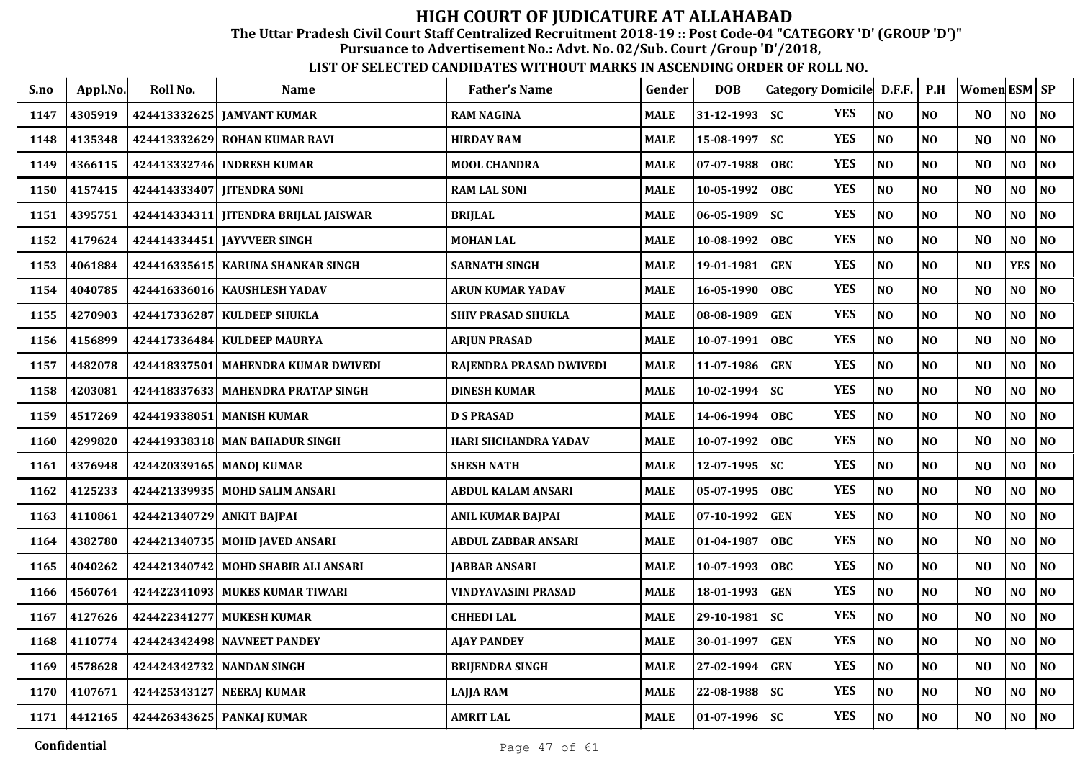The Uttar Pradesh Civil Court Staff Centralized Recruitment 2018-19 :: Post Code-04 "CATEGORY 'D' (GROUP 'D')"

Pursuance to Advertisement No.: Advt. No. 02/Sub. Court /Group 'D'/2018,

| S.no | Appl.No. | Roll No.                  | Name                                  | <b>Father's Name</b>     | Gender      | <b>DOB</b>       |            | Category Domicile D.F.F. |                | P.H            | Women ESM SP   |                |                |
|------|----------|---------------------------|---------------------------------------|--------------------------|-------------|------------------|------------|--------------------------|----------------|----------------|----------------|----------------|----------------|
| 1147 | 4305919  |                           | 424413332625 JAMVANT KUMAR            | <b>RAM NAGINA</b>        | MALE        | $31 - 12 - 1993$ | <b>SC</b>  | <b>YES</b>               | NO             | NO             | NO             | NO             | NO             |
| 1148 | 4135348  |                           | 424413332629 ROHAN KUMAR RAVI         | <b>HIRDAY RAM</b>        | MALE        | 15-08-1997       | <b>SC</b>  | <b>YES</b>               | N <sub>O</sub> | N <sub>O</sub> | N <sub>O</sub> | NO             | N <sub>O</sub> |
| 1149 | 4366115  |                           | 424413332746 INDRESH KUMAR            | <b>MOOL CHANDRA</b>      | MALE        | $07 - 07 - 1988$ | <b>OBC</b> | <b>YES</b>               | N <sub>O</sub> | NO             | N <sub>O</sub> | NO             | N <sub>O</sub> |
| 1150 | 4157415  |                           | 424414333407   IITENDRA SONI          | <b>RAM LAL SONI</b>      | MALE        | 10-05-1992       | OBC.       | <b>YES</b>               | N <sub>O</sub> | NO             | N <sub>O</sub> | NO             | N <sub>O</sub> |
| 1151 | 4395751  |                           | 424414334311 JITENDRA BRIJLAL JAISWAR | <b>BRIJLAL</b>           | <b>MALE</b> | 06-05-1989       | <b>SC</b>  | <b>YES</b>               | N <sub>O</sub> | NO             | N <sub>O</sub> | NO             | N <sub>O</sub> |
| 1152 | 4179624  |                           | 424414334451 JAYVVEER SINGH           | <b>MOHAN LAL</b>         | <b>MALE</b> | 10-08-1992       | <b>OBC</b> | <b>YES</b>               | N <sub>O</sub> | NO             | N <sub>O</sub> | NO             | N <sub>O</sub> |
| 1153 | 4061884  |                           | 424416335615 KARUNA SHANKAR SINGH     | <b>SARNATH SINGH</b>     | <b>MALE</b> | 19-01-1981       | <b>GEN</b> | <b>YES</b>               | NO             | NO             | N <sub>O</sub> | <b>YES</b>     | NO             |
| 1154 | 4040785  |                           | 424416336016 KAUSHLESH YADAV          | ARUN KUMAR YADAV         | MALE        | 16-05-1990       | <b>OBC</b> | <b>YES</b>               | N <sub>O</sub> | NO             | N <sub>O</sub> | NO.            | NO             |
| 1155 | 4270903  | 424417336287              | <b>KULDEEP SHUKLA</b>                 | SHIV PRASAD SHUKLA       | MALE        | 08-08-1989       | <b>GEN</b> | <b>YES</b>               | N <sub>O</sub> | NO             | N <sub>O</sub> | NO             | NO             |
| 1156 | 4156899  |                           | 424417336484   KULDEEP MAURYA         | <b>ARJUN PRASAD</b>      | <b>MALE</b> | 10-07-1991       | <b>OBC</b> | <b>YES</b>               | N <sub>O</sub> | NO             | N <sub>0</sub> | NO             | N <sub>O</sub> |
| 1157 | 4482078  |                           | 424418337501   MAHENDRA KUMAR DWIVEDI | RAJENDRA PRASAD DWIVEDI  | MALE        | 11-07-1986       | <b>GEN</b> | <b>YES</b>               | N <sub>O</sub> | NO             | N <sub>O</sub> | NO             | N <sub>O</sub> |
| 1158 | 4203081  |                           | 424418337633 MAHENDRA PRATAP SINGH    | <b>DINESH KUMAR</b>      | MALE        | $10 - 02 - 1994$ | <b>SC</b>  | <b>YES</b>               | N <sub>O</sub> | NO             | N <sub>O</sub> | N <sub>O</sub> | N <sub>O</sub> |
| 1159 | 4517269  | 424419338051              | <b>MANISH KUMAR</b>                   | <b>D S PRASAD</b>        | <b>MALE</b> | 14-06-1994       | <b>OBC</b> | <b>YES</b>               | $\bf NO$       | NO             | N <sub>O</sub> | NO             | $\bf NO$       |
| 1160 | 4299820  |                           | 424419338318 MAN BAHADUR SINGH        | HARI SHCHANDRA YADAV     | MALE        | 10-07-1992       | <b>OBC</b> | <b>YES</b>               | N <sub>O</sub> | NO             | N <sub>O</sub> | NO.            | NO             |
| 1161 | 4376948  |                           | 424420339165 MANOJ KUMAR              | <b>SHESH NATH</b>        | <b>MALE</b> | 12-07-1995       | <b>SC</b>  | <b>YES</b>               | N <sub>O</sub> | NO             | N <sub>O</sub> | NO             | NO             |
| 1162 | 4125233  |                           | 424421339935   MOHD SALIM ANSARI      | ABDUL KALAM ANSARI       | MALE        | $05 - 07 - 1995$ | <b>OBC</b> | <b>YES</b>               | N <sub>O</sub> | NO             | N <sub>O</sub> | NO.            | NO             |
| 1163 | 4110861  | 424421340729 ANKIT BAJPAI |                                       | <b>ANIL KUMAR BAJPAI</b> | MALE        | 07-10-1992       | <b>GEN</b> | <b>YES</b>               | N <sub>O</sub> | NO             | N <sub>O</sub> | NO             | NO             |
| 1164 | 4382780  |                           | 424421340735   MOHD JAVED ANSARI      | ABDUL ZABBAR ANSARI      | MALE        | 01-04-1987       | <b>OBC</b> | <b>YES</b>               | N <sub>O</sub> | NO             | N <sub>O</sub> | N <sub>O</sub> | N <sub>O</sub> |
| 1165 | 4040262  |                           | 424421340742 MOHD SHABIR ALI ANSARI   | <b>JABBAR ANSARI</b>     | <b>MALE</b> | 10-07-1993       | <b>OBC</b> | <b>YES</b>               | N <sub>O</sub> | NO             | N <sub>O</sub> | NO             | N <sub>O</sub> |
| 1166 | 4560764  |                           | 424422341093 MUKES KUMAR TIWARI       | VINDYAVASINI PRASAD      | MALE        | 18-01-1993       | <b>GEN</b> | <b>YES</b>               | N <sub>O</sub> | NO             | NO             | NO             | N <sub>O</sub> |
| 1167 | 4127626  | 424422341277              | <b>MUKESH KUMAR</b>                   | <b>CHHEDI LAL</b>        | MALE        | 29-10-1981       | <b>SC</b>  | <b>YES</b>               | N <sub>O</sub> | NO             | N <sub>O</sub> | NO.            | NO             |
| 1168 | 4110774  |                           | 424424342498 NAVNEET PANDEY           | <b>AJAY PANDEY</b>       | MALE        | 30-01-1997       | <b>GEN</b> | <b>YES</b>               | NO             | NO             | N <sub>O</sub> | NO             | NO             |
| 1169 | 4578628  |                           | 424424342732 NANDAN SINGH             | <b>BRIJENDRA SINGH</b>   | MALE        | 27-02-1994       | <b>GEN</b> | <b>YES</b>               | N <sub>O</sub> | NO             | N <sub>O</sub> | N <sub>O</sub> | NO             |
| 1170 | 4107671  |                           | 424425343127 NEERAJ KUMAR             | <b>LAJJA RAM</b>         | MALE        | 22-08-1988       | <b>SC</b>  | <b>YES</b>               | NO             | NO             | N <sub>O</sub> | NO.            | NO             |
| 1171 | 4412165  |                           | 424426343625 PANKAJ KUMAR             | <b>AMRIT LAL</b>         | <b>MALE</b> | $ 01-07-1996 $   | <b>SC</b>  | <b>YES</b>               | NO             | NO             | N <sub>O</sub> | NO             | N <sub>O</sub> |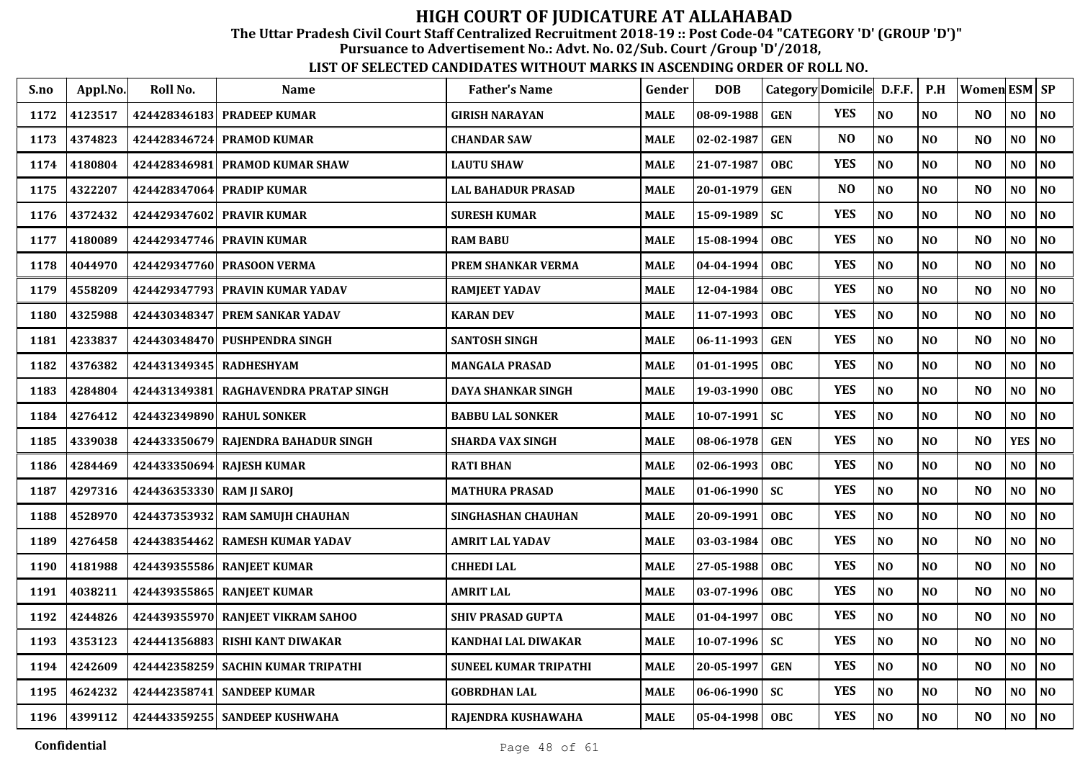The Uttar Pradesh Civil Court Staff Centralized Recruitment 2018-19 :: Post Code-04 "CATEGORY 'D' (GROUP 'D')"

Pursuance to Advertisement No.: Advt. No. 02/Sub. Court /Group 'D'/2018,

| S.no | Appl.No. | Roll No.                  | <b>Name</b>                         | <b>Father's Name</b>      | Gender      | <b>DOB</b>       | Category Domicile D.F.F. |                |                | P.H            | <b>Women ESM SP</b> |                |                |
|------|----------|---------------------------|-------------------------------------|---------------------------|-------------|------------------|--------------------------|----------------|----------------|----------------|---------------------|----------------|----------------|
| 1172 | 4123517  |                           | 424428346183 PRADEEP KUMAR          | <b>GIRISH NARAYAN</b>     | <b>MALE</b> | 08-09-1988       | <b>GEN</b>               | <b>YES</b>     | N <sub>O</sub> | N <sub>O</sub> | N <sub>O</sub>      | NO             | NO             |
| 1173 | 4374823  |                           | 424428346724 PRAMOD KUMAR           | <b>CHANDAR SAW</b>        | <b>MALE</b> | 02-02-1987       | <b>GEN</b>               | N <sub>O</sub> | NO             | N <sub>O</sub> | N <sub>O</sub>      | NO             | NO             |
| 1174 | 4180804  |                           | 424428346981 PRAMOD KUMAR SHAW      | <b>LAUTU SHAW</b>         | <b>MALE</b> | 21-07-1987       | <b>OBC</b>               | <b>YES</b>     | NO             | N <sub>O</sub> | N <sub>O</sub>      | N <sub>O</sub> | NO             |
| 1175 | 4322207  | 424428347064              | <b>PRADIP KUMAR</b>                 | <b>LAL BAHADUR PRASAD</b> | <b>MALE</b> | 20-01-1979       | <b>GEN</b>               | N <sub>O</sub> | NO             | N <sub>O</sub> | N <sub>O</sub>      | N <sub>O</sub> | NO             |
| 1176 | 4372432  |                           | 424429347602 PRAVIR KUMAR           | <b>SURESH KUMAR</b>       | <b>MALE</b> | 15-09-1989       | <b>SC</b>                | <b>YES</b>     | N <sub>O</sub> | N <sub>O</sub> | N <sub>O</sub>      | N <sub>O</sub> | NO             |
| 1177 | 4180089  |                           | 424429347746 PRAVIN KUMAR           | <b>RAM BABU</b>           | <b>MALE</b> | 15-08-1994       | <b>OBC</b>               | <b>YES</b>     | NO             | NO             | N <sub>O</sub>      | N <sub>O</sub> | NO             |
| 1178 | 4044970  |                           | 424429347760 PRASOON VERMA          | PREM SHANKAR VERMA        | <b>MALE</b> | 04-04-1994       | <b>OBC</b>               | <b>YES</b>     | NO             | NO             | N <sub>O</sub>      | N <sub>O</sub> | NO             |
| 1179 | 4558209  |                           | 424429347793 PRAVIN KUMAR YADAV     | <b>RAMJEET YADAV</b>      | <b>MALE</b> | 12-04-1984       | <b>OBC</b>               | <b>YES</b>     | NO             | N <sub>O</sub> | N <sub>O</sub>      | NO             | NO             |
| 1180 | 4325988  |                           | 424430348347 PREM SANKAR YADAV      | <b>KARAN DEV</b>          | <b>MALE</b> | 11-07-1993       | OBC                      | <b>YES</b>     | NO             | N <sub>O</sub> | N <sub>O</sub>      | N <sub>O</sub> | NO             |
| 1181 | 4233837  |                           | 424430348470 PUSHPENDRA SINGH       | <b>SANTOSH SINGH</b>      | <b>MALE</b> | 06-11-1993       | <b>GEN</b>               | <b>YES</b>     | NO             | N <sub>O</sub> | N <sub>O</sub>      | NO             | NO             |
| 1182 | 4376382  | 424431349345 RADHESHYAM   |                                     | <b>MANGALA PRASAD</b>     | <b>MALE</b> | 01-01-1995       | <b>OBC</b>               | <b>YES</b>     | NO             | N <sub>O</sub> | N <sub>O</sub>      | NO             | NO             |
| 1183 | 4284804  | 424431349381              | RAGHAVENDRA PRATAP SINGH            | <b>DAYA SHANKAR SINGH</b> | <b>MALE</b> | 19-03-1990       | <b>OBC</b>               | <b>YES</b>     | NO             | N <sub>O</sub> | N <sub>O</sub>      | NO.            | NO             |
| 1184 | 4276412  |                           | 424432349890 RAHUL SONKER           | <b>BABBU LAL SONKER</b>   | <b>MALE</b> | 10-07-1991       | <b>SC</b>                | <b>YES</b>     | NO             | NO             | N <sub>O</sub>      | NO             | NO             |
| 1185 | 4339038  |                           | 424433350679 RAJENDRA BAHADUR SINGH | <b>SHARDA VAX SINGH</b>   | <b>MALE</b> | 08-06-1978       | <b>GEN</b>               | <b>YES</b>     | NO             | NO             | N <sub>O</sub>      | <b>YES</b>     | NO             |
| 1186 | 4284469  |                           | 424433350694 RAJESH KUMAR           | <b>RATI BHAN</b>          | <b>MALE</b> | 02-06-1993       | <b>OBC</b>               | <b>YES</b>     | NO             | N <sub>O</sub> | N <sub>O</sub>      | NO             | NO             |
| 1187 | 4297316  | 424436353330 RAM JI SAROJ |                                     | <b>MATHURA PRASAD</b>     | <b>MALE</b> | $01 - 06 - 1990$ | <b>SC</b>                | <b>YES</b>     | NO             | NO             | N <sub>O</sub>      | NO             | $\bf NO$       |
| 1188 | 4528970  |                           | 424437353932 RAM SAMUJH CHAUHAN     | SINGHASHAN CHAUHAN        | <b>MALE</b> | 20-09-1991       | OBC                      | <b>YES</b>     | NO             | N <sub>O</sub> | N <sub>O</sub>      | NO.            | NO             |
| 1189 | 4276458  |                           | 424438354462 RAMESH KUMAR YADAV     | <b>AMRIT LAL YADAV</b>    | <b>MALE</b> | 03-03-1984       | <b>OBC</b>               | <b>YES</b>     | NO             | N <sub>O</sub> | N <sub>O</sub>      | NO             | NO             |
| 1190 | 4181988  |                           | 424439355586 RANJEET KUMAR          | <b>CHHEDI LAL</b>         | <b>MALE</b> | 27-05-1988       | OBC                      | <b>YES</b>     | $\bf NO$       | N <sub>O</sub> | N <sub>O</sub>      | NO.            | NO.            |
| 1191 | 4038211  |                           | 424439355865 RANJEET KUMAR          | <b>AMRIT LAL</b>          | <b>MALE</b> | 03-07-1996       | <b>OBC</b>               | <b>YES</b>     | $\bf NO$       | N <sub>O</sub> | NO                  | NO             | N <sub>0</sub> |
| 1192 | 4244826  |                           | 424439355970 RANJEET VIKRAM SAHOO   | <b>SHIV PRASAD GUPTA</b>  | <b>MALE</b> | 01-04-1997       | <b>OBC</b>               | <b>YES</b>     | NO             | NO             | N <sub>O</sub>      | NO             | NO             |
| 1193 | 4353123  | 424441356883              | <b>RISHI KANT DIWAKAR</b>           | KANDHAI LAL DIWAKAR       | <b>MALE</b> | 10-07-1996       | <b>SC</b>                | <b>YES</b>     | NO             | N <sub>O</sub> | NO                  | NO             | N <sub>O</sub> |
| 1194 | 4242609  |                           | 424442358259 SACHIN KUMAR TRIPATHI  | SUNEEL KUMAR TRIPATHI     | <b>MALE</b> | 20-05-1997       | <b>GEN</b>               | <b>YES</b>     | N <sub>O</sub> | N <sub>O</sub> | N <sub>O</sub>      | N <sub>O</sub> | N <sub>O</sub> |
| 1195 | 4624232  |                           | 424442358741 SANDEEP KUMAR          | <b>GOBRDHAN LAL</b>       | <b>MALE</b> | 06-06-1990       | <b>SC</b>                | <b>YES</b>     | NO             | NO             | N <sub>O</sub>      | N <sub>O</sub> | NO             |
| 1196 | 4399112  |                           | 424443359255 SANDEEP KUSHWAHA       | RAJENDRA KUSHAWAHA        | <b>MALE</b> | 05-04-1998       | <b>OBC</b>               | <b>YES</b>     | N <sub>O</sub> | N <sub>O</sub> | N <sub>O</sub>      | NO             | NO             |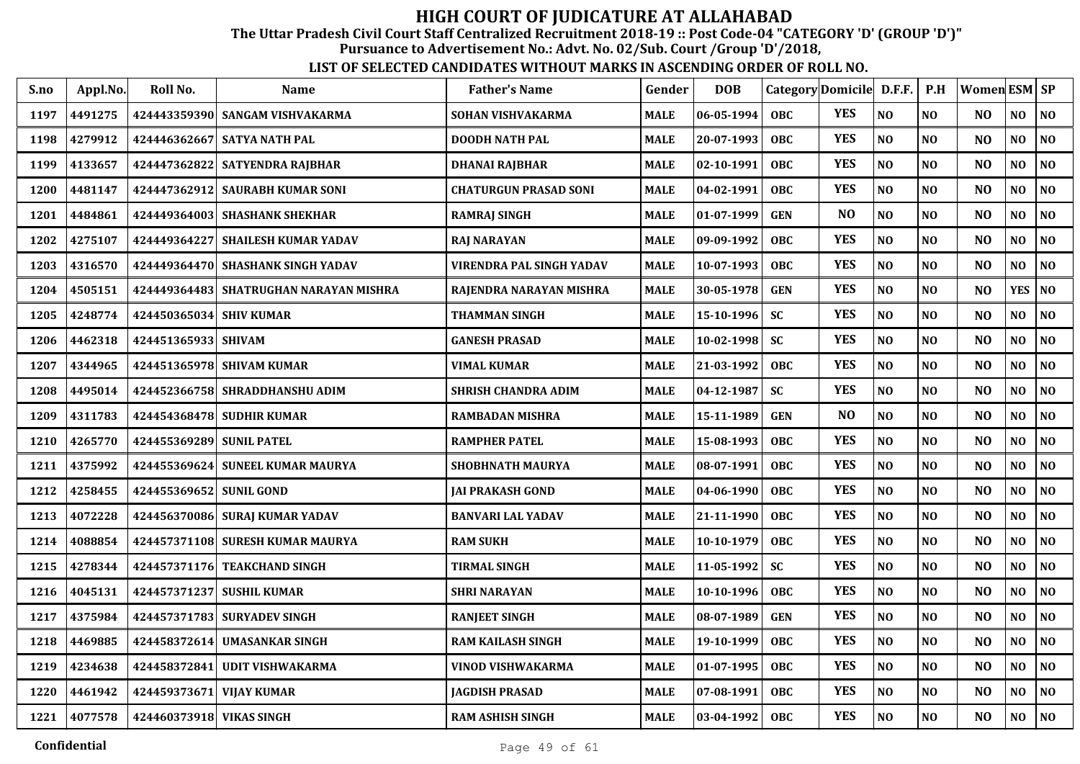The Uttar Pradesh Civil Court Staff Centralized Recruitment 2018-19 :: Post Code-04 "CATEGORY 'D' (GROUP 'D')"

Pursuance to Advertisement No.: Advt. No. 02/Sub. Court /Group 'D'/2018,

| S.no | Appl.No. | Roll No.                 | Name                                     | <b>Father's Name</b>       | Gender      | <b>DOB</b> | Category Domicile D.F.F. |                |                | P.H            | <b>Women</b> ESM SP |                |                |
|------|----------|--------------------------|------------------------------------------|----------------------------|-------------|------------|--------------------------|----------------|----------------|----------------|---------------------|----------------|----------------|
| 1197 | 4491275  |                          | 424443359390 SANGAM VISHVAKARMA          | SOHAN VISHVAKARMA          | MALE        | 06-05-1994 | <b>OBC</b>               | <b>YES</b>     | NO             | N <sub>O</sub> | N <sub>O</sub>      | NO             | N <sub>O</sub> |
| 1198 | 4279912  | 424446362667             | <b>SATYA NATH PAL</b>                    | <b>DOODH NATH PAL</b>      | <b>MALE</b> | 20-07-1993 | <b>OBC</b>               | <b>YES</b>     | NO             | N <sub>O</sub> | N <sub>O</sub>      | $\bf NO$       | <b>NO</b>      |
| 1199 | 4133657  | 424447362822             | <b>SATYENDRA RAJBHAR</b>                 | <b>DHANAI RAJBHAR</b>      | <b>MALE</b> | 02-10-1991 | <b>OBC</b>               | <b>YES</b>     | NO             | N <sub>O</sub> | N <sub>O</sub>      | NO             | N <sub>O</sub> |
| 1200 | 4481147  |                          | 424447362912 SAURABH KUMAR SONI          | CHATURGUN PRASAD SONI      | <b>MALE</b> | 04-02-1991 | <b>OBC</b>               | <b>YES</b>     | NO             | N <sub>O</sub> | N <sub>O</sub>      | NO             | NO             |
| 1201 | 4484861  |                          | 424449364003 SHASHANK SHEKHAR            | <b>RAMRAJ SINGH</b>        | <b>MALE</b> | 01-07-1999 | <b>GEN</b>               | N <sub>O</sub> | NO             | NO             | N <sub>O</sub>      | NO             | N <sub>O</sub> |
| 1202 | 4275107  |                          | 424449364227 SHAILESH KUMAR YADAV        | <b>RAJ NARAYAN</b>         | <b>MALE</b> | 09-09-1992 | <b>OBC</b>               | <b>YES</b>     | NO             | NO             | N <sub>O</sub>      | NO             | <b>NO</b>      |
| 1203 | 4316570  |                          | 424449364470 SHASHANK SINGH YADAV        | VIRENDRA PAL SINGH YADAV   | MALE        | 10-07-1993 | <b>OBC</b>               | <b>YES</b>     | NO             | NO             | N <sub>O</sub>      | NO.            | <b>NO</b>      |
| 1204 | 4505151  |                          | 424449364483   SHATRUGHAN NARAYAN MISHRA | RAJENDRA NARAYAN MISHRA    | <b>MALE</b> | 30-05-1978 | <b>GEN</b>               | <b>YES</b>     | NO             | N <sub>O</sub> | N <sub>O</sub>      | <b>YES</b>     | <b>NO</b>      |
| 1205 | 4248774  | 424450365034 SHIV KUMAR  |                                          | THAMMAN SINGH              | <b>MALE</b> | 15-10-1996 | <b>SC</b>                | <b>YES</b>     | N <sub>O</sub> | NO             | N <sub>O</sub>      | N <sub>O</sub> | <b>NO</b>      |
| 1206 | 4462318  | 424451365933 SHIVAM      |                                          | <b>GANESH PRASAD</b>       | <b>MALE</b> | 10-02-1998 | <b>SC</b>                | <b>YES</b>     | NO             | N <sub>O</sub> | N <sub>O</sub>      | N <sub>O</sub> | N <sub>O</sub> |
| 1207 | 4344965  |                          | 424451365978 SHIVAM KUMAR                | VIMAL KUMAR                | MALE        | 21-03-1992 | <b>OBC</b>               | <b>YES</b>     | NO             | NO             | N <sub>O</sub>      | NO             | <b>NO</b>      |
| 1208 | 4495014  |                          | 424452366758 SHRADDHANSHU ADIM           | <b>SHRISH CHANDRA ADIM</b> | MALE        | 04-12-1987 | <b>SC</b>                | <b>YES</b>     | NO             | NO             | N <sub>O</sub>      | N <sub>0</sub> | NO.            |
| 1209 | 4311783  |                          | 424454368478 SUDHIR KUMAR                | <b>RAMBADAN MISHRA</b>     | <b>MALE</b> | 15-11-1989 | <b>GEN</b>               | N <sub>O</sub> | NO             | N <sub>0</sub> | N <sub>O</sub>      | $\bf NO$       | NO             |
| 1210 | 4265770  | 424455369289 SUNIL PATEL |                                          | <b>RAMPHER PATEL</b>       | <b>MALE</b> | 15-08-1993 | <b>OBC</b>               | <b>YES</b>     | N <sub>O</sub> | NO             | N <sub>O</sub>      | N <sub>O</sub> | N <sub>O</sub> |
| 1211 | 4375992  |                          | 424455369624 SUNEEL KUMAR MAURYA         | SHOBHNATH MAURYA           | <b>MALE</b> | 08-07-1991 | <b>OBC</b>               | <b>YES</b>     | NO             | N <sub>O</sub> | N <sub>O</sub>      | NO             | N <sub>O</sub> |
| 1212 | 4258455  | 424455369652 SUNIL GOND  |                                          | <b>JAI PRAKASH GOND</b>    | MALE        | 04-06-1990 | <b>OBC</b>               | <b>YES</b>     | NO             | NO             | N <sub>O</sub>      | NO             | <b>NO</b>      |
| 1213 | 4072228  |                          | 424456370086 SURAJ KUMAR YADAV           | <b>BANVARI LAL YADAV</b>   | <b>MALE</b> | 21-11-1990 | <b>OBC</b>               | <b>YES</b>     | NO             | NO             | N <sub>O</sub>      | N <sub>O</sub> | <b>NO</b>      |
| 1214 | 4088854  |                          | 424457371108 SURESH KUMAR MAURYA         | <b>RAM SUKH</b>            | <b>MALE</b> | 10-10-1979 | <b>OBC</b>               | <b>YES</b>     | NO             | NO             | N <sub>O</sub>      | NO             | N <sub>O</sub> |
| 1215 | 4278344  |                          | 424457371176 TEAKCHAND SINGH             | <b>TIRMAL SINGH</b>        | MALE        | 11-05-1992 | <b>SC</b>                | <b>YES</b>     | NO             | N <sub>O</sub> | N <sub>O</sub>      | NO             | N <sub>O</sub> |
| 1216 | 4045131  |                          | 424457371237 SUSHIL KUMAR                | <b>SHRI NARAYAN</b>        | MALE        | 10-10-1996 | <b>OBC</b>               | <b>YES</b>     | $\bf NO$       | N <sub>O</sub> | N <sub>O</sub>      | NO             | <b>NO</b>      |
| 1217 | 4375984  |                          | 424457371783 SURYADEV SINGH              | <b>RANJEET SINGH</b>       | <b>MALE</b> | 08-07-1989 | <b>GEN</b>               | <b>YES</b>     | N <sub>O</sub> | N <sub>O</sub> | N <sub>O</sub>      | N <sub>0</sub> | <b>NO</b>      |
| 1218 | 4469885  | 424458372614             | <b>UMASANKAR SINGH</b>                   | <b>RAM KAILASH SINGH</b>   | <b>MALE</b> | 19-10-1999 | <b>OBC</b>               | <b>YES</b>     | NO             | N <sub>O</sub> | N <sub>O</sub>      | NO             | N <sub>O</sub> |
| 1219 | 4234638  | 424458372841             | <b>UDIT VISHWAKARMA</b>                  | VINOD VISHWAKARMA          | <b>MALE</b> | 01-07-1995 | <b>OBC</b>               | <b>YES</b>     | NO             | N <sub>O</sub> | N <sub>O</sub>      | NO             | <b>NO</b>      |
| 1220 | 4461942  | 424459373671             | <b>VIJAY KUMAR</b>                       | <b>JAGDISH PRASAD</b>      | MALE        | 07-08-1991 | <b>OBC</b>               | <b>YES</b>     | NO             | N <sub>0</sub> | N <sub>O</sub>      | N <sub>O</sub> | NO             |
| 1221 | 4077578  | 424460373918 VIKAS SINGH |                                          | <b>RAM ASHISH SINGH</b>    | <b>MALE</b> | 03-04-1992 | <b>OBC</b>               | <b>YES</b>     | $\bf NO$       | <b>NO</b>      | N <sub>O</sub>      | $\bf NO$       | $\bf NO$       |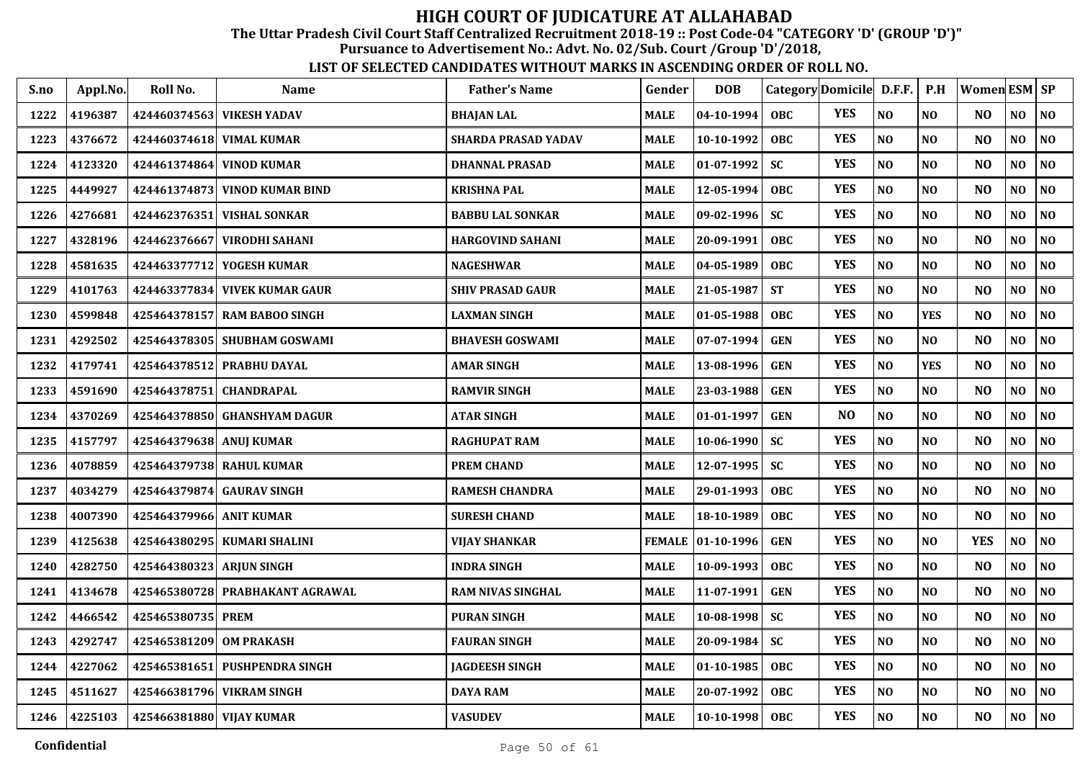The Uttar Pradesh Civil Court Staff Centralized Recruitment 2018-19 :: Post Code-04 "CATEGORY 'D' (GROUP 'D')"

Pursuance to Advertisement No.: Advt. No. 02/Sub. Court /Group 'D'/2018,

| S.no | Appl.No. | Roll No.                 | Name                            | <b>Father's Name</b>       | Gender      | <b>DOB</b>       |            | Category Domicile D.F.F. |                | P.H            | Women ESM   SP |                |                |
|------|----------|--------------------------|---------------------------------|----------------------------|-------------|------------------|------------|--------------------------|----------------|----------------|----------------|----------------|----------------|
| 1222 | 4196387  |                          | 424460374563 VIKESH YADAV       | <b>BHAJAN LAL</b>          | <b>MALE</b> | $04 - 10 - 1994$ | <b>OBC</b> | <b>YES</b>               | NO             | NO             | NO             | NO             | NO             |
| 1223 | 4376672  |                          | 424460374618 VIMAL KUMAR        | <b>SHARDA PRASAD YADAV</b> | MALE        | 10-10-1992       | <b>OBC</b> | <b>YES</b>               | NO             | N <sub>O</sub> | N <sub>O</sub> | NO             | N <sub>O</sub> |
| 1224 | 4123320  |                          | 424461374864 VINOD KUMAR        | <b>DHANNAL PRASAD</b>      | MALE        | $01 - 07 - 1992$ | <b>SC</b>  | <b>YES</b>               | N <sub>O</sub> | NO             | N <sub>O</sub> | NO             | NO             |
| 1225 | 4449927  |                          | 424461374873 VINOD KUMAR BIND   | KRISHNA PAL                | MALE        | 12-05-1994       | <b>OBC</b> | <b>YES</b>               | N <sub>O</sub> | NO             | N <sub>O</sub> | NO             | N <sub>O</sub> |
| 1226 | 4276681  | 424462376351             | <b>VISHAL SONKAR</b>            | <b>BABBU LAL SONKAR</b>    | MALE        | $ 09-02-1996 $   | <b>SC</b>  | <b>YES</b>               | N <sub>O</sub> | NO             | N <sub>O</sub> | NO             | NO             |
| 1227 | 4328196  | 424462376667             | <b>VIRODHI SAHANI</b>           | <b>HARGOVIND SAHANI</b>    | MALE        | 20-09-1991       | <b>OBC</b> | <b>YES</b>               | N <sub>O</sub> | NO             | N <sub>O</sub> | NO             | NO             |
| 1228 | 4581635  |                          | 424463377712 YOGESH KUMAR       | <b>NAGESHWAR</b>           | <b>MALE</b> | 04-05-1989       | <b>OBC</b> | <b>YES</b>               | N <sub>O</sub> | NO             | N <sub>O</sub> | N <sub>O</sub> | N <sub>O</sub> |
| 1229 | 4101763  |                          | 424463377834 VIVEK KUMAR GAUR   | SHIV PRASAD GAUR           | MALE        | 21-05-1987       | <b>ST</b>  | <b>YES</b>               | N <sub>O</sub> | NO             | N <sub>O</sub> | NO             | NO             |
| 1230 | 4599848  | 425464378157             | <b>RAM BABOO SINGH</b>          | LAXMAN SINGH               | MALE        | 01-05-1988       | <b>OBC</b> | <b>YES</b>               | N <sub>O</sub> | <b>YES</b>     | N <sub>O</sub> | NO.            | NO             |
| 1231 | 4292502  |                          | 425464378305   SHUBHAM GOSWAMI  | <b>BHAVESH GOSWAMI</b>     | MALE        | $07 - 07 - 1994$ | <b>GEN</b> | <b>YES</b>               | N <sub>O</sub> | NO             | N <sub>O</sub> | NO             | NO             |
| 1232 | 4179741  |                          | 425464378512 PRABHU DAYAL       | AMAR SINGH                 | MALE        | 13-08-1996       | <b>GEN</b> | <b>YES</b>               | N <sub>O</sub> | <b>YES</b>     | N <sub>O</sub> | NO             | N <sub>O</sub> |
| 1233 | 4591690  | 425464378751             | CHANDRAPAL                      | <b>RAMVIR SINGH</b>        | MALE        | 23-03-1988       | <b>GEN</b> | <b>YES</b>               | N <sub>O</sub> | NO             | N <sub>O</sub> | NO             | NO             |
| 1234 | 4370269  | 425464378850             | <b>GHANSHYAM DAGUR</b>          | ATAR SINGH                 | MALE        | 01-01-1997       | <b>GEN</b> | NO                       | NO             | NO             | N <sub>O</sub> | NO             | NO             |
| 1235 | 4157797  | 425464379638 ANUJ KUMAR  |                                 | <b>RAGHUPAT RAM</b>        | MALE        | 10-06-1990       | <b>SC</b>  | <b>YES</b>               | N <sub>O</sub> | NO             | N <sub>O</sub> | NO             | N <sub>O</sub> |
| 1236 | 4078859  |                          | 425464379738 RAHUL KUMAR        | <b>PREM CHAND</b>          | MALE        | 12-07-1995       | <b>SC</b>  | <b>YES</b>               | N <sub>O</sub> | N <sub>O</sub> | N <sub>O</sub> | NO             | NO             |
| 1237 | 4034279  |                          | 425464379874 GAURAV SINGH       | <b>RAMESH CHANDRA</b>      | <b>MALE</b> | 29-01-1993       | <b>OBC</b> | <b>YES</b>               | N <sub>O</sub> | NO             | N <sub>O</sub> | N <sub>O</sub> | NO             |
| 1238 | 4007390  | 425464379966 ANIT KUMAR  |                                 | <b>SURESH CHAND</b>        | MALE        | 18-10-1989       | <b>OBC</b> | <b>YES</b>               | N <sub>O</sub> | NO             | N <sub>O</sub> | NO             | NO             |
| 1239 | 4125638  |                          | 425464380295   KUMARI SHALINI   | <b>VIJAY SHANKAR</b>       | FEMALE      | $ 01-10-1996 $   | <b>GEN</b> | <b>YES</b>               | N <sub>O</sub> | NO             | <b>YES</b>     | NO             | N <sub>O</sub> |
| 1240 | 4282750  | 425464380323 ARJUN SINGH |                                 | <b>INDRA SINGH</b>         | <b>MALE</b> | 10-09-1993       | <b>OBC</b> | <b>YES</b>               | N <sub>O</sub> | NO             | N <sub>O</sub> | NO             | N <sub>O</sub> |
| 1241 | 4134678  |                          | 425465380728 PRABHAKANT AGRAWAL | <b>RAM NIVAS SINGHAL</b>   | MALE        | 11-07-1991       | <b>GEN</b> | <b>YES</b>               | NO             | NO             | N <sub>O</sub> | NO             | $\bf NO$       |
| 1242 | 4466542  | 425465380735             | <b>PREM</b>                     | <b>PURAN SINGH</b>         | MALE        | 10-08-1998       | <b>SC</b>  | <b>YES</b>               | N <sub>O</sub> | NO             | N <sub>O</sub> | NO.            | NO             |
| 1243 | 4292747  | 425465381209             | <b>OM PRAKASH</b>               | <b>FAURAN SINGH</b>        | MALE        | 20-09-1984       | <b>SC</b>  | <b>YES</b>               | NO             | NO             | N <sub>O</sub> | NO             | NO             |
| 1244 | 4227062  |                          | 425465381651 PUSHPENDRA SINGH   | <b>JAGDEESH SINGH</b>      | MALE        | $01-10-1985$     | <b>OBC</b> | <b>YES</b>               | N <sub>O</sub> | N <sub>0</sub> | N <sub>O</sub> | NO             | NO             |
| 1245 | 4511627  |                          | 425466381796 VIKRAM SINGH       | <b>DAYA RAM</b>            | <b>MALE</b> | 20-07-1992       | <b>OBC</b> | <b>YES</b>               | N <sub>O</sub> | NO             | N <sub>O</sub> | N <sub>O</sub> | N <sub>O</sub> |
| 1246 | 4225103  | 425466381880 VIJAY KUMAR |                                 | <b>VASUDEV</b>             | <b>MALE</b> | $10-10-1998$     | <b>OBC</b> | <b>YES</b>               | N <sub>O</sub> | NO             | N <sub>O</sub> | NO             | N <sub>O</sub> |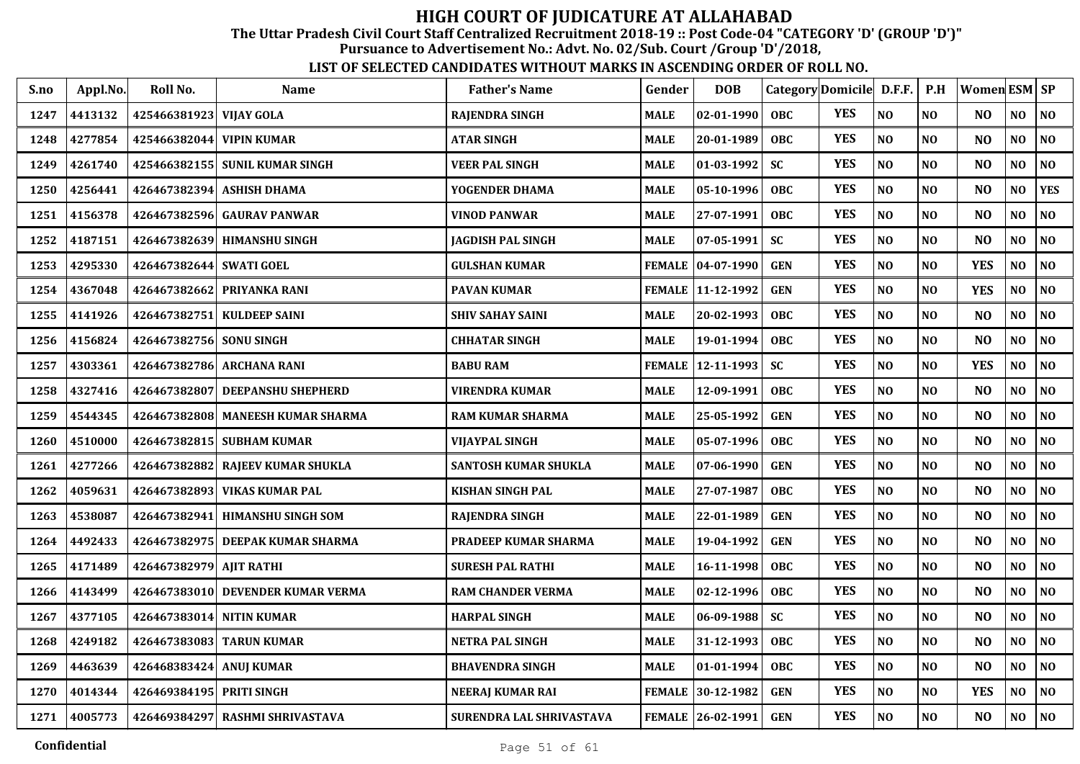The Uttar Pradesh Civil Court Staff Centralized Recruitment 2018-19 :: Post Code-04 "CATEGORY 'D' (GROUP 'D')"

Pursuance to Advertisement No.: Advt. No. 02/Sub. Court /Group 'D'/2018,

| S.no | Appl.No. | Roll No.                 | <b>Name</b>                       | <b>Father's Name</b>        | Gender        | <b>DOB</b>          |            | Category Domicile D.F.F. |                | P.H            | Women ESM SP   |                |                |
|------|----------|--------------------------|-----------------------------------|-----------------------------|---------------|---------------------|------------|--------------------------|----------------|----------------|----------------|----------------|----------------|
| 1247 | 4413132  | 425466381923 VIJAY GOLA  |                                   | <b>RAJENDRA SINGH</b>       | <b>MALE</b>   | $02 - 01 - 1990$    | <b>OBC</b> | <b>YES</b>               | NO             | N <sub>O</sub> | N <sub>O</sub> | N <sub>O</sub> | NO             |
| 1248 | 4277854  | 425466382044 VIPIN KUMAR |                                   | <b>ATAR SINGH</b>           | <b>MALE</b>   | 20-01-1989          | <b>OBC</b> | <b>YES</b>               | NO             | N <sub>O</sub> | N <sub>O</sub> | NO             | NO             |
| 1249 | 4261740  |                          | 425466382155 SUNIL KUMAR SINGH    | <b>VEER PAL SINGH</b>       | <b>MALE</b>   | 01-03-1992          | <b>SC</b>  | <b>YES</b>               | NO             | N <sub>O</sub> | N <sub>O</sub> | NO             | NO             |
| 1250 | 4256441  | 426467382394             | <b>ASHISH DHAMA</b>               | YOGENDER DHAMA              | <b>MALE</b>   | 05-10-1996          | <b>OBC</b> | <b>YES</b>               | N <sub>O</sub> | N <sub>O</sub> | NO             | NO             | <b>YES</b>     |
| 1251 | 4156378  | 426467382596             | <b>GAURAV PANWAR</b>              | <b>VINOD PANWAR</b>         | <b>MALE</b>   | 27-07-1991          | OBC        | <b>YES</b>               | NO             | N <sub>O</sub> | N <sub>O</sub> | NO             | N <sub>0</sub> |
| 1252 | 4187151  | 426467382639             | <b>HIMANSHU SINGH</b>             | <b>JAGDISH PAL SINGH</b>    | <b>MALE</b>   | 07-05-1991          | <b>SC</b>  | <b>YES</b>               | NO             | N <sub>O</sub> | NO             | NO             | N <sub>O</sub> |
| 1253 | 4295330  | 426467382644 SWATI GOEL  |                                   | <b>GULSHAN KUMAR</b>        |               | FEMALE   04-07-1990 | <b>GEN</b> | <b>YES</b>               | $\bf NO$       | N <sub>O</sub> | <b>YES</b>     | NO             | $\bf NO$       |
| 1254 | 4367048  |                          | 426467382662 PRIYANKA RANI        | <b>PAVAN KUMAR</b>          |               | FEMALE   11-12-1992 | <b>GEN</b> | <b>YES</b>               | N <sub>O</sub> | NO             | <b>YES</b>     | N <sub>O</sub> | NO             |
| 1255 | 4141926  |                          | 426467382751 KULDEEP SAINI        | <b>SHIV SAHAY SAINI</b>     | <b>MALE</b>   | 20-02-1993          | <b>OBC</b> | <b>YES</b>               | N <sub>O</sub> | N <sub>O</sub> | N <sub>O</sub> | NO.            | N <sub>O</sub> |
| 1256 | 4156824  | 426467382756 SONU SINGH  |                                   | <b>CHHATAR SINGH</b>        | <b>MALE</b>   | 19-01-1994          | <b>OBC</b> | <b>YES</b>               | NO             | N <sub>O</sub> | N <sub>O</sub> | N <sub>O</sub> | N <sub>O</sub> |
| 1257 | 4303361  |                          | 426467382786 ARCHANA RANI         | <b>BABU RAM</b>             | <b>FEMALE</b> | 12-11-1993          | <b>SC</b>  | <b>YES</b>               | $\bf NO$       | N <sub>O</sub> | <b>YES</b>     | NO             | N <sub>0</sub> |
| 1258 | 4327416  | 426467382807             | <b>DEEPANSHU SHEPHERD</b>         | <b>VIRENDRA KUMAR</b>       | <b>MALE</b>   | 12-09-1991          | <b>OBC</b> | <b>YES</b>               | $\bf NO$       | N <sub>O</sub> | N <sub>O</sub> | NO             | $\bf NO$       |
| 1259 | 4544345  | 426467382808             | <b>MANEESH KUMAR SHARMA</b>       | <b>RAM KUMAR SHARMA</b>     | <b>MALE</b>   | 25-05-1992          | <b>GEN</b> | <b>YES</b>               | NO             | N <sub>O</sub> | NO             | NO             | N <sub>O</sub> |
| 1260 | 4510000  |                          | 426467382815 SUBHAM KUMAR         | <b>VIJAYPAL SINGH</b>       | <b>MALE</b>   | 05-07-1996          | <b>OBC</b> | <b>YES</b>               | NO             | N <sub>O</sub> | N <sub>O</sub> | NO             | $\bf NO$       |
| 1261 | 4277266  |                          | 426467382882 RAJEEV KUMAR SHUKLA  | <b>SANTOSH KUMAR SHUKLA</b> | <b>MALE</b>   | 07-06-1990          | <b>GEN</b> | <b>YES</b>               | N <sub>O</sub> | N <sub>O</sub> | NO             | NO             | N <sub>O</sub> |
| 1262 | 4059631  |                          | 426467382893 VIKAS KUMAR PAL      | <b>KISHAN SINGH PAL</b>     | <b>MALE</b>   | 27-07-1987          | <b>OBC</b> | <b>YES</b>               | NO             | N <sub>O</sub> | NO             | NO             | $\bf NO$       |
| 1263 | 4538087  | 426467382941             | <b>HIMANSHU SINGH SOM</b>         | <b>RAJENDRA SINGH</b>       | <b>MALE</b>   | 22-01-1989          | <b>GEN</b> | <b>YES</b>               | N <sub>O</sub> | NO             | N <sub>O</sub> | NO.            | NO             |
| 1264 | 4492433  | 426467382975             | DEEPAK KUMAR SHARMA               | PRADEEP KUMAR SHARMA        | <b>MALE</b>   | 19-04-1992          | <b>GEN</b> | <b>YES</b>               | NO             | N <sub>O</sub> | N <sub>O</sub> | NO             | N <sub>O</sub> |
| 1265 | 4171489  | 426467382979 AJIT RATHI  |                                   | <b>SURESH PAL RATHI</b>     | <b>MALE</b>   | 16-11-1998          | <b>OBC</b> | <b>YES</b>               | N <sub>O</sub> | N <sub>O</sub> | N <sub>O</sub> | NO             | N <sub>O</sub> |
| 1266 | 4143499  |                          | 426467383010 DEVENDER KUMAR VERMA | <b>RAM CHANDER VERMA</b>    | <b>MALE</b>   | 02-12-1996          | <b>OBC</b> | <b>YES</b>               | $\bf NO$       | N <sub>O</sub> | N <sub>O</sub> | NO             | $\bf NO$       |
| 1267 | 4377105  | 426467383014 NITIN KUMAR |                                   | <b>HARPAL SINGH</b>         | <b>MALE</b>   | 06-09-1988          | <b>SC</b>  | <b>YES</b>               | $\bf NO$       | NO             | N <sub>O</sub> | NO             | $\bf NO$       |
| 1268 | 4249182  | 426467383083             | <b>TARUN KUMAR</b>                | <b>NETRA PAL SINGH</b>      | <b>MALE</b>   | 31-12-1993          | <b>OBC</b> | <b>YES</b>               | NO             | N <sub>O</sub> | NO             | NO             | N <sub>O</sub> |
| 1269 | 4463639  | 426468383424 ANUJ KUMAR  |                                   | <b>BHAVENDRA SINGH</b>      | <b>MALE</b>   | 01-01-1994          | <b>OBC</b> | <b>YES</b>               | NO             | N <sub>O</sub> | N <sub>O</sub> | NO             | $\bf NO$       |
| 1270 | 4014344  | 426469384195 PRITI SINGH |                                   | <b>NEERAJ KUMAR RAI</b>     | <b>FEMALE</b> | 30-12-1982          | <b>GEN</b> | <b>YES</b>               | $\bf NO$       | $\bf NO$       | <b>YES</b>     | NO             | N <sub>0</sub> |
| 1271 | 4005773  |                          | 426469384297 RASHMI SHRIVASTAVA   | SURENDRA LAL SHRIVASTAVA    |               | FEMALE 26-02-1991   | <b>GEN</b> | <b>YES</b>               | $\bf NO$       | $\bf NO$       | NO             | NO             | $\bf NO$       |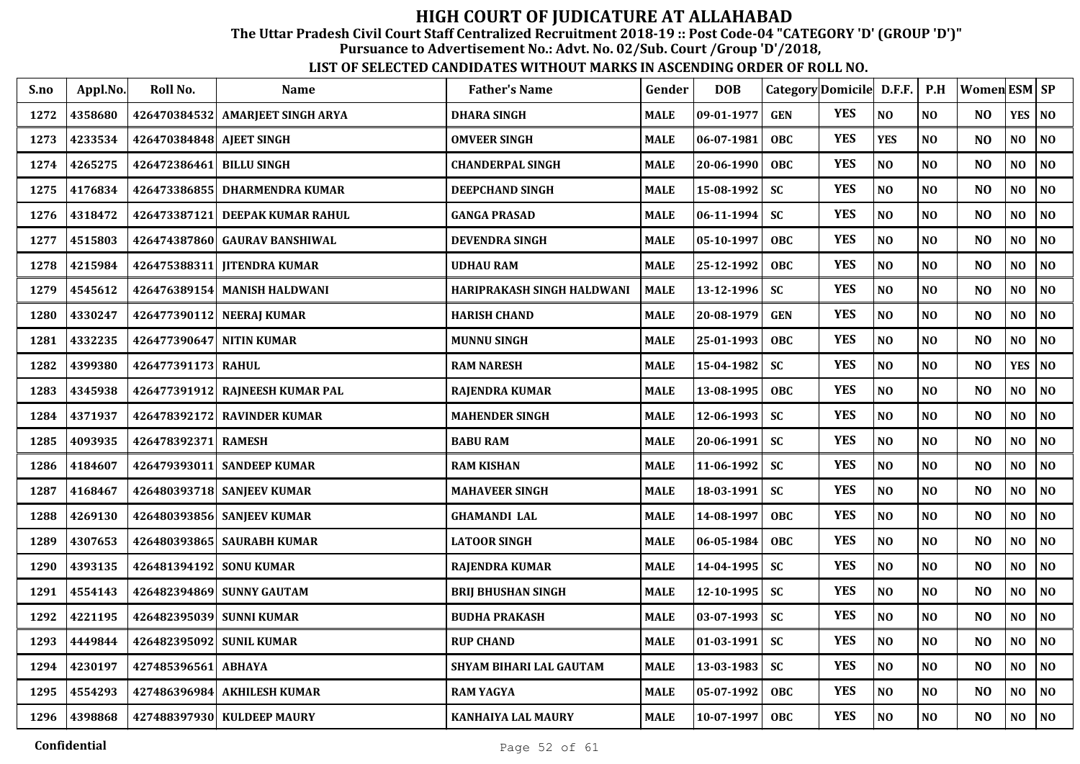The Uttar Pradesh Civil Court Staff Centralized Recruitment 2018-19 :: Post Code-04 "CATEGORY 'D' (GROUP 'D')"

Pursuance to Advertisement No.: Advt. No. 02/Sub. Court /Group 'D'/2018,

| S.no | Appl.No. | Roll No.                 | <b>Name</b>                      | <b>Father's Name</b>       | Gender      | <b>DOB</b> | Category Domicile D.F.F. |            |                | P.H            | <b>Women ESM SP</b> |            |                |
|------|----------|--------------------------|----------------------------------|----------------------------|-------------|------------|--------------------------|------------|----------------|----------------|---------------------|------------|----------------|
| 1272 | 4358680  |                          | 426470384532 AMARIEET SINGH ARYA | <b>DHARA SINGH</b>         | <b>MALE</b> | 09-01-1977 | <b>GEN</b>               | <b>YES</b> | N <sub>O</sub> | N <sub>O</sub> | N <sub>O</sub>      | <b>YES</b> | N <sub>O</sub> |
| 1273 | 4233534  | 426470384848 AJEET SINGH |                                  | <b>OMVEER SINGH</b>        | <b>MALE</b> | 06-07-1981 | <b>OBC</b>               | <b>YES</b> | <b>YES</b>     | N <sub>O</sub> | N <sub>O</sub>      | NO         | NO             |
| 1274 | 4265275  | 426472386461             | <b>BILLU SINGH</b>               | <b>CHANDERPAL SINGH</b>    | <b>MALE</b> | 20-06-1990 | <b>OBC</b>               | <b>YES</b> | NO             | N <sub>O</sub> | N <sub>O</sub>      | NO         | N <sub>0</sub> |
| 1275 | 4176834  | 426473386855             | <b>DHARMENDRA KUMAR</b>          | <b>DEEPCHAND SINGH</b>     | <b>MALE</b> | 15-08-1992 | <b>SC</b>                | <b>YES</b> | NO             | N <sub>O</sub> | N <sub>O</sub>      | NO         | NO             |
| 1276 | 4318472  | 426473387121             | <b>DEEPAK KUMAR RAHUL</b>        | <b>GANGA PRASAD</b>        | <b>MALE</b> | 06-11-1994 | <b>SC</b>                | <b>YES</b> | NO             | N <sub>O</sub> | N <sub>O</sub>      | NO         | N <sub>0</sub> |
| 1277 | 4515803  | 426474387860             | <b>GAURAV BANSHIWAL</b>          | <b>DEVENDRA SINGH</b>      | <b>MALE</b> | 05-10-1997 | <b>OBC</b>               | <b>YES</b> | NO             | N <sub>0</sub> | N <sub>O</sub>      | NO         | $\bf NO$       |
| 1278 | 4215984  |                          | 426475388311 JITENDRA KUMAR      | <b>UDHAU RAM</b>           | <b>MALE</b> | 25-12-1992 | <b>OBC</b>               | <b>YES</b> | NO             | N <sub>0</sub> | N <sub>O</sub>      | NO         | $\bf NO$       |
| 1279 | 4545612  |                          | 426476389154 MANISH HALDWANI     | HARIPRAKASH SINGH HALDWANI | <b>MALE</b> | 13-12-1996 | <b>SC</b>                | <b>YES</b> | NO             | N <sub>O</sub> | N <sub>O</sub>      | NO.        | N <sub>0</sub> |
| 1280 | 4330247  |                          | 426477390112 NEERAJ KUMAR        | <b>HARISH CHAND</b>        | <b>MALE</b> | 20-08-1979 | <b>GEN</b>               | <b>YES</b> | NO             | N <sub>O</sub> | N <sub>O</sub>      | NO         | N <sub>0</sub> |
| 1281 | 4332235  | 426477390647 NITIN KUMAR |                                  | <b>MUNNU SINGH</b>         | <b>MALE</b> | 25-01-1993 | OBC                      | <b>YES</b> | NO             | N <sub>0</sub> | N <sub>O</sub>      | NO.        | N <sub>0</sub> |
| 1282 | 4399380  | 426477391173 RAHUL       |                                  | <b>RAM NARESH</b>          | <b>MALE</b> | 15-04-1982 | <b>SC</b>                | <b>YES</b> | $\bf NO$       | N <sub>O</sub> | NO                  | <b>YES</b> | $\bf NO$       |
| 1283 | 4345938  |                          | 426477391912 RAJNEESH KUMAR PAL  | <b>RAJENDRA KUMAR</b>      | <b>MALE</b> | 13-08-1995 | <b>OBC</b>               | <b>YES</b> | NO             | N <sub>O</sub> | N <sub>O</sub>      | NO         | N <sub>0</sub> |
| 1284 | 4371937  | 426478392172             | <b>RAVINDER KUMAR</b>            | <b>MAHENDER SINGH</b>      | <b>MALE</b> | 12-06-1993 | <b>SC</b>                | <b>YES</b> | NO             | N <sub>O</sub> | N <sub>O</sub>      | NO         | N <sub>0</sub> |
| 1285 | 4093935  | 426478392371             | <b>RAMESH</b>                    | <b>BABU RAM</b>            | <b>MALE</b> | 20-06-1991 | <b>SC</b>                | <b>YES</b> | N <sub>O</sub> | N <sub>O</sub> | N <sub>O</sub>      | NO         | N <sub>0</sub> |
| 1286 | 4184607  |                          | 426479393011 SANDEEP KUMAR       | <b>RAM KISHAN</b>          | <b>MALE</b> | 11-06-1992 | <b>SC</b>                | <b>YES</b> | NO             | N <sub>O</sub> | N <sub>O</sub>      | NO         | NO             |
| 1287 | 4168467  |                          | 426480393718 SANJEEV KUMAR       | <b>MAHAVEER SINGH</b>      | <b>MALE</b> | 18-03-1991 | <b>SC</b>                | <b>YES</b> | NO             | N <sub>0</sub> | N <sub>O</sub>      | NO         | N <sub>0</sub> |
| 1288 | 4269130  |                          | 426480393856 SANJEEV KUMAR       | <b>GHAMANDI LAL</b>        | <b>MALE</b> | 14-08-1997 | <b>OBC</b>               | <b>YES</b> | NO             | NO             | N <sub>O</sub>      | NO         | NO             |
| 1289 | 4307653  |                          | 426480393865 SAURABH KUMAR       | <b>LATOOR SINGH</b>        | <b>MALE</b> | 06-05-1984 | OBC                      | <b>YES</b> | NO             | N <sub>O</sub> | N <sub>O</sub>      | NO         | NO             |
| 1290 | 4393135  | 426481394192 SONU KUMAR  |                                  | <b>RAJENDRA KUMAR</b>      | <b>MALE</b> | 14-04-1995 | <b>SC</b>                | <b>YES</b> | NO             | N <sub>O</sub> | N <sub>O</sub>      | NO         | N <sub>0</sub> |
| 1291 | 4554143  |                          | 426482394869 SUNNY GAUTAM        | <b>BRIJ BHUSHAN SINGH</b>  | <b>MALE</b> | 12-10-1995 | <b>SC</b>                | <b>YES</b> | NO             | N <sub>O</sub> | N <sub>O</sub>      | NO         | $\bf NO$       |
| 1292 | 4221195  | 426482395039 SUNNI KUMAR |                                  | <b>BUDHA PRAKASH</b>       | <b>MALE</b> | 03-07-1993 | <b>SC</b>                | <b>YES</b> | NO             | N <sub>O</sub> | N <sub>O</sub>      | NO         | N <sub>0</sub> |
| 1293 | 4449844  | 426482395092             | <b>SUNIL KUMAR</b>               | <b>RUP CHAND</b>           | <b>MALE</b> | 01-03-1991 | <b>SC</b>                | <b>YES</b> | NO             | NO             | N <sub>O</sub>      | NO         | N <sub>0</sub> |
| 1294 | 4230197  | 427485396561             | <b>ABHAYA</b>                    | SHYAM BIHARI LAL GAUTAM    | <b>MALE</b> | 13-03-1983 | <b>SC</b>                | <b>YES</b> | NO             | NO             | N <sub>O</sub>      | NO         | NO             |
| 1295 | 4554293  | 427486396984             | <b>AKHILESH KUMAR</b>            | <b>RAM YAGYA</b>           | <b>MALE</b> | 05-07-1992 | <b>OBC</b>               | <b>YES</b> | $\bf NO$       | $\bf NO$       | NO                  | NO         | NO             |
| 1296 | 4398868  |                          | 427488397930 KULDEEP MAURY       | KANHAIYA LAL MAURY         | <b>MALE</b> | 10-07-1997 | <b>OBC</b>               | <b>YES</b> | $\bf NO$       | $\bf NO$       | N <sub>O</sub>      | NO         | $\bf NO$       |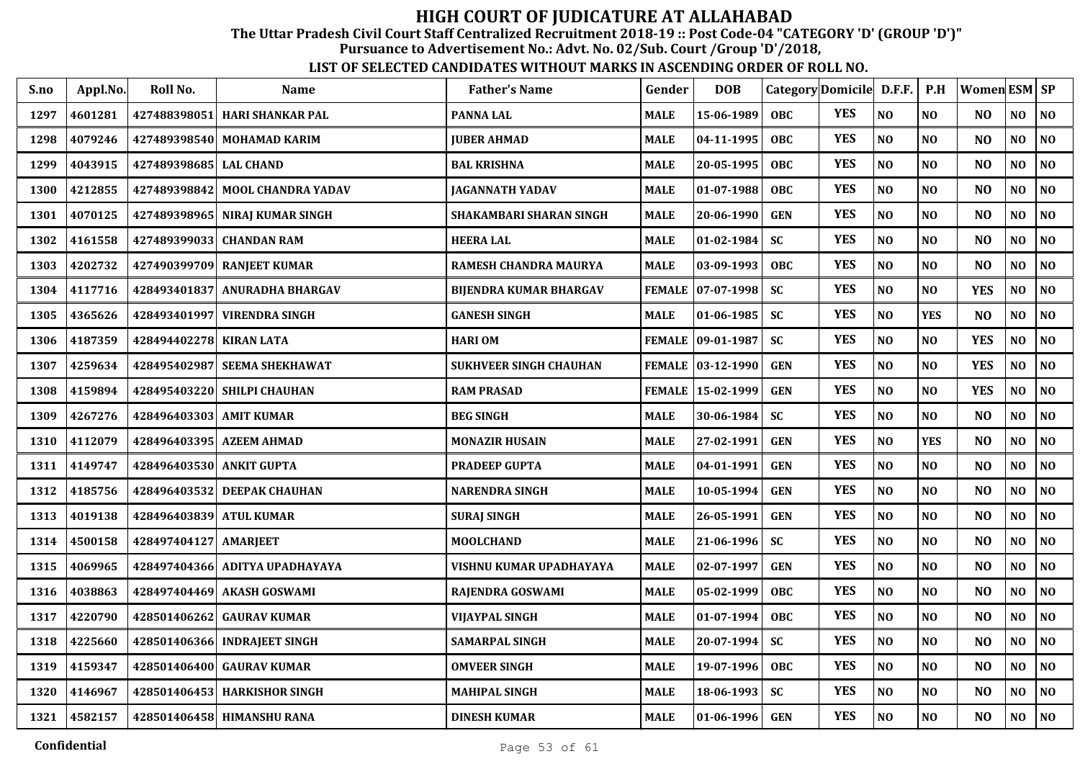The Uttar Pradesh Civil Court Staff Centralized Recruitment 2018-19 :: Post Code-04 "CATEGORY 'D' (GROUP 'D')"

Pursuance to Advertisement No.: Advt. No. 02/Sub. Court /Group 'D'/2018,

| S.no | Appl.No. | Roll No.                 | Name                           | <b>Father's Name</b>           | Gender        | <b>DOB</b>          |            | Category Domicile D.F.F. |                | P.H            | Women ESM SP   |                |                |
|------|----------|--------------------------|--------------------------------|--------------------------------|---------------|---------------------|------------|--------------------------|----------------|----------------|----------------|----------------|----------------|
| 1297 | 4601281  | 427488398051             | <b>HARI SHANKAR PAL</b>        | <b>PANNA LAL</b>               | <b>MALE</b>   | 15-06-1989          | <b>OBC</b> | <b>YES</b>               | NO             | N <sub>O</sub> | N <sub>O</sub> | N <sub>O</sub> | <b>NO</b>      |
| 1298 | 4079246  |                          | 427489398540 MOHAMAD KARIM     | <b>JUBER AHMAD</b>             | <b>MALE</b>   | 04-11-1995          | <b>OBC</b> | <b>YES</b>               | NO             | N <sub>O</sub> | N <sub>O</sub> | N <sub>O</sub> | NO             |
| 1299 | 4043915  | 427489398685 LAL CHAND   |                                | <b>BAL KRISHNA</b>             | <b>MALE</b>   | 20-05-1995          | <b>OBC</b> | <b>YES</b>               | N <sub>O</sub> | N <sub>O</sub> | N <sub>O</sub> | N <sub>0</sub> | N <sub>O</sub> |
| 1300 | 4212855  | 427489398842             | <b>MOOL CHANDRA YADAV</b>      | <b>JAGANNATH YADAV</b>         | <b>MALE</b>   | 01-07-1988          | <b>OBC</b> | <b>YES</b>               | NO             | N <sub>O</sub> | N <sub>O</sub> | NO             | NO             |
| 1301 | 4070125  |                          | 427489398965 NIRAJ KUMAR SINGH | <b>SHAKAMBARI SHARAN SINGH</b> | <b>MALE</b>   | 20-06-1990          | <b>GEN</b> | <b>YES</b>               | NO             | N <sub>O</sub> | N <sub>O</sub> | NO             | N <sub>0</sub> |
| 1302 | 4161558  | 427489399033             | <b>CHANDAN RAM</b>             | <b>HEERA LAL</b>               | <b>MALE</b>   | 01-02-1984          | <b>SC</b>  | <b>YES</b>               | NO             | N <sub>O</sub> | N <sub>O</sub> | NO             | N <sub>O</sub> |
| 1303 | 4202732  |                          | 427490399709 RANJEET KUMAR     | RAMESH CHANDRA MAURYA          | <b>MALE</b>   | 03-09-1993          | <b>OBC</b> | <b>YES</b>               | NO             | NO             | N <sub>O</sub> | N <sub>0</sub> | $\bf NO$       |
| 1304 | 4117716  | 428493401837             | ANURADHA BHARGAV               | <b>BIJENDRA KUMAR BHARGAV</b>  | <b>FEMALE</b> | $ 07-07-1998 $      | <b>SC</b>  | <b>YES</b>               | NO             | NO             | <b>YES</b>     | NO             | NO             |
| 1305 | 4365626  | 428493401997             | <b>VIRENDRA SINGH</b>          | <b>GANESH SINGH</b>            | <b>MALE</b>   | 01-06-1985          | <b>SC</b>  | <b>YES</b>               | N <sub>O</sub> | <b>YES</b>     | N <sub>O</sub> | NO             | N <sub>0</sub> |
| 1306 | 4187359  | 428494402278 KIRAN LATA  |                                | <b>HARIOM</b>                  |               | FEMALE 09-01-1987   | <b>SC</b>  | <b>YES</b>               | NO             | N <sub>O</sub> | <b>YES</b>     | NO             | N <sub>O</sub> |
| 1307 | 4259634  |                          | 428495402987 SEEMA SHEKHAWAT   | <b>SUKHVEER SINGH CHAUHAN</b>  |               | FEMALE   03-12-1990 | <b>GEN</b> | <b>YES</b>               | N <sub>O</sub> | N <sub>O</sub> | <b>YES</b>     | N <sub>O</sub> | N <sub>O</sub> |
| 1308 | 4159894  | 428495403220             | <b>SHILPI CHAUHAN</b>          | <b>RAM PRASAD</b>              |               | FEMALE   15-02-1999 | <b>GEN</b> | <b>YES</b>               | NO             | N <sub>O</sub> | <b>YES</b>     | NO             | NO             |
| 1309 | 4267276  | 428496403303             | <b>AMIT KUMAR</b>              | <b>BEG SINGH</b>               | <b>MALE</b>   | 30-06-1984          | <b>SC</b>  | <b>YES</b>               | $\bf NO$       | N <sub>O</sub> | N <sub>O</sub> | $\bf NO$       | $\bf NO$       |
| 1310 | 4112079  |                          | 428496403395 AZEEM AHMAD       | <b>MONAZIR HUSAIN</b>          | <b>MALE</b>   | 27-02-1991          | <b>GEN</b> | <b>YES</b>               | NO             | <b>YES</b>     | N <sub>O</sub> | NO             | NO             |
| 1311 | 4149747  | 428496403530 ANKIT GUPTA |                                | <b>PRADEEP GUPTA</b>           | <b>MALE</b>   | 04-01-1991          | <b>GEN</b> | <b>YES</b>               | NO             | NO             | N <sub>O</sub> | NO             | $\bf NO$       |
| 1312 | 4185756  |                          | 428496403532 DEEPAK CHAUHAN    | NARENDRA SINGH                 | <b>MALE</b>   | 10-05-1994          | <b>GEN</b> | <b>YES</b>               | N <sub>O</sub> | NO             | N <sub>O</sub> | NO             | NO             |
| 1313 | 4019138  | 428496403839 ATUL KUMAR  |                                | <b>SURAJ SINGH</b>             | <b>MALE</b>   | 26-05-1991          | <b>GEN</b> | <b>YES</b>               | N <sub>O</sub> | N <sub>O</sub> | N <sub>O</sub> | NO             | N <sub>0</sub> |
| 1314 | 4500158  | 428497404127             | <b>AMARJEET</b>                | <b>MOOLCHAND</b>               | <b>MALE</b>   | 21-06-1996          | <b>SC</b>  | <b>YES</b>               | N <sub>O</sub> | N <sub>O</sub> | N <sub>O</sub> | NO             | NO             |
| 1315 | 4069965  |                          | 428497404366 ADITYA UPADHAYAYA | VISHNU KUMAR UPADHAYAYA        | <b>MALE</b>   | 02-07-1997          | <b>GEN</b> | <b>YES</b>               | N <sub>O</sub> | N <sub>O</sub> | N <sub>O</sub> | N <sub>O</sub> | N <sub>O</sub> |
| 1316 | 4038863  | 428497404469             | AKASH GOSWAMI                  | RAJENDRA GOSWAMI               | <b>MALE</b>   | 05-02-1999          | <b>OBC</b> | <b>YES</b>               | NO             | N <sub>O</sub> | N <sub>O</sub> | N <sub>O</sub> | N <sub>O</sub> |
| 1317 | 4220790  | 428501406262             | <b>GAURAV KUMAR</b>            | <b>VIJAYPAL SINGH</b>          | <b>MALE</b>   | 01-07-1994          | OBC        | <b>YES</b>               | N <sub>O</sub> | N <sub>O</sub> | N <sub>O</sub> | $\bf NO$       | NO             |
| 1318 | 4225660  | 428501406366             | <b>INDRAJEET SINGH</b>         | SAMARPAL SINGH                 | <b>MALE</b>   | 20-07-1994          | <b>SC</b>  | <b>YES</b>               | NO             | NO             | N <sub>O</sub> | NO             | NO             |
| 1319 | 4159347  |                          | 428501406400 GAURAV KUMAR      | <b>OMVEER SINGH</b>            | <b>MALE</b>   | 19-07-1996          | <b>OBC</b> | <b>YES</b>               | NO             | NO             | N <sub>O</sub> | N <sub>O</sub> | N <sub>0</sub> |
| 1320 | 4146967  |                          | 428501406453 HARKISHOR SINGH   | <b>MAHIPAL SINGH</b>           | <b>MALE</b>   | 18-06-1993          | <b>SC</b>  | <b>YES</b>               | $\bf NO$       | NO             | N <sub>O</sub> | NO             | $\bf NO$       |
| 1321 | 4582157  |                          | 428501406458 HIMANSHU RANA     | <b>DINESH KUMAR</b>            | <b>MALE</b>   | $01-06-1996$        | <b>GEN</b> | <b>YES</b>               | NO             | N <sub>O</sub> | N <sub>O</sub> | NO             | <b>NO</b>      |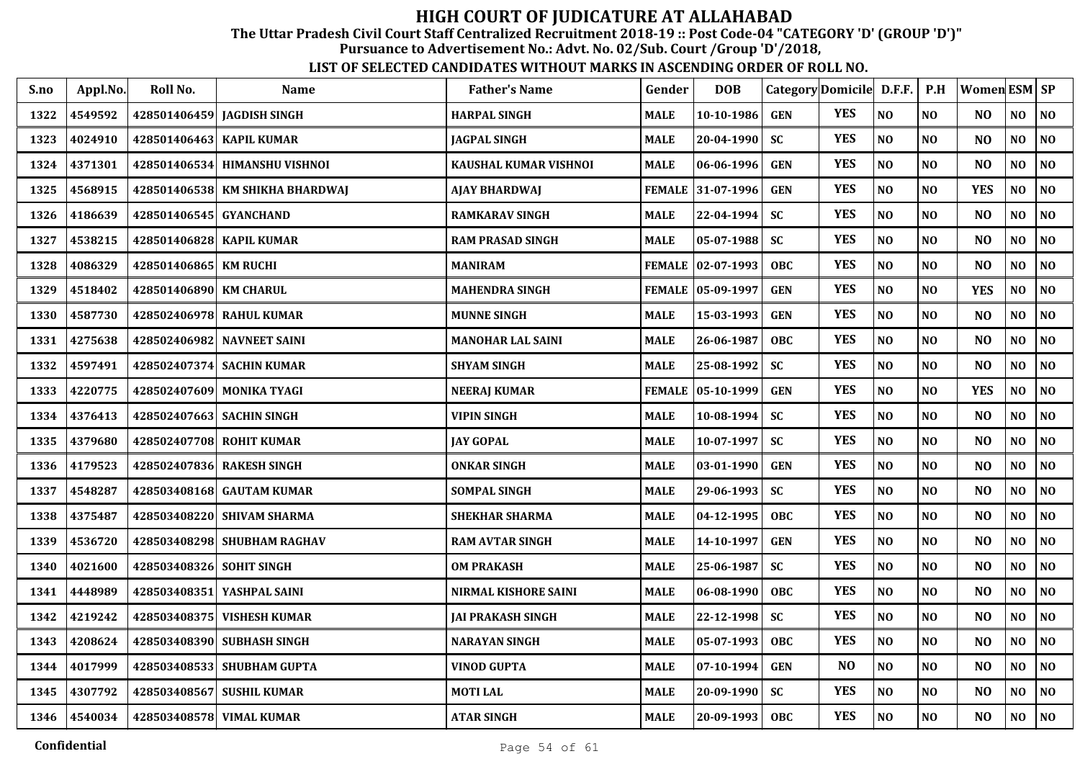The Uttar Pradesh Civil Court Staff Centralized Recruitment 2018-19 :: Post Code-04 "CATEGORY 'D' (GROUP 'D')"

Pursuance to Advertisement No.: Advt. No. 02/Sub. Court /Group 'D'/2018,

| S.no | Appl.No. | Roll No.                  | <b>Name</b>                     | <b>Father's Name</b>        | Gender        | <b>DOB</b>          | Category Domicile D.F.F. |            |                | P.H            | <b>Women ESM SP</b> |                |                |
|------|----------|---------------------------|---------------------------------|-----------------------------|---------------|---------------------|--------------------------|------------|----------------|----------------|---------------------|----------------|----------------|
| 1322 | 4549592  |                           | 428501406459 JAGDISH SINGH      | <b>HARPAL SINGH</b>         | <b>MALE</b>   | 10-10-1986          | <b>GEN</b>               | <b>YES</b> | NO             | NO             | N <sub>O</sub>      | NO             | NO             |
| 1323 | 4024910  | 428501406463 KAPIL KUMAR  |                                 | <b>JAGPAL SINGH</b>         | <b>MALE</b>   | 20-04-1990          | <b>SC</b>                | <b>YES</b> | NO             | N <sub>O</sub> | N <sub>O</sub>      | NO             | NO             |
| 1324 | 4371301  |                           | 428501406534 HIMANSHU VISHNOI   | KAUSHAL KUMAR VISHNOI       | <b>MALE</b>   | 06-06-1996          | <b>GEN</b>               | <b>YES</b> | NO             | N <sub>O</sub> | N <sub>O</sub>      | NO             | NO             |
| 1325 | 4568915  |                           | 428501406538 KM SHIKHA BHARDWAJ | <b>AJAY BHARDWAJ</b>        |               | FEMALE 31-07-1996   | <b>GEN</b>               | <b>YES</b> | NO             | NO             | <b>YES</b>          | NO             | NO             |
| 1326 | 4186639  | 428501406545 GYANCHAND    |                                 | <b>RAMKARAV SINGH</b>       | <b>MALE</b>   | 22-04-1994          | <b>SC</b>                | <b>YES</b> | NO             | NO             | N <sub>O</sub>      | N <sub>O</sub> | NO             |
| 1327 | 4538215  | 428501406828 KAPIL KUMAR  |                                 | <b>RAM PRASAD SINGH</b>     | <b>MALE</b>   | $05 - 07 - 1988$    | <b>SC</b>                | <b>YES</b> | NO             | NO             | N <sub>O</sub>      | NO             | $\bf NO$       |
| 1328 | 4086329  | 428501406865 KM RUCHI     |                                 | <b>MANIRAM</b>              |               | FEMALE   02-07-1993 | <b>OBC</b>               | <b>YES</b> | NO             | NO             | N <sub>O</sub>      | NO.            | NO             |
| 1329 | 4518402  | 428501406890 KM CHARUL    |                                 | <b>MAHENDRA SINGH</b>       |               | FEMALE 05-09-1997   | <b>GEN</b>               | <b>YES</b> | NO             | N <sub>O</sub> | <b>YES</b>          | NO             | NO             |
| 1330 | 4587730  |                           | 428502406978 RAHUL KUMAR        | <b>MUNNE SINGH</b>          | <b>MALE</b>   | 15-03-1993          | <b>GEN</b>               | <b>YES</b> | NO             | N <sub>O</sub> | N <sub>O</sub>      | NO             | NO             |
| 1331 | 4275638  |                           | 428502406982 NAVNEET SAINI      | <b>MANOHAR LAL SAINI</b>    | <b>MALE</b>   | 26-06-1987          | <b>OBC</b>               | <b>YES</b> | NO             | N <sub>O</sub> | N <sub>O</sub>      | NO             | NO             |
| 1332 | 4597491  |                           | 428502407374 SACHIN KUMAR       | <b>SHYAM SINGH</b>          | <b>MALE</b>   | 25-08-1992          | <b>SC</b>                | <b>YES</b> | NO             | NO             | NO                  | NO             | $\bf NO$       |
| 1333 | 4220775  |                           | 428502407609 MONIKA TYAGI       | <b>NEERAJ KUMAR</b>         | <b>FEMALE</b> | 05-10-1999          | <b>GEN</b>               | <b>YES</b> | NO             | NO             | <b>YES</b>          | NO             | NO             |
| 1334 | 4376413  | 428502407663 SACHIN SINGH |                                 | <b>VIPIN SINGH</b>          | <b>MALE</b>   | 10-08-1994          | <b>SC</b>                | <b>YES</b> | $\bf NO$       | NO             | N <sub>O</sub>      | NO             | $\bf NO$       |
| 1335 | 4379680  | 428502407708 ROHIT KUMAR  |                                 | <b>JAY GOPAL</b>            | <b>MALE</b>   | 10-07-1997          | <b>SC</b>                | <b>YES</b> | NO             | N <sub>O</sub> | N <sub>O</sub>      | NO             | NO             |
| 1336 | 4179523  | 428502407836 RAKESH SINGH |                                 | <b>ONKAR SINGH</b>          | <b>MALE</b>   | 03-01-1990          | <b>GEN</b>               | <b>YES</b> | NO             | NO             | N <sub>O</sub>      | NO             | $\bf NO$       |
| 1337 | 4548287  |                           | 428503408168 GAUTAM KUMAR       | <b>SOMPAL SINGH</b>         | <b>MALE</b>   | 29-06-1993          | <b>SC</b>                | <b>YES</b> | NO             | NO             | N <sub>O</sub>      | NO             | NO             |
| 1338 | 4375487  |                           | 428503408220 SHIVAM SHARMA      | <b>SHEKHAR SHARMA</b>       | <b>MALE</b>   | 04-12-1995          | OBC                      | <b>YES</b> | NO             | N <sub>O</sub> | N <sub>O</sub>      | NO             | $\bf NO$       |
| 1339 | 4536720  |                           | 428503408298 SHUBHAM RAGHAV     | <b>RAM AVTAR SINGH</b>      | <b>MALE</b>   | 14-10-1997          | <b>GEN</b>               | <b>YES</b> | N <sub>O</sub> | N <sub>O</sub> | N <sub>O</sub>      | NO             | N <sub>O</sub> |
| 1340 | 4021600  | 428503408326 SOHIT SINGH  |                                 | <b>OM PRAKASH</b>           | <b>MALE</b>   | 25-06-1987          | <b>SC</b>                | <b>YES</b> | $\bf NO$       | N <sub>O</sub> | N <sub>O</sub>      | NO             | $\bf NO$       |
| 1341 | 4448989  | 428503408351              | YASHPAL SAINI                   | <b>NIRMAL KISHORE SAINI</b> | <b>MALE</b>   | 06-08-1990          | <b>OBC</b>               | <b>YES</b> | NO             | N <sub>O</sub> | NO                  | $\bf NO$       | NO             |
| 1342 | 4219242  | 428503408375              | <b>VISHESH KUMAR</b>            | <b>JAI PRAKASH SINGH</b>    | <b>MALE</b>   | 22-12-1998          | <b>SC</b>                | <b>YES</b> | NO             | N <sub>O</sub> | N <sub>O</sub>      | NO             | N <sub>O</sub> |
| 1343 | 4208624  |                           | 428503408390 SUBHASH SINGH      | <b>NARAYAN SINGH</b>        | <b>MALE</b>   | 05-07-1993          | <b>OBC</b>               | <b>YES</b> | NO             | N <sub>O</sub> | N <sub>O</sub>      | $\bf NO$       | NO             |
| 1344 | 4017999  |                           | 428503408533 SHUBHAM GUPTA      | <b>VINOD GUPTA</b>          | <b>MALE</b>   | 07-10-1994          | <b>GEN</b>               | NO         | N <sub>O</sub> | N <sub>O</sub> | N <sub>O</sub>      | NO             | NO             |
| 1345 | 4307792  |                           | 428503408567 SUSHIL KUMAR       | <b>MOTILAL</b>              | <b>MALE</b>   | 20-09-1990          | <b>SC</b>                | <b>YES</b> | NO             | NO             | N <sub>O</sub>      | NO             | $\bf NO$       |
| 1346 | 4540034  | 428503408578 VIMAL KUMAR  |                                 | <b>ATAR SINGH</b>           | <b>MALE</b>   | 20-09-1993          | <b>OBC</b>               | <b>YES</b> | NO             | <b>NO</b>      | N <sub>O</sub>      | NO.            | NO             |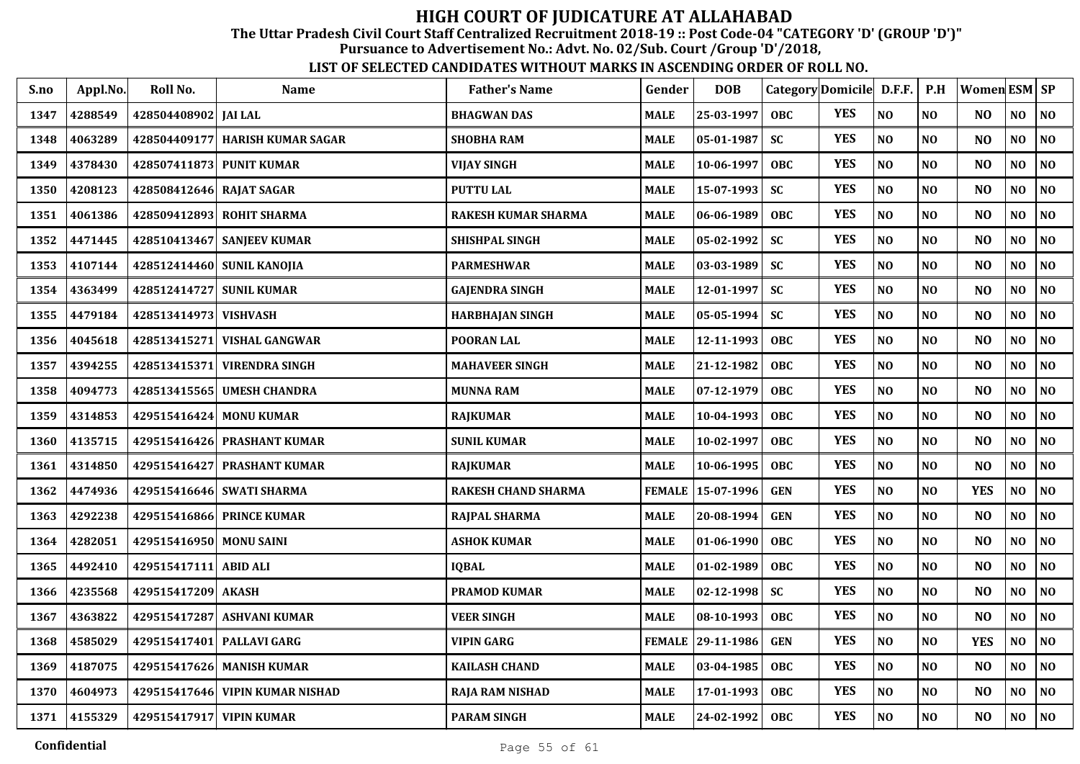The Uttar Pradesh Civil Court Staff Centralized Recruitment 2018-19 :: Post Code-04 "CATEGORY 'D' (GROUP 'D')"

Pursuance to Advertisement No.: Advt. No. 02/Sub. Court /Group 'D'/2018,

| S.no | Appl.No. | Roll No.                 | <b>Name</b>                     | <b>Father's Name</b>       | Gender        | <b>DOB</b> | Category Domicile D.F.F. |            |          | P.H            | <b>Women ESM SP</b> |                |                |
|------|----------|--------------------------|---------------------------------|----------------------------|---------------|------------|--------------------------|------------|----------|----------------|---------------------|----------------|----------------|
| 1347 | 4288549  | 428504408902 JAI LAL     |                                 | <b>BHAGWAN DAS</b>         | MALE          | 25-03-1997 | <b>OBC</b>               | <b>YES</b> | NO       | N <sub>O</sub> | N <sub>O</sub>      | NO             | <b>NO</b>      |
| 1348 | 4063289  |                          | 428504409177 HARISH KUMAR SAGAR | <b>SHOBHA RAM</b>          | MALE          | 05-01-1987 | <b>SC</b>                | <b>YES</b> | $\bf NO$ | NO             | N <sub>O</sub>      | $\bf NO$       | <b>NO</b>      |
| 1349 | 4378430  | 428507411873 PUNIT KUMAR |                                 | <b>VIJAY SINGH</b>         | MALE          | 10-06-1997 | <b>OBC</b>               | <b>YES</b> | $\bf NO$ | NO             | N <sub>O</sub>      | $\bf NO$       | <b>NO</b>      |
| 1350 | 4208123  | 428508412646             | <b>RAJAT SAGAR</b>              | <b>PUTTU LAL</b>           | <b>MALE</b>   | 15-07-1993 | SC                       | <b>YES</b> | $\bf NO$ | N <sub>O</sub> | NO                  | $\bf NO$       | NO             |
| 1351 | 4061386  |                          | 428509412893 ROHIT SHARMA       | <b>RAKESH KUMAR SHARMA</b> | MALE          | 06-06-1989 | <b>OBC</b>               | <b>YES</b> | NO       | N <sub>O</sub> | N <sub>O</sub>      | NO             | N <sub>O</sub> |
| 1352 | 4471445  |                          | 428510413467 SANJEEV KUMAR      | <b>SHISHPAL SINGH</b>      | MALE          | 05-02-1992 | <b>SC</b>                | <b>YES</b> | NO       | NO             | N <sub>O</sub>      | N <sub>O</sub> | NO             |
| 1353 | 4107144  |                          | 428512414460 SUNIL KANOJIA      | <b>PARMESHWAR</b>          | MALE          | 03-03-1989 | <b>SC</b>                | <b>YES</b> | NO       | NO             | N <sub>O</sub>      | N <sub>O</sub> | <b>NO</b>      |
| 1354 | 4363499  | 428512414727             | <b>SUNIL KUMAR</b>              | <b>GAJENDRA SINGH</b>      | MALE          | 12-01-1997 | <b>SC</b>                | <b>YES</b> | NO       | NO             | N <sub>O</sub>      | N <sub>O</sub> | <b>NO</b>      |
| 1355 | 4479184  | 428513414973 VISHVASH    |                                 | <b>HARBHAJAN SINGH</b>     | MALE          | 05-05-1994 | <b>SC</b>                | <b>YES</b> | NO       | NO             | N <sub>O</sub>      | NO             | <b>NO</b>      |
| 1356 | 4045618  | 428513415271             | VISHAL GANGWAR                  | POORAN LAL                 | MALE          | 12-11-1993 | <b>OBC</b>               | <b>YES</b> | NO       | N <sub>O</sub> | N <sub>O</sub>      | NO             | <b>NO</b>      |
| 1357 | 4394255  | 428513415371             | <b>VIRENDRA SINGH</b>           | <b>MAHAVEER SINGH</b>      | MALE          | 21-12-1982 | <b>OBC</b>               | <b>YES</b> | $\bf NO$ | NO             | NO                  | $\bf NO$       | <b>NO</b>      |
| 1358 | 4094773  | 428513415565             | <b>UMESH CHANDRA</b>            | <b>MUNNA RAM</b>           | MALE          | 07-12-1979 | <b>OBC</b>               | <b>YES</b> | NO       | N <sub>O</sub> | N <sub>O</sub>      | N <sub>O</sub> | <b>NO</b>      |
| 1359 | 4314853  | 429515416424             | <b>MONU KUMAR</b>               | <b>RAJKUMAR</b>            | <b>MALE</b>   | 10-04-1993 | <b>OBC</b>               | <b>YES</b> | NO       | NO             | N <sub>O</sub>      | N <sub>0</sub> | NO             |
| 1360 | 4135715  |                          | 429515416426 PRASHANT KUMAR     | <b>SUNIL KUMAR</b>         | <b>MALE</b>   | 10-02-1997 | <b>OBC</b>               | <b>YES</b> | NO       | N <sub>O</sub> | N <sub>O</sub>      | NO             | NO             |
| 1361 | 4314850  | 429515416427             | <b>PRASHANT KUMAR</b>           | <b>RAJKUMAR</b>            | MALE          | 10-06-1995 | <b>OBC</b>               | <b>YES</b> | NO       | NO             | N <sub>O</sub>      | N <sub>O</sub> | NO             |
| 1362 | 4474936  |                          | 429515416646 SWATI SHARMA       | RAKESH CHAND SHARMA        | <b>FEMALE</b> | 15-07-1996 | <b>GEN</b>               | <b>YES</b> | NO       | NO             | <b>YES</b>          | N <sub>O</sub> | N <sub>O</sub> |
| 1363 | 4292238  |                          | 429515416866 PRINCE KUMAR       | <b>RAJPAL SHARMA</b>       | MALE          | 20-08-1994 | <b>GEN</b>               | <b>YES</b> | NO       | N <sub>0</sub> | N <sub>O</sub>      | NO.            | <b>NO</b>      |
| 1364 | 4282051  | 429515416950 MONU SAINI  |                                 | <b>ASHOK KUMAR</b>         | <b>MALE</b>   | 01-06-1990 | <b>OBC</b>               | <b>YES</b> | $\bf NO$ | N <sub>0</sub> | NO                  | NO             | N <sub>O</sub> |
| 1365 | 4492410  | 429515417111             | <b>ABID ALI</b>                 | <b>IQBAL</b>               | MALE          | 01-02-1989 | <b>OBC</b>               | <b>YES</b> | NO       | NO             | N <sub>O</sub>      | NO             | <b>NO</b>      |
| 1366 | 4235568  | 429515417209 AKASH       |                                 | <b>PRAMOD KUMAR</b>        | MALE          | 02-12-1998 | <b>SC</b>                | <b>YES</b> | NO       | NO             | N <sub>O</sub>      | N <sub>O</sub> | <b>NO</b>      |
| 1367 | 4363822  | 429515417287             | <b>ASHVANI KUMAR</b>            | <b>VEER SINGH</b>          | MALE          | 08-10-1993 | <b>OBC</b>               | <b>YES</b> | NO       | N <sub>O</sub> | N <sub>O</sub>      | N <sub>0</sub> | <b>NO</b>      |
| 1368 | 4585029  | 429515417401             | <b>PALLAVI GARG</b>             | <b>VIPIN GARG</b>          | <b>FEMALE</b> | 29-11-1986 | <b>GEN</b>               | <b>YES</b> | NO       | N <sub>0</sub> | <b>YES</b>          | NO             | NO             |
| 1369 | 4187075  | 429515417626             | <b>MANISH KUMAR</b>             | <b>KAILASH CHAND</b>       | <b>MALE</b>   | 03-04-1985 | <b>OBC</b>               | <b>YES</b> | NO       | NO             | N <sub>O</sub>      | NO             | <b>NO</b>      |
| 1370 | 4604973  | 429515417646             | <b>VIPIN KUMAR NISHAD</b>       | <b>RAJA RAM NISHAD</b>     | MALE          | 17-01-1993 | <b>OBC</b>               | <b>YES</b> | $\bf NO$ | N <sub>0</sub> | NO                  | $\bf NO$       | NO             |
| 1371 | 4155329  | 429515417917 VIPIN KUMAR |                                 | <b>PARAM SINGH</b>         | <b>MALE</b>   | 24-02-1992 | <b>OBC</b>               | <b>YES</b> | $\bf NO$ | $\bf NO$       | N <sub>O</sub>      | NO             | <b>NO</b>      |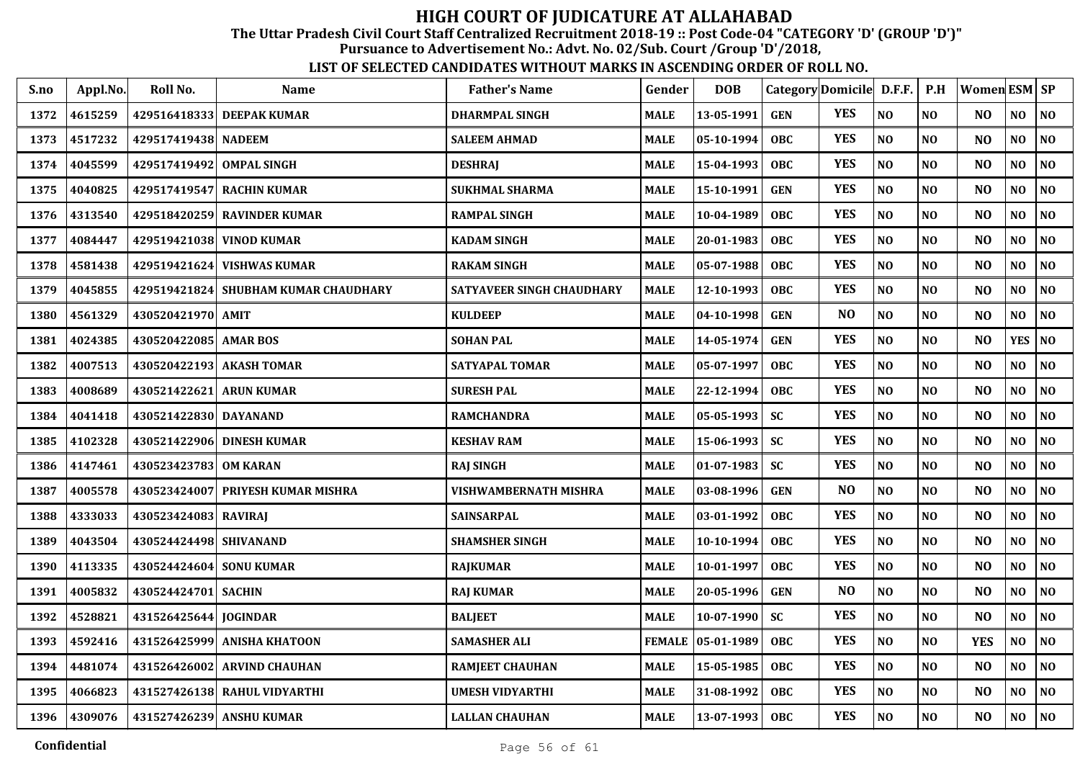The Uttar Pradesh Civil Court Staff Centralized Recruitment 2018-19 :: Post Code-04 "CATEGORY 'D' (GROUP 'D')"

Pursuance to Advertisement No.: Advt. No. 02/Sub. Court /Group 'D'/2018,

| S.no | Appl.No. | Roll No.                | <b>Name</b>                       | <b>Father's Name</b>      | Gender        | <b>DOB</b> | Category Domicile D.F.F. |                |          | P.H            | Women ESM   SP |                |                |
|------|----------|-------------------------|-----------------------------------|---------------------------|---------------|------------|--------------------------|----------------|----------|----------------|----------------|----------------|----------------|
| 1372 | 4615259  |                         | 429516418333 DEEPAK KUMAR         | <b>DHARMPAL SINGH</b>     | <b>MALE</b>   | 13-05-1991 | <b>GEN</b>               | <b>YES</b>     | NO       | N <sub>O</sub> | N <sub>O</sub> | N <sub>O</sub> | <b>NO</b>      |
| 1373 | 4517232  | 429517419438            | <b>NADEEM</b>                     | <b>SALEEM AHMAD</b>       | MALE          | 05-10-1994 | <b>OBC</b>               | <b>YES</b>     | $\bf NO$ | NO             | N <sub>O</sub> | $\bf NO$       | N <sub>O</sub> |
| 1374 | 4045599  | 429517419492            | <b>OMPAL SINGH</b>                | <b>DESHRAJ</b>            | MALE          | 15-04-1993 | <b>OBC</b>               | <b>YES</b>     | NO       | NO             | N <sub>O</sub> | N <sub>O</sub> | <b>NO</b>      |
| 1375 | 4040825  | 429517419547            | <b>RACHIN KUMAR</b>               | <b>SUKHMAL SHARMA</b>     | MALE          | 15-10-1991 | <b>GEN</b>               | <b>YES</b>     | NO       | NO             | NO             | $\bf NO$       | NO             |
| 1376 | 4313540  | 429518420259            | <b>RAVINDER KUMAR</b>             | <b>RAMPAL SINGH</b>       | MALE          | 10-04-1989 | <b>OBC</b>               | <b>YES</b>     | NO       | NO             | N <sub>O</sub> | NO             | NO             |
| 1377 | 4084447  | 429519421038            | <b>VINOD KUMAR</b>                | <b>KADAM SINGH</b>        | MALE          | 20-01-1983 | <b>OBC</b>               | <b>YES</b>     | $\bf NO$ | NO             | NO             | NO             | NO             |
| 1378 | 4581438  |                         | 429519421624 VISHWAS KUMAR        | <b>RAKAM SINGH</b>        | MALE          | 05-07-1988 | <b>OBC</b>               | <b>YES</b>     | $\bf NO$ | $\bf NO$       | NO             | NO             | <b>NO</b>      |
| 1379 | 4045855  | 429519421824            | <b>SHUBHAM KUMAR CHAUDHARY</b>    | SATYAVEER SINGH CHAUDHARY | MALE          | 12-10-1993 | <b>OBC</b>               | <b>YES</b>     | NO       | NO             | N <sub>O</sub> | N <sub>O</sub> | <b>NO</b>      |
| 1380 | 4561329  | 430520421970 AMIT       |                                   | <b>KULDEEP</b>            | MALE          | 04-10-1998 | <b>GEN</b>               | N <sub>O</sub> | NO       | N <sub>O</sub> | N <sub>O</sub> | NO             | <b>NO</b>      |
| 1381 | 4024385  | 430520422085 AMAR BOS   |                                   | <b>SOHAN PAL</b>          | MALE          | 14-05-1974 | <b>GEN</b>               | <b>YES</b>     | NO       | NO             | N <sub>O</sub> | <b>YES</b>     | N <sub>O</sub> |
| 1382 | 4007513  |                         | 430520422193 AKASH TOMAR          | SATYAPAL TOMAR            | MALE          | 05-07-1997 | <b>OBC</b>               | <b>YES</b>     | NO       | NO             | N <sub>O</sub> | NO             | <b>NO</b>      |
| 1383 | 4008689  | 430521422621            | <b>ARUN KUMAR</b>                 | <b>SURESH PAL</b>         | MALE          | 22-12-1994 | <b>OBC</b>               | <b>YES</b>     | NO       | N <sub>0</sub> | N <sub>O</sub> | NO             | <b>NO</b>      |
| 1384 | 4041418  | 430521422830            | <b>DAYANAND</b>                   | <b>RAMCHANDRA</b>         | MALE          | 05-05-1993 | SC                       | <b>YES</b>     | NO       | NO             | N <sub>O</sub> | $\bf NO$       | NO             |
| 1385 | 4102328  | 430521422906            | <b>DINESH KUMAR</b>               | <b>KESHAV RAM</b>         | MALE          | 15-06-1993 | <b>SC</b>                | <b>YES</b>     | NO       | NO             | N <sub>O</sub> | $\bf NO$       | NO             |
| 1386 | 4147461  | 430523423783 OM KARAN   |                                   | <b>RAJ SINGH</b>          | MALE          | 01-07-1983 | <b>SC</b>                | <b>YES</b>     | NO       | NO             | NO             | $\bf NO$       | NO             |
| 1387 | 4005578  |                         | 430523424007 PRIYESH KUMAR MISHRA | VISHWAMBERNATH MISHRA     | MALE          | 03-08-1996 | <b>GEN</b>               | N <sub>O</sub> | $\bf NO$ | NO             | N <sub>O</sub> | NO             | NO             |
| 1388 | 4333033  | 430523424083 RAVIRAJ    |                                   | <b>SAINSARPAL</b>         | MALE          | 03-01-1992 | <b>OBC</b>               | <b>YES</b>     | NO       | NO             | N <sub>O</sub> | N <sub>O</sub> | <b>NO</b>      |
| 1389 | 4043504  | 430524424498 SHIVANAND  |                                   | <b>SHAMSHER SINGH</b>     | MALE          | 10-10-1994 | <b>OBC</b>               | <b>YES</b>     | NO       | N <sub>0</sub> | N <sub>O</sub> | NO             | <b>NO</b>      |
| 1390 | 4113335  | 430524424604 SONU KUMAR |                                   | <b>RAJKUMAR</b>           | MALE          | 10-01-1997 | <b>OBC</b>               | <b>YES</b>     | NO       | N <sub>O</sub> | N <sub>O</sub> | NO             | <b>NO</b>      |
| 1391 | 4005832  | 430524424701 SACHIN     |                                   | <b>RAJ KUMAR</b>          | MALE          | 20-05-1996 | <b>GEN</b>               | N <sub>O</sub> | NO       | N <sub>0</sub> | N <sub>O</sub> | NO             | <b>NO</b>      |
| 1392 | 4528821  | 431526425644            | <b>JOGINDAR</b>                   | <b>BALJEET</b>            | MALE          | 10-07-1990 | <b>SC</b>                | <b>YES</b>     | NO       | NO             | N <sub>O</sub> | NO             | <b>NO</b>      |
| 1393 | 4592416  | 431526425999            | <b>ANISHA KHATOON</b>             | <b>SAMASHER ALI</b>       | <b>FEMALE</b> | 05-01-1989 | <b>OBC</b>               | <b>YES</b>     | NO       | NO             | <b>YES</b>     | NO             | <b>NO</b>      |
| 1394 | 4481074  | 431526426002            | <b>ARVIND CHAUHAN</b>             | <b>RAMJEET CHAUHAN</b>    | <b>MALE</b>   | 15-05-1985 | <b>OBC</b>               | <b>YES</b>     | NO       | NO             | N <sub>O</sub> | NO             | <b>NO</b>      |
| 1395 | 4066823  |                         | 431527426138 RAHUL VIDYARTHI      | <b>UMESH VIDYARTHI</b>    | MALE          | 31-08-1992 | <b>OBC</b>               | <b>YES</b>     | $\bf NO$ | N <sub>0</sub> | NO             | $\bf NO$       | NO             |
| 1396 | 4309076  |                         | 431527426239 ANSHU KUMAR          | <b>LALLAN CHAUHAN</b>     | <b>MALE</b>   | 13-07-1993 | <b>OBC</b>               | <b>YES</b>     | $\bf NO$ | $\bf NO$       | N <sub>O</sub> | NO             | <b>NO</b>      |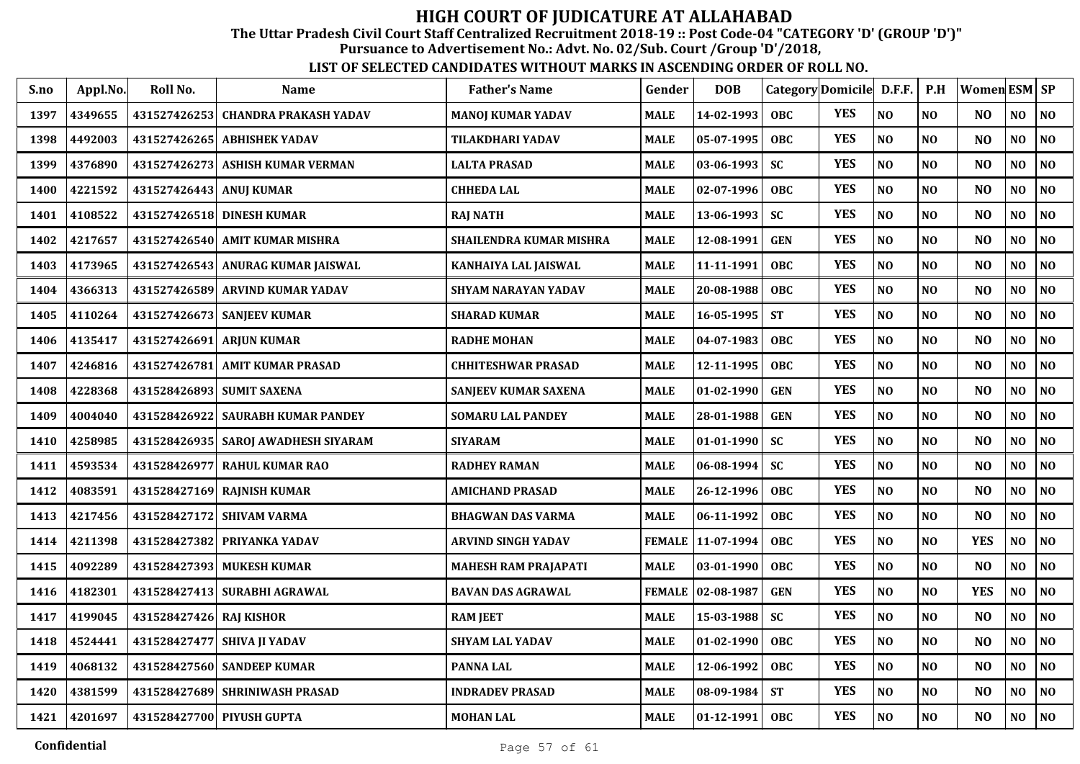The Uttar Pradesh Civil Court Staff Centralized Recruitment 2018-19 :: Post Code-04 "CATEGORY 'D' (GROUP 'D')"

Pursuance to Advertisement No.: Advt. No. 02/Sub. Court /Group 'D'/2018,

| S.no | Appl.No. | Roll No.                | Name                              | <b>Father's Name</b>        | Gender        | <b>DOB</b>        | Category Domicile D.F.F. |            |                | P.H            | Women ESM SP   |     |                |
|------|----------|-------------------------|-----------------------------------|-----------------------------|---------------|-------------------|--------------------------|------------|----------------|----------------|----------------|-----|----------------|
| 1397 | 4349655  | 431527426253            | <b>CHANDRA PRAKASH YADAV</b>      | <b>MANOJ KUMAR YADAV</b>    | <b>MALE</b>   | 14-02-1993        | <b>OBC</b>               | <b>YES</b> | NO             | NO             | N <sub>O</sub> | NO  | N <sub>0</sub> |
| 1398 | 4492003  | 431527426265            | <b>ABHISHEK YADAV</b>             | TILAKDHARI YADAV            | <b>MALE</b>   | 05-07-1995        | <b>OBC</b>               | <b>YES</b> | N <sub>O</sub> | NO             | N <sub>O</sub> | NO  | NO.            |
| 1399 | 4376890  |                         | 431527426273 ASHISH KUMAR VERMAN  | LALTA PRASAD                | <b>MALE</b>   | 03-06-1993        | <b>SC</b>                | <b>YES</b> | NO             | NO             | N <sub>O</sub> | NO  | N <sub>0</sub> |
| 1400 | 4221592  | 431527426443 ANUJ KUMAR |                                   | <b>CHHEDA LAL</b>           | <b>MALE</b>   | 02-07-1996        | <b>OBC</b>               | <b>YES</b> | N <sub>O</sub> | NO             | N <sub>O</sub> | NO  | N <sub>0</sub> |
| 1401 | 4108522  | 431527426518            | <b>DINESH KUMAR</b>               | <b>RAJ NATH</b>             | <b>MALE</b>   | 13-06-1993        | <b>SC</b>                | <b>YES</b> | N <sub>O</sub> | NO             | N <sub>O</sub> | NO  | N <sub>0</sub> |
| 1402 | 4217657  | 431527426540            | <b>AMIT KUMAR MISHRA</b>          | SHAILENDRA KUMAR MISHRA     | <b>MALE</b>   | 12-08-1991        | <b>GEN</b>               | <b>YES</b> | NO             | NO             | N <sub>O</sub> | NO  | N <sub>0</sub> |
| 1403 | 4173965  |                         | 431527426543 ANURAG KUMAR JAISWAL | KANHAIYA LAL JAISWAL        | <b>MALE</b>   | 11-11-1991        | <b>OBC</b>               | <b>YES</b> | N <sub>O</sub> | N <sub>O</sub> | N <sub>O</sub> | NO  | N <sub>O</sub> |
| 1404 | 4366313  |                         | 431527426589 ARVIND KUMAR YADAV   | <b>SHYAM NARAYAN YADAV</b>  | MALE          | 20-08-1988        | <b>OBC</b>               | <b>YES</b> | N <sub>O</sub> | NO             | N <sub>O</sub> | NO  | $\bf NO$       |
| 1405 | 4110264  |                         | 431527426673 SANJEEV KUMAR        | <b>SHARAD KUMAR</b>         | <b>MALE</b>   | 16-05-1995        | <b>ST</b>                | <b>YES</b> | N <sub>O</sub> | <b>NO</b>      | N <sub>O</sub> | NO. | N <sub>0</sub> |
| 1406 | 4135417  | 431527426691            | <b>ARJUN KUMAR</b>                | <b>RADHE MOHAN</b>          | <b>MALE</b>   | 04-07-1983        | <b>OBC</b>               | <b>YES</b> | N <sub>O</sub> | NO             | N <sub>O</sub> | NO  | NO             |
| 1407 | 4246816  |                         | 431527426781 AMIT KUMAR PRASAD    | <b>CHHITESHWAR PRASAD</b>   | <b>MALE</b>   | 12-11-1995        | <b>OBC</b>               | <b>YES</b> | N <sub>O</sub> | N <sub>O</sub> | N <sub>O</sub> | NO  | NO             |
| 1408 | 4228368  |                         | 431528426893 SUMIT SAXENA         | <b>SANJEEV KUMAR SAXENA</b> | <b>MALE</b>   | 01-02-1990        | <b>GEN</b>               | <b>YES</b> | N <sub>O</sub> | NO             | N <sub>O</sub> | NO  | NO             |
| 1409 | 4004040  | 431528426922            | <b>SAURABH KUMAR PANDEY</b>       | <b>SOMARU LAL PANDEY</b>    | <b>MALE</b>   | 28-01-1988        | <b>GEN</b>               | <b>YES</b> | N <sub>O</sub> | NO             | N <sub>O</sub> | NO  | NO             |
| 1410 | 4258985  | 431528426935            | <b>SAROJ AWADHESH SIYARAM</b>     | <b>SIYARAM</b>              | <b>MALE</b>   | 01-01-1990        | <b>SC</b>                | <b>YES</b> | NO             | NO             | N <sub>O</sub> | NO  | NO             |
| 1411 | 4593534  | 431528426977            | <b>RAHUL KUMAR RAO</b>            | <b>RADHEY RAMAN</b>         | <b>MALE</b>   | 06-08-1994        | <b>SC</b>                | <b>YES</b> | NO             | N <sub>O</sub> | N <sub>O</sub> | NO  | NO             |
| 1412 | 4083591  |                         | 431528427169 RAINISH KUMAR        | <b>AMICHAND PRASAD</b>      | <b>MALE</b>   | 26-12-1996        | <b>OBC</b>               | <b>YES</b> | N <sub>O</sub> | N <sub>O</sub> | N <sub>O</sub> | NO  | NO             |
| 1413 | 4217456  |                         | 431528427172 SHIVAM VARMA         | <b>BHAGWAN DAS VARMA</b>    | <b>MALE</b>   | 06-11-1992        | <b>OBC</b>               | <b>YES</b> | N <sub>O</sub> | N <sub>O</sub> | NO             | NO  | NO             |
| 1414 | 4211398  | 431528427382            | PRIYANKA YADAV                    | <b>ARVIND SINGH YADAV</b>   | <b>FEMALE</b> | $11 - 07 - 1994$  | <b>OBC</b>               | <b>YES</b> | N <sub>O</sub> | N <sub>O</sub> | <b>YES</b>     | NO  | N <sub>0</sub> |
| 1415 | 4092289  | 431528427393            | <b>MUKESH KUMAR</b>               | <b>MAHESH RAM PRAJAPATI</b> | <b>MALE</b>   | 03-01-1990        | <b>OBC</b>               | <b>YES</b> | N <sub>O</sub> | N <sub>O</sub> | NO             | NO. | NO             |
| 1416 | 4182301  |                         | 431528427413 SURABHI AGRAWAL      | <b>BAVAN DAS AGRAWAL</b>    |               | FEMALE 02-08-1987 | <b>GEN</b>               | <b>YES</b> | N <sub>O</sub> | N <sub>O</sub> | <b>YES</b>     | NO  | NO             |
| 1417 | 4199045  | 431528427426 RAJ KISHOR |                                   | <b>RAM JEET</b>             | <b>MALE</b>   | 15-03-1988        | <b>SC</b>                | <b>YES</b> | N <sub>O</sub> | NO             | N <sub>O</sub> | NO  | NO             |
| 1418 | 4524441  | 431528427477            | SHIVA JI YADAV                    | <b>SHYAM LAL YADAV</b>      | <b>MALE</b>   | 01-02-1990        | <b>OBC</b>               | <b>YES</b> | N <sub>O</sub> | N <sub>O</sub> | N <sub>O</sub> | NO  | NO             |
| 1419 | 4068132  |                         | 431528427560 SANDEEP KUMAR        | <b>PANNA LAL</b>            | <b>MALE</b>   | 12-06-1992        | <b>OBC</b>               | <b>YES</b> | N <sub>O</sub> | NO             | N <sub>O</sub> | NO  | $\bf NO$       |
| 1420 | 4381599  |                         | 431528427689 SHRINIWASH PRASAD    | <b>INDRADEV PRASAD</b>      | <b>MALE</b>   | 08-09-1984        | <b>ST</b>                | <b>YES</b> | $\bf NO$       | N <sub>O</sub> | N <sub>O</sub> | NO  | $\bf NO$       |
| 1421 | 4201697  |                         | 431528427700 PIYUSH GUPTA         | <b>MOHAN LAL</b>            | <b>MALE</b>   | 01-12-1991        | <b>OBC</b>               | <b>YES</b> | NO             | $\bf NO$       | NO             | NO  | NO             |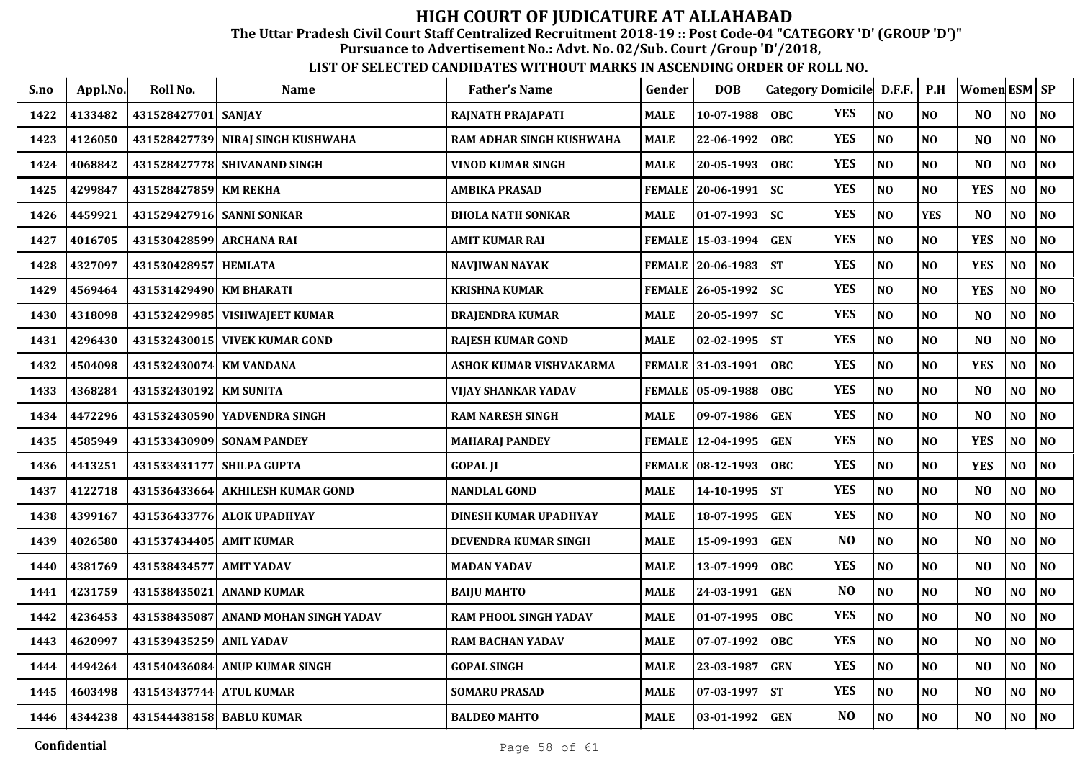The Uttar Pradesh Civil Court Staff Centralized Recruitment 2018-19 :: Post Code-04 "CATEGORY 'D' (GROUP 'D')"

Pursuance to Advertisement No.: Advt. No. 02/Sub. Court /Group 'D'/2018,

| S.no | Appl.No. | Roll No.                  | <b>Name</b>                       | <b>Father's Name</b>         | Gender        | <b>DOB</b>               |            | Category Domicile D.F.F. |                | P.H            | Women ESM SP   |                |                |
|------|----------|---------------------------|-----------------------------------|------------------------------|---------------|--------------------------|------------|--------------------------|----------------|----------------|----------------|----------------|----------------|
| 1422 | 4133482  | 431528427701              | <b>SANJAY</b>                     | RAJNATH PRAJAPATI            | <b>MALE</b>   | 10-07-1988               | <b>OBC</b> | <b>YES</b>               | N <sub>O</sub> | NO             | N <sub>O</sub> | NO             | NO             |
| 1423 | 4126050  |                           | 431528427739 NIRAJ SINGH KUSHWAHA | RAM ADHAR SINGH KUSHWAHA     | <b>MALE</b>   | 22-06-1992               | <b>OBC</b> | <b>YES</b>               | NO             | NO             | N <sub>O</sub> | NO             | $\bf NO$       |
| 1424 | 4068842  |                           | 431528427778 SHIVANAND SINGH      | VINOD KUMAR SINGH            | <b>MALE</b>   | 20-05-1993               | <b>OBC</b> | <b>YES</b>               | NO             | NO             | N <sub>O</sub> | NO             | $\bf NO$       |
| 1425 | 4299847  | 431528427859              | <b>KM REKHA</b>                   | AMBIKA PRASAD                | <b>FEMALE</b> | 20-06-1991               | SC         | <b>YES</b>               | N <sub>O</sub> | NO             | <b>YES</b>     | NO             | N <sub>0</sub> |
| 1426 | 4459921  | 431529427916              | <b>SANNI SONKAR</b>               | <b>BHOLA NATH SONKAR</b>     | MALE          | 01-07-1993               | <b>SC</b>  | <b>YES</b>               | N <sub>O</sub> | <b>YES</b>     | N <sub>O</sub> | NO             | NO             |
| 1427 | 4016705  | 431530428599              | <b>ARCHANA RAI</b>                | AMIT KUMAR RAI               | <b>FEMALE</b> | 15-03-1994               | <b>GEN</b> | <b>YES</b>               | N <sub>O</sub> | N <sub>O</sub> | <b>YES</b>     | NO             | N <sub>O</sub> |
| 1428 | 4327097  | 431530428957 HEMLATA      |                                   | <b>NAVJIWAN NAYAK</b>        |               | FEMALE 20-06-1983        | <b>ST</b>  | <b>YES</b>               | N <sub>O</sub> | NO             | <b>YES</b>     | NO             | NO             |
| 1429 | 4569464  | 431531429490 KM BHARATI   |                                   | <b>KRISHNA KUMAR</b>         |               | FEMALE 26-05-1992        | <b>SC</b>  | <b>YES</b>               | N <sub>O</sub> | NO             | <b>YES</b>     | NO.            | NO             |
| 1430 | 4318098  | 431532429985              | <b>VISHWAJEET KUMAR</b>           | BRAJENDRA KUMAR              | MALE          | 20-05-1997               | <b>SC</b>  | <b>YES</b>               | N <sub>O</sub> | NO             | N <sub>O</sub> | NO             | N <sub>0</sub> |
| 1431 | 4296430  | 431532430015              | <b>VIVEK KUMAR GOND</b>           | <b>RAJESH KUMAR GOND</b>     | <b>MALE</b>   | $02 - 02 - 1995$         | <b>ST</b>  | <b>YES</b>               | N <sub>O</sub> | N <sub>O</sub> | N <sub>O</sub> | NO             | NO             |
| 1432 | 4504098  | 431532430074              | <b>KM VANDANA</b>                 | ASHOK KUMAR VISHVAKARMA      |               | <b>FEMALE 31-03-1991</b> | <b>OBC</b> | <b>YES</b>               | N <sub>O</sub> | N <sub>O</sub> | <b>YES</b>     | NO             | NO             |
| 1433 | 4368284  | 431532430192              | <b>KM SUNITA</b>                  | <b>VIJAY SHANKAR YADAV</b>   |               | FEMALE 05-09-1988        | <b>OBC</b> | <b>YES</b>               | N <sub>O</sub> | N <sub>0</sub> | NO             | NO             | N <sub>O</sub> |
| 1434 | 4472296  | 431532430590              | YADVENDRA SINGH                   | <b>RAM NARESH SINGH</b>      | <b>MALE</b>   | 09-07-1986               | <b>GEN</b> | <b>YES</b>               | N <sub>O</sub> | NO             | NO             | NO             | NO             |
| 1435 | 4585949  |                           | 431533430909 SONAM PANDEY         | <b>MAHARAJ PANDEY</b>        | <b>FEMALE</b> | 12-04-1995               | <b>GEN</b> | <b>YES</b>               | N <sub>O</sub> | N <sub>0</sub> | <b>YES</b>     | NO             | N <sub>O</sub> |
| 1436 | 4413251  |                           | 431533431177 SHILPA GUPTA         | <b>GOPAL JI</b>              |               | FEMALE 08-12-1993        | <b>OBC</b> | <b>YES</b>               | N <sub>O</sub> | NO             | <b>YES</b>     | NO             | $\bf NO$       |
| 1437 | 4122718  |                           | 431536433664 AKHILESH KUMAR GOND  | <b>NANDLAL GOND</b>          | MALE          | 14-10-1995               | <b>ST</b>  | <b>YES</b>               | N <sub>O</sub> | NO             | N <sub>O</sub> | NO             | $\bf NO$       |
| 1438 | 4399167  |                           | 431536433776 ALOK UPADHYAY        | DINESH KUMAR UPADHYAY        | MALE          | 18-07-1995               | <b>GEN</b> | <b>YES</b>               | N <sub>O</sub> | NO             | N <sub>O</sub> | NO             | NO             |
| 1439 | 4026580  | 431537434405   AMIT KUMAR |                                   | DEVENDRA KUMAR SINGH         | <b>MALE</b>   | 15-09-1993               | <b>GEN</b> | N <sub>O</sub>           | N <sub>O</sub> | NO             | N <sub>O</sub> | NO             | NO             |
| 1440 | 4381769  | 431538434577              | <b>AMIT YADAV</b>                 | <b>MADAN YADAV</b>           | <b>MALE</b>   | 13-07-1999               | <b>OBC</b> | <b>YES</b>               | N <sub>O</sub> | NO             | N <sub>O</sub> | NO             | N <sub>O</sub> |
| 1441 | 4231759  | 431538435021              | <b>ANAND KUMAR</b>                | <b>BAIJU MAHTO</b>           | <b>MALE</b>   | 24-03-1991               | <b>GEN</b> | N <sub>O</sub>           | NO             | NO             | N <sub>O</sub> | NO             | $\bf NO$       |
| 1442 | 4236453  | 431538435087              | <b>ANAND MOHAN SINGH YADAV</b>    | <b>RAM PHOOL SINGH YADAV</b> | <b>MALE</b>   | 01-07-1995               | <b>OBC</b> | <b>YES</b>               | N <sub>O</sub> | N <sub>0</sub> | N <sub>O</sub> | N <sub>O</sub> | NO             |
| 1443 | 4620997  | 431539435259              | <b>ANIL YADAV</b>                 | <b>RAM BACHAN YADAV</b>      | <b>MALE</b>   | 07-07-1992               | <b>OBC</b> | <b>YES</b>               | N <sub>O</sub> | NO             | N <sub>O</sub> | NO             | NO             |
| 1444 | 4494264  |                           | 431540436084 ANUP KUMAR SINGH     | <b>GOPAL SINGH</b>           | <b>MALE</b>   | 23-03-1987               | <b>GEN</b> | <b>YES</b>               | NO             | N <sub>O</sub> | N <sub>O</sub> | NO             | NO             |
| 1445 | 4603498  | 431543437744 ATUL KUMAR   |                                   | <b>SOMARU PRASAD</b>         | <b>MALE</b>   | 07-03-1997               | <b>ST</b>  | <b>YES</b>               | NO             | NO             | N <sub>O</sub> | NO             | $\bf NO$       |
| 1446 | 4344238  |                           | 431544438158 BABLU KUMAR          | <b>BALDEO MAHTO</b>          | <b>MALE</b>   | 03-01-1992               | <b>GEN</b> | N <sub>O</sub>           | NO             | <b>NO</b>      | NO             | NO.            | NO             |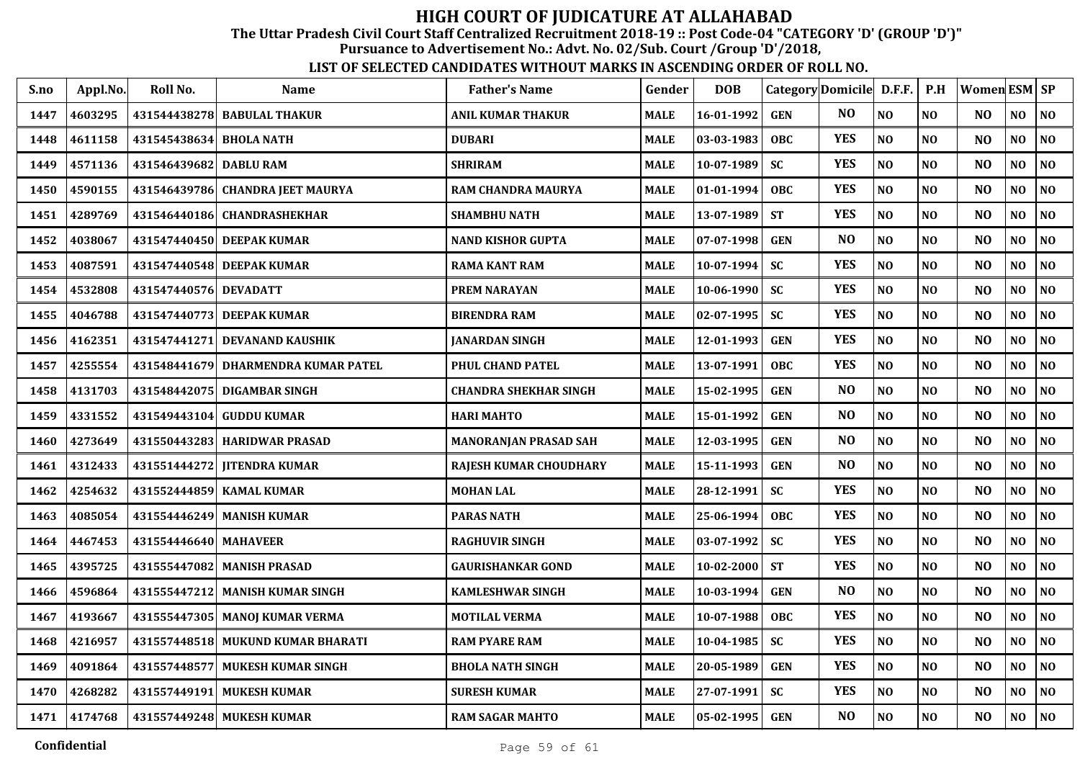The Uttar Pradesh Civil Court Staff Centralized Recruitment 2018-19 :: Post Code-04 "CATEGORY 'D' (GROUP 'D')"

Pursuance to Advertisement No.: Advt. No. 02/Sub. Court /Group 'D'/2018,

| S.no | Appl.No. | Roll No.                | <b>Name</b>                         | <b>Father's Name</b>          | Gender      | <b>DOB</b>       |            | Category Domicile D.F.F. |                | P.H            | Women ESM   SP |                |                |
|------|----------|-------------------------|-------------------------------------|-------------------------------|-------------|------------------|------------|--------------------------|----------------|----------------|----------------|----------------|----------------|
| 1447 | 4603295  |                         | 431544438278 BABULAL THAKUR         | ANIL KUMAR THAKUR             | <b>MALE</b> | 16-01-1992       | <b>GEN</b> | NO.                      | N <sub>O</sub> | N <sub>O</sub> | N <sub>O</sub> | N <sub>O</sub> | N <sub>O</sub> |
| 1448 | 4611158  | 431545438634 BHOLA NATH |                                     | <b>DUBARI</b>                 | MALE        | $03-03-1983$     | <b>OBC</b> | <b>YES</b>               | $\bf NO$       | N <sub>O</sub> | N <sub>O</sub> | NO             | NO             |
| 1449 | 4571136  | 431546439682 DABLU RAM  |                                     | <b>SHRIRAM</b>                | <b>MALE</b> | $10 - 07 - 1989$ | <b>SC</b>  | <b>YES</b>               | NO             | NO             | N <sub>O</sub> | NO             | N <sub>O</sub> |
| 1450 | 4590155  |                         | 431546439786 CHANDRA JEET MAURYA    | RAM CHANDRA MAURYA            | MALE        | $01-01-1994$     | OBC.       | <b>YES</b>               | NO             | NO             | NO             | NO             | NO             |
| 1451 | 4289769  |                         | 431546440186 CHANDRASHEKHAR         | <b>SHAMBHU NATH</b>           | MALE        | 13-07-1989       | <b>ST</b>  | <b>YES</b>               | NO             | NO             | N <sub>O</sub> | NO             | N <sub>0</sub> |
| 1452 | 4038067  |                         | 431547440450 DEEPAK KUMAR           | <b>NAND KISHOR GUPTA</b>      | MALE        | 07-07-1998       | <b>GEN</b> | NO                       | NO             | NO             | N <sub>O</sub> | NO.            | NO             |
| 1453 | 4087591  |                         | 431547440548 DEEPAK KUMAR           | <b>RAMA KANT RAM</b>          | <b>MALE</b> | $10-07-1994$     | SC         | <b>YES</b>               | N <sub>O</sub> | NO             | N <sub>O</sub> | NO             | NO             |
| 1454 | 4532808  | 431547440576 DEVADATT   |                                     | <b>PREM NARAYAN</b>           | MALE        | 10-06-1990       | <b>SC</b>  | <b>YES</b>               | NO             | NO             | N <sub>O</sub> | NO.            | NO             |
| 1455 | 4046788  |                         | 431547440773 DEEPAK KUMAR           | <b>BIRENDRA RAM</b>           | MALE        | $02 - 07 - 1995$ | <b>SC</b>  | <b>YES</b>               | N <sub>O</sub> | N <sub>0</sub> | N <sub>O</sub> | NO             | NO             |
| 1456 | 4162351  | 431547441271            | <b>DEVANAND KAUSHIK</b>             | <b>JANARDAN SINGH</b>         | <b>MALE</b> | 12-01-1993       | <b>GEN</b> | <b>YES</b>               | N <sub>0</sub> | N <sub>0</sub> | N <sub>O</sub> | NO             | N <sub>O</sub> |
| 1457 | 4255554  |                         | 431548441679 DHARMENDRA KUMAR PATEL | PHUL CHAND PATEL              | MALE        | 13-07-1991       | <b>OBC</b> | <b>YES</b>               | N <sub>O</sub> | NO             | N <sub>O</sub> | NO             | NO             |
| 1458 | 4131703  |                         | 431548442075 DIGAMBAR SINGH         | <b>CHANDRA SHEKHAR SINGH</b>  | <b>MALE</b> | 15-02-1995       | <b>GEN</b> | N <sub>O</sub>           | N <sub>O</sub> | NO             | N <sub>O</sub> | NO             | NO             |
| 1459 | 4331552  | 431549443104            | <b>GUDDU KUMAR</b>                  | <b>HARI MAHTO</b>             | <b>MALE</b> | 15-01-1992       | <b>GEN</b> | N <sub>O</sub>           | NO             | NO             | N <sub>O</sub> | NO             | NO             |
| 1460 | 4273649  |                         | 431550443283 HARIDWAR PRASAD        | MANORANJAN PRASAD SAH         | <b>MALE</b> | 12-03-1995       | <b>GEN</b> | NO                       | NO             | NO             | N <sub>O</sub> | NO             | N <sub>0</sub> |
| 1461 | 4312433  |                         | 431551444272   IITENDRA KUMAR       | <b>RAJESH KUMAR CHOUDHARY</b> | MALE        | 15-11-1993       | <b>GEN</b> | NO                       | NO             | N <sub>O</sub> | N <sub>O</sub> | NO             | N <sub>O</sub> |
| 1462 | 4254632  |                         | 431552444859 KAMAL KUMAR            | <b>MOHAN LAL</b>              | <b>MALE</b> | 28-12-1991       | <b>SC</b>  | <b>YES</b>               | N <sub>O</sub> | NO             | N <sub>O</sub> | N <sub>O</sub> | NO             |
| 1463 | 4085054  |                         | 431554446249 MANISH KUMAR           | <b>PARAS NATH</b>             | MALE        | 25-06-1994       | <b>OBC</b> | <b>YES</b>               | N <sub>O</sub> | NO             | N <sub>O</sub> | NO.            | NO             |
| 1464 | 4467453  | 431554446640 MAHAVEER   |                                     | <b>RAGHUVIR SINGH</b>         | MALE        | 03-07-1992       | <b>SC</b>  | <b>YES</b>               | N <sub>O</sub> | NO             | N <sub>O</sub> | N <sub>O</sub> | NO             |
| 1465 | 4395725  |                         | 431555447082 MANISH PRASAD          | <b>GAURISHANKAR GOND</b>      | <b>MALE</b> | $10 - 02 - 2000$ | <b>ST</b>  | <b>YES</b>               | N <sub>O</sub> | N <sub>O</sub> | N <sub>O</sub> | NO.            | N <sub>O</sub> |
| 1466 | 4596864  |                         | 431555447212 MANISH KUMAR SINGH     | <b>KAMLESHWAR SINGH</b>       | MALE        | $10-03-1994$     | <b>GEN</b> | N <sub>O</sub>           | N <sub>O</sub> | NO             | N <sub>O</sub> | NO             | NO             |
| 1467 | 4193667  |                         | 431555447305 MANOJ KUMAR VERMA      | <b>MOTILAL VERMA</b>          | MALE        | 10-07-1988       | <b>OBC</b> | <b>YES</b>               | N <sub>O</sub> | N <sub>O</sub> | N <sub>O</sub> | NO             | N <sub>O</sub> |
| 1468 | 4216957  |                         | 431557448518 MUKUND KUMAR BHARATI   | <b>RAM PYARE RAM</b>          | <b>MALE</b> | 10-04-1985       | <b>SC</b>  | <b>YES</b>               | NO             | NO             | N <sub>O</sub> | NO             | NO             |
| 1469 | 4091864  |                         | 431557448577 MUKESH KUMAR SINGH     | <b>BHOLA NATH SINGH</b>       | <b>MALE</b> | 20-05-1989       | <b>GEN</b> | <b>YES</b>               | N <sub>O</sub> | NO             | N <sub>O</sub> | N <sub>O</sub> | N <sub>O</sub> |
| 1470 | 4268282  |                         | 431557449191 MUKESH KUMAR           | <b>SURESH KUMAR</b>           | <b>MALE</b> | 27-07-1991       | <b>SC</b>  | <b>YES</b>               | N <sub>O</sub> | NO             | N <sub>O</sub> | N <sub>O</sub> | NO             |
| 1471 | 4174768  |                         | 431557449248 MUKESH KUMAR           | <b>RAM SAGAR MAHTO</b>        | <b>MALE</b> | $ 05-02-1995 $   | <b>GEN</b> | NO                       | N <sub>O</sub> | N <sub>O</sub> | N <sub>O</sub> | NO             | N <sub>O</sub> |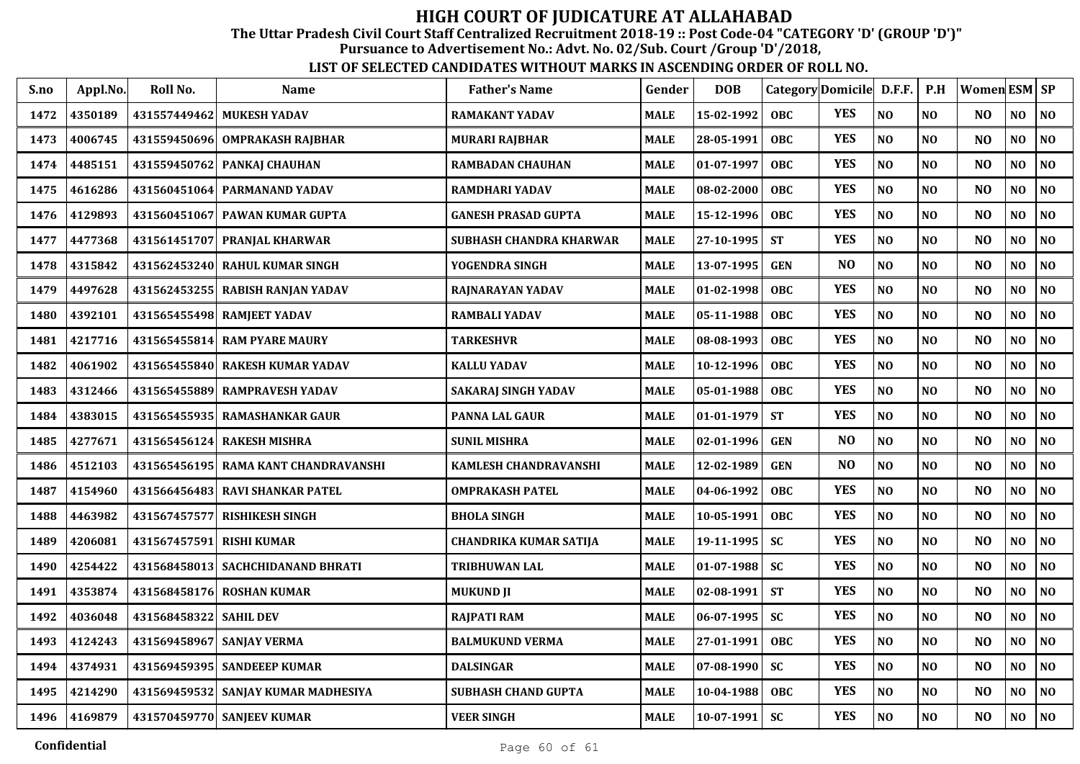The Uttar Pradesh Civil Court Staff Centralized Recruitment 2018-19 :: Post Code-04 "CATEGORY 'D' (GROUP 'D')"

Pursuance to Advertisement No.: Advt. No. 02/Sub. Court /Group 'D'/2018,

| S.no | Appl.No. | Roll No.     | <b>Name</b>                          | <b>Father's Name</b>           | Gender      | <b>DOB</b>   | Category Domicile D.F.F. |                |                | P.H            | Women ESM SP   |                |                |
|------|----------|--------------|--------------------------------------|--------------------------------|-------------|--------------|--------------------------|----------------|----------------|----------------|----------------|----------------|----------------|
| 1472 | 4350189  |              | 431557449462 MUKESH YADAV            | <b>RAMAKANT YADAV</b>          | <b>MALE</b> | 15-02-1992   | <b>OBC</b>               | <b>YES</b>     | N <sub>O</sub> | N <sub>O</sub> | N <sub>O</sub> | NO             | NO             |
| 1473 | 4006745  | 431559450696 | OMPRAKASH RAJBHAR                    | <b>MURARI RAJBHAR</b>          | <b>MALE</b> | 28-05-1991   | <b>OBC</b>               | <b>YES</b>     | NO             | N <sub>O</sub> | N <sub>O</sub> | NO             | NO             |
| 1474 | 4485151  | 431559450762 | PANKAJ CHAUHAN                       | <b>RAMBADAN CHAUHAN</b>        | <b>MALE</b> | 01-07-1997   | <b>OBC</b>               | <b>YES</b>     | NO             | N <sub>O</sub> | N <sub>O</sub> | NO             | NO             |
| 1475 | 4616286  | 431560451064 | <b>PARMANAND YADAV</b>               | <b>RAMDHARI YADAV</b>          | <b>MALE</b> | 08-02-2000   | <b>OBC</b>               | <b>YES</b>     | NO             | N <sub>O</sub> | N <sub>O</sub> | NO             | NO             |
| 1476 | 4129893  |              | 431560451067 PAWAN KUMAR GUPTA       | <b>GANESH PRASAD GUPTA</b>     | <b>MALE</b> | 15-12-1996   | <b>OBC</b>               | <b>YES</b>     | NO             | N <sub>O</sub> | N <sub>O</sub> | NO             | NO             |
| 1477 | 4477368  | 431561451707 | <b>PRANJAL KHARWAR</b>               | <b>SUBHASH CHANDRA KHARWAR</b> | <b>MALE</b> | 27-10-1995   | <b>ST</b>                | <b>YES</b>     | NO             | N <sub>O</sub> | N <sub>O</sub> | NO             | $\bf NO$       |
| 1478 | 4315842  |              | 431562453240 RAHUL KUMAR SINGH       | YOGENDRA SINGH                 | <b>MALE</b> | 13-07-1995   | <b>GEN</b>               | N <sub>O</sub> | $\bf NO$       | NO             | N <sub>O</sub> | NO             | $\bf NO$       |
| 1479 | 4497628  |              | 431562453255 RABISH RANJAN YADAV     | RAJNARAYAN YADAV               | <b>MALE</b> | 01-02-1998   | <b>OBC</b>               | <b>YES</b>     | NO             | N <sub>O</sub> | N <sub>O</sub> | NO.            | NO             |
| 1480 | 4392101  |              | 431565455498 RAMJEET YADAV           | <b>RAMBALI YADAV</b>           | <b>MALE</b> | 05-11-1988   | <b>OBC</b>               | <b>YES</b>     | NO             | N <sub>O</sub> | N <sub>O</sub> | NO             | N <sub>0</sub> |
| 1481 | 4217716  |              | 431565455814 RAM PYARE MAURY         | <b>TARKESHVR</b>               | <b>MALE</b> | 08-08-1993   | <b>OBC</b>               | <b>YES</b>     | NO             | N <sub>0</sub> | N <sub>O</sub> | NO.            | N <sub>0</sub> |
| 1482 | 4061902  |              | 431565455840 RAKESH KUMAR YADAV      | KALLU YADAV                    | <b>MALE</b> | 10-12-1996   | <b>OBC</b>               | <b>YES</b>     | $\bf NO$       | N <sub>O</sub> | NO             | NO             | $\bf NO$       |
| 1483 | 4312466  | 431565455889 | <b>RAMPRAVESH YADAV</b>              | <b>SAKARAJ SINGH YADAV</b>     | <b>MALE</b> | 05-01-1988   | <b>OBC</b>               | <b>YES</b>     | NO             | N <sub>O</sub> | N <sub>O</sub> | NO             | N <sub>O</sub> |
| 1484 | 4383015  | 431565455935 | <b>RAMASHANKAR GAUR</b>              | <b>PANNA LAL GAUR</b>          | <b>MALE</b> | 01-01-1979   | <b>ST</b>                | <b>YES</b>     | NO             | N <sub>O</sub> | N <sub>O</sub> | NO             | N <sub>0</sub> |
| 1485 | 4277671  | 431565456124 | <b>RAKESH MISHRA</b>                 | <b>SUNIL MISHRA</b>            | <b>MALE</b> | 02-01-1996   | <b>GEN</b>               | N <sub>O</sub> | N <sub>O</sub> | N <sub>O</sub> | N <sub>O</sub> | N <sub>O</sub> | N <sub>O</sub> |
| 1486 | 4512103  |              | 431565456195 RAMA KANT CHANDRAVANSHI | <b>KAMLESH CHANDRAVANSHI</b>   | <b>MALE</b> | 12-02-1989   | <b>GEN</b>               | NO             | NO             | N <sub>O</sub> | N <sub>O</sub> | N <sub>O</sub> | NO             |
| 1487 | 4154960  |              | 431566456483 RAVI SHANKAR PATEL      | <b>OMPRAKASH PATEL</b>         | <b>MALE</b> | 04-06-1992   | <b>OBC</b>               | <b>YES</b>     | NO             | NO             | N <sub>O</sub> | N <sub>O</sub> | N <sub>0</sub> |
| 1488 | 4463982  | 431567457577 | <b>RISHIKESH SINGH</b>               | <b>BHOLA SINGH</b>             | <b>MALE</b> | 10-05-1991   | <b>OBC</b>               | <b>YES</b>     | NO             | N <sub>O</sub> | N <sub>O</sub> | NO             | NO             |
| 1489 | 4206081  | 431567457591 | <b>RISHI KUMAR</b>                   | <b>CHANDRIKA KUMAR SATIJA</b>  | <b>MALE</b> | 19-11-1995   | <b>SC</b>                | <b>YES</b>     | NO             | N <sub>O</sub> | N <sub>O</sub> | N <sub>O</sub> | NO             |
| 1490 | 4254422  |              | 431568458013 SACHCHIDANAND BHRATI    | TRIBHUWAN LAL                  | <b>MALE</b> | $01-07-1988$ | <b>SC</b>                | <b>YES</b>     | NO             | N <sub>O</sub> | N <sub>O</sub> | NO             | N <sub>0</sub> |
| 1491 | 4353874  |              | 431568458176 ROSHAN KUMAR            | <b>MUKUND JI</b>               | <b>MALE</b> | 02-08-1991   | <b>ST</b>                | <b>YES</b>     | $\bf NO$       | N <sub>O</sub> | N <sub>O</sub> | NO             | N <sub>0</sub> |
| 1492 | 4036048  | 431568458322 | <b>SAHIL DEV</b>                     | <b>RAJPATI RAM</b>             | <b>MALE</b> | 06-07-1995   | <b>SC</b>                | <b>YES</b>     | NO             | N <sub>O</sub> | N <sub>O</sub> | NO             | N <sub>0</sub> |
| 1493 | 4124243  | 431569458967 | SANJAY VERMA                         | <b>BALMUKUND VERMA</b>         | <b>MALE</b> | 27-01-1991   | <b>OBC</b>               | <b>YES</b>     | NO             | NO             | N <sub>O</sub> | NO             | N <sub>0</sub> |
| 1494 | 4374931  |              | 431569459395 SANDEEEP KUMAR          | <b>DALSINGAR</b>               | <b>MALE</b> | 07-08-1990   | <b>SC</b>                | <b>YES</b>     | NO             | NO             | N <sub>O</sub> | NO             | N <sub>0</sub> |
| 1495 | 4214290  |              | 431569459532 SANJAY KUMAR MADHESIYA  | SUBHASH CHAND GUPTA            | <b>MALE</b> | 10-04-1988   | OBC                      | <b>YES</b>     | $\bf NO$       | $\bf NO$       | NO             | NO             | $\bf NO$       |
| 1496 | 4169879  |              | 431570459770 SANJEEV KUMAR           | <b>VEER SINGH</b>              | <b>MALE</b> | $10-07-1991$ | <b>SC</b>                | <b>YES</b>     | $\bf NO$       | $\bf NO$       | N <sub>O</sub> | NO             | N <sub>0</sub> |